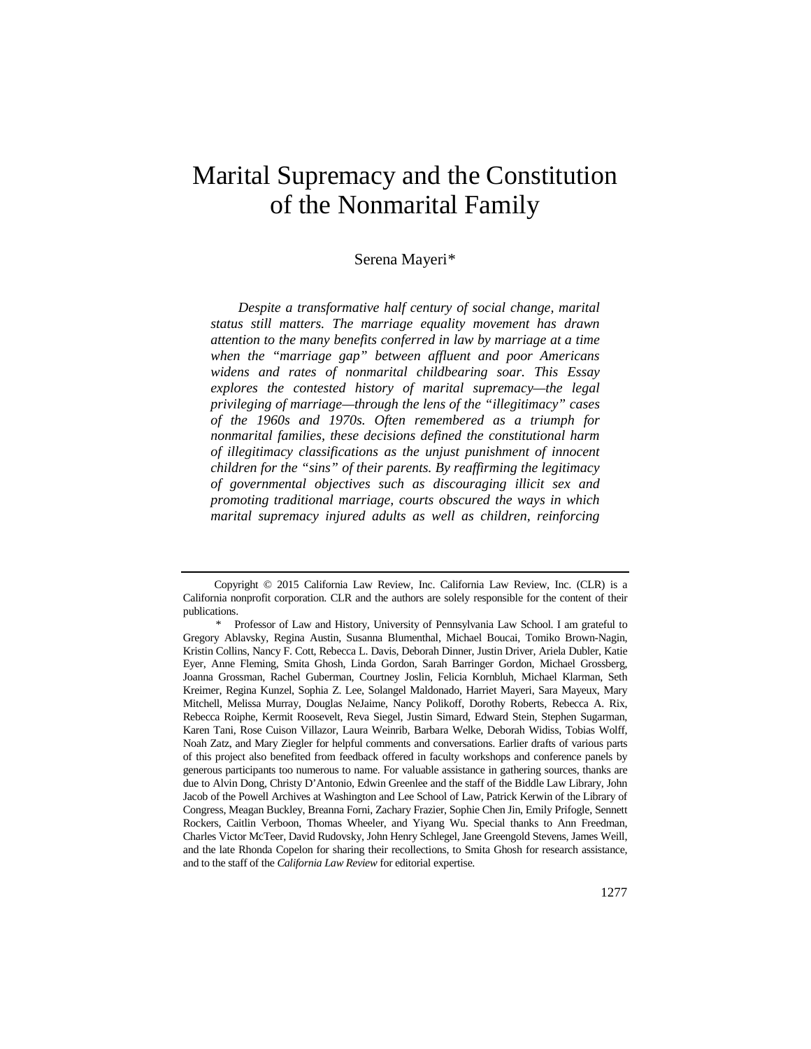# Marital Supremacy and the Constitution of the Nonmarital Family

#### Serena Mayeri[\\*](#page-0-0)

*Despite a transformative half century of social change, marital status still matters. The marriage equality movement has drawn attention to the many benefits conferred in law by marriage at a time when the "marriage gap" between affluent and poor Americans widens and rates of nonmarital childbearing soar. This Essay explores the contested history of marital supremacy—the legal privileging of marriage—through the lens of the "illegitimacy" cases of the 1960s and 1970s. Often remembered as a triumph for nonmarital families, these decisions defined the constitutional harm of illegitimacy classifications as the unjust punishment of innocent children for the "sins" of their parents. By reaffirming the legitimacy of governmental objectives such as discouraging illicit sex and promoting traditional marriage, courts obscured the ways in which marital supremacy injured adults as well as children, reinforcing* 

<span id="page-0-0"></span>Copyright © 2015 California Law Review, Inc. California Law Review, Inc. (CLR) is a California nonprofit corporation. CLR and the authors are solely responsible for the content of their publications.

<sup>\*</sup> Professor of Law and History, University of Pennsylvania Law School. I am grateful to Gregory Ablavsky, Regina Austin, Susanna Blumenthal, Michael Boucai, Tomiko Brown-Nagin, Kristin Collins, Nancy F. Cott, Rebecca L. Davis, Deborah Dinner, Justin Driver, Ariela Dubler, Katie Eyer, Anne Fleming, Smita Ghosh, Linda Gordon, Sarah Barringer Gordon, Michael Grossberg, Joanna Grossman, Rachel Guberman, Courtney Joslin, Felicia Kornbluh, Michael Klarman, Seth Kreimer, Regina Kunzel, Sophia Z. Lee, Solangel Maldonado, Harriet Mayeri, Sara Mayeux, Mary Mitchell, Melissa Murray, Douglas NeJaime, Nancy Polikoff, Dorothy Roberts, Rebecca A. Rix, Rebecca Roiphe, Kermit Roosevelt, Reva Siegel, Justin Simard, Edward Stein, Stephen Sugarman, Karen Tani, Rose Cuison Villazor, Laura Weinrib, Barbara Welke, Deborah Widiss, Tobias Wolff, Noah Zatz, and Mary Ziegler for helpful comments and conversations. Earlier drafts of various parts of this project also benefited from feedback offered in faculty workshops and conference panels by generous participants too numerous to name. For valuable assistance in gathering sources, thanks are due to Alvin Dong, Christy D'Antonio, Edwin Greenlee and the staff of the Biddle Law Library, John Jacob of the Powell Archives at Washington and Lee School of Law, Patrick Kerwin of the Library of Congress, Meagan Buckley, Breanna Forni, Zachary Frazier, Sophie Chen Jin, Emily Prifogle, Sennett Rockers, Caitlin Verboon, Thomas Wheeler, and Yiyang Wu. Special thanks to Ann Freedman, Charles Victor McTeer, David Rudovsky, John Henry Schlegel, Jane Greengold Stevens, James Weill, and the late Rhonda Copelon for sharing their recollections, to Smita Ghosh for research assistance, and to the staff of the *California Law Review* for editorial expertise.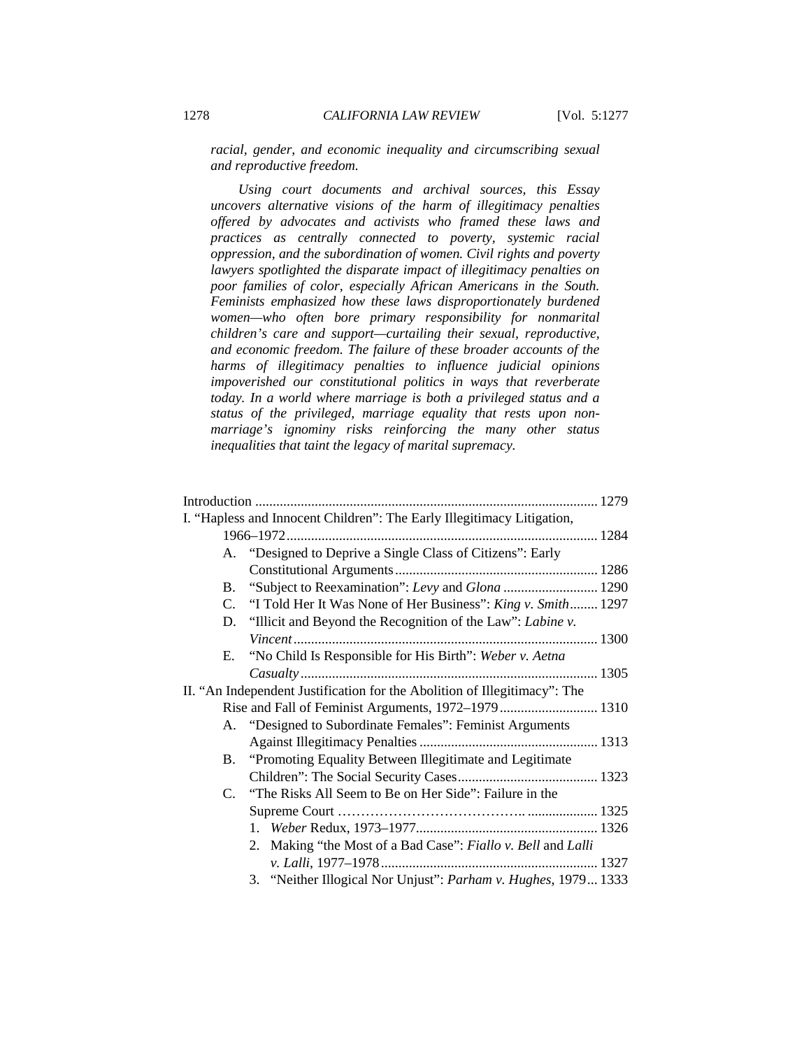*racial, gender, and economic inequality and circumscribing sexual and reproductive freedom.*

*Using court documents and archival sources, this Essay uncovers alternative visions of the harm of illegitimacy penalties offered by advocates and activists who framed these laws and practices as centrally connected to poverty, systemic racial oppression, and the subordination of women. Civil rights and poverty lawyers spotlighted the disparate impact of illegitimacy penalties on poor families of color, especially African Americans in the South. Feminists emphasized how these laws disproportionately burdened women—who often bore primary responsibility for nonmarital children's care and support—curtailing their sexual, reproductive, and economic freedom. The failure of these broader accounts of the harms of illegitimacy penalties to influence judicial opinions impoverished our constitutional politics in ways that reverberate today. In a world where marriage is both a privileged status and a status of the privileged, marriage equality that rests upon nonmarriage's ignominy risks reinforcing the many other status inequalities that taint the legacy of marital supremacy.*

|  |           | I. "Hapless and Innocent Children": The Early Illegitimacy Litigation,    |  |
|--|-----------|---------------------------------------------------------------------------|--|
|  |           |                                                                           |  |
|  |           | A. "Designed to Deprive a Single Class of Citizens": Early                |  |
|  |           |                                                                           |  |
|  |           | B. "Subject to Reexamination": Levy and Glona  1290                       |  |
|  |           | C. "I Told Her It Was None of Her Business": King v. Smith 1297           |  |
|  |           | D. "Illicit and Beyond the Recognition of the Law": Labine v.             |  |
|  |           |                                                                           |  |
|  | E.        | "No Child Is Responsible for His Birth": Weber v. Aetna                   |  |
|  |           |                                                                           |  |
|  |           | II. "An Independent Justification for the Abolition of Illegitimacy": The |  |
|  |           | Rise and Fall of Feminist Arguments, 1972–1979  1310                      |  |
|  |           | A. "Designed to Subordinate Females": Feminist Arguments                  |  |
|  |           |                                                                           |  |
|  | <b>B.</b> | "Promoting Equality Between Illegitimate and Legitimate"                  |  |
|  |           |                                                                           |  |
|  |           | C. "The Risks All Seem to Be on Her Side": Failure in the                 |  |
|  |           |                                                                           |  |
|  |           |                                                                           |  |
|  |           | Making "the Most of a Bad Case": Fiallo v. Bell and Lalli<br>2.           |  |
|  |           |                                                                           |  |
|  |           | 3. "Neither Illogical Nor Unjust": Parham v. Hughes, 1979 1333            |  |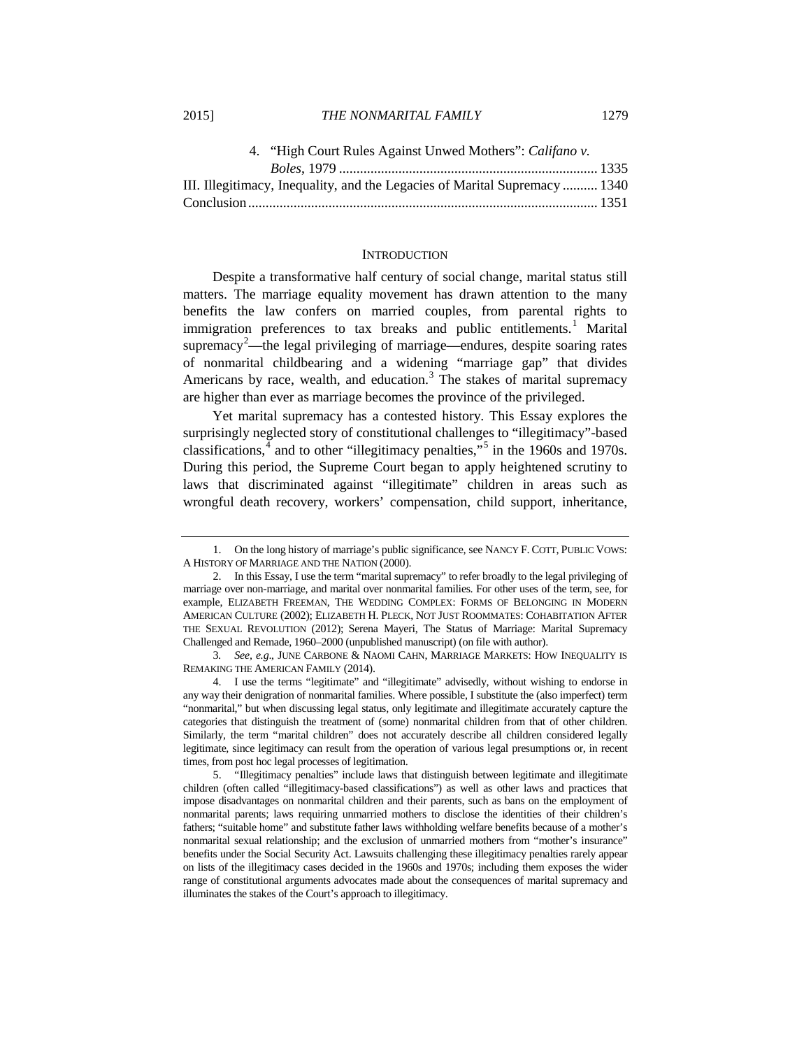| III. Illegitimacy, Inequality, and the Legacies of Marital Supremacy  1340 |  |
|----------------------------------------------------------------------------|--|
|                                                                            |  |

#### **INTRODUCTION**

<span id="page-2-5"></span>Despite a transformative half century of social change, marital status still matters. The marriage equality movement has drawn attention to the many benefits the law confers on married couples, from parental rights to immigration preferences to tax breaks and public entitlements.<sup>[1](#page-2-0)</sup> Marital supremacy<sup>[2](#page-2-1)</sup>—the legal privileging of marriage—endures, despite soaring rates of nonmarital childbearing and a widening "marriage gap" that divides Americans by race, wealth, and education. $3$  The stakes of marital supremacy are higher than ever as marriage becomes the province of the privileged.

Yet marital supremacy has a contested history. This Essay explores the surprisingly neglected story of constitutional challenges to "illegitimacy"-based classifications, $4$  and to other "illegitimacy penalties,"<sup>[5](#page-2-4)</sup> in the 1960s and 1970s. During this period, the Supreme Court began to apply heightened scrutiny to laws that discriminated against "illegitimate" children in areas such as wrongful death recovery, workers' compensation, child support, inheritance,

<span id="page-2-3"></span>4. I use the terms "legitimate" and "illegitimate" advisedly, without wishing to endorse in any way their denigration of nonmarital families. Where possible, I substitute the (also imperfect) term "nonmarital," but when discussing legal status, only legitimate and illegitimate accurately capture the categories that distinguish the treatment of (some) nonmarital children from that of other children. Similarly, the term "marital children" does not accurately describe all children considered legally legitimate, since legitimacy can result from the operation of various legal presumptions or, in recent times, from post hoc legal processes of legitimation.

<span id="page-2-4"></span>5. "Illegitimacy penalties" include laws that distinguish between legitimate and illegitimate children (often called "illegitimacy-based classifications") as well as other laws and practices that impose disadvantages on nonmarital children and their parents, such as bans on the employment of nonmarital parents; laws requiring unmarried mothers to disclose the identities of their children's fathers; "suitable home" and substitute father laws withholding welfare benefits because of a mother's nonmarital sexual relationship; and the exclusion of unmarried mothers from "mother's insurance" benefits under the Social Security Act. Lawsuits challenging these illegitimacy penalties rarely appear on lists of the illegitimacy cases decided in the 1960s and 1970s; including them exposes the wider range of constitutional arguments advocates made about the consequences of marital supremacy and illuminates the stakes of the Court's approach to illegitimacy.

<span id="page-2-0"></span><sup>1.</sup> On the long history of marriage's public significance, see NANCY F. COTT, PUBLIC VOWS: A HISTORY OF MARRIAGE AND THE NATION (2000).

<span id="page-2-1"></span><sup>2.</sup> In this Essay, I use the term "marital supremacy" to refer broadly to the legal privileging of marriage over non-marriage, and marital over nonmarital families. For other uses of the term, see, for example, ELIZABETH FREEMAN, THE WEDDING COMPLEX: FORMS OF BELONGING IN MODERN AMERICAN CULTURE (2002); ELIZABETH H. PLECK, NOT JUST ROOMMATES: COHABITATION AFTER THE SEXUAL REVOLUTION (2012); Serena Mayeri, The Status of Marriage: Marital Supremacy Challenged and Remade, 1960–2000 (unpublished manuscript) (on file with author).

<span id="page-2-2"></span><sup>3</sup>*. See, e.g*., JUNE CARBONE & NAOMI CAHN, MARRIAGE MARKETS: HOW INEQUALITY IS REMAKING THE AMERICAN FAMILY (2014).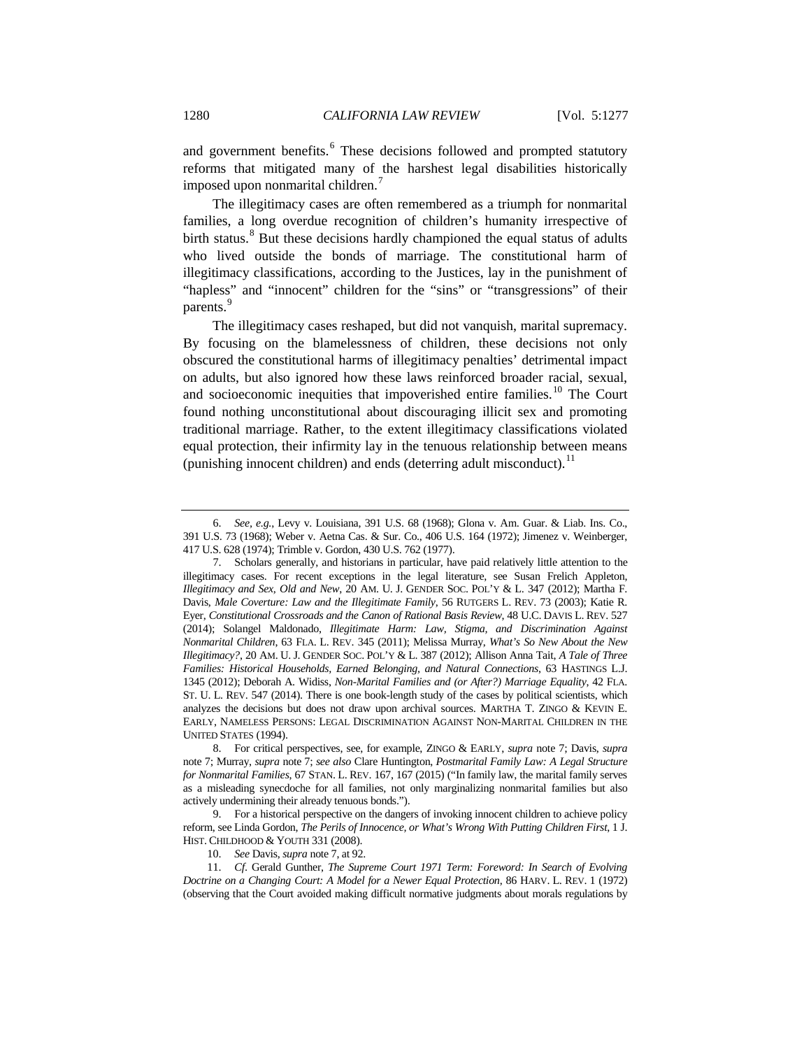and government benefits.<sup>[6](#page-3-1)</sup> These decisions followed and prompted statutory reforms that mitigated many of the harshest legal disabilities historically imposed upon nonmarital children.[7](#page-3-2)

<span id="page-3-0"></span>The illegitimacy cases are often remembered as a triumph for nonmarital families, a long overdue recognition of children's humanity irrespective of birth status.<sup>[8](#page-3-3)</sup> But these decisions hardly championed the equal status of adults who lived outside the bonds of marriage. The constitutional harm of illegitimacy classifications, according to the Justices, lay in the punishment of "hapless" and "innocent" children for the "sins" or "transgressions" of their parents.<sup>[9](#page-3-4)</sup>

The illegitimacy cases reshaped, but did not vanquish, marital supremacy. By focusing on the blamelessness of children, these decisions not only obscured the constitutional harms of illegitimacy penalties' detrimental impact on adults, but also ignored how these laws reinforced broader racial, sexual, and socioeconomic inequities that impoverished entire families.<sup>[10](#page-3-5)</sup> The Court found nothing unconstitutional about discouraging illicit sex and promoting traditional marriage. Rather, to the extent illegitimacy classifications violated equal protection, their infirmity lay in the tenuous relationship between means (punishing innocent children) and ends (deterring adult misconduct).<sup>[11](#page-3-6)</sup>

10. *See* Davis, *supra* not[e 7,](#page-3-0) at 92.

<span id="page-3-1"></span><sup>6.</sup> *See, e.g.*, Levy v. Louisiana, 391 U.S. 68 (1968); Glona v. Am. Guar. & Liab. Ins. Co., 391 U.S. 73 (1968); Weber v. Aetna Cas. & Sur. Co., 406 U.S. 164 (1972); Jimenez v. Weinberger, 417 U.S. 628 (1974); Trimble v. Gordon, 430 U.S. 762 (1977).

<span id="page-3-2"></span><sup>7.</sup> Scholars generally, and historians in particular, have paid relatively little attention to the illegitimacy cases. For recent exceptions in the legal literature, see Susan Frelich Appleton, *Illegitimacy and Sex, Old and New*, 20 AM. U. J. GENDER SOC. POL'Y & L. 347 (2012); Martha F. Davis, *Male Coverture: Law and the Illegitimate Family*, 56 RUTGERS L. REV. 73 (2003); Katie R. Eyer, *Constitutional Crossroads and the Canon of Rational Basis Review*, 48 U.C. DAVIS L. REV. 527 (2014); Solangel Maldonado, *Illegitimate Harm: Law, Stigma, and Discrimination Against Nonmarital Children*, 63 FLA. L. REV. 345 (2011); Melissa Murray, *What's So New About the New Illegitimacy?*, 20 AM. U. J. GENDER SOC. POL'Y & L. 387 (2012); Allison Anna Tait, *A Tale of Three Families: Historical Households, Earned Belonging, and Natural Connections*, 63 HASTINGS L.J. 1345 (2012); Deborah A. Widiss, *Non-Marital Families and (or After?) Marriage Equality*, 42 FLA. ST. U. L. REV. 547 (2014). There is one book-length study of the cases by political scientists, which analyzes the decisions but does not draw upon archival sources. MARTHA T. ZINGO & KEVIN E. EARLY, NAMELESS PERSONS: LEGAL DISCRIMINATION AGAINST NON-MARITAL CHILDREN IN THE UNITED STATES (1994).

<span id="page-3-3"></span><sup>8.</sup> For critical perspectives, see, for example, ZINGO & EARLY, *supra* note [7;](#page-3-0) Davis, *supra* not[e 7;](#page-3-0) Murray, *supra* note [7;](#page-3-0) *see also* Clare Huntington, *Postmarital Family Law: A Legal Structure for Nonmarital Families*, 67 STAN. L. REV. 167, 167 (2015) ("In family law, the marital family serves as a misleading synecdoche for all families, not only marginalizing nonmarital families but also actively undermining their already tenuous bonds.").

<span id="page-3-4"></span><sup>9.</sup> For a historical perspective on the dangers of invoking innocent children to achieve policy reform, see Linda Gordon, *The Perils of Innocence, or What's Wrong With Putting Children First*, 1 J. HIST. CHILDHOOD & YOUTH 331 (2008).

<span id="page-3-6"></span><span id="page-3-5"></span><sup>11.</sup> *Cf*. Gerald Gunther, *The Supreme Court 1971 Term: Foreword: In Search of Evolving Doctrine on a Changing Court: A Model for a Newer Equal Protection*, 86 HARV. L. REV. 1 (1972) (observing that the Court avoided making difficult normative judgments about morals regulations by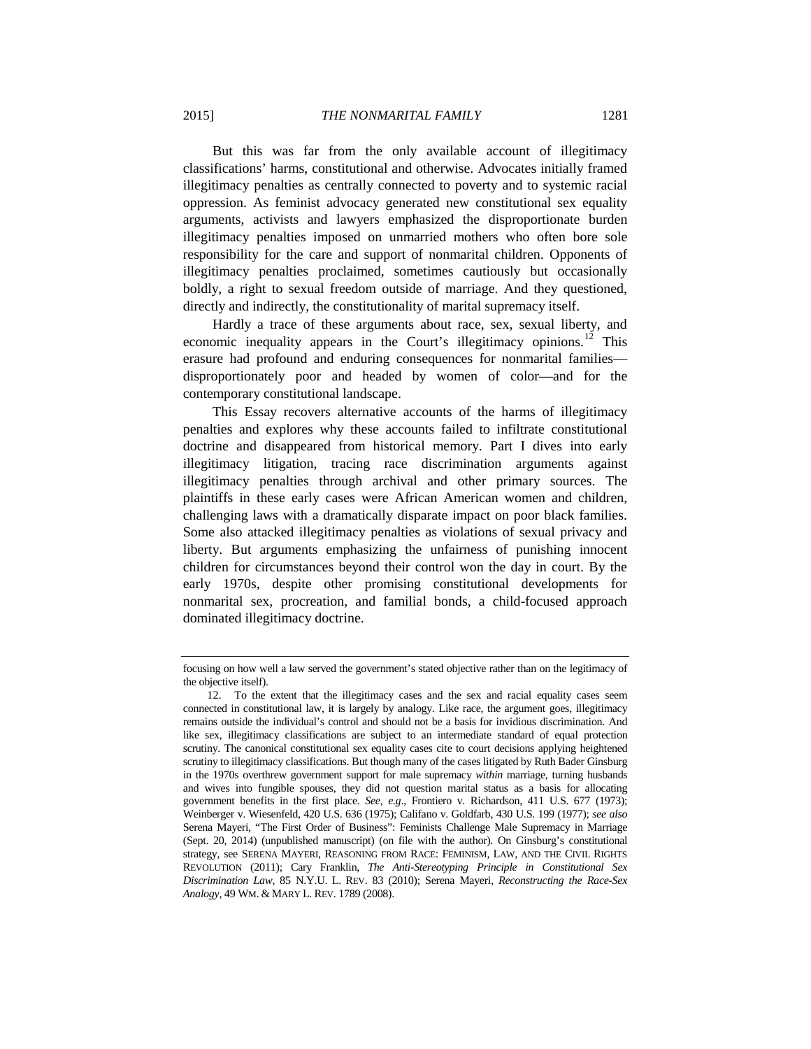But this was far from the only available account of illegitimacy classifications' harms, constitutional and otherwise. Advocates initially framed illegitimacy penalties as centrally connected to poverty and to systemic racial oppression. As feminist advocacy generated new constitutional sex equality arguments, activists and lawyers emphasized the disproportionate burden illegitimacy penalties imposed on unmarried mothers who often bore sole responsibility for the care and support of nonmarital children. Opponents of illegitimacy penalties proclaimed, sometimes cautiously but occasionally boldly, a right to sexual freedom outside of marriage. And they questioned, directly and indirectly, the constitutionality of marital supremacy itself.

Hardly a trace of these arguments about race, sex, sexual liberty, and economic inequality appears in the Court's illegitimacy opinions.<sup>[12](#page-4-0)</sup> This erasure had profound and enduring consequences for nonmarital families disproportionately poor and headed by women of color—and for the contemporary constitutional landscape.

This Essay recovers alternative accounts of the harms of illegitimacy penalties and explores why these accounts failed to infiltrate constitutional doctrine and disappeared from historical memory. Part I dives into early illegitimacy litigation, tracing race discrimination arguments against illegitimacy penalties through archival and other primary sources. The plaintiffs in these early cases were African American women and children, challenging laws with a dramatically disparate impact on poor black families. Some also attacked illegitimacy penalties as violations of sexual privacy and liberty. But arguments emphasizing the unfairness of punishing innocent children for circumstances beyond their control won the day in court. By the early 1970s, despite other promising constitutional developments for nonmarital sex, procreation, and familial bonds, a child-focused approach dominated illegitimacy doctrine.

focusing on how well a law served the government's stated objective rather than on the legitimacy of the objective itself).

<span id="page-4-0"></span><sup>12.</sup> To the extent that the illegitimacy cases and the sex and racial equality cases seem connected in constitutional law, it is largely by analogy. Like race, the argument goes, illegitimacy remains outside the individual's control and should not be a basis for invidious discrimination. And like sex, illegitimacy classifications are subject to an intermediate standard of equal protection scrutiny. The canonical constitutional sex equality cases cite to court decisions applying heightened scrutiny to illegitimacy classifications. But though many of the cases litigated by Ruth Bader Ginsburg in the 1970s overthrew government support for male supremacy *within* marriage, turning husbands and wives into fungible spouses, they did not question marital status as a basis for allocating government benefits in the first place. *See, e.g*., Frontiero v. Richardson, 411 U.S. 677 (1973); Weinberger v. Wiesenfeld, 420 U.S. 636 (1975); Califano v. Goldfarb, 430 U.S. 199 (1977); *see also* Serena Mayeri, "The First Order of Business": Feminists Challenge Male Supremacy in Marriage (Sept. 20, 2014) (unpublished manuscript) (on file with the author). On Ginsburg's constitutional strategy, see SERENA MAYERI, REASONING FROM RACE: FEMINISM, LAW, AND THE CIVIL RIGHTS REVOLUTION (2011); Cary Franklin, *The Anti-Stereotyping Principle in Constitutional Sex Discrimination Law*, 85 N.Y.U. L. REV. 83 (2010); Serena Mayeri, *Reconstructing the Race-Sex Analogy*, 49 WM. & MARY L. REV. 1789 (2008).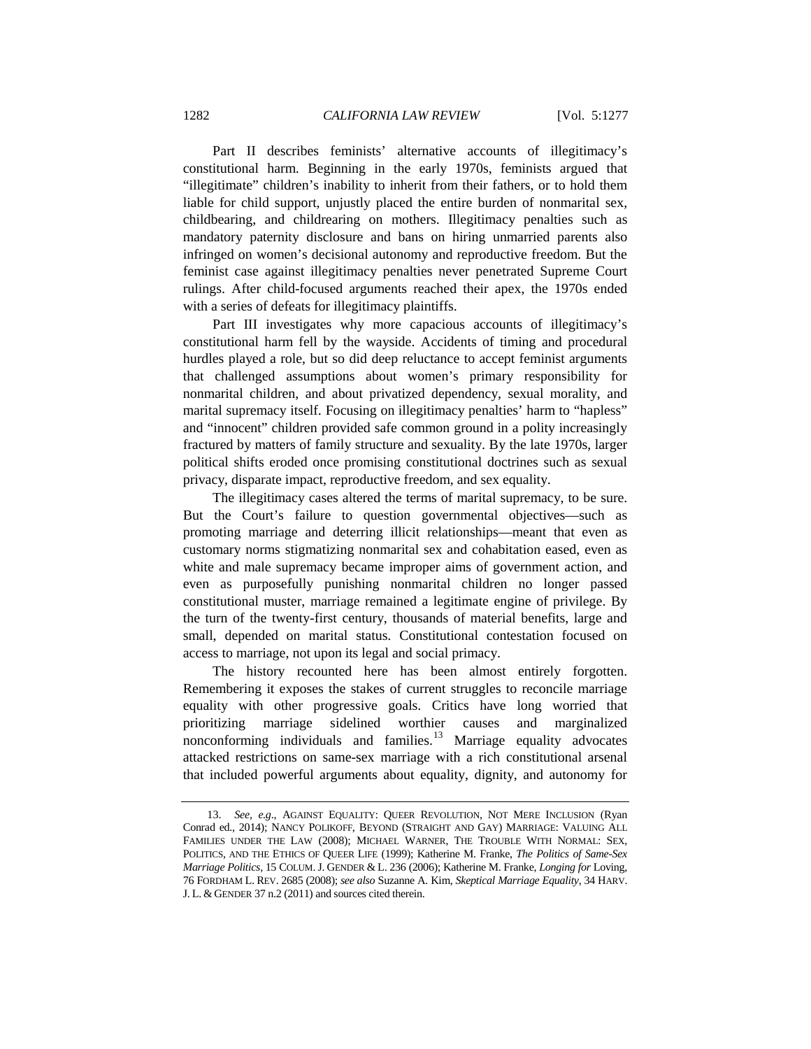Part II describes feminists' alternative accounts of illegitimacy's constitutional harm. Beginning in the early 1970s, feminists argued that "illegitimate" children's inability to inherit from their fathers, or to hold them liable for child support, unjustly placed the entire burden of nonmarital sex, childbearing, and childrearing on mothers. Illegitimacy penalties such as mandatory paternity disclosure and bans on hiring unmarried parents also infringed on women's decisional autonomy and reproductive freedom. But the feminist case against illegitimacy penalties never penetrated Supreme Court rulings. After child-focused arguments reached their apex, the 1970s ended with a series of defeats for illegitimacy plaintiffs.

Part III investigates why more capacious accounts of illegitimacy's constitutional harm fell by the wayside. Accidents of timing and procedural hurdles played a role, but so did deep reluctance to accept feminist arguments that challenged assumptions about women's primary responsibility for nonmarital children, and about privatized dependency, sexual morality, and marital supremacy itself. Focusing on illegitimacy penalties' harm to "hapless" and "innocent" children provided safe common ground in a polity increasingly fractured by matters of family structure and sexuality. By the late 1970s, larger political shifts eroded once promising constitutional doctrines such as sexual privacy, disparate impact, reproductive freedom, and sex equality.

The illegitimacy cases altered the terms of marital supremacy, to be sure. But the Court's failure to question governmental objectives—such as promoting marriage and deterring illicit relationships—meant that even as customary norms stigmatizing nonmarital sex and cohabitation eased, even as white and male supremacy became improper aims of government action, and even as purposefully punishing nonmarital children no longer passed constitutional muster, marriage remained a legitimate engine of privilege. By the turn of the twenty-first century, thousands of material benefits, large and small, depended on marital status. Constitutional contestation focused on access to marriage, not upon its legal and social primacy.

The history recounted here has been almost entirely forgotten. Remembering it exposes the stakes of current struggles to reconcile marriage equality with other progressive goals. Critics have long worried that prioritizing marriage sidelined worthier causes and marginalized nonconforming individuals and families. $13$  Marriage equality advocates attacked restrictions on same-sex marriage with a rich constitutional arsenal that included powerful arguments about equality, dignity, and autonomy for

<span id="page-5-0"></span><sup>13.</sup> *See, e.g*., AGAINST EQUALITY: QUEER REVOLUTION, NOT MERE INCLUSION (Ryan Conrad ed., 2014); NANCY POLIKOFF, BEYOND (STRAIGHT AND GAY) MARRIAGE: VALUING ALL FAMILIES UNDER THE LAW (2008); MICHAEL WARNER, THE TROUBLE WITH NORMAL: SEX, POLITICS, AND THE ETHICS OF QUEER LIFE (1999); Katherine M. Franke, *The Politics of Same-Sex Marriage Politics*, 15 COLUM.J. GENDER & L. 236 (2006); Katherine M. Franke, *Longing for* Loving, 76 FORDHAM L. REV. 2685 (2008); *see also* Suzanne A. Kim, *Skeptical Marriage Equality*, 34 HARV. J. L. & GENDER 37 n.2 (2011) and sources cited therein.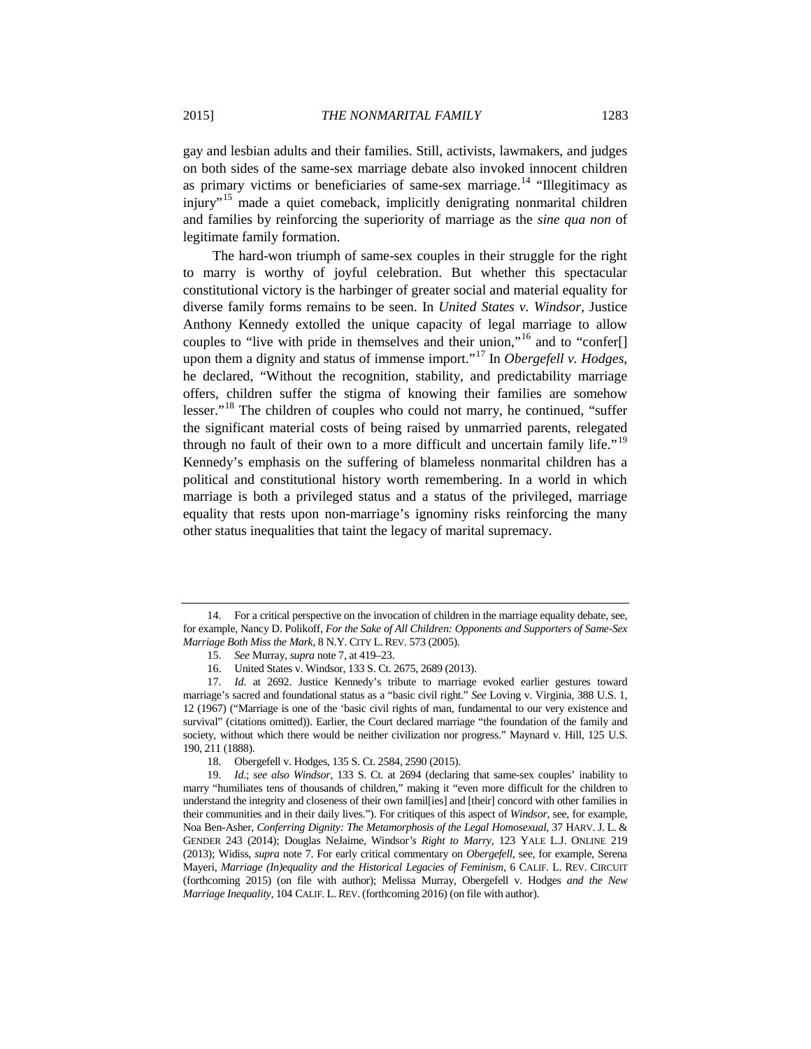gay and lesbian adults and their families. Still, activists, lawmakers, and judges on both sides of the same-sex marriage debate also invoked innocent children as primary victims or beneficiaries of same-sex marriage.<sup>[14](#page-6-0)</sup> "Illegitimacy as injury<sup>"[15](#page-6-1)</sup> made a quiet comeback, implicitly denigrating nonmarital children and families by reinforcing the superiority of marriage as the *sine qua non* of legitimate family formation.

The hard-won triumph of same-sex couples in their struggle for the right to marry is worthy of joyful celebration. But whether this spectacular constitutional victory is the harbinger of greater social and material equality for diverse family forms remains to be seen. In *United States v. Windsor*, Justice Anthony Kennedy extolled the unique capacity of legal marriage to allow couples to "live with pride in themselves and their union,"<sup>[16](#page-6-2)</sup> and to "confer[] upon them a dignity and status of immense import."[17](#page-6-3) In *Obergefell v. Hodges*, he declared, "Without the recognition, stability, and predictability marriage offers, children suffer the stigma of knowing their families are somehow lesser."<sup>[18](#page-6-4)</sup> The children of couples who could not marry, he continued, "suffer the significant material costs of being raised by unmarried parents, relegated through no fault of their own to a more difficult and uncertain family life."<sup>[19](#page-6-5)</sup> Kennedy's emphasis on the suffering of blameless nonmarital children has a political and constitutional history worth remembering. In a world in which marriage is both a privileged status and a status of the privileged, marriage equality that rests upon non-marriage's ignominy risks reinforcing the many other status inequalities that taint the legacy of marital supremacy.

<span id="page-6-0"></span><sup>14.</sup> For a critical perspective on the invocation of children in the marriage equality debate, see, for example, Nancy D. Polikoff, *For the Sake of All Children: Opponents and Supporters of Same-Sex Marriage Both Miss the Mark*, 8 N.Y. CITY L. REV. 573 (2005).

<sup>15.</sup> *See* Murray, *supra* not[e 7,](#page-3-0) at 419–23.

<sup>16.</sup> United States v. Windsor, 133 S. Ct. 2675, 2689 (2013).

<span id="page-6-3"></span><span id="page-6-2"></span><span id="page-6-1"></span><sup>17.</sup> *Id*. at 2692. Justice Kennedy's tribute to marriage evoked earlier gestures toward marriage's sacred and foundational status as a "basic civil right." *See* Loving v. Virginia, 388 U.S. 1, 12 (1967) ("Marriage is one of the 'basic civil rights of man, fundamental to our very existence and survival" (citations omitted)). Earlier, the Court declared marriage "the foundation of the family and society, without which there would be neither civilization nor progress." Maynard v. Hill, 125 U.S. 190, 211 (1888).

 <sup>18.</sup> Obergefell v. Hodges, 135 S. Ct. 2584, 2590 (2015).

<span id="page-6-5"></span><span id="page-6-4"></span> <sup>19.</sup> *Id*.; *see also Windsor*, 133 S. Ct. at 2694 (declaring that same-sex couples' inability to marry "humiliates tens of thousands of children," making it "even more difficult for the children to understand the integrity and closeness of their own famil[ies] and [their] concord with other families in their communities and in their daily lives."). For critiques of this aspect of *Windsor*, see, for example, Noa Ben-Asher, *Conferring Dignity: The Metamorphosis of the Legal Homosexual*, 37 HARV. J. L. & GENDER 243 (2014); Douglas NeJaime, Windsor*'s Right to Marry*, 123 YALE L.J. ONLINE 219 (2013); Widiss, *supra* not[e 7.](#page-3-0) For early critical commentary on *Obergefell*, see, for example, Serena Mayeri, *Marriage (In)equality and the Historical Legacies of Feminism*, 6 CALIF. L. REV. CIRCUIT (forthcoming 2015) (on file with author); Melissa Murray, Obergefell v. Hodges *and the New Marriage Inequality*, 104 CALIF. L. REV. (forthcoming 2016) (on file with author).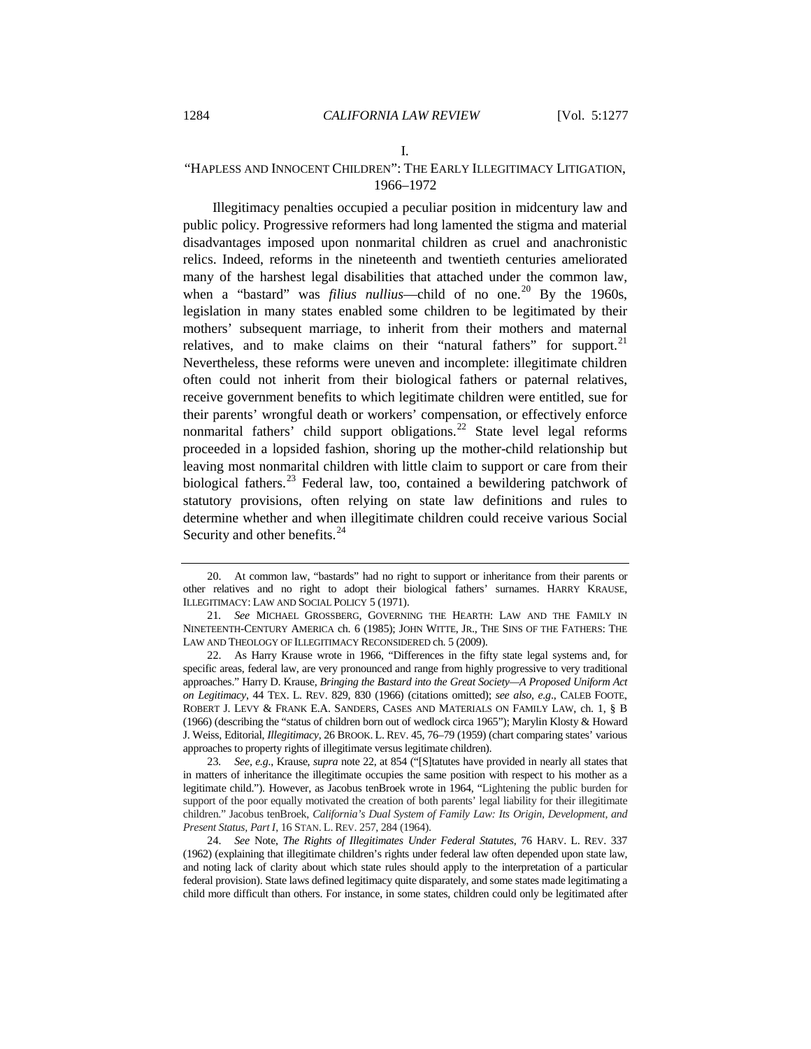<span id="page-7-7"></span><span id="page-7-6"></span><span id="page-7-5"></span>I.

## "HAPLESS AND INNOCENT CHILDREN": THE EARLY ILLEGITIMACY LITIGATION, 1966–1972

Illegitimacy penalties occupied a peculiar position in midcentury law and public policy. Progressive reformers had long lamented the stigma and material disadvantages imposed upon nonmarital children as cruel and anachronistic relics. Indeed, reforms in the nineteenth and twentieth centuries ameliorated many of the harshest legal disabilities that attached under the common law, when a "bastard" was *filius nullius*—child of no one.<sup>[20](#page-7-0)</sup> By the 1960s, legislation in many states enabled some children to be legitimated by their mothers' subsequent marriage, to inherit from their mothers and maternal relatives, and to make claims on their "natural fathers" for support.<sup>[21](#page-7-1)</sup> Nevertheless, these reforms were uneven and incomplete: illegitimate children often could not inherit from their biological fathers or paternal relatives, receive government benefits to which legitimate children were entitled, sue for their parents' wrongful death or workers' compensation, or effectively enforce nonmarital fathers' child support obligations.<sup>[22](#page-7-2)</sup> State level legal reforms proceeded in a lopsided fashion, shoring up the mother-child relationship but leaving most nonmarital children with little claim to support or care from their biological fathers.<sup>[23](#page-7-3)</sup> Federal law, too, contained a bewildering patchwork of statutory provisions, often relying on state law definitions and rules to determine whether and when illegitimate children could receive various Social Security and other benefits.<sup>[24](#page-7-4)</sup>

<span id="page-7-0"></span><sup>20.</sup> At common law, "bastards" had no right to support or inheritance from their parents or other relatives and no right to adopt their biological fathers' surnames. HARRY KRAUSE, ILLEGITIMACY: LAW AND SOCIAL POLICY 5 (1971).

<span id="page-7-1"></span><sup>21</sup>*. See* MICHAEL GROSSBERG, GOVERNING THE HEARTH: LAW AND THE FAMILY IN NINETEENTH-CENTURY AMERICA ch. 6 (1985); JOHN WITTE, JR., THE SINS OF THE FATHERS: THE LAW AND THEOLOGY OF ILLEGITIMACY RECONSIDERED ch. 5 (2009).

<span id="page-7-2"></span><sup>22.</sup> As Harry Krause wrote in 1966, "Differences in the fifty state legal systems and, for specific areas, federal law, are very pronounced and range from highly progressive to very traditional approaches." Harry D. Krause, *Bringing the Bastard into the Great Society—A Proposed Uniform Act on Legitimacy*, 44 TEX. L. REV. 829, 830 (1966) (citations omitted); *see also, e.g*., CALEB FOOTE, ROBERT J. LEVY & FRANK E.A. SANDERS, CASES AND MATERIALS ON FAMILY LAW, ch. 1, § B (1966) (describing the "status of children born out of wedlock circa 1965"); Marylin Klosty & Howard J. Weiss, Editorial, *Illegitimacy*, 26 BROOK. L. REV. 45, 76–79 (1959) (chart comparing states' various approaches to property rights of illegitimate versus legitimate children).

<span id="page-7-3"></span><sup>23</sup>*. See, e.g.*, Krause, *supra* note 22, at 854 ("[S]tatutes have provided in nearly all states that in matters of inheritance the illegitimate occupies the same position with respect to his mother as a legitimate child."). However, as Jacobus tenBroek wrote in 1964, "Lightening the public burden for support of the poor equally motivated the creation of both parents' legal liability for their illegitimate children." Jacobus tenBroek, *California's Dual System of Family Law: Its Origin, Development, and Present Status, Part I*, 16 STAN. L. REV. 257, 284 (1964).

<span id="page-7-4"></span><sup>24.</sup> *See* Note, *The Rights of Illegitimates Under Federal Statutes*, 76 HARV. L. REV. 337 (1962) (explaining that illegitimate children's rights under federal law often depended upon state law, and noting lack of clarity about which state rules should apply to the interpretation of a particular federal provision). State laws defined legitimacy quite disparately, and some states made legitimating a child more difficult than others. For instance, in some states, children could only be legitimated after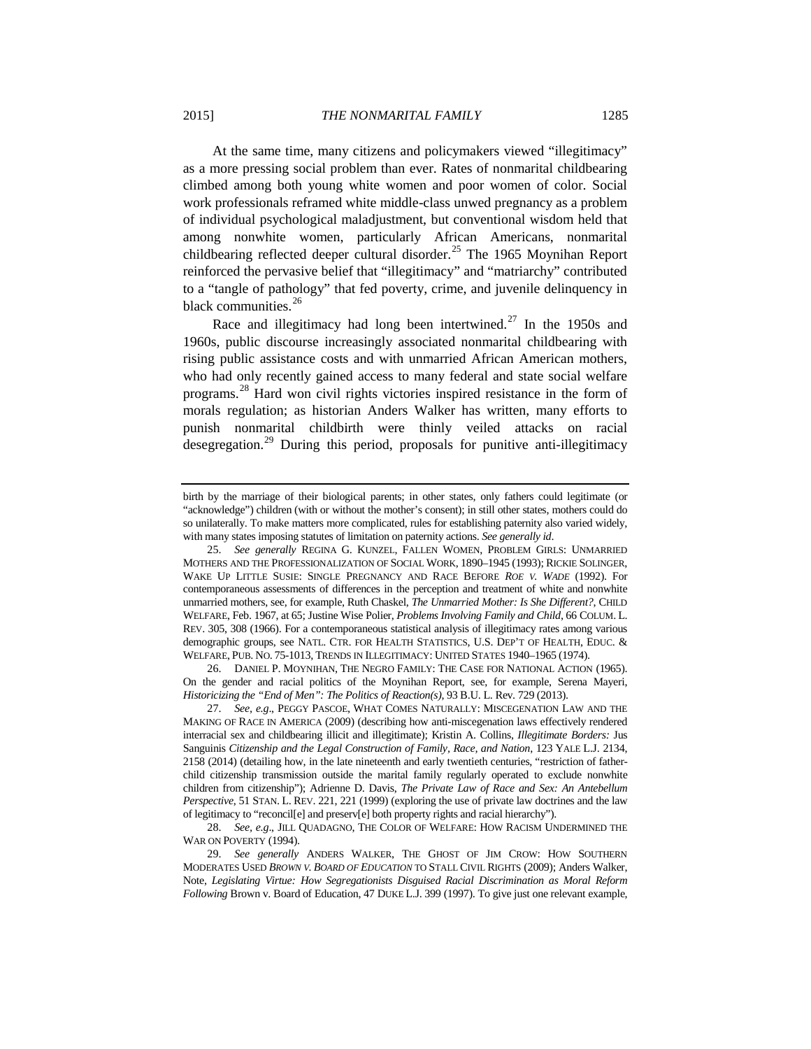At the same time, many citizens and policymakers viewed "illegitimacy" as a more pressing social problem than ever. Rates of nonmarital childbearing climbed among both young white women and poor women of color. Social work professionals reframed white middle-class unwed pregnancy as a problem of individual psychological maladjustment, but conventional wisdom held that among nonwhite women, particularly African Americans, nonmarital childbearing reflected deeper cultural disorder.<sup>[25](#page-8-0)</sup> The 1965 Moynihan Report reinforced the pervasive belief that "illegitimacy" and "matriarchy" contributed to a "tangle of pathology" that fed poverty, crime, and juvenile delinquency in black communities.<sup>[26](#page-8-1)</sup>

Race and illegitimacy had long been intertwined.<sup>[27](#page-8-2)</sup> In the 1950s and 1960s, public discourse increasingly associated nonmarital childbearing with rising public assistance costs and with unmarried African American mothers, who had only recently gained access to many federal and state social welfare programs.<sup>[28](#page-8-3)</sup> Hard won civil rights victories inspired resistance in the form of morals regulation; as historian Anders Walker has written, many efforts to punish nonmarital childbirth were thinly veiled attacks on racial desegregation.[29](#page-8-4) During this period, proposals for punitive anti-illegitimacy

<span id="page-8-1"></span>26. DANIEL P. MOYNIHAN, THE NEGRO FAMILY: THE CASE FOR NATIONAL ACTION (1965). On the gender and racial politics of the Moynihan Report, see, for example, Serena Mayeri, *Historicizing the "End of Men": The Politics of Reaction(s)*, 93 B.U. L. Rev. 729 (2013).

birth by the marriage of their biological parents; in other states, only fathers could legitimate (or "acknowledge") children (with or without the mother's consent); in still other states, mothers could do so unilaterally. To make matters more complicated, rules for establishing paternity also varied widely, with many states imposing statutes of limitation on paternity actions. *See generally id*.

<span id="page-8-0"></span><sup>25.</sup> *See generally* REGINA G. KUNZEL, FALLEN WOMEN, PROBLEM GIRLS: UNMARRIED MOTHERS AND THE PROFESSIONALIZATION OF SOCIAL WORK, 1890–1945 (1993); RICKIE SOLINGER, WAKE UP LITTLE SUSIE: SINGLE PREGNANCY AND RACE BEFORE *ROE V. WADE* (1992). For contemporaneous assessments of differences in the perception and treatment of white and nonwhite unmarried mothers, see, for example, Ruth Chaskel, *The Unmarried Mother: Is She Different?*, CHILD WELFARE, Feb. 1967, at 65; Justine Wise Polier, *Problems Involving Family and Child*, 66 COLUM. L. REV. 305, 308 (1966). For a contemporaneous statistical analysis of illegitimacy rates among various demographic groups, see NATL. CTR. FOR HEALTH STATISTICS, U.S. DEP'T OF HEALTH, EDUC. & WELFARE, PUB. NO. 75-1013, TRENDS IN ILLEGITIMACY: UNITED STATES 1940–1965 (1974).

<span id="page-8-2"></span><sup>27.</sup> *See, e.g*., PEGGY PASCOE, WHAT COMES NATURALLY: MISCEGENATION LAW AND THE MAKING OF RACE IN AMERICA (2009) (describing how anti-miscegenation laws effectively rendered interracial sex and childbearing illicit and illegitimate); Kristin A. Collins, *Illegitimate Borders:* Jus Sanguinis *Citizenship and the Legal Construction of Family, Race, and Nation*, 123 YALE L.J. 2134, 2158 (2014) (detailing how, in the late nineteenth and early twentieth centuries, "restriction of fatherchild citizenship transmission outside the marital family regularly operated to exclude nonwhite children from citizenship"); Adrienne D. Davis, *The Private Law of Race and Sex: An Antebellum Perspective*, 51 STAN. L. REV. 221, 221 (1999) (exploring the use of private law doctrines and the law of legitimacy to "reconcil[e] and preserv[e] both property rights and racial hierarchy").

<span id="page-8-3"></span><sup>28.</sup> *See, e.g*., JILL QUADAGNO, THE COLOR OF WELFARE: HOW RACISM UNDERMINED THE WAR ON POVERTY (1994).

<span id="page-8-4"></span><sup>29.</sup> *See generally* ANDERS WALKER, THE GHOST OF JIM CROW: HOW SOUTHERN MODERATES USED *BROWN V. BOARD OF EDUCATION* TO STALL CIVIL RIGHTS (2009); Anders Walker, Note, *Legislating Virtue: How Segregationists Disguised Racial Discrimination as Moral Reform Following* Brown v. Board of Education, 47 DUKE L.J. 399 (1997). To give just one relevant example,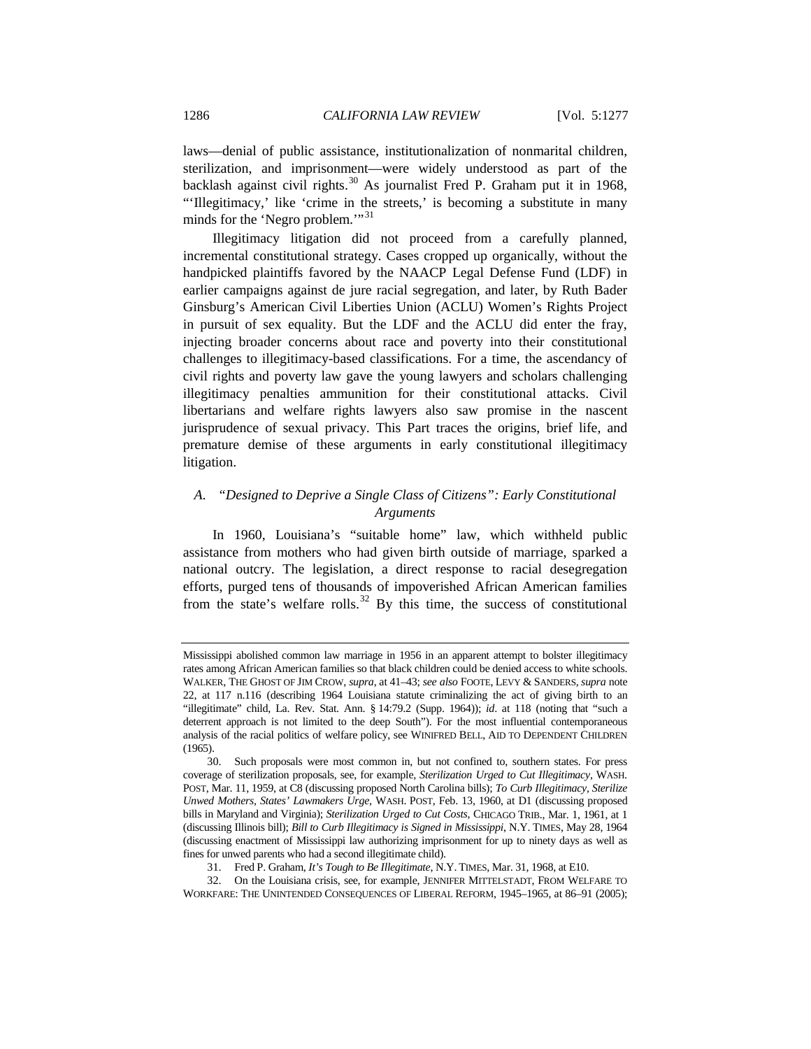laws—denial of public assistance, institutionalization of nonmarital children, sterilization, and imprisonment—were widely understood as part of the backlash against civil rights.<sup>[30](#page-9-0)</sup> As journalist Fred P. Graham put it in 1968, "'Illegitimacy,' like 'crime in the streets,' is becoming a substitute in many minds for the 'Negro problem.'"<sup>[31](#page-9-1)</sup>

Illegitimacy litigation did not proceed from a carefully planned, incremental constitutional strategy. Cases cropped up organically, without the handpicked plaintiffs favored by the NAACP Legal Defense Fund (LDF) in earlier campaigns against de jure racial segregation, and later, by Ruth Bader Ginsburg's American Civil Liberties Union (ACLU) Women's Rights Project in pursuit of sex equality. But the LDF and the ACLU did enter the fray, injecting broader concerns about race and poverty into their constitutional challenges to illegitimacy-based classifications. For a time, the ascendancy of civil rights and poverty law gave the young lawyers and scholars challenging illegitimacy penalties ammunition for their constitutional attacks. Civil libertarians and welfare rights lawyers also saw promise in the nascent jurisprudence of sexual privacy. This Part traces the origins, brief life, and premature demise of these arguments in early constitutional illegitimacy litigation.

## *A. "Designed to Deprive a Single Class of Citizens": Early Constitutional Arguments*

In 1960, Louisiana's "suitable home" law, which withheld public assistance from mothers who had given birth outside of marriage, sparked a national outcry. The legislation, a direct response to racial desegregation efforts, purged tens of thousands of impoverished African American families from the state's welfare rolls.<sup>[32](#page-9-2)</sup> By this time, the success of constitutional

Mississippi abolished common law marriage in 1956 in an apparent attempt to bolster illegitimacy rates among African American families so that black children could be denied access to white schools. WALKER, THE GHOST OF JIM CROW, *supra*, at 41–43; *see also* FOOTE, LEVY & SANDERS, *supra* note 22, at 117 n.116 (describing 1964 Louisiana statute criminalizing the act of giving birth to an "illegitimate" child, La. Rev. Stat. Ann. § 14:79.2 (Supp. 1964)); *id*. at 118 (noting that "such a deterrent approach is not limited to the deep South"). For the most influential contemporaneous analysis of the racial politics of welfare policy, see WINIFRED BELL, AID TO DEPENDENT CHILDREN (1965).

<span id="page-9-0"></span><sup>30.</sup> Such proposals were most common in, but not confined to, southern states. For press coverage of sterilization proposals, see, for example, *Sterilization Urged to Cut Illegitimacy*, WASH. POST, Mar. 11, 1959, at C8 (discussing proposed North Carolina bills); *To Curb Illegitimacy, Sterilize Unwed Mothers, States' Lawmakers Urge*, WASH. POST, Feb. 13, 1960, at D1 (discussing proposed bills in Maryland and Virginia); *Sterilization Urged to Cut Costs*, CHICAGO TRIB., Mar. 1, 1961, at 1 (discussing Illinois bill); *Bill to Curb Illegitimacy is Signed in Mississippi*, N.Y. TIMES, May 28, 1964 (discussing enactment of Mississippi law authorizing imprisonment for up to ninety days as well as fines for unwed parents who had a second illegitimate child).

<sup>31.</sup> Fred P. Graham, *It's Tough to Be Illegitimate*, N.Y. TIMES, Mar. 31, 1968, at E10.

<span id="page-9-2"></span><span id="page-9-1"></span><sup>32.</sup> On the Louisiana crisis, see, for example, JENNIFER MITTELSTADT, FROM WELFARE TO WORKFARE: THE UNINTENDED CONSEQUENCES OF LIBERAL REFORM, 1945–1965, at 86–91 (2005);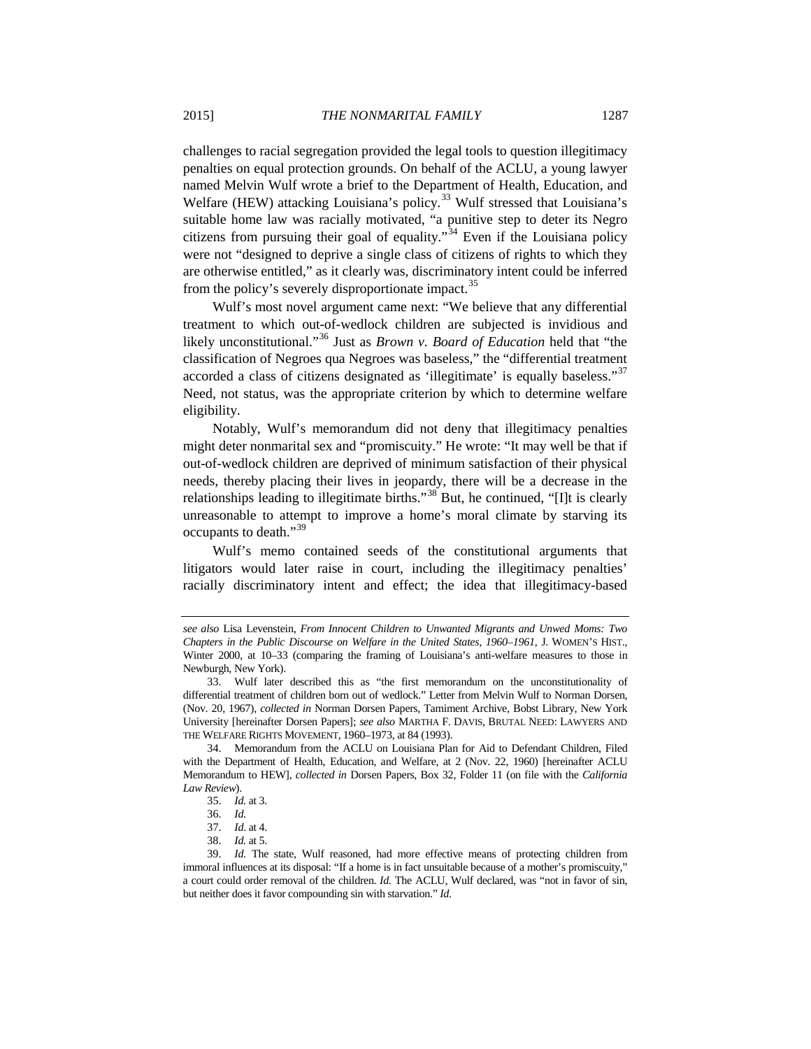<span id="page-10-7"></span>challenges to racial segregation provided the legal tools to question illegitimacy penalties on equal protection grounds. On behalf of the ACLU, a young lawyer named Melvin Wulf wrote a brief to the Department of Health, Education, and Welfare (HEW) attacking Louisiana's policy.<sup>[33](#page-10-0)</sup> Wulf stressed that Louisiana's suitable home law was racially motivated, "a punitive step to deter its Negro citizens from pursuing their goal of equality.<sup> $34$ </sup> Even if the Louisiana policy were not "designed to deprive a single class of citizens of rights to which they are otherwise entitled," as it clearly was, discriminatory intent could be inferred from the policy's severely disproportionate impact.<sup>[35](#page-10-2)</sup>

Wulf's most novel argument came next: "We believe that any differential treatment to which out-of-wedlock children are subjected is invidious and likely unconstitutional."[36](#page-10-3) Just as *Brown v. Board of Education* held that "the classification of Negroes qua Negroes was baseless," the "differential treatment accorded a class of citizens designated as 'illegitimate' is equally baseless."<sup>[37](#page-10-4)</sup> Need, not status, was the appropriate criterion by which to determine welfare eligibility.

Notably, Wulf's memorandum did not deny that illegitimacy penalties might deter nonmarital sex and "promiscuity." He wrote: "It may well be that if out-of-wedlock children are deprived of minimum satisfaction of their physical needs, thereby placing their lives in jeopardy, there will be a decrease in the relationships leading to illegitimate births."<sup>[38](#page-10-5)</sup> But, he continued, "[I]t is clearly unreasonable to attempt to improve a home's moral climate by starving its occupants to death."<sup>[39](#page-10-6)</sup>

Wulf's memo contained seeds of the constitutional arguments that litigators would later raise in court, including the illegitimacy penalties' racially discriminatory intent and effect; the idea that illegitimacy-based

*see also* Lisa Levenstein, *From Innocent Children to Unwanted Migrants and Unwed Moms: Two Chapters in the Public Discourse on Welfare in the United States, 1960–1961*, J. WOMEN'S HIST., Winter 2000, at 10–33 (comparing the framing of Louisiana's anti-welfare measures to those in Newburgh, New York).

<span id="page-10-0"></span><sup>33.</sup> Wulf later described this as "the first memorandum on the unconstitutionality of differential treatment of children born out of wedlock." Letter from Melvin Wulf to Norman Dorsen, (Nov. 20, 1967), *collected in* Norman Dorsen Papers, Tamiment Archive, Bobst Library, New York University [hereinafter Dorsen Papers]; *see also* MARTHA F. DAVIS, BRUTAL NEED: LAWYERS AND THE WELFARE RIGHTS MOVEMENT, 1960–1973, at 84 (1993).

<span id="page-10-1"></span><sup>34.</sup> Memorandum from the ACLU on Louisiana Plan for Aid to Defendant Children, Filed with the Department of Health, Education, and Welfare, at 2 (Nov. 22, 1960) [hereinafter ACLU Memorandum to HEW], *collected in* Dorsen Papers, Box 32, Folder 11 (on file with the *California Law Review*).

<sup>35.</sup> *Id.* at 3.

<sup>36.</sup> *Id.*

<sup>37.</sup> *Id*. at 4.

<sup>38.</sup> *Id.* at 5.

<span id="page-10-6"></span><span id="page-10-5"></span><span id="page-10-4"></span><span id="page-10-3"></span><span id="page-10-2"></span><sup>39.</sup> *Id.* The state, Wulf reasoned, had more effective means of protecting children from immoral influences at its disposal: "If a home is in fact unsuitable because of a mother's promiscuity," a court could order removal of the children. *Id.* The ACLU, Wulf declared, was "not in favor of sin, but neither does it favor compounding sin with starvation." *Id*.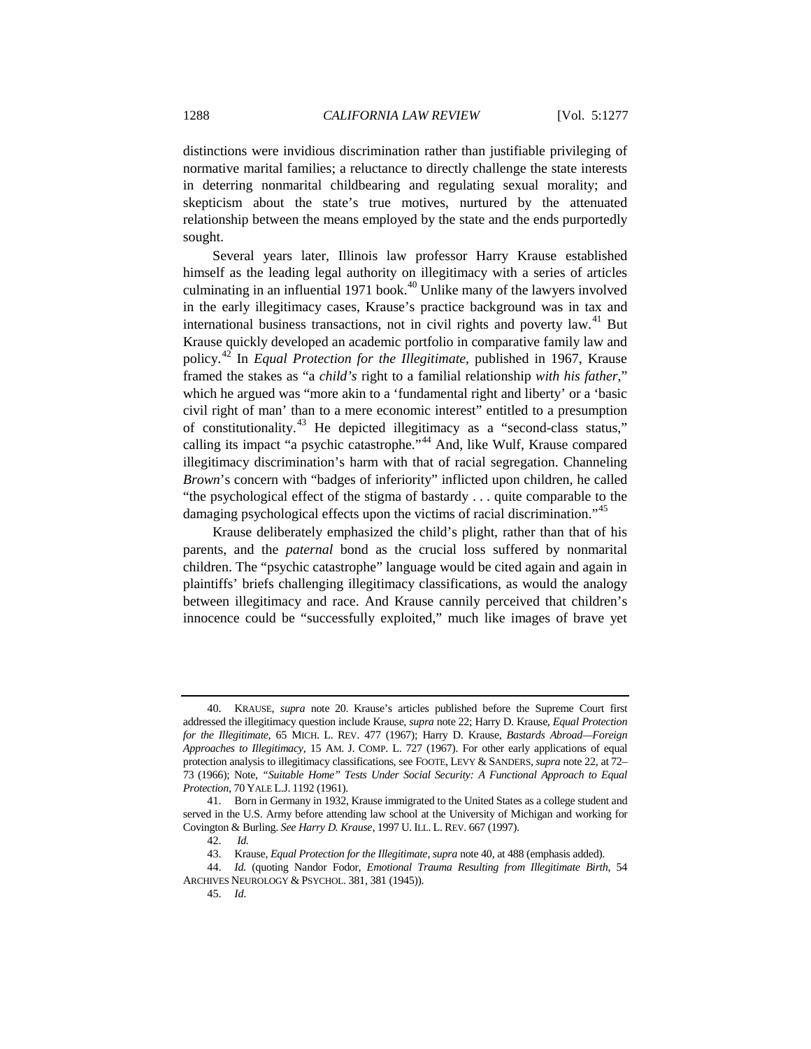distinctions were invidious discrimination rather than justifiable privileging of normative marital families; a reluctance to directly challenge the state interests in deterring nonmarital childbearing and regulating sexual morality; and skepticism about the state's true motives, nurtured by the attenuated relationship between the means employed by the state and the ends purportedly sought.

<span id="page-11-0"></span>Several years later, Illinois law professor Harry Krause established himself as the leading legal authority on illegitimacy with a series of articles culminating in an influential 1971 book.<sup>[40](#page-11-1)</sup> Unlike many of the lawyers involved in the early illegitimacy cases, Krause's practice background was in tax and international business transactions, not in civil rights and poverty law.<sup>[41](#page-11-2)</sup> But Krause quickly developed an academic portfolio in comparative family law and policy.[42](#page-11-3) In *Equal Protection for the Illegitimate*, published in 1967, Krause framed the stakes as "a *child's* right to a familial relationship *with his father*," which he argued was "more akin to a 'fundamental right and liberty' or a 'basic civil right of man' than to a mere economic interest" entitled to a presumption of constitutionality.[43](#page-11-4) He depicted illegitimacy as a "second-class status," calling its impact "a psychic catastrophe."[44](#page-11-5) And, like Wulf, Krause compared illegitimacy discrimination's harm with that of racial segregation. Channeling *Brown*'s concern with "badges of inferiority" inflicted upon children, he called "the psychological effect of the stigma of bastardy . . . quite comparable to the damaging psychological effects upon the victims of racial discrimination."<sup>[45](#page-11-6)</sup>

Krause deliberately emphasized the child's plight, rather than that of his parents, and the *paternal* bond as the crucial loss suffered by nonmarital children. The "psychic catastrophe" language would be cited again and again in plaintiffs' briefs challenging illegitimacy classifications, as would the analogy between illegitimacy and race. And Krause cannily perceived that children's innocence could be "successfully exploited," much like images of brave yet

<span id="page-11-1"></span><sup>40.</sup> KRAUSE, *supra* note [20.](#page-7-5) Krause's articles published before the Supreme Court first addressed the illegitimacy question include Krause, *supra* note 22; Harry D. Krause, *Equal Protection for the Illegitimate*, 65 MICH. L. REV. 477 (1967); Harry D. Krause, *Bastards Abroad—Foreign Approaches to Illegitimacy*, 15 AM. J. COMP. L. 727 (1967). For other early applications of equal protection analysis to illegitimacy classifications, see FOOTE, LEVY & SANDERS, *supra* not[e 22,](#page-7-6) at 72– 73 (1966); Note, *"Suitable Home" Tests Under Social Security: A Functional Approach to Equal Protection*, 70 YALE L.J. 1192 (1961).

<span id="page-11-2"></span><sup>41.</sup> Born in Germany in 1932, Krause immigrated to the United States as a college student and served in the U.S. Army before attending law school at the University of Michigan and working for Covington & Burling. *See Harry D. Krause*, 1997 U. ILL. L. REV. 667 (1997).

<sup>42.</sup> *Id.*

<sup>43.</sup> Krause, *Equal Protection for the Illegitimate*, *supra* not[e 40,](#page-11-0) at 488 (emphasis added).

<span id="page-11-6"></span><span id="page-11-5"></span><span id="page-11-4"></span><span id="page-11-3"></span><sup>44.</sup> *Id.* (quoting Nandor Fodor, *Emotional Trauma Resulting from Illegitimate Birth*, 54 ARCHIVES NEUROLOGY & PSYCHOL. 381, 381 (1945)).

<sup>45.</sup> *Id*.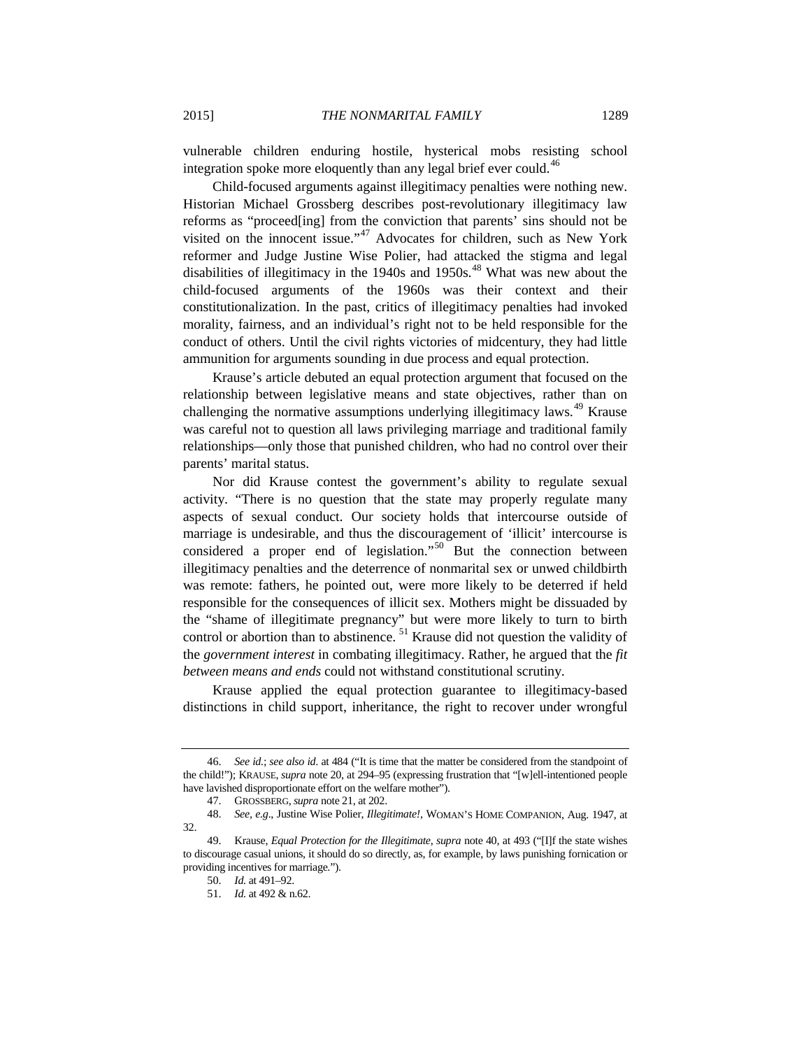vulnerable children enduring hostile, hysterical mobs resisting school integration spoke more eloquently than any legal brief ever could.<sup>[46](#page-12-0)</sup>

Child-focused arguments against illegitimacy penalties were nothing new. Historian Michael Grossberg describes post-revolutionary illegitimacy law reforms as "proceed[ing] from the conviction that parents' sins should not be visited on the innocent issue."<sup>[47](#page-12-1)</sup> Advocates for children, such as New York reformer and Judge Justine Wise Polier, had attacked the stigma and legal disabilities of illegitimacy in the 1940s and 1950s.<sup>[48](#page-12-2)</sup> What was new about the child-focused arguments of the 1960s was their context and their constitutionalization. In the past, critics of illegitimacy penalties had invoked morality, fairness, and an individual's right not to be held responsible for the conduct of others. Until the civil rights victories of midcentury, they had little ammunition for arguments sounding in due process and equal protection.

Krause's article debuted an equal protection argument that focused on the relationship between legislative means and state objectives, rather than on challenging the normative assumptions underlying illegitimacy laws.<sup>[49](#page-12-3)</sup> Krause was careful not to question all laws privileging marriage and traditional family relationships—only those that punished children, who had no control over their parents' marital status.

Nor did Krause contest the government's ability to regulate sexual activity. "There is no question that the state may properly regulate many aspects of sexual conduct. Our society holds that intercourse outside of marriage is undesirable, and thus the discouragement of 'illicit' intercourse is considered a proper end of legislation."[50](#page-12-4) But the connection between illegitimacy penalties and the deterrence of nonmarital sex or unwed childbirth was remote: fathers, he pointed out, were more likely to be deterred if held responsible for the consequences of illicit sex. Mothers might be dissuaded by the "shame of illegitimate pregnancy" but were more likely to turn to birth control or abortion than to abstinence.  $51$  Krause did not question the validity of the *government interest* in combating illegitimacy. Rather, he argued that the *fit between means and ends* could not withstand constitutional scrutiny.

Krause applied the equal protection guarantee to illegitimacy-based distinctions in child support, inheritance, the right to recover under wrongful

<span id="page-12-0"></span><sup>46.</sup> *See id.*; *see also id*. at 484 ("It is time that the matter be considered from the standpoint of the child!"); KRAUSE, *supra* note 20, at 294–95 (expressing frustration that "[w]ell-intentioned people have lavished disproportionate effort on the welfare mother").

<sup>47.</sup> GROSSBERG,*supra* not[e 21,](#page-7-7) at 202.

<span id="page-12-2"></span><span id="page-12-1"></span><sup>48.</sup> *See, e.g*., Justine Wise Polier, *Illegitimate!*, WOMAN'S HOME COMPANION, Aug. 1947, at 32.

<span id="page-12-5"></span><span id="page-12-4"></span><span id="page-12-3"></span><sup>49.</sup> Krause, *Equal Protection for the Illegitimate*, *supra* note 40, at 493 ("[I]f the state wishes to discourage casual unions, it should do so directly, as, for example, by laws punishing fornication or providing incentives for marriage.").

<sup>50.</sup> *Id.* at 491–92.

<sup>51.</sup> *Id.* at 492 & n.62.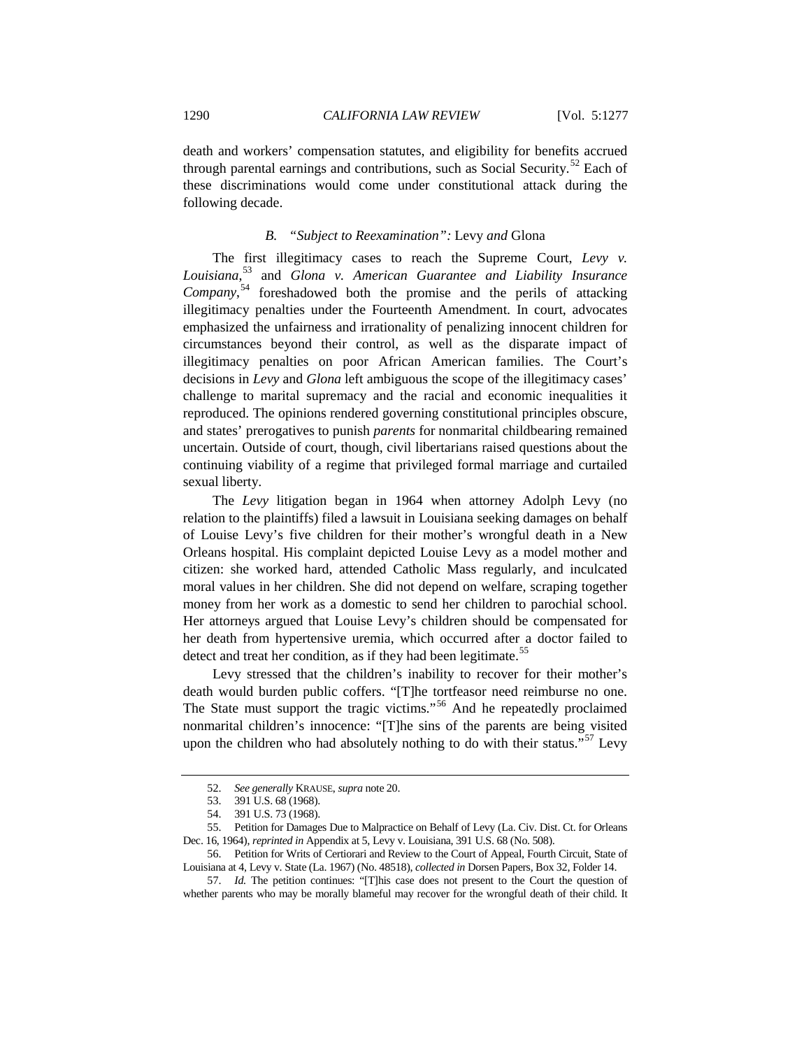death and workers' compensation statutes, and eligibility for benefits accrued through parental earnings and contributions, such as Social Security.<sup>[52](#page-13-0)</sup> Each of these discriminations would come under constitutional attack during the following decade.

#### *B. "Subject to Reexamination":* Levy *and* Glona

The first illegitimacy cases to reach the Supreme Court, *Levy v. Louisiana*, [53](#page-13-1) and *Glona v. American Guarantee and Liability Insurance Company*, [54](#page-13-2) foreshadowed both the promise and the perils of attacking illegitimacy penalties under the Fourteenth Amendment. In court, advocates emphasized the unfairness and irrationality of penalizing innocent children for circumstances beyond their control, as well as the disparate impact of illegitimacy penalties on poor African American families. The Court's decisions in *Levy* and *Glona* left ambiguous the scope of the illegitimacy cases' challenge to marital supremacy and the racial and economic inequalities it reproduced. The opinions rendered governing constitutional principles obscure, and states' prerogatives to punish *parents* for nonmarital childbearing remained uncertain. Outside of court, though, civil libertarians raised questions about the continuing viability of a regime that privileged formal marriage and curtailed sexual liberty.

The *Levy* litigation began in 1964 when attorney Adolph Levy (no relation to the plaintiffs) filed a lawsuit in Louisiana seeking damages on behalf of Louise Levy's five children for their mother's wrongful death in a New Orleans hospital. His complaint depicted Louise Levy as a model mother and citizen: she worked hard, attended Catholic Mass regularly, and inculcated moral values in her children. She did not depend on welfare, scraping together money from her work as a domestic to send her children to parochial school. Her attorneys argued that Louise Levy's children should be compensated for her death from hypertensive uremia, which occurred after a doctor failed to detect and treat her condition, as if they had been legitimate.<sup>[55](#page-13-3)</sup>

Levy stressed that the children's inability to recover for their mother's death would burden public coffers. "[T]he tortfeasor need reimburse no one. The State must support the tragic victims."<sup>[56](#page-13-4)</sup> And he repeatedly proclaimed nonmarital children's innocence: "[T]he sins of the parents are being visited upon the children who had absolutely nothing to do with their status."<sup>[57](#page-13-5)</sup> Levy

<sup>52.</sup> *See generally* KRAUSE, *supra* note [20.](#page-7-5)

<sup>53.</sup> 391 U.S. 68 (1968).

<sup>54.</sup> 391 U.S. 73 (1968).

<span id="page-13-4"></span><span id="page-13-3"></span><span id="page-13-2"></span><span id="page-13-1"></span><span id="page-13-0"></span><sup>55.</sup> Petition for Damages Due to Malpractice on Behalf of Levy (La. Civ. Dist. Ct. for Orleans Dec. 16, 1964), *reprinted in* Appendix at 5, Levy v. Louisiana, 391 U.S. 68 (No. 508).

<sup>56.</sup> Petition for Writs of Certiorari and Review to the Court of Appeal, Fourth Circuit, State of Louisiana at 4, Levy v. State (La. 1967) (No. 48518), *collected in* Dorsen Papers, Box 32, Folder 14.

<span id="page-13-5"></span><sup>57.</sup> *Id.* The petition continues: "[T]his case does not present to the Court the question of whether parents who may be morally blameful may recover for the wrongful death of their child. It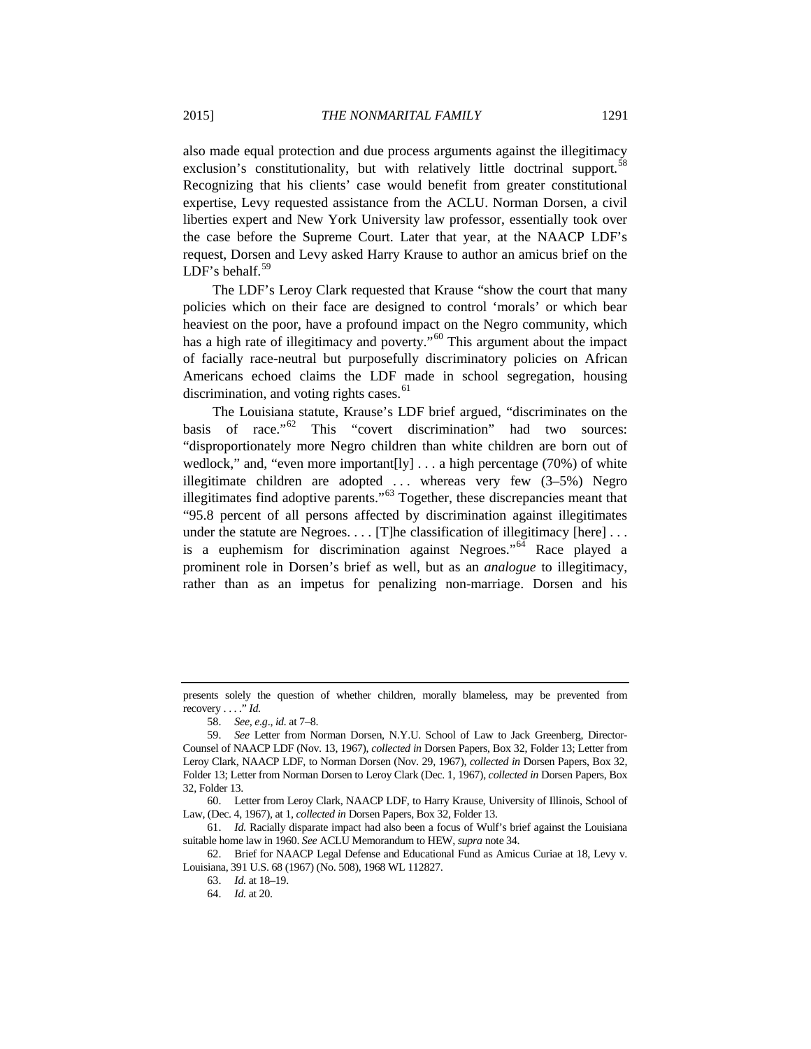also made equal protection and due process arguments against the illegitimacy exclusion's constitutionality, but with relatively little doctrinal support.<sup>5</sup> Recognizing that his clients' case would benefit from greater constitutional expertise, Levy requested assistance from the ACLU. Norman Dorsen, a civil liberties expert and New York University law professor, essentially took over the case before the Supreme Court. Later that year, at the NAACP LDF's request, Dorsen and Levy asked Harry Krause to author an amicus brief on the LDF's behalf. $59$ 

The LDF's Leroy Clark requested that Krause "show the court that many policies which on their face are designed to control 'morals' or which bear heaviest on the poor, have a profound impact on the Negro community, which has a high rate of illegitimacy and poverty."<sup>[60](#page-14-2)</sup> This argument about the impact of facially race-neutral but purposefully discriminatory policies on African Americans echoed claims the LDF made in school segregation, housing discrimination, and voting rights cases.<sup>[61](#page-14-3)</sup>

The Louisiana statute, Krause's LDF brief argued, "discriminates on the basis of race."<sup>[62](#page-14-4)</sup> This "covert discrimination" had two sources: "disproportionately more Negro children than white children are born out of wedlock," and, "even more important[ly] . . . a high percentage (70%) of white illegitimate children are adopted . . . whereas very few (3–5%) Negro illegitimates find adoptive parents."[63](#page-14-5) Together, these discrepancies meant that "95.8 percent of all persons affected by discrimination against illegitimates under the statute are Negroes. . . . [T]he classification of illegitimacy [here] . . . is a euphemism for discrimination against Negroes."<sup>[64](#page-14-6)</sup> Race played a prominent role in Dorsen's brief as well, but as an *analogue* to illegitimacy, rather than as an impetus for penalizing non-marriage. Dorsen and his

presents solely the question of whether children, morally blameless, may be prevented from recovery . . . ." *Id.*

<sup>58.</sup> *See, e.g*., *id.* at 7–8.

<span id="page-14-1"></span><span id="page-14-0"></span><sup>59.</sup> *See* Letter from Norman Dorsen, N.Y.U. School of Law to Jack Greenberg, Director-Counsel of NAACP LDF (Nov. 13, 1967), *collected in* Dorsen Papers, Box 32, Folder 13; Letter from Leroy Clark, NAACP LDF, to Norman Dorsen (Nov. 29, 1967), *collected in* Dorsen Papers, Box 32, Folder 13; Letter from Norman Dorsen to Leroy Clark (Dec. 1, 1967), *collected in* Dorsen Papers, Box 32, Folder 13.

<span id="page-14-2"></span><sup>60.</sup> Letter from Leroy Clark, NAACP LDF, to Harry Krause, University of Illinois, School of Law, (Dec. 4, 1967), at 1, *collected in* Dorsen Papers, Box 32, Folder 13.

<span id="page-14-3"></span><sup>61.</sup> *Id.* Racially disparate impact had also been a focus of Wulf's brief against the Louisiana suitable home law in 1960. *See* ACLU Memorandum to HEW, *supra* note 34.

<span id="page-14-6"></span><span id="page-14-5"></span><span id="page-14-4"></span><sup>62.</sup> Brief for NAACP Legal Defense and Educational Fund as Amicus Curiae at 18, Levy v. Louisiana, 391 U.S. 68 (1967) (No. 508), 1968 WL 112827.

<sup>63.</sup> *Id.* at 18–19.

<sup>64.</sup> *Id.* at 20.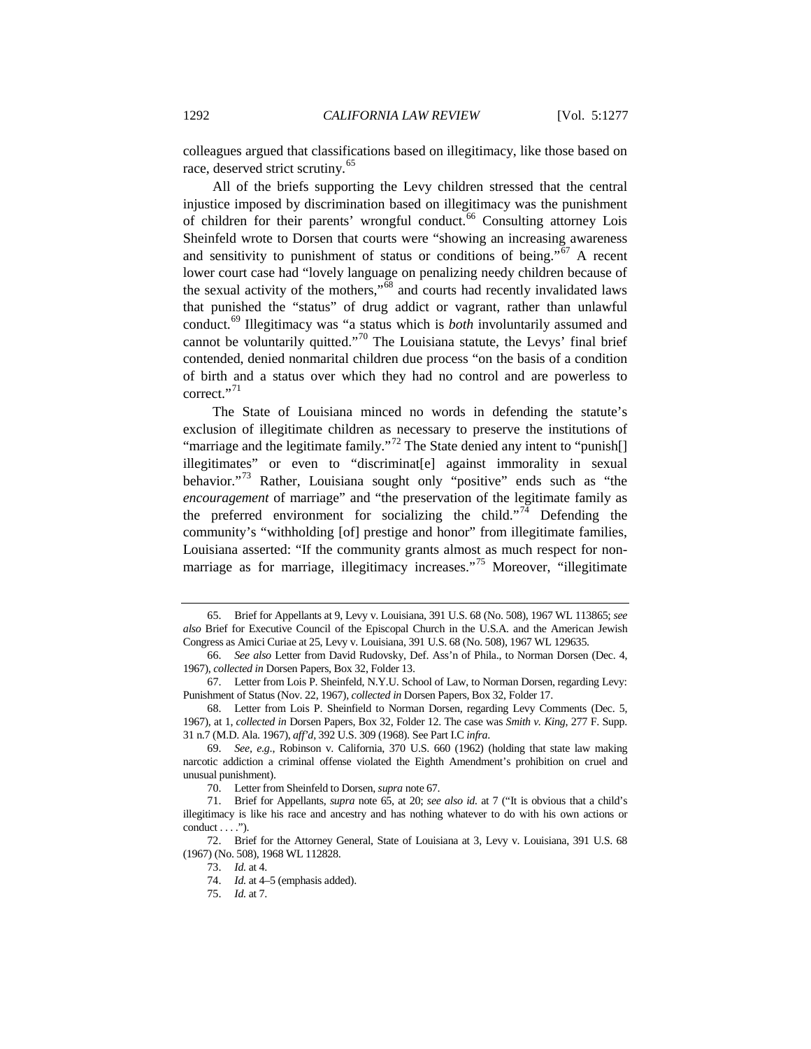<span id="page-15-1"></span>colleagues argued that classifications based on illegitimacy, like those based on race, deserved strict scrutiny.<sup>[65](#page-15-2)</sup>

<span id="page-15-0"></span>All of the briefs supporting the Levy children stressed that the central injustice imposed by discrimination based on illegitimacy was the punishment of children for their parents' wrongful conduct.<sup>[66](#page-15-3)</sup> Consulting attorney Lois Sheinfeld wrote to Dorsen that courts were "showing an increasing awareness and sensitivity to punishment of status or conditions of being."[67](#page-15-4) A recent lower court case had "lovely language on penalizing needy children because of the sexual activity of the mothers,"[68](#page-15-5) and courts had recently invalidated laws that punished the "status" of drug addict or vagrant, rather than unlawful conduct.[69](#page-15-6) Illegitimacy was "a status which is *both* involuntarily assumed and cannot be voluntarily quitted."<sup>[70](#page-15-7)</sup> The Louisiana statute, the Levys' final brief contended, denied nonmarital children due process "on the basis of a condition of birth and a status over which they had no control and are powerless to correct."<sup>[71](#page-15-8)</sup>

The State of Louisiana minced no words in defending the statute's exclusion of illegitimate children as necessary to preserve the institutions of "marriage and the legitimate family."<sup>[72](#page-15-9)</sup> The State denied any intent to "punish[] illegitimates" or even to "discriminat[e] against immorality in sexual behavior."[73](#page-15-10) Rather, Louisiana sought only "positive" ends such as "the *encouragement* of marriage" and "the preservation of the legitimate family as the preferred environment for socializing the child."<sup>[74](#page-15-11)</sup> Defending the community's "withholding [of] prestige and honor" from illegitimate families, Louisiana asserted: "If the community grants almost as much respect for non-marriage as for marriage, illegitimacy increases."<sup>[75](#page-15-12)</sup> Moreover, "illegitimate

<span id="page-15-2"></span><sup>65.</sup> Brief for Appellants at 9, Levy v. Louisiana, 391 U.S. 68 (No. 508), 1967 WL 113865; *see also* Brief for Executive Council of the Episcopal Church in the U.S.A. and the American Jewish Congress as Amici Curiae at 25, Levy v. Louisiana, 391 U.S. 68 (No. 508), 1967 WL 129635.

<span id="page-15-3"></span><sup>66.</sup> *See also* Letter from David Rudovsky, Def. Ass'n of Phila., to Norman Dorsen (Dec. 4, 1967), *collected in* Dorsen Papers, Box 32, Folder 13.

<span id="page-15-4"></span><sup>67.</sup> Letter from Lois P. Sheinfeld, N.Y.U. School of Law, to Norman Dorsen, regarding Levy: Punishment of Status (Nov. 22, 1967), *collected in* Dorsen Papers, Box 32, Folder 17.

<span id="page-15-5"></span><sup>68.</sup> Letter from Lois P. Sheinfield to Norman Dorsen, regarding Levy Comments (Dec. 5, 1967), at 1, *collected in* Dorsen Papers, Box 32, Folder 12. The case was *Smith v. King*, 277 F. Supp. 31 n.7 (M.D. Ala. 1967), *aff'd*, 392 U.S. 309 (1968). See Part I.C *infra*.

<span id="page-15-6"></span><sup>69.</sup> *See, e.g*., Robinson v. California, 370 U.S. 660 (1962) (holding that state law making narcotic addiction a criminal offense violated the Eighth Amendment's prohibition on cruel and unusual punishment).

<sup>70.</sup> Letter from Sheinfeld to Dorsen, *supra* note [67.](#page-15-0)

<span id="page-15-8"></span><span id="page-15-7"></span><sup>71.</sup> Brief for Appellants, *supra* note [65,](#page-15-1) at 20; *see also id.* at 7 ("It is obvious that a child's illegitimacy is like his race and ancestry and has nothing whatever to do with his own actions or  $conduct \ldots$ .").

<span id="page-15-12"></span><span id="page-15-11"></span><span id="page-15-10"></span><span id="page-15-9"></span><sup>72.</sup> Brief for the Attorney General, State of Louisiana at 3, Levy v. Louisiana, 391 U.S. 68 (1967) (No. 508), 1968 WL 112828.

<sup>73.</sup> *Id.* at 4.

<sup>74.</sup> *Id.* at 4–5 (emphasis added).

<sup>75.</sup> *Id.* at 7.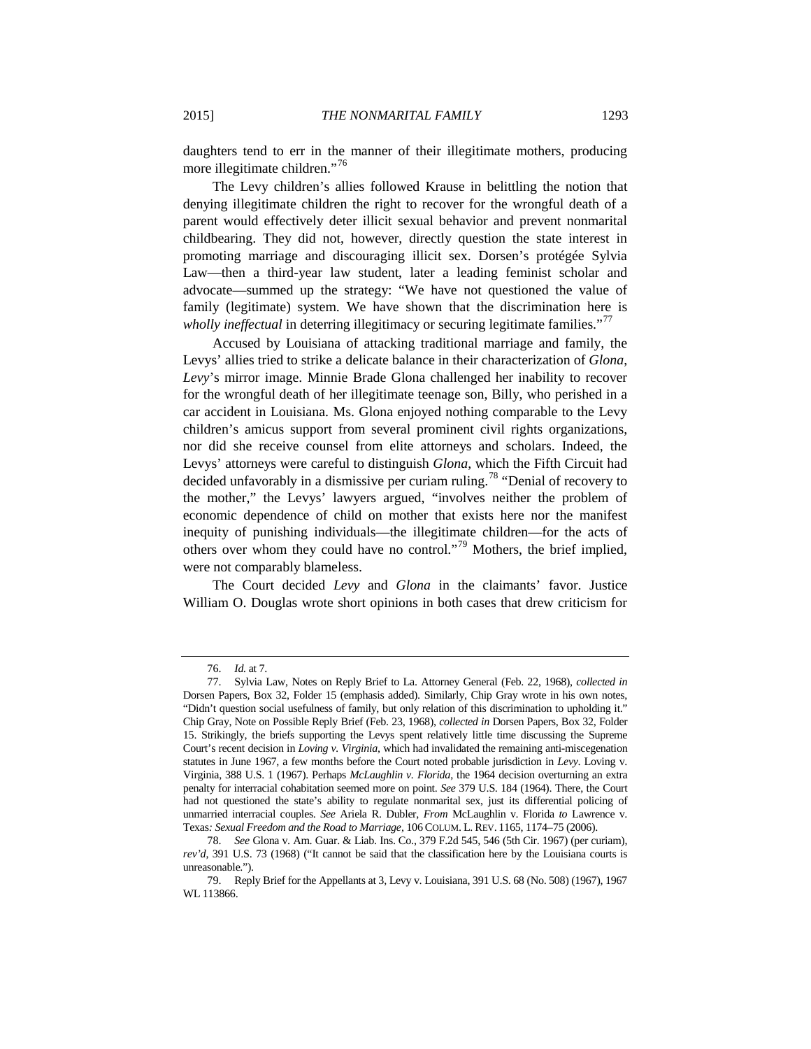daughters tend to err in the manner of their illegitimate mothers, producing more illegitimate children."<sup>[76](#page-16-0)</sup>

The Levy children's allies followed Krause in belittling the notion that denying illegitimate children the right to recover for the wrongful death of a parent would effectively deter illicit sexual behavior and prevent nonmarital childbearing. They did not, however, directly question the state interest in promoting marriage and discouraging illicit sex. Dorsen's protégée Sylvia Law—then a third-year law student, later a leading feminist scholar and advocate—summed up the strategy: "We have not questioned the value of family (legitimate) system. We have shown that the discrimination here is *wholly ineffectual* in deterring illegitimacy or securing legitimate families."<sup>[77](#page-16-1)</sup>

Accused by Louisiana of attacking traditional marriage and family, the Levys' allies tried to strike a delicate balance in their characterization of *Glona*, *Levy*'s mirror image. Minnie Brade Glona challenged her inability to recover for the wrongful death of her illegitimate teenage son, Billy, who perished in a car accident in Louisiana. Ms. Glona enjoyed nothing comparable to the Levy children's amicus support from several prominent civil rights organizations, nor did she receive counsel from elite attorneys and scholars. Indeed, the Levys' attorneys were careful to distinguish *Glona*, which the Fifth Circuit had decided unfavorably in a dismissive per curiam ruling.<sup>[78](#page-16-2)</sup> "Denial of recovery to the mother," the Levys' lawyers argued, "involves neither the problem of economic dependence of child on mother that exists here nor the manifest inequity of punishing individuals—the illegitimate children—for the acts of others over whom they could have no control."[79](#page-16-3) Mothers, the brief implied, were not comparably blameless.

The Court decided *Levy* and *Glona* in the claimants' favor. Justice William O. Douglas wrote short opinions in both cases that drew criticism for

<sup>76.</sup> *Id.* at 7.

<span id="page-16-1"></span><span id="page-16-0"></span><sup>77.</sup> Sylvia Law, Notes on Reply Brief to La. Attorney General (Feb. 22, 1968), *collected in* Dorsen Papers, Box 32, Folder 15 (emphasis added). Similarly, Chip Gray wrote in his own notes, "Didn't question social usefulness of family, but only relation of this discrimination to upholding it." Chip Gray, Note on Possible Reply Brief (Feb. 23, 1968), *collected in* Dorsen Papers, Box 32, Folder 15. Strikingly, the briefs supporting the Levys spent relatively little time discussing the Supreme Court's recent decision in *Loving v. Virginia*, which had invalidated the remaining anti-miscegenation statutes in June 1967, a few months before the Court noted probable jurisdiction in *Levy*. Loving v. Virginia, 388 U.S. 1 (1967). Perhaps *McLaughlin v. Florida*, the 1964 decision overturning an extra penalty for interracial cohabitation seemed more on point. *See* 379 U.S. 184 (1964). There, the Court had not questioned the state's ability to regulate nonmarital sex, just its differential policing of unmarried interracial couples. *See* Ariela R. Dubler, *From* McLaughlin v. Florida *to* Lawrence v. Texas*: Sexual Freedom and the Road to Marriage*, 106 COLUM. L. REV. 1165, 1174–75 (2006).

<span id="page-16-2"></span><sup>78.</sup> *See* Glona v. Am. Guar. & Liab. Ins. Co., 379 F.2d 545, 546 (5th Cir. 1967) (per curiam), *rev'd*, 391 U.S. 73 (1968) ("It cannot be said that the classification here by the Louisiana courts is unreasonable.").

<span id="page-16-3"></span><sup>79.</sup> Reply Brief for the Appellants at 3, Levy v. Louisiana, 391 U.S. 68 (No. 508) (1967), 1967 WL 113866.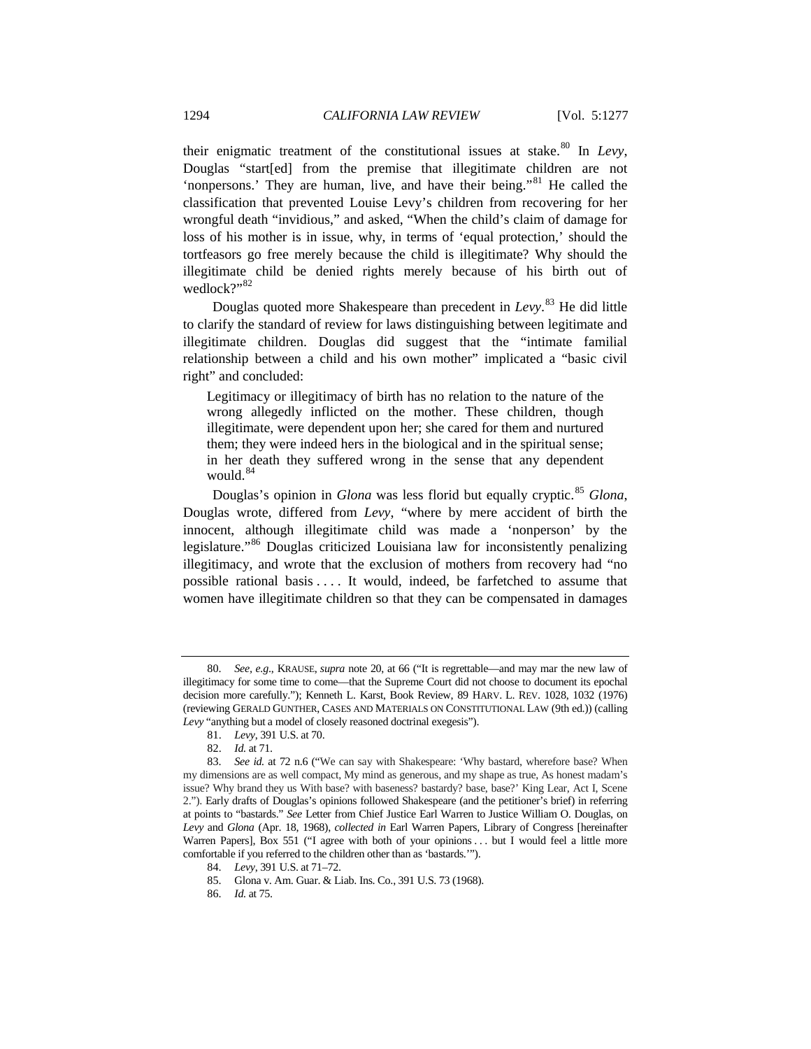their enigmatic treatment of the constitutional issues at stake.<sup>[80](#page-17-0)</sup> In *Levy*, Douglas "start[ed] from the premise that illegitimate children are not 'nonpersons.' They are human, live, and have their being."<sup>[81](#page-17-1)</sup> He called the classification that prevented Louise Levy's children from recovering for her wrongful death "invidious," and asked, "When the child's claim of damage for loss of his mother is in issue, why, in terms of 'equal protection,' should the tortfeasors go free merely because the child is illegitimate? Why should the illegitimate child be denied rights merely because of his birth out of wedlock?"<sup>[82](#page-17-2)</sup>

Douglas quoted more Shakespeare than precedent in *Levy*. [83](#page-17-3) He did little to clarify the standard of review for laws distinguishing between legitimate and illegitimate children. Douglas did suggest that the "intimate familial relationship between a child and his own mother" implicated a "basic civil right" and concluded:

Legitimacy or illegitimacy of birth has no relation to the nature of the wrong allegedly inflicted on the mother. These children, though illegitimate, were dependent upon her; she cared for them and nurtured them; they were indeed hers in the biological and in the spiritual sense; in her death they suffered wrong in the sense that any dependent would. $84$ 

Douglas's opinion in *Glona* was less florid but equally cryptic.<sup>[85](#page-17-5)</sup> *Glona*, Douglas wrote, differed from *Levy*, "where by mere accident of birth the innocent, although illegitimate child was made a 'nonperson' by the legislature."[86](#page-17-6) Douglas criticized Louisiana law for inconsistently penalizing illegitimacy, and wrote that the exclusion of mothers from recovery had "no possible rational basis . . . . It would, indeed, be farfetched to assume that women have illegitimate children so that they can be compensated in damages

<span id="page-17-0"></span><sup>80.</sup> *See, e.g*., KRAUSE, *supra* note 20, at 66 ("It is regrettable—and may mar the new law of illegitimacy for some time to come—that the Supreme Court did not choose to document its epochal decision more carefully."); Kenneth L. Karst, Book Review, 89 HARV. L. REV. 1028, 1032 (1976) (reviewing GERALD GUNTHER, CASES AND MATERIALS ON CONSTITUTIONAL LAW (9th ed.)) (calling *Levy* "anything but a model of closely reasoned doctrinal exegesis").

<sup>81.</sup> *Levy*, 391 U.S. at 70.

<sup>82.</sup> *Id.* at 71.

<span id="page-17-3"></span><span id="page-17-2"></span><span id="page-17-1"></span><sup>83.</sup> *See id.* at 72 n.6 ("We can say with Shakespeare: 'Why bastard, wherefore base? When my dimensions are as well compact, My mind as generous, and my shape as true, As honest madam's issue? Why brand they us With base? with baseness? bastardy? base, base?' King Lear, Act I, Scene 2."). Early drafts of Douglas's opinions followed Shakespeare (and the petitioner's brief) in referring at points to "bastards." *See* Letter from Chief Justice Earl Warren to Justice William O. Douglas, on *Levy* and *Glona* (Apr. 18, 1968), *collected in* Earl Warren Papers, Library of Congress [hereinafter Warren Papers], Box 551 ("I agree with both of your opinions ... but I would feel a little more comfortable if you referred to the children other than as 'bastards.'").

<span id="page-17-6"></span><span id="page-17-5"></span><span id="page-17-4"></span><sup>84.</sup> *Levy*, 391 U.S. at 71–72.

<sup>85.</sup> Glona v. Am. Guar. & Liab. Ins. Co., 391 U.S. 73 (1968).

<sup>86.</sup> *Id.* at 75.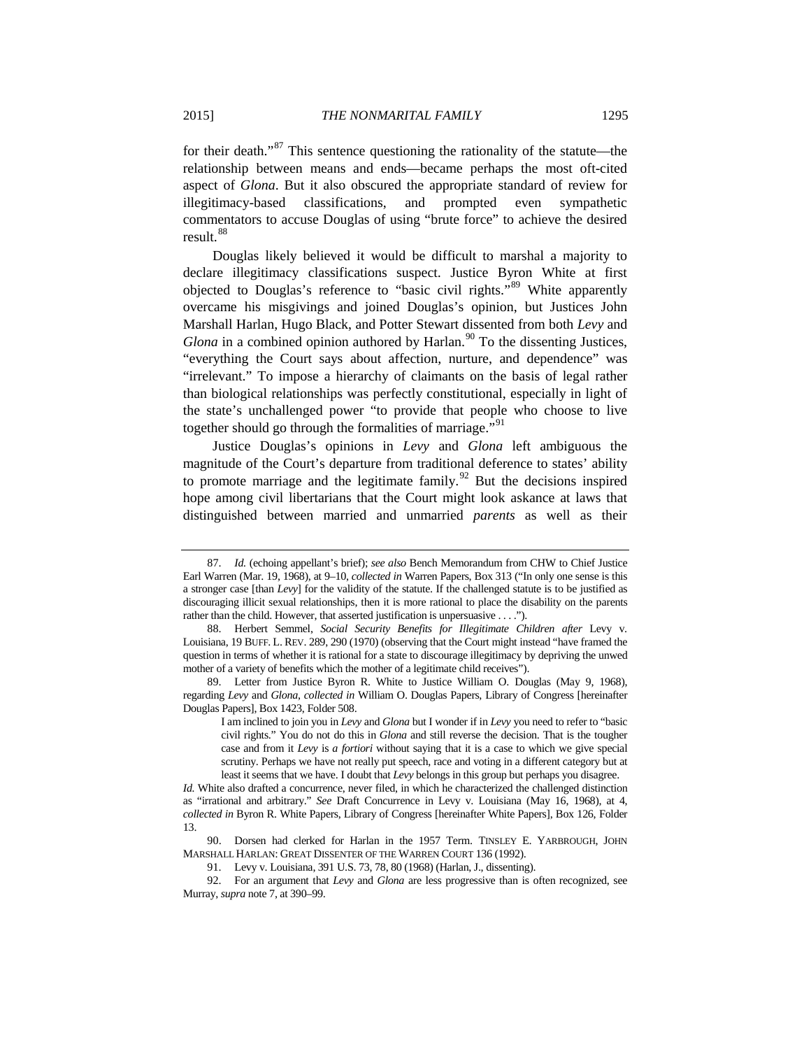for their death."[87](#page-18-0) This sentence questioning the rationality of the statute—the relationship between means and ends—became perhaps the most oft-cited aspect of *Glona*. But it also obscured the appropriate standard of review for illegitimacy-based classifications, and prompted even sympathetic commentators to accuse Douglas of using "brute force" to achieve the desired result.<sup>[88](#page-18-1)</sup>

<span id="page-18-7"></span><span id="page-18-6"></span>Douglas likely believed it would be difficult to marshal a majority to declare illegitimacy classifications suspect. Justice Byron White at first objected to Douglas's reference to "basic civil rights."[89](#page-18-2) White apparently overcame his misgivings and joined Douglas's opinion, but Justices John Marshall Harlan, Hugo Black, and Potter Stewart dissented from both *Levy* and *Glona* in a combined opinion authored by Harlan.<sup>[90](#page-18-3)</sup> To the dissenting Justices, "everything the Court says about affection, nurture, and dependence" was "irrelevant." To impose a hierarchy of claimants on the basis of legal rather than biological relationships was perfectly constitutional, especially in light of the state's unchallenged power "to provide that people who choose to live together should go through the formalities of marriage."<sup>[91](#page-18-4)</sup>

Justice Douglas's opinions in *Levy* and *Glona* left ambiguous the magnitude of the Court's departure from traditional deference to states' ability to promote marriage and the legitimate family.<sup>[92](#page-18-5)</sup> But the decisions inspired hope among civil libertarians that the Court might look askance at laws that distinguished between married and unmarried *parents* as well as their

<span id="page-18-0"></span><sup>87.</sup> *Id.* (echoing appellant's brief); *see also* Bench Memorandum from CHW to Chief Justice Earl Warren (Mar. 19, 1968), at 9–10, *collected in* Warren Papers, Box 313 ("In only one sense is this a stronger case [than *Levy*] for the validity of the statute. If the challenged statute is to be justified as discouraging illicit sexual relationships, then it is more rational to place the disability on the parents rather than the child. However, that asserted justification is unpersuasive . . . .").

<span id="page-18-1"></span><sup>88.</sup> Herbert Semmel, *Social Security Benefits for Illegitimate Children after Levy v.* Louisiana, 19 BUFF. L. REV. 289, 290 (1970) (observing that the Court might instead "have framed the question in terms of whether it is rational for a state to discourage illegitimacy by depriving the unwed mother of a variety of benefits which the mother of a legitimate child receives").

<span id="page-18-2"></span><sup>89.</sup> Letter from Justice Byron R. White to Justice William O. Douglas (May 9, 1968), regarding *Levy* and *Glona*, *collected in* William O. Douglas Papers, Library of Congress [hereinafter Douglas Papers], Box 1423, Folder 508.

I am inclined to join you in *Levy* and *Glona* but I wonder if in *Levy* you need to refer to "basic civil rights." You do not do this in *Glona* and still reverse the decision. That is the tougher case and from it *Levy* is *a fortiori* without saying that it is a case to which we give special scrutiny. Perhaps we have not really put speech, race and voting in a different category but at least it seems that we have. I doubt that *Levy* belongs in this group but perhaps you disagree.

*Id.* White also drafted a concurrence, never filed, in which he characterized the challenged distinction as "irrational and arbitrary." *See* Draft Concurrence in Levy v. Louisiana (May 16, 1968), at 4, *collected in* Byron R. White Papers, Library of Congress [hereinafter White Papers], Box 126, Folder 13.

<span id="page-18-3"></span><sup>90.</sup> Dorsen had clerked for Harlan in the 1957 Term. TINSLEY E. YARBROUGH, JOHN MARSHALL HARLAN: GREAT DISSENTER OF THE WARREN COURT 136 (1992).

<sup>91.</sup> Levy v. Louisiana, 391 U.S. 73, 78, 80 (1968) (Harlan, J., dissenting).

<span id="page-18-5"></span><span id="page-18-4"></span><sup>92.</sup> For an argument that *Levy* and *Glona* are less progressive than is often recognized, see Murray, *supra* not[e 7,](#page-3-0) at 390–99.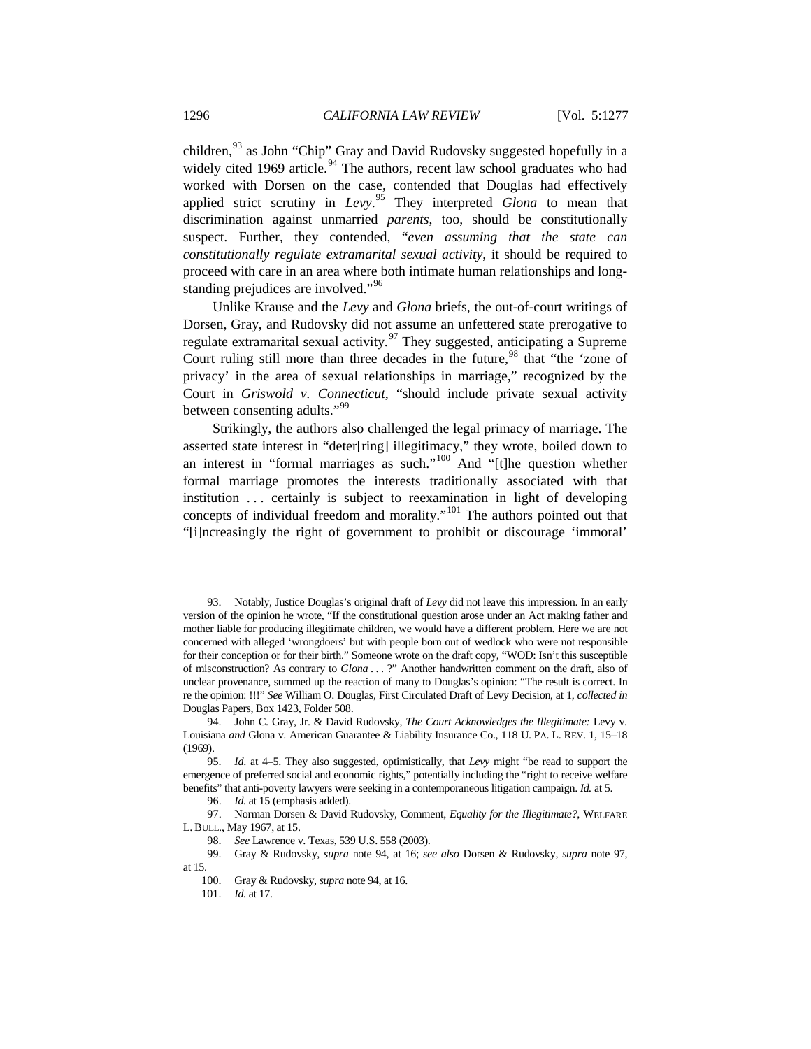<span id="page-19-10"></span>children,<sup>[93](#page-19-0)</sup> as John "Chip" Gray and David Rudovsky suggested hopefully in a widely cited 1969 article.<sup>[94](#page-19-1)</sup> The authors, recent law school graduates who had worked with Dorsen on the case, contended that Douglas had effectively applied strict scrutiny in *Levy*. [95](#page-19-2) They interpreted *Glona* to mean that discrimination against unmarried *parents*, too, should be constitutionally suspect. Further, they contended, "*even assuming that the state can constitutionally regulate extramarital sexual activity*, it should be required to proceed with care in an area where both intimate human relationships and long-standing prejudices are involved."<sup>[96](#page-19-3)</sup>

<span id="page-19-11"></span><span id="page-19-9"></span>Unlike Krause and the *Levy* and *Glona* briefs, the out-of-court writings of Dorsen, Gray, and Rudovsky did not assume an unfettered state prerogative to regulate extramarital sexual activity.<sup>[97](#page-19-4)</sup> They suggested, anticipating a Supreme Court ruling still more than three decades in the future,  $98$  that "the 'zone of privacy' in the area of sexual relationships in marriage," recognized by the Court in *Griswold v. Connecticut*, "should include private sexual activity between consenting adults."<sup>[99](#page-19-6)</sup>

Strikingly, the authors also challenged the legal primacy of marriage. The asserted state interest in "deter[ring] illegitimacy," they wrote, boiled down to an interest in "formal marriages as such." $100$  And "[t]he question whether formal marriage promotes the interests traditionally associated with that institution . . . certainly is subject to reexamination in light of developing concepts of individual freedom and morality."<sup>[101](#page-19-8)</sup> The authors pointed out that "[i]ncreasingly the right of government to prohibit or discourage 'immoral'

<span id="page-19-0"></span><sup>93.</sup> Notably, Justice Douglas's original draft of *Levy* did not leave this impression. In an early version of the opinion he wrote, "If the constitutional question arose under an Act making father and mother liable for producing illegitimate children, we would have a different problem. Here we are not concerned with alleged 'wrongdoers' but with people born out of wedlock who were not responsible for their conception or for their birth." Someone wrote on the draft copy, "WOD: Isn't this susceptible of misconstruction? As contrary to *Glona* . . . ?" Another handwritten comment on the draft, also of unclear provenance, summed up the reaction of many to Douglas's opinion: "The result is correct. In re the opinion: !!!" *See* William O. Douglas, First Circulated Draft of Levy Decision, at 1, *collected in*  Douglas Papers, Box 1423, Folder 508.

<span id="page-19-1"></span><sup>94.</sup> John C. Gray, Jr. & David Rudovsky, *The Court Acknowledges the Illegitimate:* Levy v. Louisiana *and* Glona v. American Guarantee & Liability Insurance Co., 118 U. PA. L. REV. 1, 15–18 (1969).

<span id="page-19-2"></span><sup>95.</sup> *Id*. at 4–5. They also suggested, optimistically, that *Levy* might "be read to support the emergence of preferred social and economic rights," potentially including the "right to receive welfare benefits" that anti-poverty lawyers were seeking in a contemporaneous litigation campaign. *Id.* at 5.

<sup>96.</sup> *Id.* at 15 (emphasis added).

<span id="page-19-4"></span><span id="page-19-3"></span><sup>97.</sup> Norman Dorsen & David Rudovsky, Comment, *Equality for the Illegitimate?*, WELFARE L. BULL., May 1967, at 15.

<sup>98.</sup> *See* Lawrence v. Texas, 539 U.S. 558 (2003).

<span id="page-19-8"></span><span id="page-19-7"></span><span id="page-19-6"></span><span id="page-19-5"></span><sup>99.</sup> Gray & Rudovsky, *supra* note 94, at 16; *see also* Dorsen & Rudovsky, *supra* note 97, at 15.

<sup>100.</sup> Gray & Rudovsky, *supra* note 94, at 16.

<sup>101.</sup> *Id.* at 17.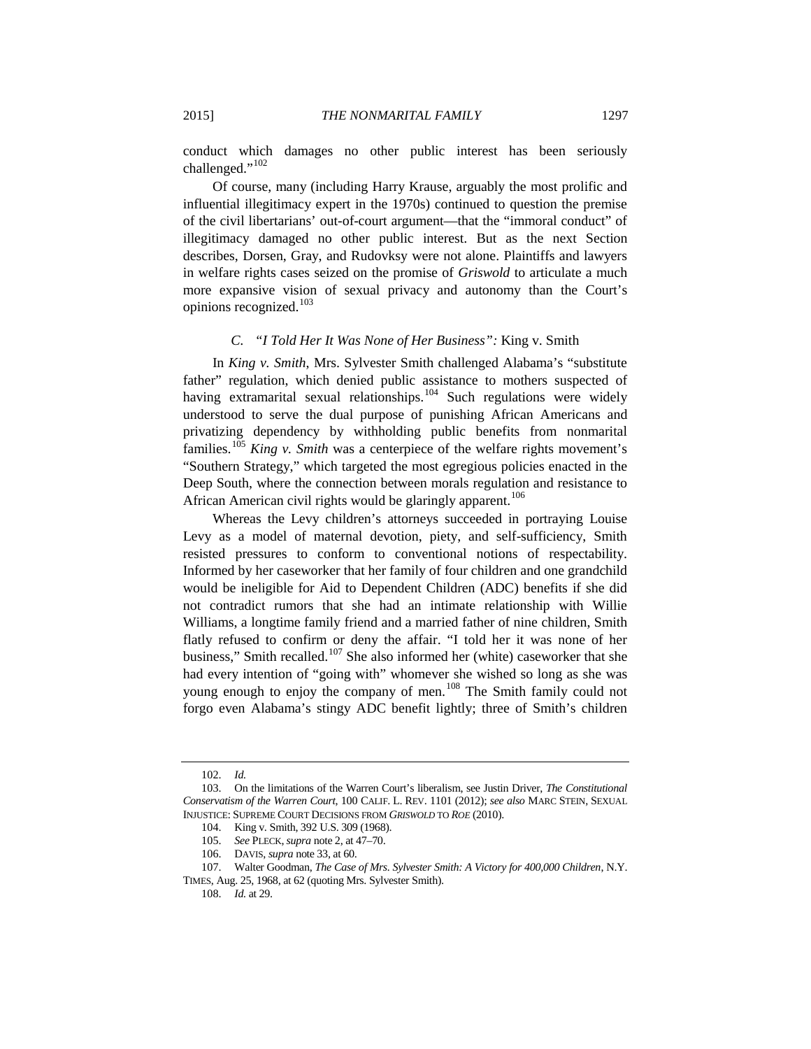conduct which damages no other public interest has been seriously challenged."<sup>[102](#page-20-0)</sup>

Of course, many (including Harry Krause, arguably the most prolific and influential illegitimacy expert in the 1970s) continued to question the premise of the civil libertarians' out-of-court argument—that the "immoral conduct" of illegitimacy damaged no other public interest. But as the next Section describes, Dorsen, Gray, and Rudovksy were not alone. Plaintiffs and lawyers in welfare rights cases seized on the promise of *Griswold* to articulate a much more expansive vision of sexual privacy and autonomy than the Court's opinions recognized.[103](#page-20-1)

#### *C. "I Told Her It Was None of Her Business":* King v. Smith

In *King v. Smith*, Mrs. Sylvester Smith challenged Alabama's "substitute father" regulation, which denied public assistance to mothers suspected of having extramarital sexual relationships.<sup>[104](#page-20-2)</sup> Such regulations were widely understood to serve the dual purpose of punishing African Americans and privatizing dependency by withholding public benefits from nonmarital families.[105](#page-20-3) *King v. Smith* was a centerpiece of the welfare rights movement's "Southern Strategy," which targeted the most egregious policies enacted in the Deep South, where the connection between morals regulation and resistance to African American civil rights would be glaringly apparent.<sup>[106](#page-20-4)</sup>

Whereas the Levy children's attorneys succeeded in portraying Louise Levy as a model of maternal devotion, piety, and self-sufficiency, Smith resisted pressures to conform to conventional notions of respectability. Informed by her caseworker that her family of four children and one grandchild would be ineligible for Aid to Dependent Children (ADC) benefits if she did not contradict rumors that she had an intimate relationship with Willie Williams, a longtime family friend and a married father of nine children, Smith flatly refused to confirm or deny the affair. "I told her it was none of her business," Smith recalled.<sup>[107](#page-20-5)</sup> She also informed her (white) caseworker that she had every intention of "going with" whomever she wished so long as she was young enough to enjoy the company of men.<sup>[108](#page-20-6)</sup> The Smith family could not forgo even Alabama's stingy ADC benefit lightly; three of Smith's children

<sup>102.</sup> *Id.*

<span id="page-20-2"></span><span id="page-20-1"></span><span id="page-20-0"></span><sup>103.</sup> On the limitations of the Warren Court's liberalism, see Justin Driver, *The Constitutional Conservatism of the Warren Court*, 100 CALIF. L. REV. 1101 (2012); *see also* MARC STEIN, SEXUAL INJUSTICE: SUPREME COURT DECISIONS FROM *GRISWOLD* TO *ROE* (2010).

<sup>104.</sup> King v. Smith, 392 U.S. 309 (1968).

<sup>105.</sup> *See* PLECK,*supra* not[e 2,](#page-2-5) at 47–70.

<sup>106.</sup> DAVIS, *supra* not[e 33,](#page-10-7) at 60.

<span id="page-20-6"></span><span id="page-20-5"></span><span id="page-20-4"></span><span id="page-20-3"></span><sup>107.</sup> Walter Goodman, *The Case of Mrs. Sylvester Smith: A Victory for 400,000 Children*, N.Y. TIMES, Aug. 25, 1968, at 62 (quoting Mrs. Sylvester Smith).

<sup>108.</sup> *Id.* at 29.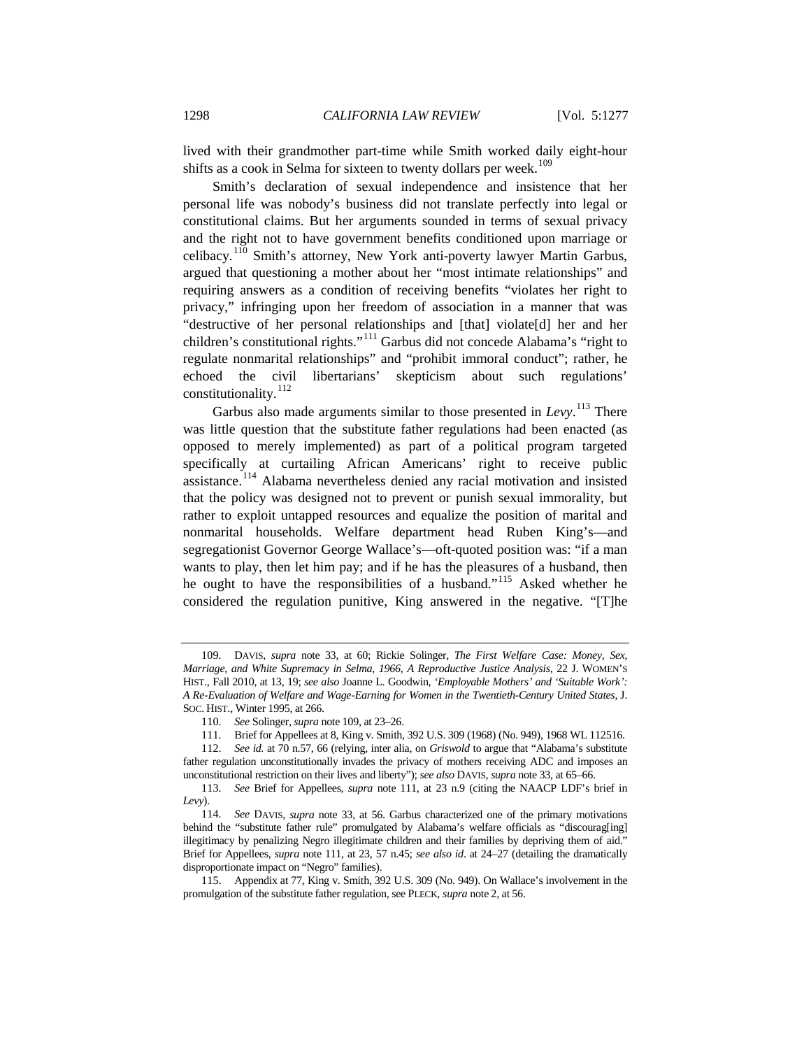lived with their grandmother part-time while Smith worked daily eight-hour shifts as a cook in Selma for sixteen to twenty dollars per week.<sup>[109](#page-21-0)</sup>

Smith's declaration of sexual independence and insistence that her personal life was nobody's business did not translate perfectly into legal or constitutional claims. But her arguments sounded in terms of sexual privacy and the right not to have government benefits conditioned upon marriage or celibacy.[110](#page-21-1) Smith's attorney, New York anti-poverty lawyer Martin Garbus, argued that questioning a mother about her "most intimate relationships" and requiring answers as a condition of receiving benefits "violates her right to privacy," infringing upon her freedom of association in a manner that was "destructive of her personal relationships and [that] violate[d] her and her children's constitutional rights."[111](#page-21-2) Garbus did not concede Alabama's "right to regulate nonmarital relationships" and "prohibit immoral conduct"; rather, he echoed the civil libertarians' skepticism about such regulations' constitutionality.<sup>[112](#page-21-3)</sup>

Garbus also made arguments similar to those presented in *Levy*.<sup>[113](#page-21-4)</sup> There was little question that the substitute father regulations had been enacted (as opposed to merely implemented) as part of a political program targeted specifically at curtailing African Americans' right to receive public assistance.[114](#page-21-5) Alabama nevertheless denied any racial motivation and insisted that the policy was designed not to prevent or punish sexual immorality, but rather to exploit untapped resources and equalize the position of marital and nonmarital households. Welfare department head Ruben King's—and segregationist Governor George Wallace's—oft-quoted position was: "if a man wants to play, then let him pay; and if he has the pleasures of a husband, then he ought to have the responsibilities of a husband."[115](#page-21-6) Asked whether he considered the regulation punitive, King answered in the negative. "[T]he

<span id="page-21-0"></span><sup>109.</sup> DAVIS, *supra* note 33, at 60; Rickie Solinger, *The First Welfare Case: Money, Sex, Marriage, and White Supremacy in Selma, 1966, A Reproductive Justice Analysis*, 22 J. WOMEN'S HIST., Fall 2010, at 13, 19; *see also* Joanne L. Goodwin, *'Employable Mothers' and 'Suitable Work': A Re-Evaluation of Welfare and Wage-Earning for Women in the Twentieth-Century United States*, J. SOC. HIST., Winter 1995, at 266.

<sup>110.</sup> *See* Solinger, *supra* note 109, at 23–26.

<sup>111.</sup> Brief for Appellees at 8, King v. Smith, 392 U.S. 309 (1968) (No. 949), 1968 WL 112516.

<span id="page-21-3"></span><span id="page-21-2"></span><span id="page-21-1"></span><sup>112.</sup> *See id.* at 70 n.57, 66 (relying, inter alia, on *Griswold* to argue that "Alabama's substitute father regulation unconstitutionally invades the privacy of mothers receiving ADC and imposes an unconstitutional restriction on their lives and liberty"); *see also* DAVIS, *supra* note 33, at 65–66.

<span id="page-21-4"></span><sup>113.</sup> *See* Brief for Appellees, *supra* note 111, at 23 n.9 (citing the NAACP LDF's brief in *Levy*).

<span id="page-21-5"></span><sup>114.</sup> *See* DAVIS, *supra* note 33, at 56. Garbus characterized one of the primary motivations behind the "substitute father rule" promulgated by Alabama's welfare officials as "discourag[ing] illegitimacy by penalizing Negro illegitimate children and their families by depriving them of aid." Brief for Appellees, *supra* note 111, at 23, 57 n.45; *see also id*. at 24–27 (detailing the dramatically disproportionate impact on "Negro" families).

<span id="page-21-6"></span><sup>115.</sup> Appendix at 77, King v. Smith, 392 U.S. 309 (No. 949). On Wallace's involvement in the promulgation of the substitute father regulation, see PLECK, *supra* not[e 2,](#page-2-5) at 56.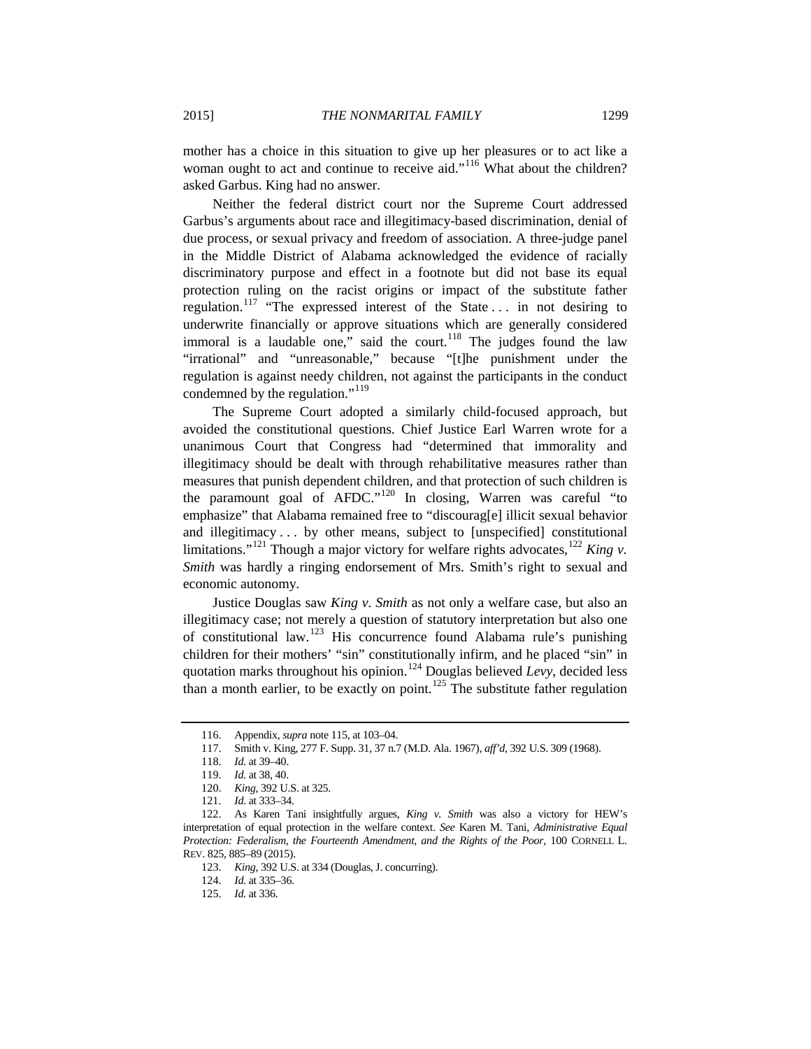mother has a choice in this situation to give up her pleasures or to act like a woman ought to act and continue to receive aid."<sup>[116](#page-22-0)</sup> What about the children? asked Garbus. King had no answer.

Neither the federal district court nor the Supreme Court addressed Garbus's arguments about race and illegitimacy-based discrimination, denial of due process, or sexual privacy and freedom of association. A three-judge panel in the Middle District of Alabama acknowledged the evidence of racially discriminatory purpose and effect in a footnote but did not base its equal protection ruling on the racist origins or impact of the substitute father regulation.<sup>[117](#page-22-1)</sup> "The expressed interest of the State ... in not desiring to underwrite financially or approve situations which are generally considered immoral is a laudable one," said the court.<sup>[118](#page-22-2)</sup> The judges found the law "irrational" and "unreasonable," because "[t]he punishment under the regulation is against needy children, not against the participants in the conduct condemned by the regulation."<sup>[119](#page-22-3)</sup>

The Supreme Court adopted a similarly child-focused approach, but avoided the constitutional questions. Chief Justice Earl Warren wrote for a unanimous Court that Congress had "determined that immorality and illegitimacy should be dealt with through rehabilitative measures rather than measures that punish dependent children, and that protection of such children is the paramount goal of AFDC."[120](#page-22-4) In closing, Warren was careful "to emphasize" that Alabama remained free to "discourag[e] illicit sexual behavior and illegitimacy . . . by other means, subject to [unspecified] constitutional limitations."<sup>[121](#page-22-5)</sup> Though a major victory for welfare rights advocates,  $122$  *King v. Smith* was hardly a ringing endorsement of Mrs. Smith's right to sexual and economic autonomy.

Justice Douglas saw *King v. Smith* as not only a welfare case, but also an illegitimacy case; not merely a question of statutory interpretation but also one of constitutional law.[123](#page-22-7) His concurrence found Alabama rule's punishing children for their mothers' "sin" constitutionally infirm, and he placed "sin" in quotation marks throughout his opinion.<sup>[124](#page-22-8)</sup> Douglas believed *Levy*, decided less than a month earlier, to be exactly on point.<sup>[125](#page-22-9)</sup> The substitute father regulation

<sup>116.</sup> Appendix, *supra* note 115, at 103–04.

<sup>117.</sup> Smith v. King, 277 F. Supp. 31, 37 n.7 (M.D. Ala. 1967), *aff'd*, 392 U.S. 309 (1968).

<sup>118.</sup> *Id.* at 39–40.

<sup>119.</sup> *Id.* at 38, 40.

<sup>120.</sup> *King*, 392 U.S. at 325.

<sup>121.</sup> *Id.* at 333–34.

<span id="page-22-9"></span><span id="page-22-8"></span><span id="page-22-7"></span><span id="page-22-6"></span><span id="page-22-5"></span><span id="page-22-4"></span><span id="page-22-3"></span><span id="page-22-2"></span><span id="page-22-1"></span><span id="page-22-0"></span><sup>122.</sup> As Karen Tani insightfully argues, *King v. Smith* was also a victory for HEW's interpretation of equal protection in the welfare context. *See* Karen M. Tani, *Administrative Equal Protection: Federalism, the Fourteenth Amendment, and the Rights of the Poor*, 100 CORNELL L. REV. 825, 885–89 (2015).

<sup>123.</sup> *King*, 392 U.S. at 334 (Douglas, J. concurring).

<sup>124.</sup> *Id.* at 335–36.

<sup>125.</sup> *Id.* at 336.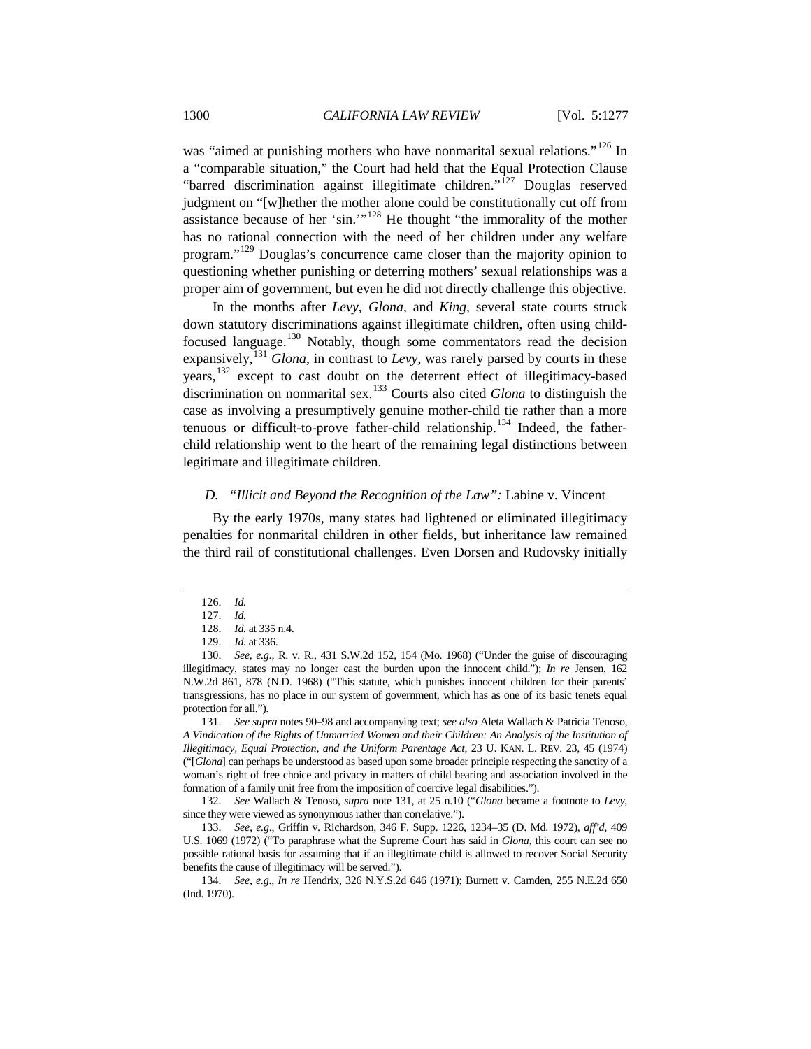was "aimed at punishing mothers who have nonmarital sexual relations."<sup>[126](#page-23-1)</sup> In a "comparable situation," the Court had held that the Equal Protection Clause "barred discrimination against illegitimate children."<sup>[127](#page-23-2)</sup> Douglas reserved judgment on "[w]hether the mother alone could be constitutionally cut off from assistance because of her 'sin.'"[128](#page-23-3) He thought "the immorality of the mother has no rational connection with the need of her children under any welfare program."<sup>[129](#page-23-4)</sup> Douglas's concurrence came closer than the majority opinion to questioning whether punishing or deterring mothers' sexual relationships was a proper aim of government, but even he did not directly challenge this objective.

<span id="page-23-0"></span>In the months after *Levy*, *Glona*, and *King*, several state courts struck down statutory discriminations against illegitimate children, often using childfocused language.[130](#page-23-5) Notably, though some commentators read the decision expansively,<sup>[131](#page-23-6)</sup> *Glona*, in contrast to *Levy*, was rarely parsed by courts in these years,<sup>[132](#page-23-7)</sup> except to cast doubt on the deterrent effect of illegitimacy-based discrimination on nonmarital sex.[133](#page-23-8) Courts also cited *Glona* to distinguish the case as involving a presumptively genuine mother-child tie rather than a more tenuous or difficult-to-prove father-child relationship.<sup>[134](#page-23-9)</sup> Indeed, the fatherchild relationship went to the heart of the remaining legal distinctions between legitimate and illegitimate children.

### *D. "Illicit and Beyond the Recognition of the Law":* Labine v. Vincent

By the early 1970s, many states had lightened or eliminated illegitimacy penalties for nonmarital children in other fields, but inheritance law remained the third rail of constitutional challenges. Even Dorsen and Rudovsky initially

<span id="page-23-6"></span>131. *See supra* notes [90](#page-18-6)[–98](#page-19-9) and accompanying text; *see also* Aleta Wallach & Patricia Tenoso, *A Vindication of the Rights of Unmarried Women and their Children: An Analysis of the Institution of Illegitimacy, Equal Protection, and the Uniform Parentage Act*, 23 U. KAN. L. REV. 23, 45 (1974) ("[*Glona*] can perhaps be understood as based upon some broader principle respecting the sanctity of a woman's right of free choice and privacy in matters of child bearing and association involved in the formation of a family unit free from the imposition of coercive legal disabilities.").

<span id="page-23-7"></span>132. *See* Wallach & Tenoso, *supra* note [131,](#page-23-0) at 25 n.10 ("*Glona* became a footnote to *Levy*, since they were viewed as synonymous rather than correlative.").

<span id="page-23-8"></span>133. *See, e.g*., Griffin v. Richardson, 346 F. Supp. 1226, 1234–35 (D. Md. 1972), *aff'd*, 409 U.S. 1069 (1972) ("To paraphrase what the Supreme Court has said in *Glona*, this court can see no possible rational basis for assuming that if an illegitimate child is allowed to recover Social Security benefits the cause of illegitimacy will be served.").

<span id="page-23-9"></span>134. *See, e.g*., *In re* Hendrix, 326 N.Y.S.2d 646 (1971); Burnett v. Camden, 255 N.E.2d 650 (Ind. 1970).

<sup>126.</sup> *Id.*

<sup>127.</sup> *Id.*

<sup>128.</sup> *Id.* at 335 n.4.

<sup>129.</sup> *Id.* at 336.

<span id="page-23-5"></span><span id="page-23-4"></span><span id="page-23-3"></span><span id="page-23-2"></span><span id="page-23-1"></span><sup>130.</sup> *See, e.g*., R. v. R., 431 S.W.2d 152, 154 (Mo. 1968) ("Under the guise of discouraging illegitimacy, states may no longer cast the burden upon the innocent child."); *In re* Jensen, 162 N.W.2d 861, 878 (N.D. 1968) ("This statute, which punishes innocent children for their parents' transgressions, has no place in our system of government, which has as one of its basic tenets equal protection for all.").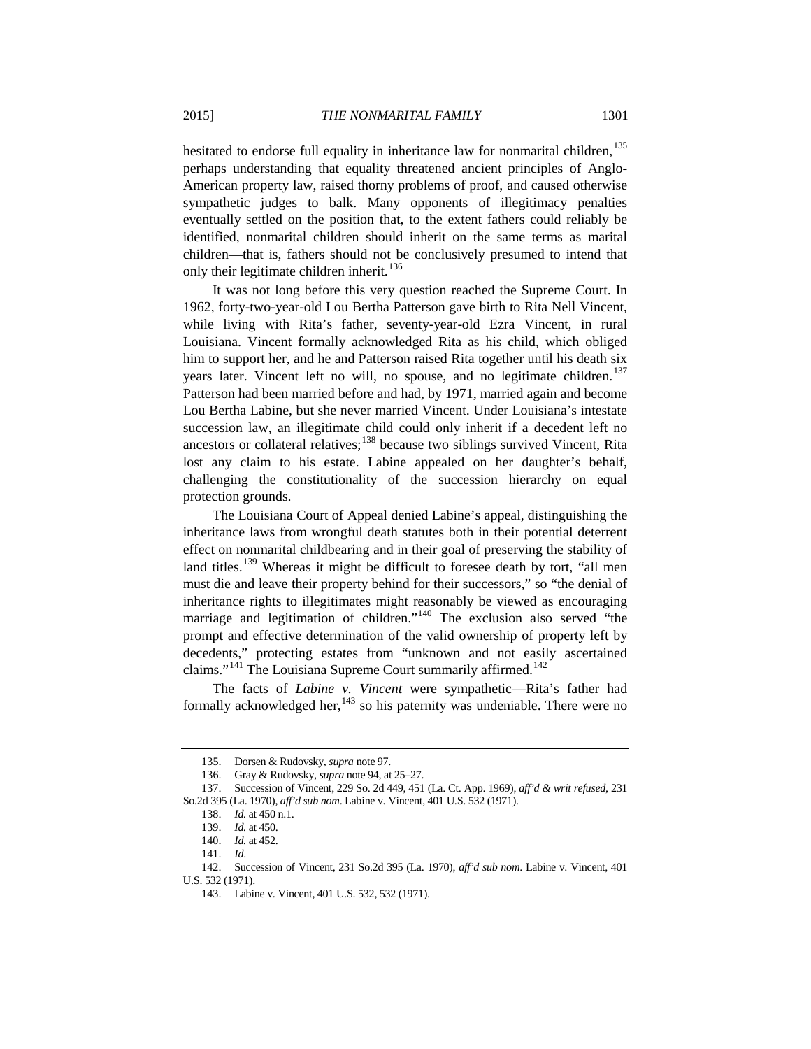hesitated to endorse full equality in inheritance law for nonmarital children,<sup>[135](#page-24-0)</sup> perhaps understanding that equality threatened ancient principles of Anglo-American property law, raised thorny problems of proof, and caused otherwise sympathetic judges to balk. Many opponents of illegitimacy penalties eventually settled on the position that, to the extent fathers could reliably be identified, nonmarital children should inherit on the same terms as marital children—that is, fathers should not be conclusively presumed to intend that only their legitimate children inherit.<sup>[136](#page-24-1)</sup>

It was not long before this very question reached the Supreme Court. In 1962, forty-two-year-old Lou Bertha Patterson gave birth to Rita Nell Vincent, while living with Rita's father, seventy-year-old Ezra Vincent, in rural Louisiana. Vincent formally acknowledged Rita as his child, which obliged him to support her, and he and Patterson raised Rita together until his death six years later. Vincent left no will, no spouse, and no legitimate children.<sup>[137](#page-24-2)</sup> Patterson had been married before and had, by 1971, married again and become Lou Bertha Labine, but she never married Vincent. Under Louisiana's intestate succession law, an illegitimate child could only inherit if a decedent left no ancestors or collateral relatives; $138$  because two siblings survived Vincent, Rita lost any claim to his estate. Labine appealed on her daughter's behalf, challenging the constitutionality of the succession hierarchy on equal protection grounds.

The Louisiana Court of Appeal denied Labine's appeal, distinguishing the inheritance laws from wrongful death statutes both in their potential deterrent effect on nonmarital childbearing and in their goal of preserving the stability of land titles.<sup>[139](#page-24-4)</sup> Whereas it might be difficult to foresee death by tort, "all men must die and leave their property behind for their successors," so "the denial of inheritance rights to illegitimates might reasonably be viewed as encouraging marriage and legitimation of children."<sup>[140](#page-24-5)</sup> The exclusion also served "the prompt and effective determination of the valid ownership of property left by decedents," protecting estates from "unknown and not easily ascertained claims."<sup>[141](#page-24-6)</sup> The Louisiana Supreme Court summarily affirmed.<sup>[142](#page-24-7)</sup>

The facts of *Labine v. Vincent* were sympathetic—Rita's father had formally acknowledged her,  $143$  so his paternity was undeniable. There were no

<sup>135.</sup> Dorsen & Rudovsky, *supra* note 97.

<sup>136.</sup> Gray & Rudovsky, *supra* note 94, at 25–27.

<span id="page-24-4"></span><span id="page-24-3"></span><span id="page-24-2"></span><span id="page-24-1"></span><span id="page-24-0"></span><sup>137.</sup> Succession of Vincent, 229 So. 2d 449, 451 (La. Ct. App. 1969), *aff'd & writ refused*, 231 So.2d 395 (La. 1970), *aff'd sub nom*. Labine v. Vincent, 401 U.S. 532 (1971).

<sup>138.</sup> *Id.* at 450 n.1.

<sup>139.</sup> *Id.* at 450.

<sup>140.</sup> *Id.* at 452.

<sup>141.</sup> *Id*.

<span id="page-24-8"></span><span id="page-24-7"></span><span id="page-24-6"></span><span id="page-24-5"></span><sup>142.</sup> Succession of Vincent, 231 So.2d 395 (La. 1970), *aff'd sub nom*. Labine v. Vincent, 401 U.S. 532 (1971).

<sup>143.</sup> Labine v. Vincent, 401 U.S. 532, 532 (1971).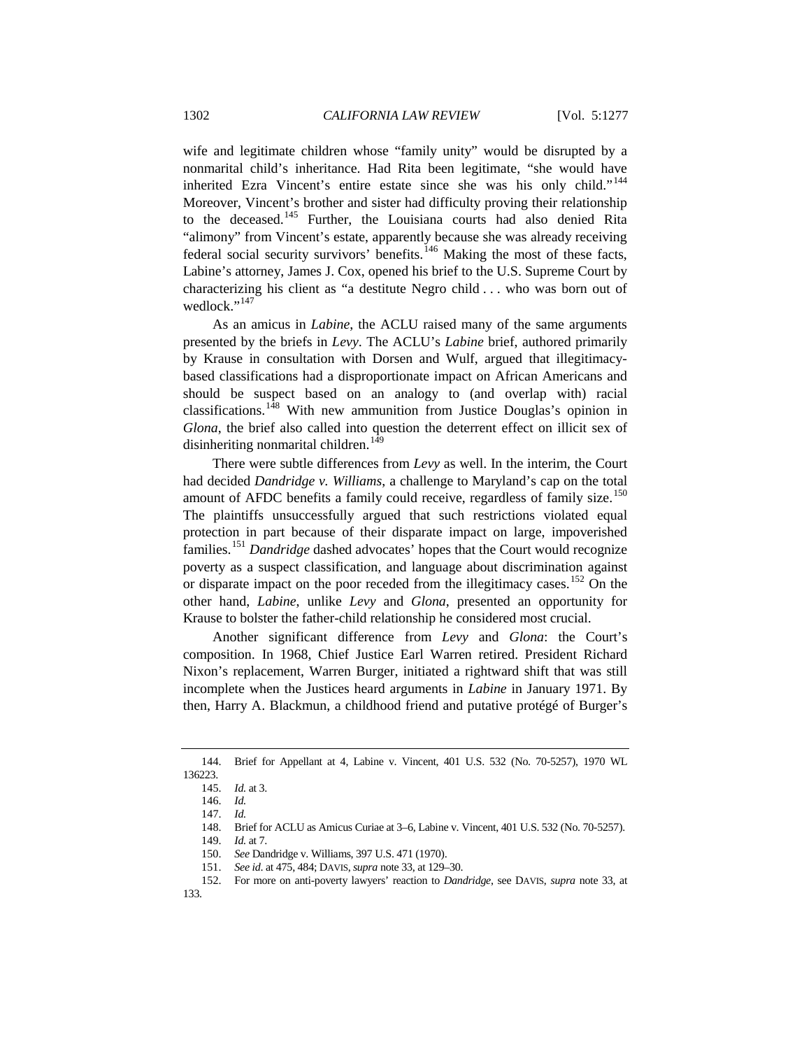wife and legitimate children whose "family unity" would be disrupted by a nonmarital child's inheritance. Had Rita been legitimate, "she would have inherited Ezra Vincent's entire estate since she was his only child."<sup>[144](#page-25-0)</sup> Moreover, Vincent's brother and sister had difficulty proving their relationship to the deceased.[145](#page-25-1) Further, the Louisiana courts had also denied Rita "alimony" from Vincent's estate, apparently because she was already receiving federal social security survivors' benefits.[146](#page-25-2) Making the most of these facts, Labine's attorney, James J. Cox, opened his brief to the U.S. Supreme Court by characterizing his client as "a destitute Negro child . . . who was born out of wedlock."<sup>[147](#page-25-3)</sup>

As an amicus in *Labine*, the ACLU raised many of the same arguments presented by the briefs in *Levy*. The ACLU's *Labine* brief, authored primarily by Krause in consultation with Dorsen and Wulf, argued that illegitimacybased classifications had a disproportionate impact on African Americans and should be suspect based on an analogy to (and overlap with) racial classifications.[148](#page-25-4) With new ammunition from Justice Douglas's opinion in *Glona*, the brief also called into question the deterrent effect on illicit sex of disinheriting nonmarital children.<sup>[149](#page-25-5)</sup>

There were subtle differences from *Levy* as well. In the interim, the Court had decided *Dandridge v. Williams*, a challenge to Maryland's cap on the total amount of AFDC benefits a family could receive, regardless of family size.<sup>[150](#page-25-6)</sup> The plaintiffs unsuccessfully argued that such restrictions violated equal protection in part because of their disparate impact on large, impoverished families.[151](#page-25-7) *Dandridge* dashed advocates' hopes that the Court would recognize poverty as a suspect classification, and language about discrimination against or disparate impact on the poor receded from the illegitimacy cases.<sup>[152](#page-25-8)</sup> On the other hand, *Labine*, unlike *Levy* and *Glona*, presented an opportunity for Krause to bolster the father-child relationship he considered most crucial.

Another significant difference from *Levy* and *Glona*: the Court's composition. In 1968, Chief Justice Earl Warren retired. President Richard Nixon's replacement, Warren Burger, initiated a rightward shift that was still incomplete when the Justices heard arguments in *Labine* in January 1971. By then, Harry A. Blackmun, a childhood friend and putative protégé of Burger's

<span id="page-25-3"></span><span id="page-25-2"></span><span id="page-25-1"></span><span id="page-25-0"></span><sup>144.</sup> Brief for Appellant at 4, Labine v. Vincent, 401 U.S. 532 (No. 70-5257), 1970 WL 136223.

<sup>145.</sup> *Id.* at 3.

<sup>146.</sup> *Id.*

<sup>147.</sup> *Id.*

<sup>148.</sup> Brief for ACLU as Amicus Curiae at 3–6, Labine v. Vincent, 401 U.S. 532 (No. 70-5257).

<sup>149.</sup> *Id.* at 7.

<sup>150.</sup> *See* Dandridge v. Williams, 397 U.S. 471 (1970).

<sup>151.</sup> *See id*. at 475, 484; DAVIS,*supra* not[e 33,](#page-10-7) at 129–30.

<span id="page-25-8"></span><span id="page-25-7"></span><span id="page-25-6"></span><span id="page-25-5"></span><span id="page-25-4"></span><sup>152.</sup> For more on anti-poverty lawyers' reaction to *Dandridge*, see DAVIS, *supra* note [33,](#page-10-7) at 133.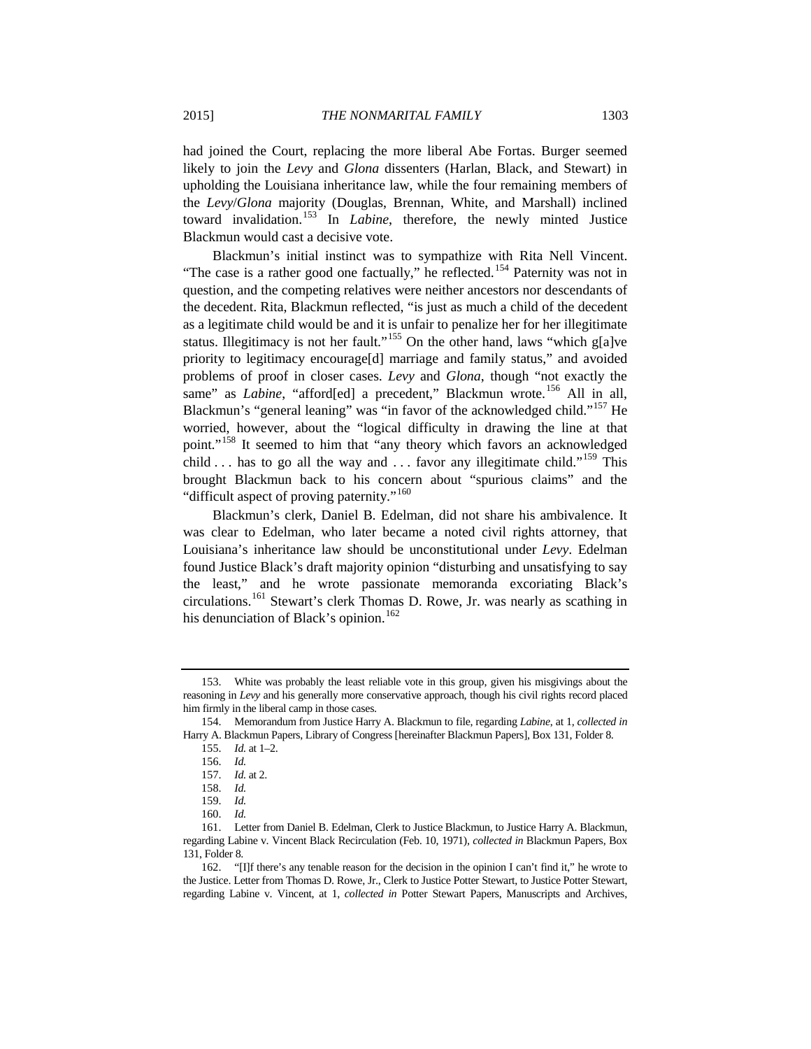had joined the Court, replacing the more liberal Abe Fortas. Burger seemed likely to join the *Levy* and *Glona* dissenters (Harlan, Black, and Stewart) in upholding the Louisiana inheritance law, while the four remaining members of the *Levy*/*Glona* majority (Douglas, Brennan, White, and Marshall) inclined toward invalidation.[153](#page-26-0) In *Labine*, therefore, the newly minted Justice Blackmun would cast a decisive vote.

Blackmun's initial instinct was to sympathize with Rita Nell Vincent. "The case is a rather good one factually," he reflected.<sup>[154](#page-26-1)</sup> Paternity was not in question, and the competing relatives were neither ancestors nor descendants of the decedent. Rita, Blackmun reflected, "is just as much a child of the decedent as a legitimate child would be and it is unfair to penalize her for her illegitimate status. Illegitimacy is not her fault."<sup>[155](#page-26-2)</sup> On the other hand, laws "which g[a]ve priority to legitimacy encourage[d] marriage and family status," and avoided problems of proof in closer cases. *Levy* and *Glona*, though "not exactly the same" as *Labine*, "afford[ed] a precedent," Blackmun wrote.<sup>[156](#page-26-3)</sup> All in all, Blackmun's "general leaning" was "in favor of the acknowledged child."<sup>[157](#page-26-4)</sup> He worried, however, about the "logical difficulty in drawing the line at that point."[158](#page-26-5) It seemed to him that "any theory which favors an acknowledged child  $\ldots$  has to go all the way and  $\ldots$  favor any illegitimate child."<sup>[159](#page-26-6)</sup> This brought Blackmun back to his concern about "spurious claims" and the "difficult aspect of proving paternity."<sup>[160](#page-26-7)</sup>

Blackmun's clerk, Daniel B. Edelman, did not share his ambivalence. It was clear to Edelman, who later became a noted civil rights attorney, that Louisiana's inheritance law should be unconstitutional under *Levy*. Edelman found Justice Black's draft majority opinion "disturbing and unsatisfying to say the least," and he wrote passionate memoranda excoriating Black's circulations.[161](#page-26-8) Stewart's clerk Thomas D. Rowe, Jr. was nearly as scathing in his denunciation of Black's opinion.<sup>[162](#page-26-9)</sup>

<span id="page-26-0"></span><sup>153.</sup> White was probably the least reliable vote in this group, given his misgivings about the reasoning in *Levy* and his generally more conservative approach, though his civil rights record placed him firmly in the liberal camp in those cases.

<span id="page-26-4"></span><span id="page-26-3"></span><span id="page-26-2"></span><span id="page-26-1"></span><sup>154.</sup> Memorandum from Justice Harry A. Blackmun to file, regarding *Labine*, at 1, *collected in*  Harry A. Blackmun Papers, Library of Congress [hereinafter Blackmun Papers], Box 131, Folder 8.

<sup>155.</sup> *Id.* at 1–2.

<sup>156.</sup> *Id.*

<sup>157.</sup> *Id.* at 2.

<sup>158.</sup> *Id.*

<sup>159.</sup> *Id.*

<sup>160.</sup> *Id.*

<span id="page-26-8"></span><span id="page-26-7"></span><span id="page-26-6"></span><span id="page-26-5"></span><sup>161.</sup> Letter from Daniel B. Edelman, Clerk to Justice Blackmun, to Justice Harry A. Blackmun, regarding Labine v. Vincent Black Recirculation (Feb. 10, 1971), *collected in* Blackmun Papers, Box 131, Folder 8.

<span id="page-26-9"></span><sup>162.</sup> "[I]f there's any tenable reason for the decision in the opinion I can't find it," he wrote to the Justice. Letter from Thomas D. Rowe, Jr., Clerk to Justice Potter Stewart, to Justice Potter Stewart, regarding Labine v. Vincent, at 1, *collected in* Potter Stewart Papers, Manuscripts and Archives,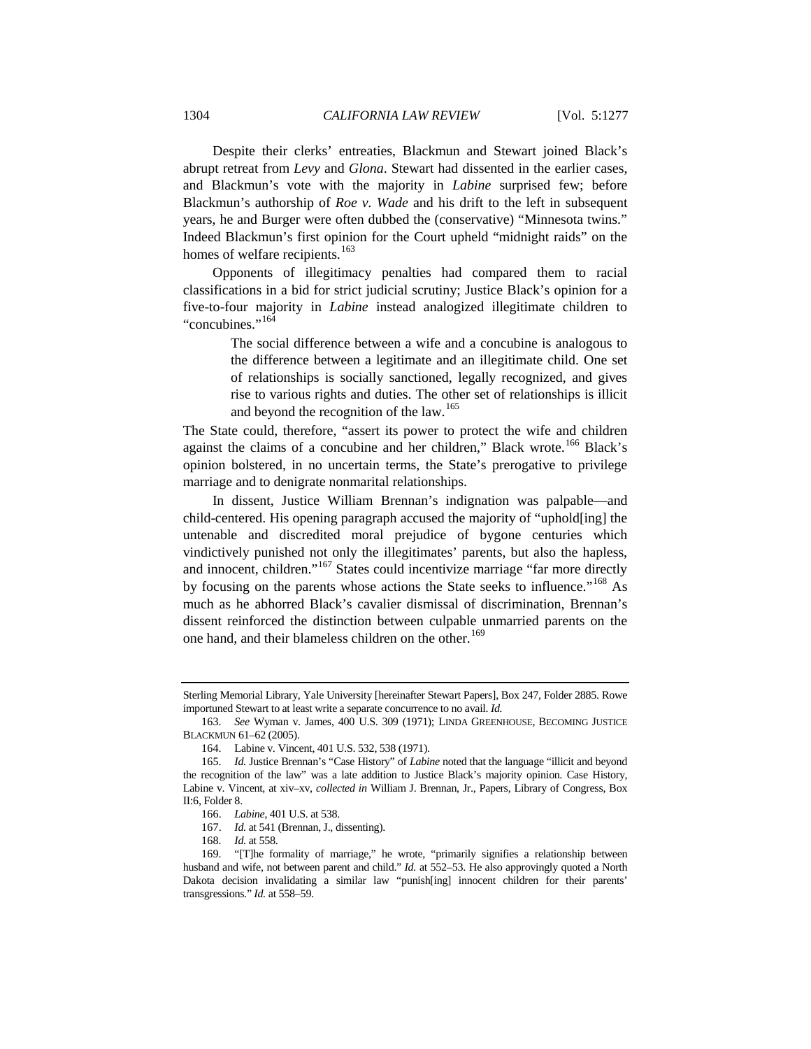Despite their clerks' entreaties, Blackmun and Stewart joined Black's abrupt retreat from *Levy* and *Glona*. Stewart had dissented in the earlier cases, and Blackmun's vote with the majority in *Labine* surprised few; before Blackmun's authorship of *Roe v. Wade* and his drift to the left in subsequent years, he and Burger were often dubbed the (conservative) "Minnesota twins." Indeed Blackmun's first opinion for the Court upheld "midnight raids" on the homes of welfare recipients.<sup>[163](#page-27-0)</sup>

Opponents of illegitimacy penalties had compared them to racial classifications in a bid for strict judicial scrutiny; Justice Black's opinion for a five-to-four majority in *Labine* instead analogized illegitimate children to "concubines."[164](#page-27-1)

> The social difference between a wife and a concubine is analogous to the difference between a legitimate and an illegitimate child. One set of relationships is socially sanctioned, legally recognized, and gives rise to various rights and duties. The other set of relationships is illicit and beyond the recognition of the law.<sup>[165](#page-27-2)</sup>

The State could, therefore, "assert its power to protect the wife and children against the claims of a concubine and her children," Black wrote.<sup>[166](#page-27-3)</sup> Black's opinion bolstered, in no uncertain terms, the State's prerogative to privilege marriage and to denigrate nonmarital relationships.

In dissent, Justice William Brennan's indignation was palpable—and child-centered. His opening paragraph accused the majority of "uphold[ing] the untenable and discredited moral prejudice of bygone centuries which vindictively punished not only the illegitimates' parents, but also the hapless, and innocent, children."<sup>[167](#page-27-4)</sup> States could incentivize marriage "far more directly by focusing on the parents whose actions the State seeks to influence."<sup>[168](#page-27-5)</sup> As much as he abhorred Black's cavalier dismissal of discrimination, Brennan's dissent reinforced the distinction between culpable unmarried parents on the one hand, and their blameless children on the other.<sup>[169](#page-27-6)</sup>

Sterling Memorial Library, Yale University [hereinafter Stewart Papers], Box 247, Folder 2885. Rowe importuned Stewart to at least write a separate concurrence to no avail. *Id.*

<span id="page-27-0"></span><sup>163.</sup> *See* Wyman v. James, 400 U.S. 309 (1971); LINDA GREENHOUSE, BECOMING JUSTICE BLACKMUN 61–62 (2005).

<sup>164.</sup> Labine v. Vincent, 401 U.S. 532, 538 (1971).

<span id="page-27-2"></span><span id="page-27-1"></span><sup>165.</sup> *Id.* Justice Brennan's "Case History" of *Labine* noted that the language "illicit and beyond the recognition of the law" was a late addition to Justice Black's majority opinion. Case History, Labine v. Vincent, at xiv–xv, *collected in* William J. Brennan, Jr., Papers, Library of Congress, Box II:6, Folder 8.

<sup>166.</sup> *Labine*, 401 U.S. at 538.

<sup>167.</sup> *Id.* at 541 (Brennan, J., dissenting).

<sup>168.</sup> *Id.* at 558.

<span id="page-27-6"></span><span id="page-27-5"></span><span id="page-27-4"></span><span id="page-27-3"></span><sup>169.</sup> "[T]he formality of marriage," he wrote, "primarily signifies a relationship between husband and wife, not between parent and child." *Id.* at 552–53. He also approvingly quoted a North Dakota decision invalidating a similar law "punish[ing] innocent children for their parents' transgressions." *Id.* at 558–59.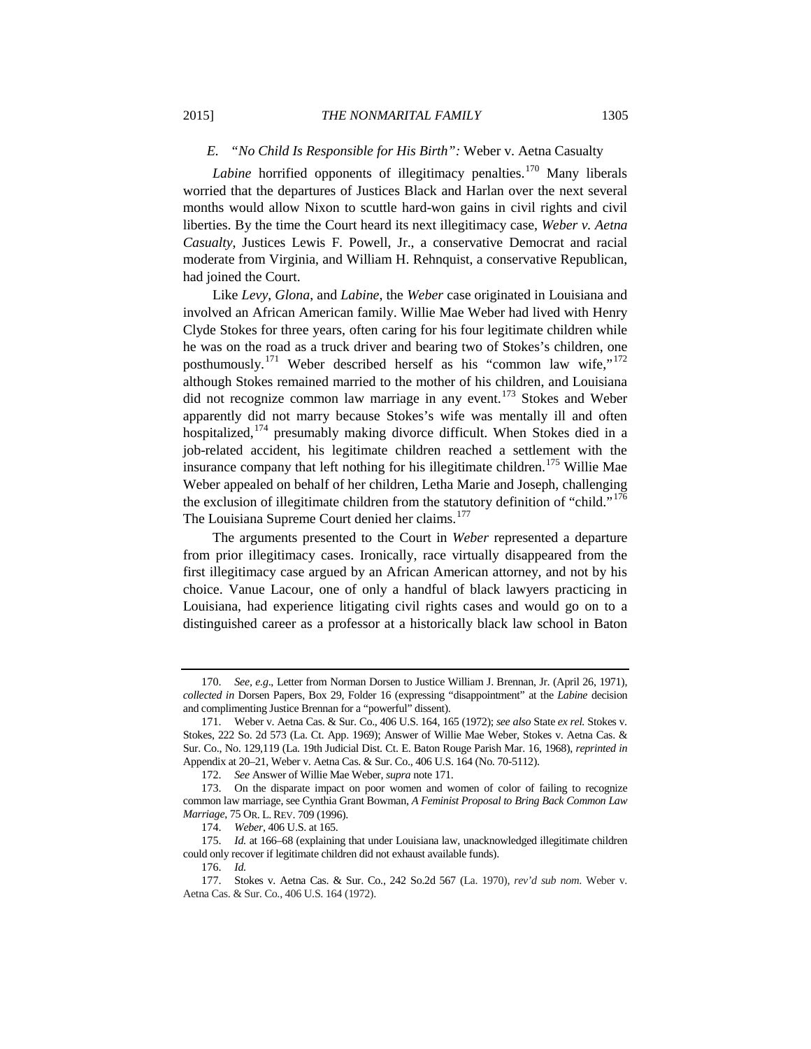## *E. "No Child Is Responsible for His Birth":* Weber v. Aetna Casualty

*Labine* horrified opponents of illegitimacy penalties.<sup>[170](#page-28-1)</sup> Many liberals worried that the departures of Justices Black and Harlan over the next several months would allow Nixon to scuttle hard-won gains in civil rights and civil liberties. By the time the Court heard its next illegitimacy case, *Weber v. Aetna Casualty*, Justices Lewis F. Powell, Jr., a conservative Democrat and racial moderate from Virginia, and William H. Rehnquist, a conservative Republican, had joined the Court.

<span id="page-28-0"></span>Like *Levy*, *Glona*, and *Labine*, the *Weber* case originated in Louisiana and involved an African American family. Willie Mae Weber had lived with Henry Clyde Stokes for three years, often caring for his four legitimate children while he was on the road as a truck driver and bearing two of Stokes's children, one posthumously.<sup>[171](#page-28-2)</sup> Weber described herself as his "common law wife,"<sup>[172](#page-28-3)</sup> although Stokes remained married to the mother of his children, and Louisiana did not recognize common law marriage in any event.<sup>[173](#page-28-4)</sup> Stokes and Weber apparently did not marry because Stokes's wife was mentally ill and often hospitalized,<sup>[174](#page-28-5)</sup> presumably making divorce difficult. When Stokes died in a job-related accident, his legitimate children reached a settlement with the insurance company that left nothing for his illegitimate children.<sup>[175](#page-28-6)</sup> Willie Mae Weber appealed on behalf of her children, Letha Marie and Joseph, challenging the exclusion of illegitimate children from the statutory definition of "child."<sup>[176](#page-28-7)</sup> The Louisiana Supreme Court denied her claims.<sup>[177](#page-28-8)</sup>

The arguments presented to the Court in *Weber* represented a departure from prior illegitimacy cases. Ironically, race virtually disappeared from the first illegitimacy case argued by an African American attorney, and not by his choice. Vanue Lacour, one of only a handful of black lawyers practicing in Louisiana, had experience litigating civil rights cases and would go on to a distinguished career as a professor at a historically black law school in Baton

<span id="page-28-1"></span><sup>170.</sup> *See, e.g*., Letter from Norman Dorsen to Justice William J. Brennan, Jr. (April 26, 1971), *collected in* Dorsen Papers, Box 29, Folder 16 (expressing "disappointment" at the *Labine* decision and complimenting Justice Brennan for a "powerful" dissent).

<span id="page-28-2"></span><sup>171.</sup> Weber v. Aetna Cas. & Sur. Co., 406 U.S. 164, 165 (1972); *see also* State *ex rel.* Stokes v. Stokes, 222 So. 2d 573 (La. Ct. App. 1969); Answer of Willie Mae Weber, Stokes v. Aetna Cas. & Sur. Co., No. 129,119 (La. 19th Judicial Dist. Ct. E. Baton Rouge Parish Mar. 16, 1968), *reprinted in*  Appendix at 20–21, Weber v. Aetna Cas. & Sur. Co., 406 U.S. 164 (No. 70-5112).

<sup>172.</sup> *See* Answer of Willie Mae Weber, *supra* not[e 171.](#page-28-0)

<span id="page-28-4"></span><span id="page-28-3"></span><sup>173.</sup> On the disparate impact on poor women and women of color of failing to recognize common law marriage, see Cynthia Grant Bowman, *A Feminist Proposal to Bring Back Common Law Marriage*, 75 OR. L. REV. 709 (1996).

<sup>174.</sup> *Weber*, 406 U.S. at 165.

<span id="page-28-6"></span><span id="page-28-5"></span><sup>175.</sup> *Id.* at 166–68 (explaining that under Louisiana law, unacknowledged illegitimate children could only recover if legitimate children did not exhaust available funds).

<sup>176.</sup> *Id.*

<span id="page-28-8"></span><span id="page-28-7"></span><sup>177.</sup> Stokes v. Aetna Cas. & Sur. Co., 242 So.2d 567 (La. 1970), *rev'd sub nom*. Weber v. Aetna Cas. & Sur. Co., 406 U.S. 164 (1972).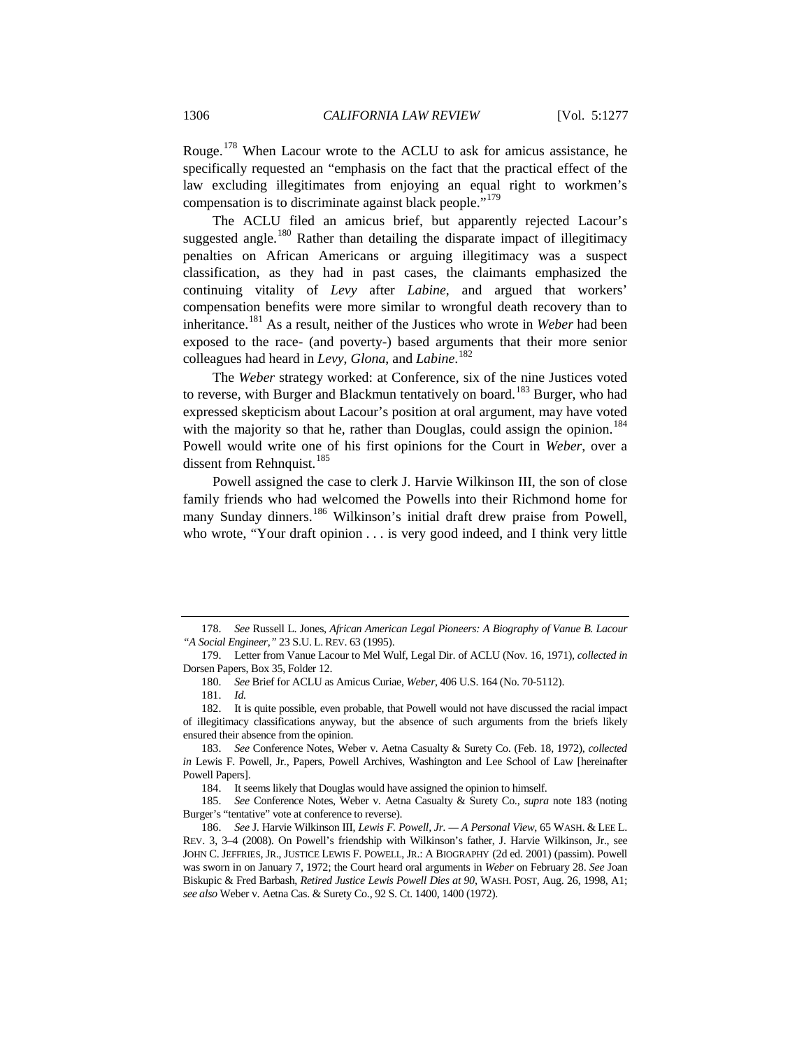Rouge.[178](#page-29-1) When Lacour wrote to the ACLU to ask for amicus assistance, he specifically requested an "emphasis on the fact that the practical effect of the law excluding illegitimates from enjoying an equal right to workmen's compensation is to discriminate against black people."<sup>[179](#page-29-2)</sup>

The ACLU filed an amicus brief, but apparently rejected Lacour's suggested angle.<sup>[180](#page-29-3)</sup> Rather than detailing the disparate impact of illegitimacy penalties on African Americans or arguing illegitimacy was a suspect classification, as they had in past cases, the claimants emphasized the continuing vitality of *Levy* after *Labine*, and argued that workers' compensation benefits were more similar to wrongful death recovery than to inheritance.[181](#page-29-4) As a result, neither of the Justices who wrote in *Weber* had been exposed to the race- (and poverty-) based arguments that their more senior colleagues had heard in *Levy*, *Glona*, and *Labine*. [182](#page-29-5)

<span id="page-29-0"></span>The *Weber* strategy worked: at Conference, six of the nine Justices voted to reverse, with Burger and Blackmun tentatively on board.<sup>[183](#page-29-6)</sup> Burger, who had expressed skepticism about Lacour's position at oral argument, may have voted with the majority so that he, rather than Douglas, could assign the opinion.<sup>[184](#page-29-7)</sup> Powell would write one of his first opinions for the Court in *Weber*, over a dissent from Rehnquist.<sup>[185](#page-29-8)</sup>

Powell assigned the case to clerk J. Harvie Wilkinson III, the son of close family friends who had welcomed the Powells into their Richmond home for many Sunday dinners.<sup>[186](#page-29-9)</sup> Wilkinson's initial draft drew praise from Powell, who wrote, "Your draft opinion . . . is very good indeed, and I think very little

<span id="page-29-1"></span><sup>178.</sup> *See* Russell L. Jones, *African American Legal Pioneers: A Biography of Vanue B. Lacour "A Social Engineer*,*"* 23 S.U. L. REV. 63 (1995).

<span id="page-29-2"></span><sup>179.</sup> Letter from Vanue Lacour to Mel Wulf, Legal Dir. of ACLU (Nov. 16, 1971), *collected in* Dorsen Papers, Box 35, Folder 12.

<sup>180.</sup> *See* Brief for ACLU as Amicus Curiae, *Weber*, 406 U.S. 164 (No. 70-5112).

<sup>181.</sup> *Id.*

<span id="page-29-5"></span><span id="page-29-4"></span><span id="page-29-3"></span><sup>182.</sup> It is quite possible, even probable, that Powell would not have discussed the racial impact of illegitimacy classifications anyway, but the absence of such arguments from the briefs likely ensured their absence from the opinion.

<span id="page-29-6"></span><sup>183.</sup> *See* Conference Notes, Weber v. Aetna Casualty & Surety Co. (Feb. 18, 1972), *collected in* Lewis F. Powell, Jr., Papers, Powell Archives, Washington and Lee School of Law [hereinafter Powell Papers].

<sup>184.</sup> It seems likely that Douglas would have assigned the opinion to himself.

<span id="page-29-8"></span><span id="page-29-7"></span><sup>185.</sup> *See* Conference Notes, Weber v. Aetna Casualty & Surety Co., *supra* note [183](#page-29-0) (noting Burger's "tentative" vote at conference to reverse).

<span id="page-29-9"></span><sup>186.</sup> *See* J. Harvie Wilkinson III, *Lewis F. Powell, Jr. — A Personal View*, 65 WASH. & LEE L. REV. 3, 3–4 (2008). On Powell's friendship with Wilkinson's father, J. Harvie Wilkinson, Jr., see JOHN C. JEFFRIES, JR., JUSTICE LEWIS F. POWELL, JR.: A BIOGRAPHY (2d ed. 2001) (passim). Powell was sworn in on January 7, 1972; the Court heard oral arguments in *Weber* on February 28. *See* Joan Biskupic & Fred Barbash, *Retired Justice Lewis Powell Dies at 90*, WASH. POST, Aug. 26, 1998, A1; *see also* Weber v. Aetna Cas. & Surety Co., 92 S. Ct. 1400, 1400 (1972).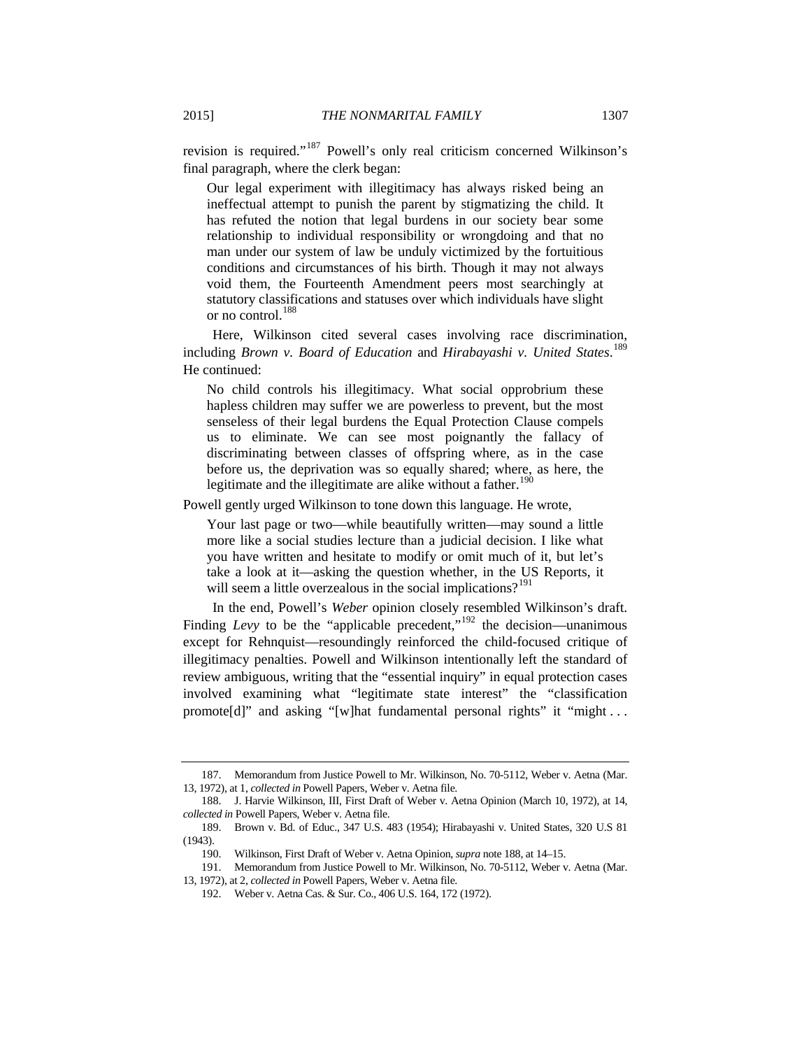revision is required."[187](#page-30-1) Powell's only real criticism concerned Wilkinson's final paragraph, where the clerk began:

Our legal experiment with illegitimacy has always risked being an ineffectual attempt to punish the parent by stigmatizing the child. It has refuted the notion that legal burdens in our society bear some relationship to individual responsibility or wrongdoing and that no man under our system of law be unduly victimized by the fortuitious conditions and circumstances of his birth. Though it may not always void them, the Fourteenth Amendment peers most searchingly at statutory classifications and statuses over which individuals have slight or no control.[188](#page-30-2)

<span id="page-30-0"></span>Here, Wilkinson cited several cases involving race discrimination, including *Brown v. Board of Education* and *Hirabayashi v. United States*. [189](#page-30-3) He continued:

No child controls his illegitimacy. What social opprobrium these hapless children may suffer we are powerless to prevent, but the most senseless of their legal burdens the Equal Protection Clause compels us to eliminate. We can see most poignantly the fallacy of discriminating between classes of offspring where, as in the case before us, the deprivation was so equally shared; where, as here, the legitimate and the illegitimate are alike without a father.<sup>[190](#page-30-4)</sup>

Powell gently urged Wilkinson to tone down this language. He wrote,

Your last page or two—while beautifully written—may sound a little more like a social studies lecture than a judicial decision. I like what you have written and hesitate to modify or omit much of it, but let's take a look at it—asking the question whether, in the US Reports, it will seem a little overzealous in the social implications?<sup>[191](#page-30-5)</sup>

In the end, Powell's *Weber* opinion closely resembled Wilkinson's draft. Finding *Levy* to be the "applicable precedent,"<sup>[192](#page-30-6)</sup> the decision—unanimous except for Rehnquist—resoundingly reinforced the child-focused critique of illegitimacy penalties. Powell and Wilkinson intentionally left the standard of review ambiguous, writing that the "essential inquiry" in equal protection cases involved examining what "legitimate state interest" the "classification promote[d]" and asking "[w]hat fundamental personal rights" it "might...

<span id="page-30-1"></span><sup>187.</sup> Memorandum from Justice Powell to Mr. Wilkinson, No. 70-5112, Weber v. Aetna (Mar. 13, 1972), at 1, *collected in* Powell Papers, Weber v. Aetna file.

<span id="page-30-2"></span><sup>188.</sup> J. Harvie Wilkinson, III, First Draft of Weber v. Aetna Opinion (March 10, 1972), at 14, *collected in* Powell Papers, Weber v. Aetna file.

<span id="page-30-4"></span><span id="page-30-3"></span><sup>189.</sup> Brown v. Bd. of Educ., 347 U.S. 483 (1954); Hirabayashi v. United States, 320 U.S 81 (1943).

<sup>190.</sup> Wilkinson, First Draft of Weber v. Aetna Opinion, *supra* not[e 188,](#page-30-0) at 14–15.

<span id="page-30-6"></span><span id="page-30-5"></span><sup>191.</sup> Memorandum from Justice Powell to Mr. Wilkinson, No. 70-5112, Weber v. Aetna (Mar. 13, 1972), at 2, *collected in* Powell Papers, Weber v. Aetna file.

<sup>192.</sup> Weber v. Aetna Cas. & Sur. Co., 406 U.S. 164, 172 (1972).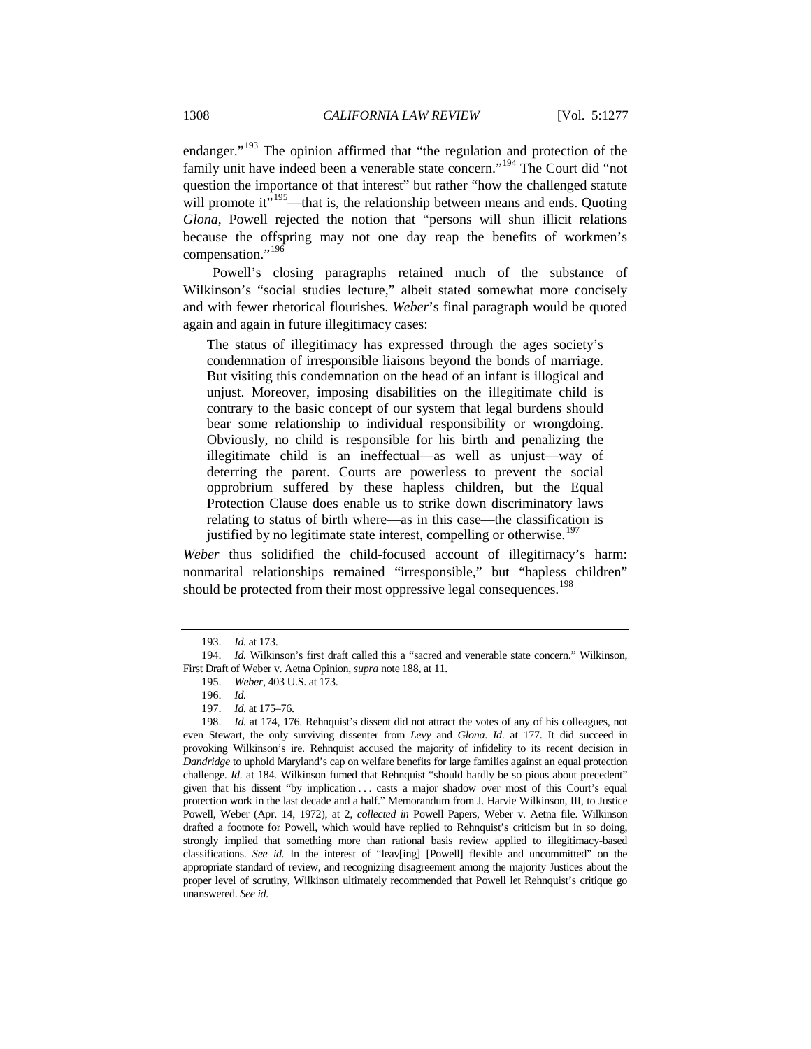endanger."<sup>[193](#page-31-0)</sup> The opinion affirmed that "the regulation and protection of the family unit have indeed been a venerable state concern."<sup>[194](#page-31-1)</sup> The Court did "not question the importance of that interest" but rather "how the challenged statute will promote it"<sup>[195](#page-31-2)</sup>—that is, the relationship between means and ends. Quoting *Glona*, Powell rejected the notion that "persons will shun illicit relations because the offspring may not one day reap the benefits of workmen's compensation."<sup>[196](#page-31-3)</sup>

Powell's closing paragraphs retained much of the substance of Wilkinson's "social studies lecture," albeit stated somewhat more concisely and with fewer rhetorical flourishes. *Weber*'s final paragraph would be quoted again and again in future illegitimacy cases:

The status of illegitimacy has expressed through the ages society's condemnation of irresponsible liaisons beyond the bonds of marriage. But visiting this condemnation on the head of an infant is illogical and unjust. Moreover, imposing disabilities on the illegitimate child is contrary to the basic concept of our system that legal burdens should bear some relationship to individual responsibility or wrongdoing. Obviously, no child is responsible for his birth and penalizing the illegitimate child is an ineffectual—as well as unjust—way of deterring the parent. Courts are powerless to prevent the social opprobrium suffered by these hapless children, but the Equal Protection Clause does enable us to strike down discriminatory laws relating to status of birth where—as in this case—the classification is justified by no legitimate state interest, compelling or otherwise.<sup>[197](#page-31-4)</sup>

*Weber* thus solidified the child-focused account of illegitimacy's harm: nonmarital relationships remained "irresponsible," but "hapless children" should be protected from their most oppressive legal consequences.<sup>[198](#page-31-5)</sup>

<sup>193.</sup> *Id.* at 173.

<span id="page-31-2"></span><span id="page-31-1"></span><span id="page-31-0"></span><sup>194.</sup> *Id.* Wilkinson's first draft called this a "sacred and venerable state concern." Wilkinson, First Draft of Weber v. Aetna Opinion, *supra* note [188,](#page-30-0) at 11.

<sup>195.</sup> *Weber*, 403 U.S. at 173.

<sup>196.</sup> *Id.*

<sup>197.</sup> *Id.* at 175–76.

<span id="page-31-5"></span><span id="page-31-4"></span><span id="page-31-3"></span><sup>198.</sup> *Id.* at 174, 176. Rehnquist's dissent did not attract the votes of any of his colleagues, not even Stewart, the only surviving dissenter from *Levy* and *Glona*. *Id*. at 177. It did succeed in provoking Wilkinson's ire. Rehnquist accused the majority of infidelity to its recent decision in *Dandridge* to uphold Maryland's cap on welfare benefits for large families against an equal protection challenge. *Id.* at 184. Wilkinson fumed that Rehnquist "should hardly be so pious about precedent" given that his dissent "by implication ... casts a major shadow over most of this Court's equal protection work in the last decade and a half." Memorandum from J. Harvie Wilkinson, III, to Justice Powell, Weber (Apr. 14, 1972), at 2, *collected in* Powell Papers, Weber v. Aetna file. Wilkinson drafted a footnote for Powell, which would have replied to Rehnquist's criticism but in so doing, strongly implied that something more than rational basis review applied to illegitimacy-based classifications. *See id.* In the interest of "leav[ing] [Powell] flexible and uncommitted" on the appropriate standard of review, and recognizing disagreement among the majority Justices about the proper level of scrutiny, Wilkinson ultimately recommended that Powell let Rehnquist's critique go unanswered. *See id.*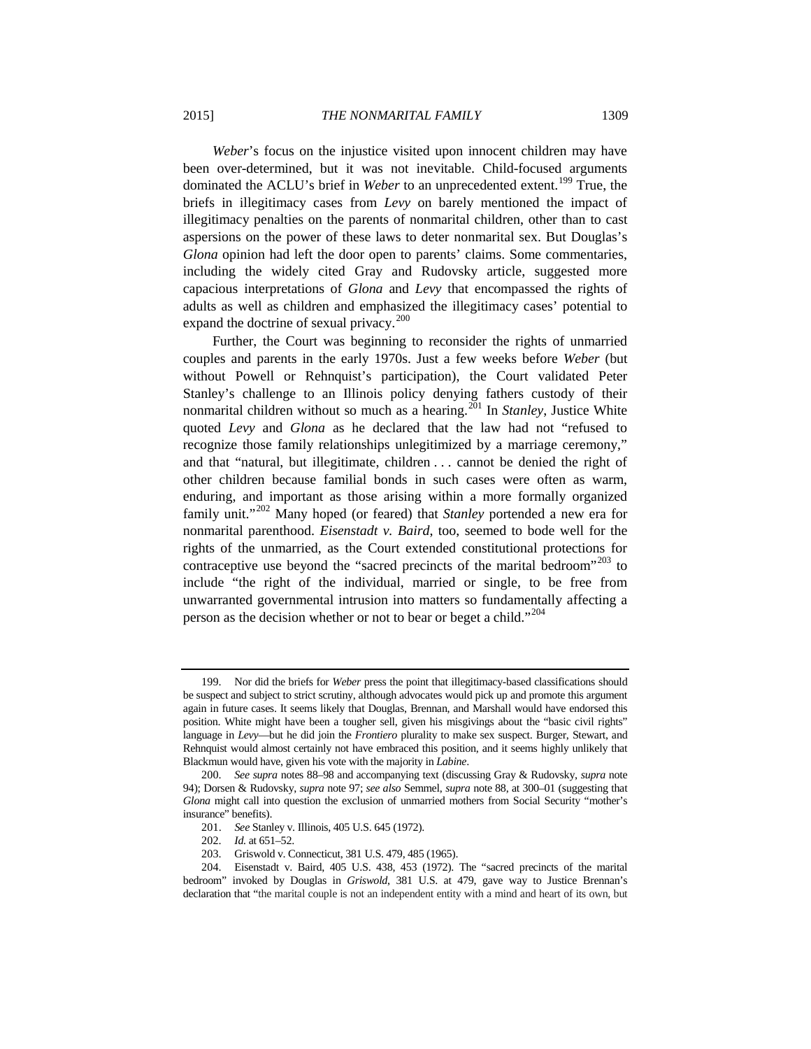*Weber*'s focus on the injustice visited upon innocent children may have been over-determined, but it was not inevitable. Child-focused arguments dominated the ACLU's brief in *Weber* to an unprecedented extent.<sup>[199](#page-32-0)</sup> True, the briefs in illegitimacy cases from *Levy* on barely mentioned the impact of illegitimacy penalties on the parents of nonmarital children, other than to cast aspersions on the power of these laws to deter nonmarital sex. But Douglas's *Glona* opinion had left the door open to parents' claims. Some commentaries, including the widely cited Gray and Rudovsky article, suggested more capacious interpretations of *Glona* and *Levy* that encompassed the rights of adults as well as children and emphasized the illegitimacy cases' potential to expand the doctrine of sexual privacy. $200$ 

Further, the Court was beginning to reconsider the rights of unmarried couples and parents in the early 1970s. Just a few weeks before *Weber* (but without Powell or Rehnquist's participation), the Court validated Peter Stanley's challenge to an Illinois policy denying fathers custody of their nonmarital children without so much as a hearing.<sup>[201](#page-32-2)</sup> In *Stanley*, Justice White quoted *Levy* and *Glona* as he declared that the law had not "refused to recognize those family relationships unlegitimized by a marriage ceremony," and that "natural, but illegitimate, children . . . cannot be denied the right of other children because familial bonds in such cases were often as warm, enduring, and important as those arising within a more formally organized family unit."[202](#page-32-3) Many hoped (or feared) that *Stanley* portended a new era for nonmarital parenthood. *Eisenstadt v. Baird*, too, seemed to bode well for the rights of the unmarried, as the Court extended constitutional protections for contraceptive use beyond the "sacred precincts of the marital bedroom"<sup>[203](#page-32-4)</sup> to include "the right of the individual, married or single, to be free from unwarranted governmental intrusion into matters so fundamentally affecting a person as the decision whether or not to bear or beget a child."<sup>[204](#page-32-5)</sup>

<span id="page-32-0"></span><sup>199.</sup> Nor did the briefs for *Weber* press the point that illegitimacy-based classifications should be suspect and subject to strict scrutiny, although advocates would pick up and promote this argument again in future cases. It seems likely that Douglas, Brennan, and Marshall would have endorsed this position. White might have been a tougher sell, given his misgivings about the "basic civil rights" language in *Levy*—but he did join the *Frontiero* plurality to make sex suspect. Burger, Stewart, and Rehnquist would almost certainly not have embraced this position, and it seems highly unlikely that Blackmun would have, given his vote with the majority in *Labine*.

<span id="page-32-1"></span><sup>200.</sup> *See supra* notes [88](#page-18-7)[–98](#page-19-9) and accompanying text (discussing Gray & Rudovsky, *supra* note [94\)](#page-19-10); Dorsen & Rudovsky, *supra* not[e 97;](#page-19-11) *see also* Semmel, *supra* note [88,](#page-18-7) at 300–01 (suggesting that *Glona* might call into question the exclusion of unmarried mothers from Social Security "mother's insurance" benefits).

<sup>201.</sup> *See* Stanley v. Illinois, 405 U.S. 645 (1972).

<sup>202.</sup> *Id.* at 651–52.

<sup>203.</sup> Griswold v. Connecticut, 381 U.S. 479, 485 (1965).

<span id="page-32-5"></span><span id="page-32-4"></span><span id="page-32-3"></span><span id="page-32-2"></span><sup>204.</sup> Eisenstadt v. Baird, 405 U.S. 438, 453 (1972). The "sacred precincts of the marital bedroom" invoked by Douglas in *Griswold*, 381 U.S. at 479, gave way to Justice Brennan's declaration that "the marital couple is not an independent entity with a mind and heart of its own, but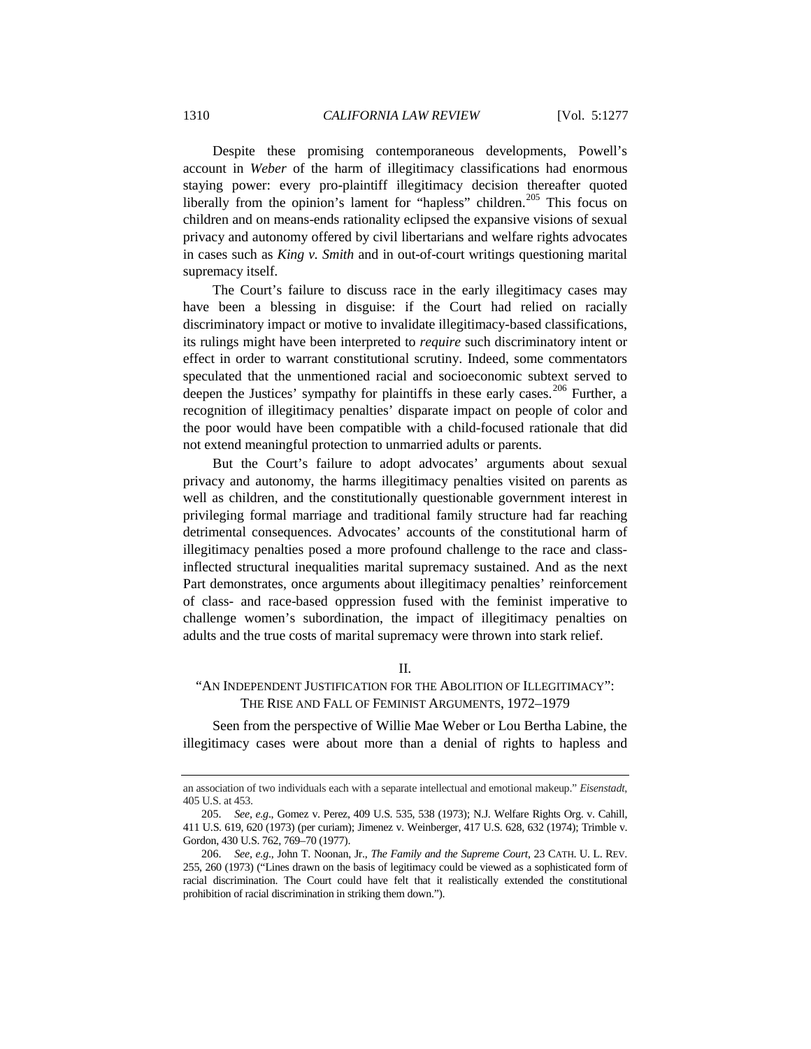Despite these promising contemporaneous developments, Powell's account in *Weber* of the harm of illegitimacy classifications had enormous staying power: every pro-plaintiff illegitimacy decision thereafter quoted liberally from the opinion's lament for "hapless" children.<sup>[205](#page-33-0)</sup> This focus on children and on means-ends rationality eclipsed the expansive visions of sexual privacy and autonomy offered by civil libertarians and welfare rights advocates in cases such as *King v. Smith* and in out-of-court writings questioning marital supremacy itself.

The Court's failure to discuss race in the early illegitimacy cases may have been a blessing in disguise: if the Court had relied on racially discriminatory impact or motive to invalidate illegitimacy-based classifications, its rulings might have been interpreted to *require* such discriminatory intent or effect in order to warrant constitutional scrutiny. Indeed, some commentators speculated that the unmentioned racial and socioeconomic subtext served to deepen the Justices' sympathy for plaintiffs in these early cases.<sup>[206](#page-33-1)</sup> Further, a recognition of illegitimacy penalties' disparate impact on people of color and the poor would have been compatible with a child-focused rationale that did not extend meaningful protection to unmarried adults or parents.

But the Court's failure to adopt advocates' arguments about sexual privacy and autonomy, the harms illegitimacy penalties visited on parents as well as children, and the constitutionally questionable government interest in privileging formal marriage and traditional family structure had far reaching detrimental consequences. Advocates' accounts of the constitutional harm of illegitimacy penalties posed a more profound challenge to the race and classinflected structural inequalities marital supremacy sustained. And as the next Part demonstrates, once arguments about illegitimacy penalties' reinforcement of class- and race-based oppression fused with the feminist imperative to challenge women's subordination, the impact of illegitimacy penalties on adults and the true costs of marital supremacy were thrown into stark relief.

II.

## "AN INDEPENDENT JUSTIFICATION FOR THE ABOLITION OF ILLEGITIMACY": THE RISE AND FALL OF FEMINIST ARGUMENTS, 1972–1979

Seen from the perspective of Willie Mae Weber or Lou Bertha Labine, the illegitimacy cases were about more than a denial of rights to hapless and

an association of two individuals each with a separate intellectual and emotional makeup." *Eisenstadt*, 405 U.S. at 453.

<span id="page-33-0"></span><sup>205.</sup> *See, e.g*., Gomez v. Perez, 409 U.S. 535, 538 (1973); N.J. Welfare Rights Org. v. Cahill, 411 U.S. 619, 620 (1973) (per curiam); Jimenez v. Weinberger, 417 U.S. 628, 632 (1974); Trimble v. Gordon, 430 U.S. 762, 769–70 (1977).

<span id="page-33-1"></span><sup>206.</sup> *See, e.g*., John T. Noonan, Jr., *The Family and the Supreme Court*, 23 CATH. U. L. REV. 255, 260 (1973) ("Lines drawn on the basis of legitimacy could be viewed as a sophisticated form of racial discrimination. The Court could have felt that it realistically extended the constitutional prohibition of racial discrimination in striking them down.").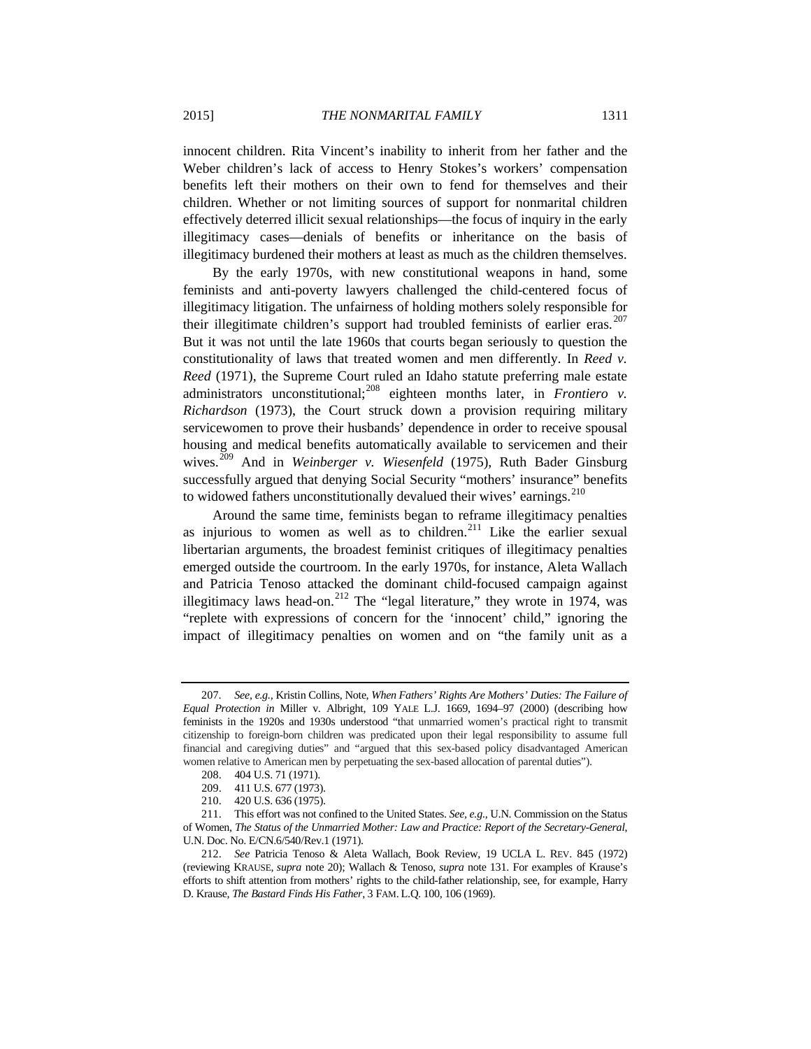innocent children. Rita Vincent's inability to inherit from her father and the Weber children's lack of access to Henry Stokes's workers' compensation benefits left their mothers on their own to fend for themselves and their children. Whether or not limiting sources of support for nonmarital children effectively deterred illicit sexual relationships—the focus of inquiry in the early illegitimacy cases—denials of benefits or inheritance on the basis of illegitimacy burdened their mothers at least as much as the children themselves.

By the early 1970s, with new constitutional weapons in hand, some feminists and anti-poverty lawyers challenged the child-centered focus of illegitimacy litigation. The unfairness of holding mothers solely responsible for their illegitimate children's support had troubled feminists of earlier eras.<sup>[207](#page-34-0)</sup> But it was not until the late 1960s that courts began seriously to question the constitutionality of laws that treated women and men differently. In *Reed v. Reed* (1971), the Supreme Court ruled an Idaho statute preferring male estate administrators unconstitutional;<sup>[208](#page-34-1)</sup> eighteen months later, in *Frontiero v*. *Richardson* (1973), the Court struck down a provision requiring military servicewomen to prove their husbands' dependence in order to receive spousal housing and medical benefits automatically available to servicemen and their wives.[209](#page-34-2) And in *Weinberger v. Wiesenfeld* (1975), Ruth Bader Ginsburg successfully argued that denying Social Security "mothers' insurance" benefits to widowed fathers unconstitutionally devalued their wives' earnings.<sup>[210](#page-34-3)</sup>

<span id="page-34-6"></span>Around the same time, feminists began to reframe illegitimacy penalties as injurious to women as well as to children.<sup>[211](#page-34-4)</sup> Like the earlier sexual libertarian arguments, the broadest feminist critiques of illegitimacy penalties emerged outside the courtroom. In the early 1970s, for instance, Aleta Wallach and Patricia Tenoso attacked the dominant child-focused campaign against illegitimacy laws head-on.<sup>[212](#page-34-5)</sup> The "legal literature," they wrote in 1974, was "replete with expressions of concern for the 'innocent' child," ignoring the impact of illegitimacy penalties on women and on "the family unit as a

<span id="page-34-0"></span><sup>207.</sup> *See, e.g.,* Kristin Collins, Note, *When Fathers' Rights Are Mothers' Duties: The Failure of Equal Protection in* Miller v. Albright, 109 YALE L.J. 1669, 1694–97 (2000) (describing how feminists in the 1920s and 1930s understood "that unmarried women's practical right to transmit citizenship to foreign-born children was predicated upon their legal responsibility to assume full financial and caregiving duties" and "argued that this sex-based policy disadvantaged American women relative to American men by perpetuating the sex-based allocation of parental duties").

<sup>208.</sup> 404 U.S. 71 (1971).

<sup>209.</sup> 411 U.S. 677 (1973).

<sup>210.</sup> 420 U.S. 636 (1975).

<span id="page-34-4"></span><span id="page-34-3"></span><span id="page-34-2"></span><span id="page-34-1"></span><sup>211.</sup> This effort was not confined to the United States. *See, e.g*., U.N. Commission on the Status of Women, *The Status of the Unmarried Mother: Law and Practice: Report of the Secretary-General*, U.N. Doc. No. E/CN.6/540/Rev.1 (1971).

<span id="page-34-5"></span><sup>212.</sup> *See* Patricia Tenoso & Aleta Wallach, Book Review, 19 UCLA L. REV. 845 (1972) (reviewing KRAUSE, *supra* note [20\)](#page-7-5); Wallach & Tenoso, *supra* note [131.](#page-23-0) For examples of Krause's efforts to shift attention from mothers' rights to the child-father relationship, see, for example, Harry D. Krause, *The Bastard Finds His Father*, 3 FAM. L.Q. 100, 106 (1969).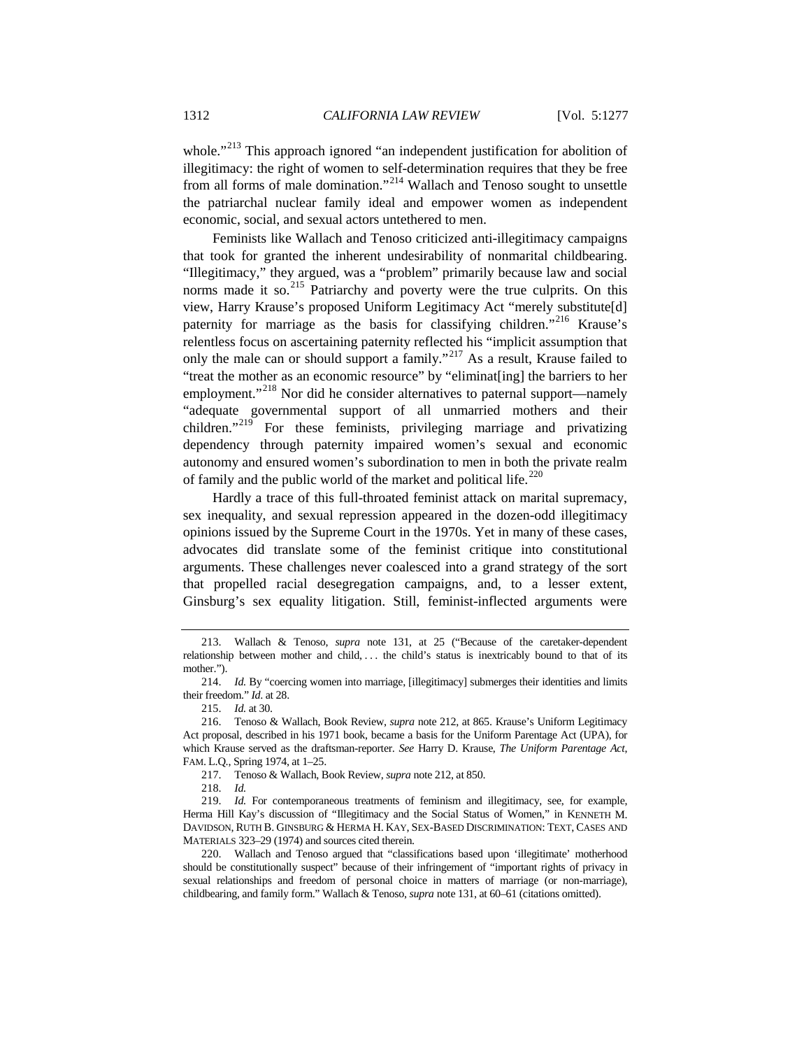whole."<sup>[213](#page-35-0)</sup> This approach ignored "an independent justification for abolition of illegitimacy: the right of women to self-determination requires that they be free from all forms of male domination."[214](#page-35-1) Wallach and Tenoso sought to unsettle the patriarchal nuclear family ideal and empower women as independent economic, social, and sexual actors untethered to men.

Feminists like Wallach and Tenoso criticized anti-illegitimacy campaigns that took for granted the inherent undesirability of nonmarital childbearing. "Illegitimacy," they argued, was a "problem" primarily because law and social norms made it so.<sup>[215](#page-35-2)</sup> Patriarchy and poverty were the true culprits. On this view, Harry Krause's proposed Uniform Legitimacy Act "merely substitute[d] paternity for marriage as the basis for classifying children."<sup>[216](#page-35-3)</sup> Krause's relentless focus on ascertaining paternity reflected his "implicit assumption that only the male can or should support a family."<sup>[217](#page-35-4)</sup> As a result, Krause failed to "treat the mother as an economic resource" by "eliminat[ing] the barriers to her employment."<sup>[218](#page-35-5)</sup> Nor did he consider alternatives to paternal support—namely "adequate governmental support of all unmarried mothers and their children."<sup>[219](#page-35-6)</sup> For these feminists, privileging marriage and privatizing dependency through paternity impaired women's sexual and economic autonomy and ensured women's subordination to men in both the private realm of family and the public world of the market and political life.<sup>[220](#page-35-7)</sup>

Hardly a trace of this full-throated feminist attack on marital supremacy, sex inequality, and sexual repression appeared in the dozen-odd illegitimacy opinions issued by the Supreme Court in the 1970s. Yet in many of these cases, advocates did translate some of the feminist critique into constitutional arguments. These challenges never coalesced into a grand strategy of the sort that propelled racial desegregation campaigns, and, to a lesser extent, Ginsburg's sex equality litigation. Still, feminist-inflected arguments were

<span id="page-35-0"></span><sup>213.</sup> Wallach & Tenoso, *supra* note [131,](#page-23-0) at 25 ("Because of the caretaker-dependent relationship between mother and child, ... the child's status is inextricably bound to that of its mother.").

<span id="page-35-1"></span><sup>214.</sup> *Id.* By "coercing women into marriage, [illegitimacy] submerges their identities and limits their freedom." *Id*. at 28.

<sup>215.</sup> *Id.* at 30.

<span id="page-35-3"></span><span id="page-35-2"></span><sup>216.</sup> Tenoso & Wallach, Book Review, *supra* note [212,](#page-34-6) at 865. Krause's Uniform Legitimacy Act proposal, described in his 1971 book, became a basis for the Uniform Parentage Act (UPA), for which Krause served as the draftsman-reporter. *See* Harry D. Krause, *The Uniform Parentage Act*, FAM. L.Q., Spring 1974, at 1–25.

<sup>217.</sup> Tenoso & Wallach, Book Review, *supra* not[e 212,](#page-34-6) at 850.

<sup>218.</sup> *Id.*

<span id="page-35-6"></span><span id="page-35-5"></span><span id="page-35-4"></span><sup>219.</sup> *Id.* For contemporaneous treatments of feminism and illegitimacy, see, for example, Herma Hill Kay's discussion of "Illegitimacy and the Social Status of Women," in KENNETH M. DAVIDSON, RUTH B. GINSBURG & HERMA H. KAY, SEX-BASED DISCRIMINATION: TEXT, CASES AND MATERIALS 323–29 (1974) and sources cited therein.

<span id="page-35-7"></span><sup>220.</sup> Wallach and Tenoso argued that "classifications based upon 'illegitimate' motherhood should be constitutionally suspect" because of their infringement of "important rights of privacy in sexual relationships and freedom of personal choice in matters of marriage (or non-marriage), childbearing, and family form." Wallach & Tenoso, *supra* note 131, at 60–61 (citations omitted).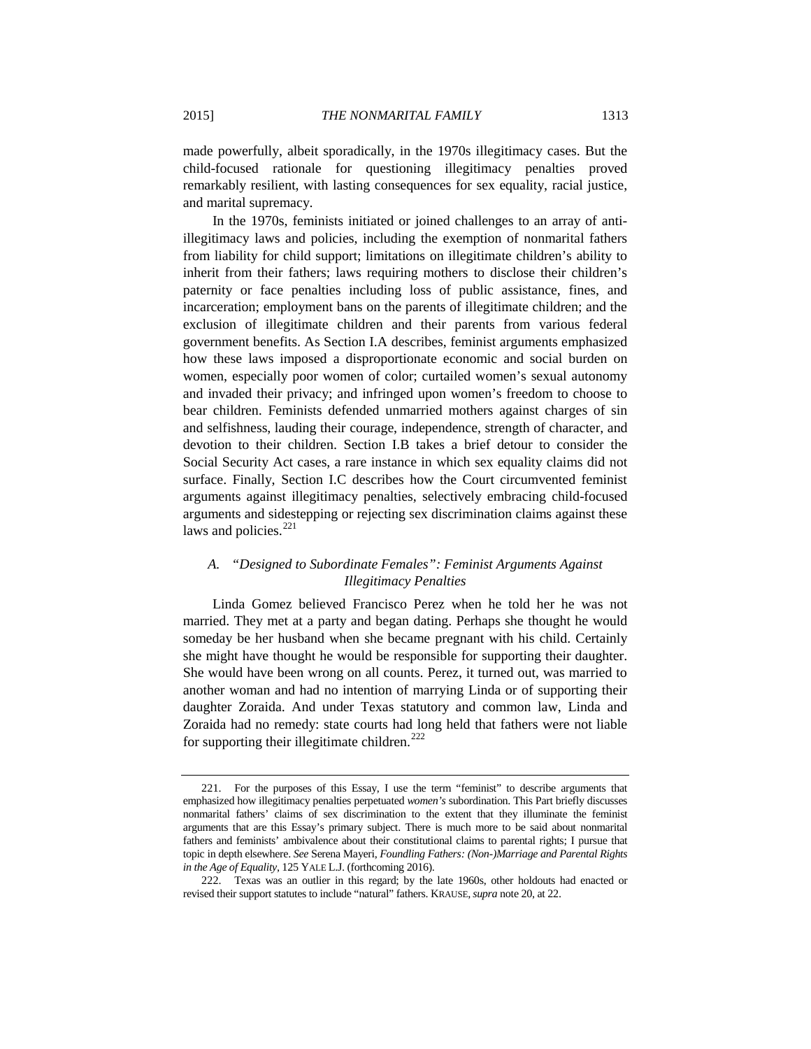made powerfully, albeit sporadically, in the 1970s illegitimacy cases. But the child-focused rationale for questioning illegitimacy penalties proved remarkably resilient, with lasting consequences for sex equality, racial justice, and marital supremacy.

In the 1970s, feminists initiated or joined challenges to an array of antiillegitimacy laws and policies, including the exemption of nonmarital fathers from liability for child support; limitations on illegitimate children's ability to inherit from their fathers; laws requiring mothers to disclose their children's paternity or face penalties including loss of public assistance, fines, and incarceration; employment bans on the parents of illegitimate children; and the exclusion of illegitimate children and their parents from various federal government benefits. As Section I.A describes, feminist arguments emphasized how these laws imposed a disproportionate economic and social burden on women, especially poor women of color; curtailed women's sexual autonomy and invaded their privacy; and infringed upon women's freedom to choose to bear children. Feminists defended unmarried mothers against charges of sin and selfishness, lauding their courage, independence, strength of character, and devotion to their children. Section I.B takes a brief detour to consider the Social Security Act cases, a rare instance in which sex equality claims did not surface. Finally, Section I.C describes how the Court circumvented feminist arguments against illegitimacy penalties, selectively embracing child-focused arguments and sidestepping or rejecting sex discrimination claims against these laws and policies. $^{221}$  $^{221}$  $^{221}$ 

## *A. "Designed to Subordinate Females": Feminist Arguments Against Illegitimacy Penalties*

Linda Gomez believed Francisco Perez when he told her he was not married. They met at a party and began dating. Perhaps she thought he would someday be her husband when she became pregnant with his child. Certainly she might have thought he would be responsible for supporting their daughter. She would have been wrong on all counts. Perez, it turned out, was married to another woman and had no intention of marrying Linda or of supporting their daughter Zoraida. And under Texas statutory and common law, Linda and Zoraida had no remedy: state courts had long held that fathers were not liable for supporting their illegitimate children.<sup>[222](#page-36-1)</sup>

<span id="page-36-0"></span><sup>221.</sup> For the purposes of this Essay, I use the term "feminist" to describe arguments that emphasized how illegitimacy penalties perpetuated *women's* subordination. This Part briefly discusses nonmarital fathers' claims of sex discrimination to the extent that they illuminate the feminist arguments that are this Essay's primary subject. There is much more to be said about nonmarital fathers and feminists' ambivalence about their constitutional claims to parental rights; I pursue that topic in depth elsewhere. *See* Serena Mayeri, *Foundling Fathers: (Non-)Marriage and Parental Rights in the Age of Equality*, 125 YALE L.J. (forthcoming 2016).

<span id="page-36-1"></span><sup>222.</sup> Texas was an outlier in this regard; by the late 1960s, other holdouts had enacted or revised their support statutes to include "natural" fathers. KRAUSE,*supra* note [20,](#page-7-0) at 22.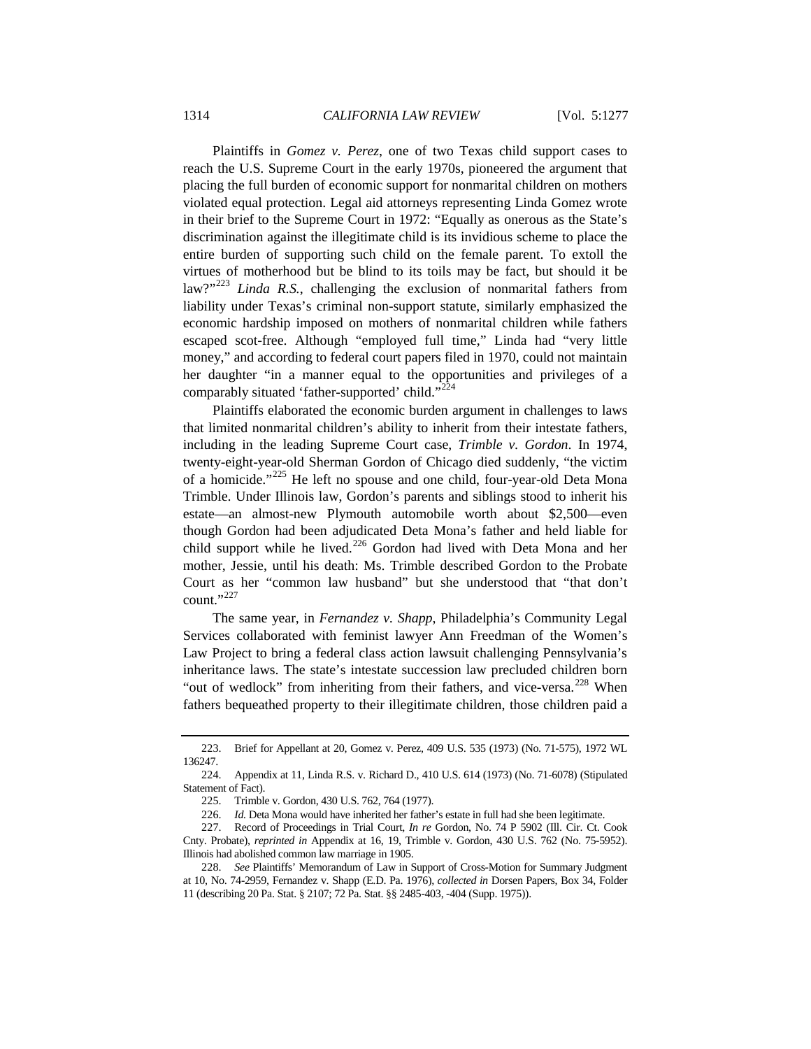Plaintiffs in *Gomez v. Perez*, one of two Texas child support cases to reach the U.S. Supreme Court in the early 1970s, pioneered the argument that placing the full burden of economic support for nonmarital children on mothers violated equal protection. Legal aid attorneys representing Linda Gomez wrote in their brief to the Supreme Court in 1972: "Equally as onerous as the State's discrimination against the illegitimate child is its invidious scheme to place the entire burden of supporting such child on the female parent. To extoll the virtues of motherhood but be blind to its toils may be fact, but should it be law?"<sup>[223](#page-37-0)</sup> *Linda R.S.*, challenging the exclusion of nonmarital fathers from liability under Texas's criminal non-support statute, similarly emphasized the economic hardship imposed on mothers of nonmarital children while fathers escaped scot-free. Although "employed full time," Linda had "very little money," and according to federal court papers filed in 1970, could not maintain her daughter "in a manner equal to the opportunities and privileges of a comparably situated 'father-supported' child."<sup>2</sup>

Plaintiffs elaborated the economic burden argument in challenges to laws that limited nonmarital children's ability to inherit from their intestate fathers, including in the leading Supreme Court case, *Trimble v. Gordon*. In 1974, twenty-eight-year-old Sherman Gordon of Chicago died suddenly, "the victim of a homicide."[225](#page-37-2) He left no spouse and one child, four-year-old Deta Mona Trimble. Under Illinois law, Gordon's parents and siblings stood to inherit his estate—an almost-new Plymouth automobile worth about \$2,500—even though Gordon had been adjudicated Deta Mona's father and held liable for child support while he lived.<sup>[226](#page-37-3)</sup> Gordon had lived with Deta Mona and her mother, Jessie, until his death: Ms. Trimble described Gordon to the Probate Court as her "common law husband" but she understood that "that don't count." $^{227}$  $^{227}$  $^{227}$ 

The same year, in *Fernandez v. Shapp*, Philadelphia's Community Legal Services collaborated with feminist lawyer Ann Freedman of the Women's Law Project to bring a federal class action lawsuit challenging Pennsylvania's inheritance laws. The state's intestate succession law precluded children born "out of wedlock" from inheriting from their fathers, and vice-versa.<sup>[228](#page-37-5)</sup> When fathers bequeathed property to their illegitimate children, those children paid a

<span id="page-37-0"></span><sup>223.</sup> Brief for Appellant at 20, Gomez v. Perez, 409 U.S. 535 (1973) (No. 71-575), 1972 WL 136247.

<span id="page-37-2"></span><span id="page-37-1"></span><sup>224.</sup> Appendix at 11, Linda R.S. v. Richard D., 410 U.S. 614 (1973) (No. 71-6078) (Stipulated Statement of Fact).

<sup>225.</sup> Trimble v. Gordon, 430 U.S. 762, 764 (1977).

<sup>226.</sup> *Id.* Deta Mona would have inherited her father's estate in full had she been legitimate.

<span id="page-37-4"></span><span id="page-37-3"></span><sup>227.</sup> Record of Proceedings in Trial Court, *In re* Gordon, No. 74 P 5902 (Ill. Cir. Ct. Cook Cnty. Probate), *reprinted in* Appendix at 16, 19, Trimble v. Gordon, 430 U.S. 762 (No. 75-5952). Illinois had abolished common law marriage in 1905.

<span id="page-37-5"></span><sup>228.</sup> *See* Plaintiffs' Memorandum of Law in Support of Cross-Motion for Summary Judgment at 10, No. 74-2959, Fernandez v. Shapp (E.D. Pa. 1976), *collected in* Dorsen Papers, Box 34, Folder 11 (describing 20 Pa. Stat. § 2107; 72 Pa. Stat. §§ 2485-403, -404 (Supp. 1975)).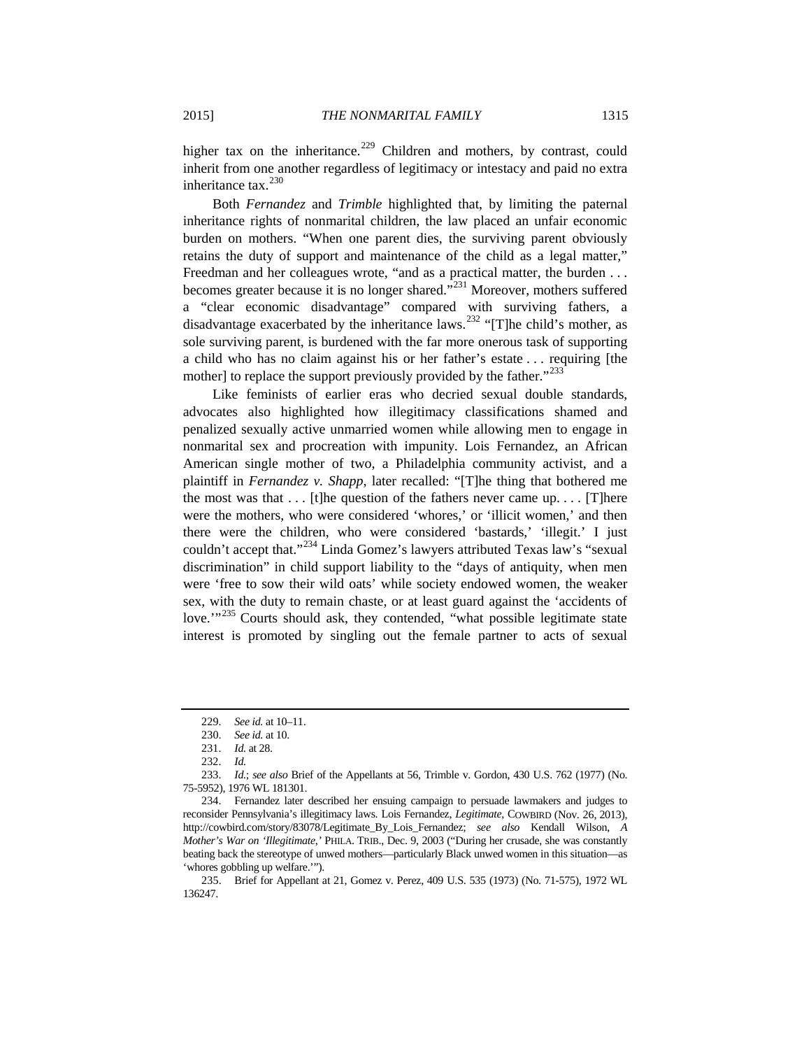higher tax on the inheritance.<sup>[229](#page-38-0)</sup> Children and mothers, by contrast, could inherit from one another regardless of legitimacy or intestacy and paid no extra inheritance tax.<sup>[230](#page-38-1)</sup>

Both *Fernandez* and *Trimble* highlighted that, by limiting the paternal inheritance rights of nonmarital children, the law placed an unfair economic burden on mothers. "When one parent dies, the surviving parent obviously retains the duty of support and maintenance of the child as a legal matter," Freedman and her colleagues wrote, "and as a practical matter, the burden . . . becomes greater because it is no longer shared."[231](#page-38-2) Moreover, mothers suffered a "clear economic disadvantage" compared with surviving fathers, a disadvantage exacerbated by the inheritance laws.<sup>[232](#page-38-3)</sup> "[T]he child's mother, as sole surviving parent, is burdened with the far more onerous task of supporting a child who has no claim against his or her father's estate . . . requiring [the mother] to replace the support previously provided by the father."<sup>[233](#page-38-4)</sup>

Like feminists of earlier eras who decried sexual double standards, advocates also highlighted how illegitimacy classifications shamed and penalized sexually active unmarried women while allowing men to engage in nonmarital sex and procreation with impunity. Lois Fernandez, an African American single mother of two, a Philadelphia community activist, and a plaintiff in *Fernandez v. Shapp*, later recalled: "[T]he thing that bothered me the most was that  $\dots$  [t]he question of the fathers never came up.  $\dots$  [T]here were the mothers, who were considered 'whores,' or 'illicit women,' and then there were the children, who were considered 'bastards,' 'illegit.' I just couldn't accept that."[234](#page-38-5) Linda Gomez's lawyers attributed Texas law's "sexual discrimination" in child support liability to the "days of antiquity, when men were 'free to sow their wild oats' while society endowed women, the weaker sex, with the duty to remain chaste, or at least guard against the 'accidents of love.<sup>"[235](#page-38-6)</sup> Courts should ask, they contended, "what possible legitimate state interest is promoted by singling out the female partner to acts of sexual

<sup>229.</sup> *See id.* at 10–11.

<sup>230.</sup> *See id.* at 10.

<sup>231.</sup> *Id.* at 28.

<sup>232.</sup> *Id.*

<span id="page-38-4"></span><span id="page-38-3"></span><span id="page-38-2"></span><span id="page-38-1"></span><span id="page-38-0"></span><sup>233.</sup> *Id.*; *see also* Brief of the Appellants at 56, Trimble v. Gordon, 430 U.S. 762 (1977) (No. 75-5952), 1976 WL 181301.

<span id="page-38-5"></span><sup>234.</sup> Fernandez later described her ensuing campaign to persuade lawmakers and judges to reconsider Pennsylvania's illegitimacy laws. Lois Fernandez, *Legitimate*, COWBIRD (Nov. 26, 2013), http://cowbird.com/story/83078/Legitimate\_By\_Lois\_Fernandez; *see also* Kendall Wilson, *A Mother's War on 'Illegitimate*,*'* PHILA. TRIB., Dec. 9, 2003 ("During her crusade, she was constantly beating back the stereotype of unwed mothers—particularly Black unwed women in this situation—as 'whores gobbling up welfare.'").

<span id="page-38-6"></span><sup>235.</sup> Brief for Appellant at 21, Gomez v. Perez, 409 U.S. 535 (1973) (No. 71-575), 1972 WL 136247.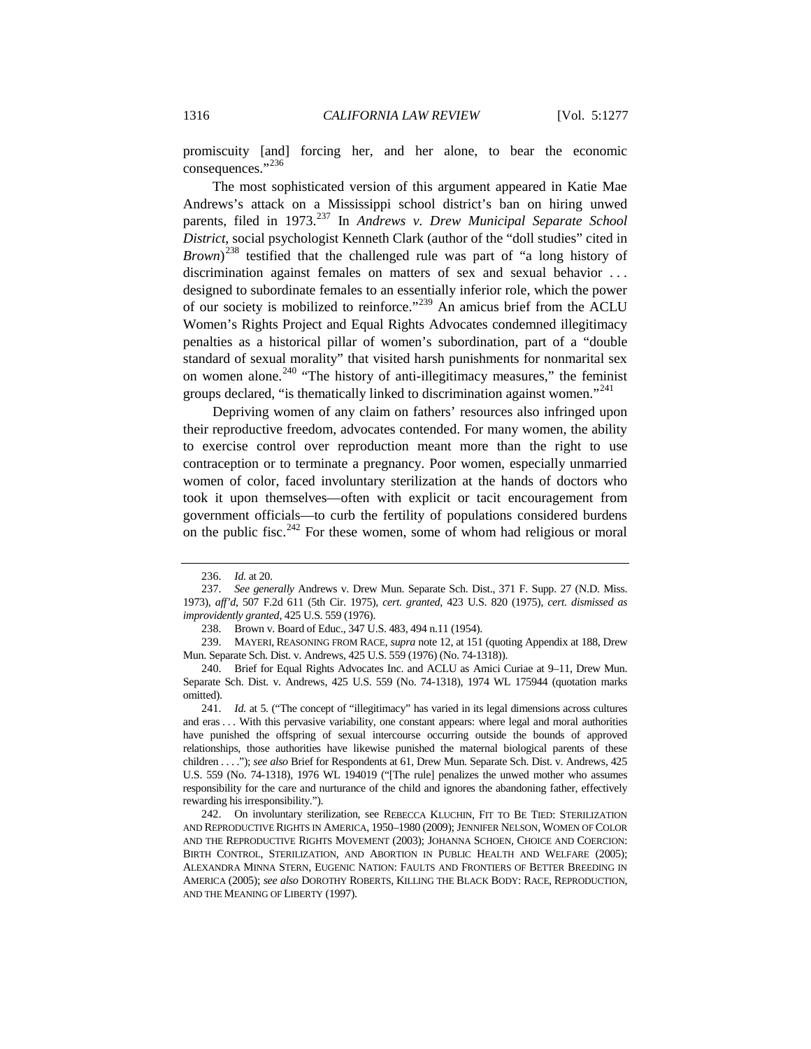promiscuity [and] forcing her, and her alone, to bear the economic consequences."<sup>[236](#page-39-0)</sup>

The most sophisticated version of this argument appeared in Katie Mae Andrews's attack on a Mississippi school district's ban on hiring unwed parents, filed in 1973.<sup>[237](#page-39-1)</sup> In *Andrews v. Drew Municipal Separate School District*, social psychologist Kenneth Clark (author of the "doll studies" cited in *Brown*) [238](#page-39-2) testified that the challenged rule was part of "a long history of discrimination against females on matters of sex and sexual behavior ... designed to subordinate females to an essentially inferior role, which the power of our society is mobilized to reinforce."[239](#page-39-3) An amicus brief from the ACLU Women's Rights Project and Equal Rights Advocates condemned illegitimacy penalties as a historical pillar of women's subordination, part of a "double standard of sexual morality" that visited harsh punishments for nonmarital sex on women alone.<sup>[240](#page-39-4)</sup> "The history of anti-illegitimacy measures," the feminist groups declared, "is thematically linked to discrimination against women."[241](#page-39-5)

Depriving women of any claim on fathers' resources also infringed upon their reproductive freedom, advocates contended. For many women, the ability to exercise control over reproduction meant more than the right to use contraception or to terminate a pregnancy. Poor women, especially unmarried women of color, faced involuntary sterilization at the hands of doctors who took it upon themselves—often with explicit or tacit encouragement from government officials—to curb the fertility of populations considered burdens on the public fisc.<sup>[242](#page-39-6)</sup> For these women, some of whom had religious or moral

<sup>236.</sup> *Id.* at 20.

<span id="page-39-1"></span><span id="page-39-0"></span><sup>237.</sup> *See generally* Andrews v. Drew Mun. Separate Sch. Dist., 371 F. Supp. 27 (N.D. Miss. 1973), *aff'd*, 507 F.2d 611 (5th Cir. 1975), *cert. granted*, 423 U.S. 820 (1975), *cert. dismissed as improvidently granted*, 425 U.S. 559 (1976).

<sup>238.</sup> Brown v. Board of Educ., 347 U.S. 483, 494 n.11 (1954).

<span id="page-39-3"></span><span id="page-39-2"></span><sup>239.</sup> MAYERI, REASONING FROM RACE, *supra* not[e 12,](#page-4-0) at 151 (quoting Appendix at 188, Drew Mun. Separate Sch. Dist. v. Andrews, 425 U.S. 559 (1976) (No. 74-1318)).

<span id="page-39-4"></span><sup>240.</sup> Brief for Equal Rights Advocates Inc. and ACLU as Amici Curiae at 9–11, Drew Mun. Separate Sch. Dist. v. Andrews, 425 U.S. 559 (No. 74-1318), 1974 WL 175944 (quotation marks omitted).

<span id="page-39-5"></span><sup>241.</sup> *Id.* at 5. ("The concept of "illegitimacy" has varied in its legal dimensions across cultures and eras . . . With this pervasive variability, one constant appears: where legal and moral authorities have punished the offspring of sexual intercourse occurring outside the bounds of approved relationships, those authorities have likewise punished the maternal biological parents of these children . . . ."); *see also* Brief for Respondents at 61, Drew Mun. Separate Sch. Dist. v. Andrews, 425 U.S. 559 (No. 74-1318), 1976 WL 194019 ("[The rule] penalizes the unwed mother who assumes responsibility for the care and nurturance of the child and ignores the abandoning father, effectively rewarding his irresponsibility.").

<span id="page-39-6"></span><sup>242.</sup> On involuntary sterilization, see REBECCA KLUCHIN, FIT TO BE TIED: STERILIZATION AND REPRODUCTIVE RIGHTS IN AMERICA, 1950–1980 (2009); JENNIFER NELSON, WOMEN OF COLOR AND THE REPRODUCTIVE RIGHTS MOVEMENT (2003); JOHANNA SCHOEN, CHOICE AND COERCION: BIRTH CONTROL, STERILIZATION, AND ABORTION IN PUBLIC HEALTH AND WELFARE (2005); ALEXANDRA MINNA STERN, EUGENIC NATION: FAULTS AND FRONTIERS OF BETTER BREEDING IN AMERICA (2005); *see also* DOROTHY ROBERTS, KILLING THE BLACK BODY: RACE, REPRODUCTION, AND THE MEANING OF LIBERTY (1997).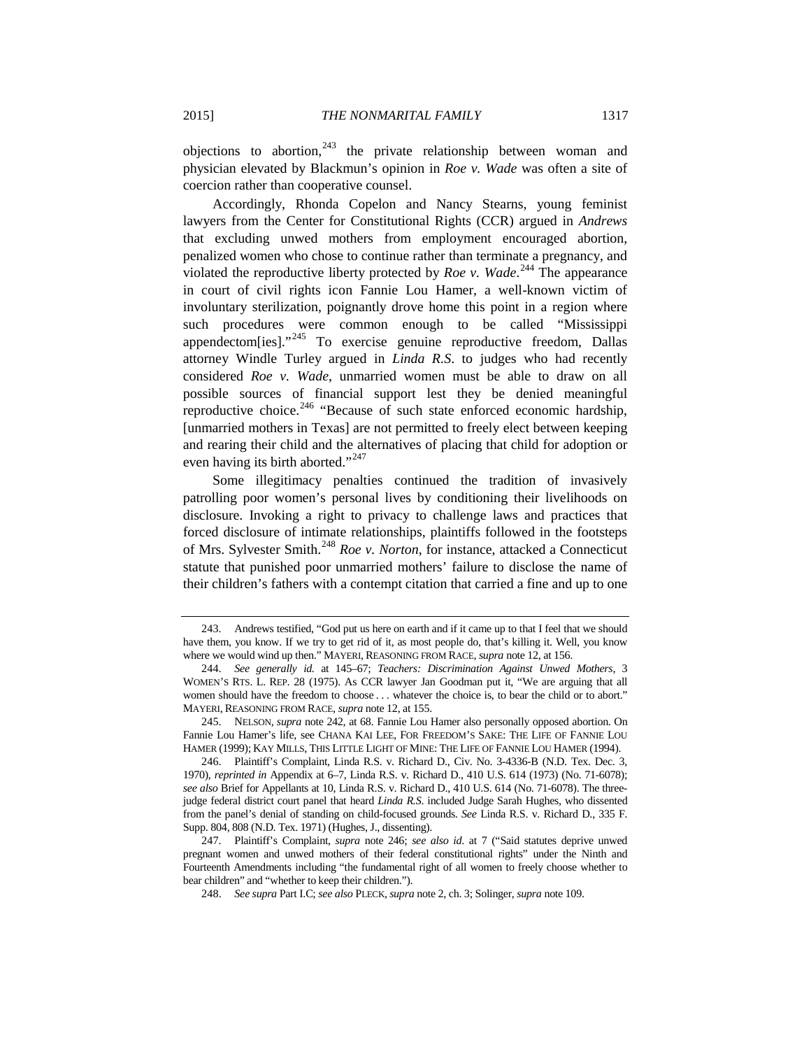objections to abortion, $243$  the private relationship between woman and physician elevated by Blackmun's opinion in *Roe v. Wade* was often a site of coercion rather than cooperative counsel.

Accordingly, Rhonda Copelon and Nancy Stearns, young feminist lawyers from the Center for Constitutional Rights (CCR) argued in *Andrews*  that excluding unwed mothers from employment encouraged abortion, penalized women who chose to continue rather than terminate a pregnancy, and violated the reproductive liberty protected by *Roe v. Wade*. [244](#page-40-2) The appearance in court of civil rights icon Fannie Lou Hamer, a well-known victim of involuntary sterilization, poignantly drove home this point in a region where such procedures were common enough to be called "Mississippi appendectom[ies]."<sup>[245](#page-40-3)</sup> To exercise genuine reproductive freedom, Dallas attorney Windle Turley argued in *Linda R.S*. to judges who had recently considered *Roe v. Wade*, unmarried women must be able to draw on all possible sources of financial support lest they be denied meaningful reproductive choice. $246$  "Because of such state enforced economic hardship, [unmarried mothers in Texas] are not permitted to freely elect between keeping and rearing their child and the alternatives of placing that child for adoption or even having its birth aborted."<sup>[247](#page-40-5)</sup>

<span id="page-40-0"></span>Some illegitimacy penalties continued the tradition of invasively patrolling poor women's personal lives by conditioning their livelihoods on disclosure. Invoking a right to privacy to challenge laws and practices that forced disclosure of intimate relationships, plaintiffs followed in the footsteps of Mrs. Sylvester Smith.[248](#page-40-6) *Roe v. Norton*, for instance, attacked a Connecticut statute that punished poor unmarried mothers' failure to disclose the name of their children's fathers with a contempt citation that carried a fine and up to one

<span id="page-40-1"></span><sup>243.</sup> Andrews testified, "God put us here on earth and if it came up to that I feel that we should have them, you know. If we try to get rid of it, as most people do, that's killing it. Well, you know where we would wind up then." MAYERI, REASONING FROM RACE, *supra* not[e 12,](#page-4-0) at 156.

<span id="page-40-2"></span><sup>244.</sup> *See generally id.* at 145–67; *Teachers: Discrimination Against Unwed Mothers*, 3 WOMEN'S RTS. L. REP. 28 (1975). As CCR lawyer Jan Goodman put it, "We are arguing that all women should have the freedom to choose . . . whatever the choice is, to bear the child or to abort." MAYERI, REASONING FROM RACE, *supra* not[e 12,](#page-4-0) at 155.

<span id="page-40-3"></span><sup>245.</sup> NELSON, *supra* note 242, at 68. Fannie Lou Hamer also personally opposed abortion. On Fannie Lou Hamer's life, see CHANA KAI LEE, FOR FREEDOM'S SAKE: THE LIFE OF FANNIE LOU HAMER (1999); KAY MILLS, THIS LITTLE LIGHT OF MINE: THE LIFE OF FANNIE LOU HAMER (1994).

<span id="page-40-4"></span><sup>246.</sup> Plaintiff's Complaint, Linda R.S. v. Richard D., Civ. No. 3-4336-B (N.D. Tex. Dec. 3, 1970), *reprinted in* Appendix at 6–7, Linda R.S. v. Richard D., 410 U.S. 614 (1973) (No. 71-6078); *see also* Brief for Appellants at 10, Linda R.S. v. Richard D., 410 U.S. 614 (No. 71-6078). The threejudge federal district court panel that heard *Linda R.S*. included Judge Sarah Hughes, who dissented from the panel's denial of standing on child-focused grounds. *See* Linda R.S. v. Richard D., 335 F. Supp. 804, 808 (N.D. Tex. 1971) (Hughes, J., dissenting).

<span id="page-40-6"></span><span id="page-40-5"></span><sup>247.</sup> Plaintiff's Complaint, *supra* note [246;](#page-40-0) *see also id*. at 7 ("Said statutes deprive unwed pregnant women and unwed mothers of their federal constitutional rights" under the Ninth and Fourteenth Amendments including "the fundamental right of all women to freely choose whether to bear children" and "whether to keep their children.").

<sup>248.</sup> *See supra* Part I.C; *see also* PLECK,*supra* not[e 2,](#page-2-0) ch. 3; Solinger, *supra* not[e 109.](#page-21-0)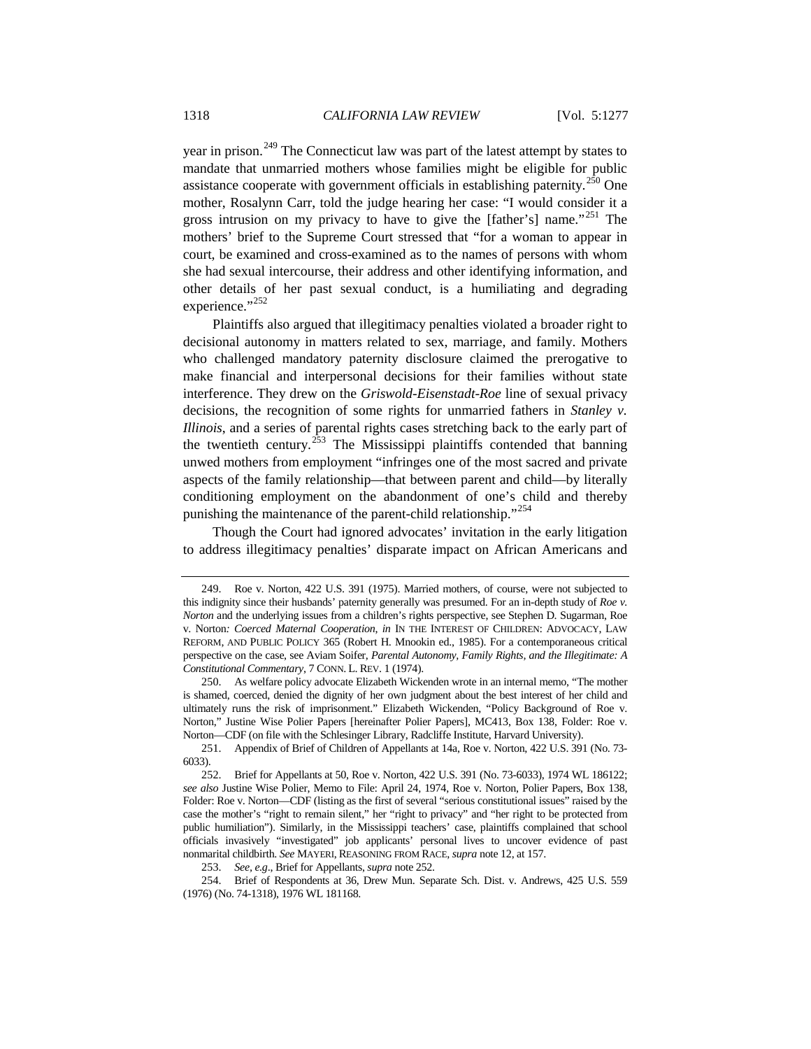<span id="page-41-8"></span><span id="page-41-7"></span>year in prison.<sup>[249](#page-41-1)</sup> The Connecticut law was part of the latest attempt by states to mandate that unmarried mothers whose families might be eligible for public assistance cooperate with government officials in establishing paternity.<sup>[250](#page-41-2)</sup> One mother, Rosalynn Carr, told the judge hearing her case: "I would consider it a gross intrusion on my privacy to have to give the [father's] name."<sup>[251](#page-41-3)</sup> The mothers' brief to the Supreme Court stressed that "for a woman to appear in court, be examined and cross-examined as to the names of persons with whom she had sexual intercourse, their address and other identifying information, and other details of her past sexual conduct, is a humiliating and degrading experience."<sup>[252](#page-41-4)</sup>

<span id="page-41-0"></span>Plaintiffs also argued that illegitimacy penalties violated a broader right to decisional autonomy in matters related to sex, marriage, and family. Mothers who challenged mandatory paternity disclosure claimed the prerogative to make financial and interpersonal decisions for their families without state interference. They drew on the *Griswold*-*Eisenstadt*-*Roe* line of sexual privacy decisions, the recognition of some rights for unmarried fathers in *Stanley v. Illinois*, and a series of parental rights cases stretching back to the early part of the twentieth century.<sup>[253](#page-41-5)</sup> The Mississippi plaintiffs contended that banning unwed mothers from employment "infringes one of the most sacred and private aspects of the family relationship—that between parent and child—by literally conditioning employment on the abandonment of one's child and thereby punishing the maintenance of the parent-child relationship."<sup>[254](#page-41-6)</sup>

Though the Court had ignored advocates' invitation in the early litigation to address illegitimacy penalties' disparate impact on African Americans and

<span id="page-41-1"></span><sup>249.</sup> Roe v. Norton, 422 U.S. 391 (1975). Married mothers, of course, were not subjected to this indignity since their husbands' paternity generally was presumed. For an in-depth study of *Roe v. Norton* and the underlying issues from a children's rights perspective, see Stephen D. Sugarman, Roe v. Norton*: Coerced Maternal Cooperation*, *in* IN THE INTEREST OF CHILDREN: ADVOCACY, LAW REFORM, AND PUBLIC POLICY 365 (Robert H. Mnookin ed., 1985). For a contemporaneous critical perspective on the case, see Aviam Soifer, *Parental Autonomy, Family Rights, and the Illegitimate: A Constitutional Commentary*, 7 CONN. L. REV. 1 (1974).

<span id="page-41-2"></span><sup>250.</sup> As welfare policy advocate Elizabeth Wickenden wrote in an internal memo, "The mother is shamed, coerced, denied the dignity of her own judgment about the best interest of her child and ultimately runs the risk of imprisonment." Elizabeth Wickenden, "Policy Background of Roe v. Norton," Justine Wise Polier Papers [hereinafter Polier Papers], MC413, Box 138, Folder: Roe v. Norton—CDF (on file with the Schlesinger Library, Radcliffe Institute, Harvard University).

<span id="page-41-3"></span><sup>251.</sup> Appendix of Brief of Children of Appellants at 14a, Roe v. Norton, 422 U.S. 391 (No. 73- 6033).

<span id="page-41-4"></span><sup>252.</sup> Brief for Appellants at 50, Roe v. Norton, 422 U.S. 391 (No. 73-6033), 1974 WL 186122; *see also* Justine Wise Polier, Memo to File: April 24, 1974, Roe v. Norton, Polier Papers, Box 138, Folder: Roe v. Norton—CDF (listing as the first of several "serious constitutional issues" raised by the case the mother's "right to remain silent," her "right to privacy" and "her right to be protected from public humiliation"). Similarly, in the Mississippi teachers' case, plaintiffs complained that school officials invasively "investigated" job applicants' personal lives to uncover evidence of past nonmarital childbirth. *See* MAYERI, REASONING FROM RACE, *supra* not[e 12,](#page-4-0) at 157.

<sup>253.</sup> *See, e.g*., Brief for Appellants, *supra* not[e 252.](#page-41-0)

<span id="page-41-6"></span><span id="page-41-5"></span><sup>254.</sup> Brief of Respondents at 36, Drew Mun. Separate Sch. Dist. v. Andrews, 425 U.S. 559 (1976) (No. 74-1318), 1976 WL 181168.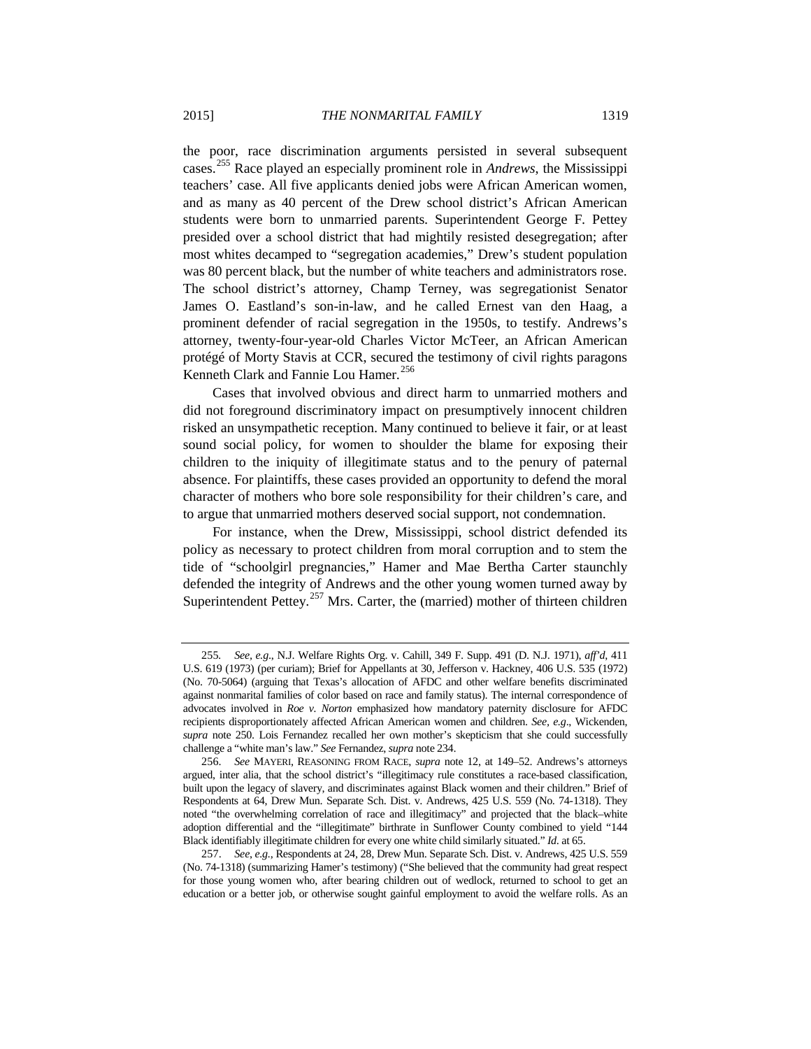the poor, race discrimination arguments persisted in several subsequent cases. [255](#page-42-0) Race played an especially prominent role in *Andrews*, the Mississippi teachers' case. All five applicants denied jobs were African American women, and as many as 40 percent of the Drew school district's African American students were born to unmarried parents. Superintendent George F. Pettey presided over a school district that had mightily resisted desegregation; after most whites decamped to "segregation academies," Drew's student population was 80 percent black, but the number of white teachers and administrators rose. The school district's attorney, Champ Terney, was segregationist Senator James O. Eastland's son-in-law, and he called Ernest van den Haag, a prominent defender of racial segregation in the 1950s, to testify. Andrews's attorney, twenty-four-year-old Charles Victor McTeer, an African American protégé of Morty Stavis at CCR, secured the testimony of civil rights paragons Kenneth Clark and Fannie Lou Hamer.<sup>[256](#page-42-1)</sup>

Cases that involved obvious and direct harm to unmarried mothers and did not foreground discriminatory impact on presumptively innocent children risked an unsympathetic reception. Many continued to believe it fair, or at least sound social policy, for women to shoulder the blame for exposing their children to the iniquity of illegitimate status and to the penury of paternal absence. For plaintiffs, these cases provided an opportunity to defend the moral character of mothers who bore sole responsibility for their children's care, and to argue that unmarried mothers deserved social support, not condemnation.

For instance, when the Drew, Mississippi, school district defended its policy as necessary to protect children from moral corruption and to stem the tide of "schoolgirl pregnancies," Hamer and Mae Bertha Carter staunchly defended the integrity of Andrews and the other young women turned away by Superintendent Pettey.<sup>[257](#page-42-2)</sup> Mrs. Carter, the (married) mother of thirteen children

<span id="page-42-0"></span><sup>255</sup>*. See, e.g*., N.J. Welfare Rights Org. v. Cahill, 349 F. Supp. 491 (D. N.J. 1971), *aff'd*, 411 U.S. 619 (1973) (per curiam); Brief for Appellants at 30, Jefferson v. Hackney, 406 U.S. 535 (1972) (No. 70-5064) (arguing that Texas's allocation of AFDC and other welfare benefits discriminated against nonmarital families of color based on race and family status). The internal correspondence of advocates involved in *Roe v. Norton* emphasized how mandatory paternity disclosure for AFDC recipients disproportionately affected African American women and children. *See, e.g*., Wickenden, *supra* note [250.](#page-41-7) Lois Fernandez recalled her own mother's skepticism that she could successfully challenge a "white man's law." *See* Fernandez, *supra* note 234.

<span id="page-42-1"></span><sup>256.</sup> *See* MAYERI, REASONING FROM RACE, *supra* note [12,](#page-4-0) at 149–52. Andrews's attorneys argued, inter alia, that the school district's "illegitimacy rule constitutes a race-based classification, built upon the legacy of slavery, and discriminates against Black women and their children." Brief of Respondents at 64, Drew Mun. Separate Sch. Dist. v. Andrews, 425 U.S. 559 (No. 74-1318). They noted "the overwhelming correlation of race and illegitimacy" and projected that the black–white adoption differential and the "illegitimate" birthrate in Sunflower County combined to yield "144 Black identifiably illegitimate children for every one white child similarly situated." *Id*. at 65.

<span id="page-42-2"></span><sup>257.</sup> *See*, *e.g.*, Respondents at 24, 28, Drew Mun. Separate Sch. Dist. v. Andrews, 425 U.S. 559 (No. 74-1318) (summarizing Hamer's testimony) ("She believed that the community had great respect for those young women who, after bearing children out of wedlock, returned to school to get an education or a better job, or otherwise sought gainful employment to avoid the welfare rolls. As an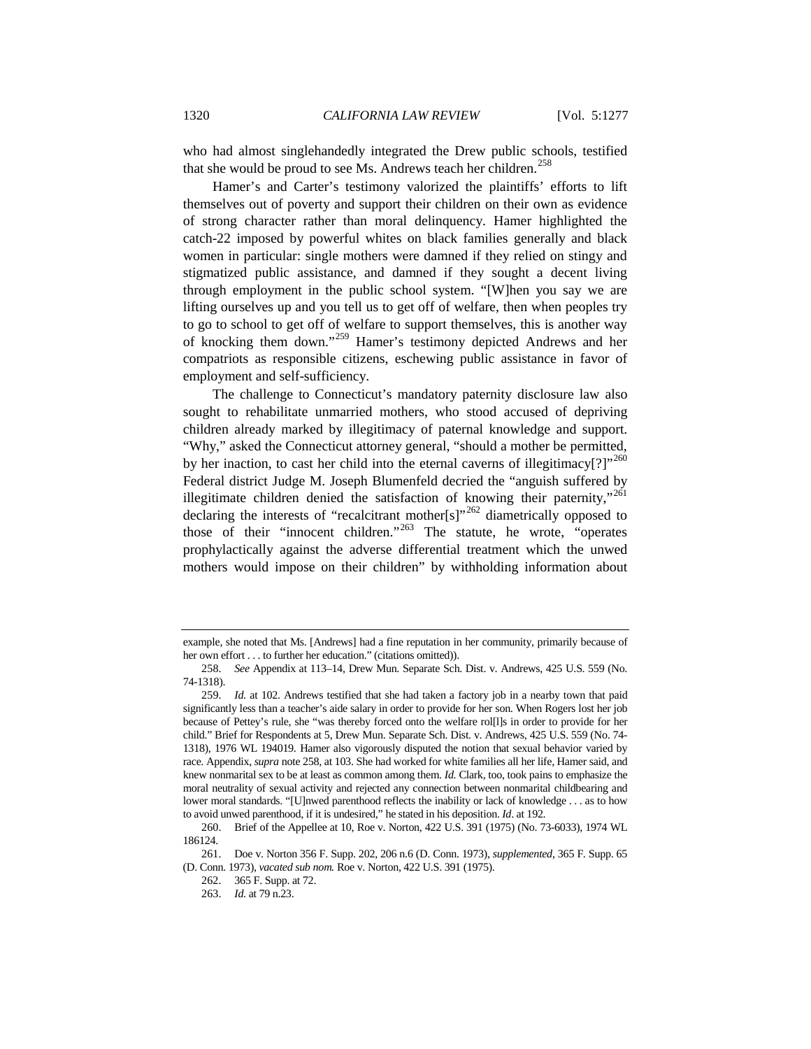<span id="page-43-0"></span>who had almost singlehandedly integrated the Drew public schools, testified that she would be proud to see Ms. Andrews teach her children.<sup>[258](#page-43-1)</sup>

Hamer's and Carter's testimony valorized the plaintiffs' efforts to lift themselves out of poverty and support their children on their own as evidence of strong character rather than moral delinquency. Hamer highlighted the catch-22 imposed by powerful whites on black families generally and black women in particular: single mothers were damned if they relied on stingy and stigmatized public assistance, and damned if they sought a decent living through employment in the public school system. "[W]hen you say we are lifting ourselves up and you tell us to get off of welfare, then when peoples try to go to school to get off of welfare to support themselves, this is another way of knocking them down."[259](#page-43-2) Hamer's testimony depicted Andrews and her compatriots as responsible citizens, eschewing public assistance in favor of employment and self-sufficiency.

The challenge to Connecticut's mandatory paternity disclosure law also sought to rehabilitate unmarried mothers, who stood accused of depriving children already marked by illegitimacy of paternal knowledge and support. "Why," asked the Connecticut attorney general, "should a mother be permitted, by her inaction, to cast her child into the eternal caverns of illegitimacy[?]"<sup>[260](#page-43-3)</sup> Federal district Judge M. Joseph Blumenfeld decried the "anguish suffered by illegitimate children denied the satisfaction of knowing their paternity,"<sup>[261](#page-43-4)</sup> declaring the interests of "recalcitrant mother[s]"<sup>[262](#page-43-5)</sup> diametrically opposed to those of their "innocent children."<sup>[263](#page-43-6)</sup> The statute, he wrote, "operates" prophylactically against the adverse differential treatment which the unwed mothers would impose on their children" by withholding information about

example, she noted that Ms. [Andrews] had a fine reputation in her community, primarily because of her own effort . . . to further her education." (citations omitted)).

<span id="page-43-1"></span><sup>258.</sup> *See* Appendix at 113–14, Drew Mun. Separate Sch. Dist. v. Andrews, 425 U.S. 559 (No. 74-1318).

<span id="page-43-2"></span><sup>259.</sup> *Id.* at 102. Andrews testified that she had taken a factory job in a nearby town that paid significantly less than a teacher's aide salary in order to provide for her son. When Rogers lost her job because of Pettey's rule, she "was thereby forced onto the welfare rol[l]s in order to provide for her child." Brief for Respondents at 5, Drew Mun. Separate Sch. Dist. v. Andrews, 425 U.S. 559 (No. 74- 1318), 1976 WL 194019. Hamer also vigorously disputed the notion that sexual behavior varied by race. Appendix, *supra* not[e 258,](#page-43-0) at 103. She had worked for white families all her life, Hamer said, and knew nonmarital sex to be at least as common among them. *Id.* Clark, too, took pains to emphasize the moral neutrality of sexual activity and rejected any connection between nonmarital childbearing and lower moral standards. "[U]nwed parenthood reflects the inability or lack of knowledge . . . as to how to avoid unwed parenthood, if it is undesired," he stated in his deposition. *Id*. at 192.

<span id="page-43-3"></span><sup>260.</sup> Brief of the Appellee at 10, Roe v. Norton, 422 U.S. 391 (1975) (No. 73-6033), 1974 WL 186124.

<span id="page-43-6"></span><span id="page-43-5"></span><span id="page-43-4"></span><sup>261.</sup> Doe v. Norton 356 F. Supp. 202, 206 n.6 (D. Conn. 1973), *supplemented*, 365 F. Supp. 65 (D. Conn. 1973), *vacated sub nom.* Roe v. Norton, 422 U.S. 391 (1975).

<sup>262.</sup> 365 F. Supp. at 72.

<sup>263.</sup> *Id.* at 79 n.23.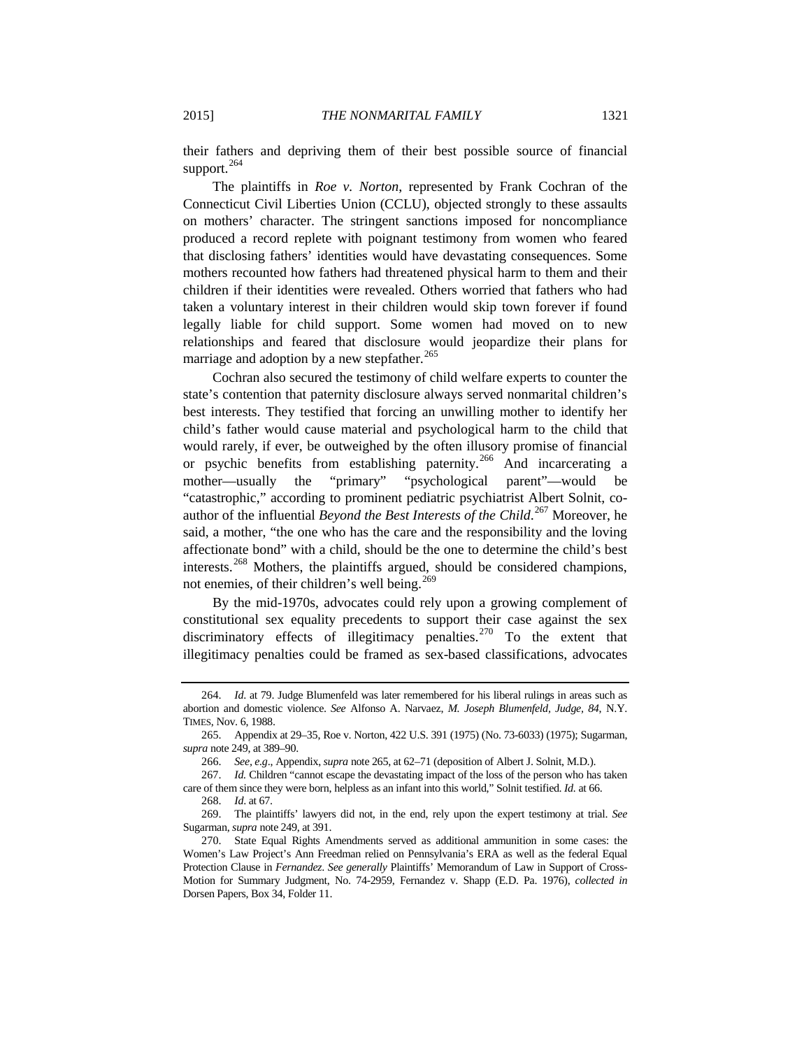their fathers and depriving them of their best possible source of financial support.<sup>[264](#page-44-0)</sup>

The plaintiffs in *Roe v. Norton*, represented by Frank Cochran of the Connecticut Civil Liberties Union (CCLU), objected strongly to these assaults on mothers' character. The stringent sanctions imposed for noncompliance produced a record replete with poignant testimony from women who feared that disclosing fathers' identities would have devastating consequences. Some mothers recounted how fathers had threatened physical harm to them and their children if their identities were revealed. Others worried that fathers who had taken a voluntary interest in their children would skip town forever if found legally liable for child support. Some women had moved on to new relationships and feared that disclosure would jeopardize their plans for marriage and adoption by a new stepfather.<sup>[265](#page-44-1)</sup>

Cochran also secured the testimony of child welfare experts to counter the state's contention that paternity disclosure always served nonmarital children's best interests. They testified that forcing an unwilling mother to identify her child's father would cause material and psychological harm to the child that would rarely, if ever, be outweighed by the often illusory promise of financial or psychic benefits from establishing paternity.<sup>[266](#page-44-2)</sup> And incarcerating a mother—usually the "primary" "psychological parent"—would be "catastrophic," according to prominent pediatric psychiatrist Albert Solnit, coauthor of the influential *Beyond the Best Interests of the Child*. [267](#page-44-3) Moreover, he said, a mother, "the one who has the care and the responsibility and the loving affectionate bond" with a child, should be the one to determine the child's best interests.[268](#page-44-4) Mothers, the plaintiffs argued, should be considered champions, not enemies, of their children's well being.<sup>[269](#page-44-5)</sup>

By the mid-1970s, advocates could rely upon a growing complement of constitutional sex equality precedents to support their case against the sex discriminatory effects of illegitimacy penalties.<sup>[270](#page-44-6)</sup> To the extent that illegitimacy penalties could be framed as sex-based classifications, advocates

<span id="page-44-0"></span><sup>264.</sup> *Id*. at 79. Judge Blumenfeld was later remembered for his liberal rulings in areas such as abortion and domestic violence. *See* Alfonso A. Narvaez, *M. Joseph Blumenfeld, Judge, 84*, N.Y. TIMES, Nov. 6, 1988.

<span id="page-44-1"></span><sup>265.</sup> Appendix at 29–35, Roe v. Norton, 422 U.S. 391 (1975) (No. 73-6033) (1975); Sugarman, *supra* not[e 249,](#page-41-8) at 389–90.

<sup>266.</sup> *See, e.g*., Appendix, *supra* note 265, at 62–71 (deposition of Albert J. Solnit, M.D.).

<span id="page-44-3"></span><span id="page-44-2"></span><sup>267.</sup> *Id.* Children "cannot escape the devastating impact of the loss of the person who has taken care of them since they were born, helpless as an infant into this world," Solnit testified. *Id.* at 66.

<sup>268.</sup> *Id*. at 67.

<span id="page-44-5"></span><span id="page-44-4"></span><sup>269.</sup> The plaintiffs' lawyers did not, in the end, rely upon the expert testimony at trial. *See* Sugarman, *supra* note 249, at 391.

<span id="page-44-6"></span><sup>270.</sup> State Equal Rights Amendments served as additional ammunition in some cases: the Women's Law Project's Ann Freedman relied on Pennsylvania's ERA as well as the federal Equal Protection Clause in *Fernandez*. *See generally* Plaintiffs' Memorandum of Law in Support of Cross-Motion for Summary Judgment, No. 74-2959, Fernandez v. Shapp (E.D. Pa. 1976), *collected in*  Dorsen Papers, Box 34, Folder 11.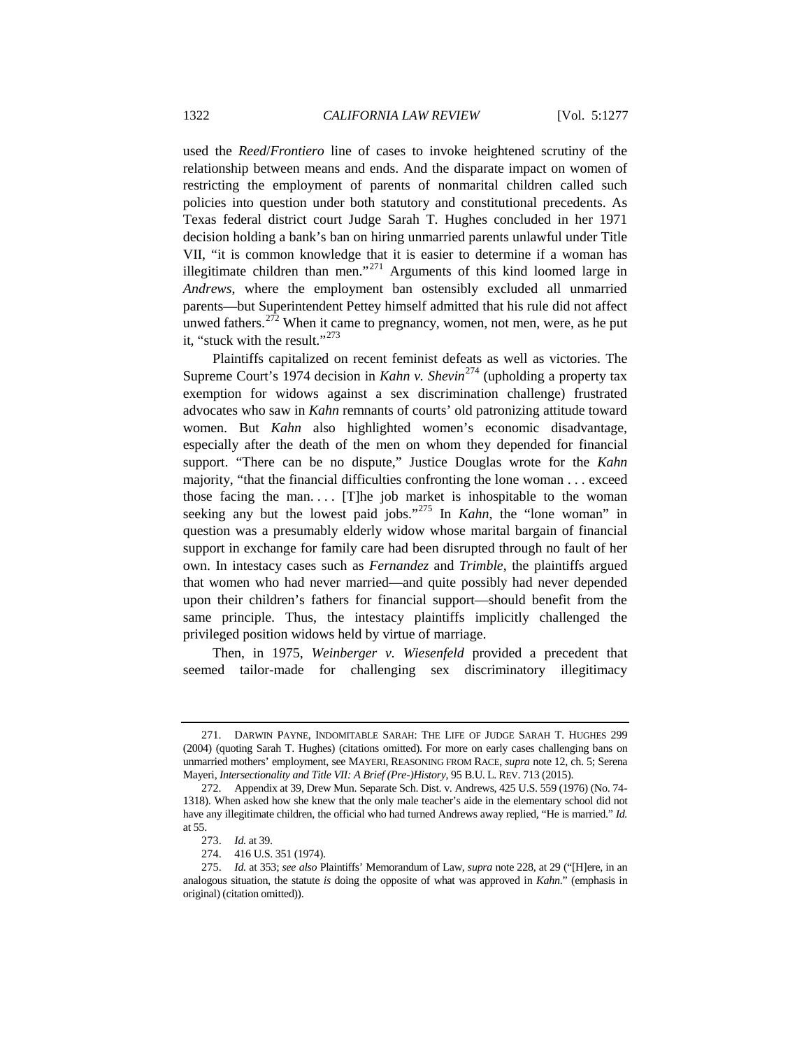used the *Reed*/*Frontiero* line of cases to invoke heightened scrutiny of the relationship between means and ends. And the disparate impact on women of restricting the employment of parents of nonmarital children called such policies into question under both statutory and constitutional precedents. As Texas federal district court Judge Sarah T. Hughes concluded in her 1971 decision holding a bank's ban on hiring unmarried parents unlawful under Title VII, "it is common knowledge that it is easier to determine if a woman has illegitimate children than men."<sup>[271](#page-45-0)</sup> Arguments of this kind loomed large in *Andrews*, where the employment ban ostensibly excluded all unmarried parents—but Superintendent Pettey himself admitted that his rule did not affect unwed fathers.<sup>[272](#page-45-1)</sup> When it came to pregnancy, women, not men, were, as he put it, "stuck with the result."<sup>[273](#page-45-2)</sup>

Plaintiffs capitalized on recent feminist defeats as well as victories. The Supreme Court's 1974 decision in *Kahn v. Shevin*<sup>[274](#page-45-3)</sup> (upholding a property tax exemption for widows against a sex discrimination challenge) frustrated advocates who saw in *Kahn* remnants of courts' old patronizing attitude toward women. But *Kahn* also highlighted women's economic disadvantage, especially after the death of the men on whom they depended for financial support. "There can be no dispute," Justice Douglas wrote for the *Kahn* majority, "that the financial difficulties confronting the lone woman . . . exceed those facing the man.... [T]he job market is inhospitable to the woman seeking any but the lowest paid jobs."<sup>[275](#page-45-4)</sup> In *Kahn*, the "lone woman" in question was a presumably elderly widow whose marital bargain of financial support in exchange for family care had been disrupted through no fault of her own. In intestacy cases such as *Fernandez* and *Trimble*, the plaintiffs argued that women who had never married—and quite possibly had never depended upon their children's fathers for financial support—should benefit from the same principle. Thus, the intestacy plaintiffs implicitly challenged the privileged position widows held by virtue of marriage.

Then, in 1975, *Weinberger v. Wiesenfeld* provided a precedent that seemed tailor-made for challenging sex discriminatory illegitimacy

<span id="page-45-0"></span><sup>271.</sup> DARWIN PAYNE, INDOMITABLE SARAH: THE LIFE OF JUDGE SARAH T. HUGHES 299 (2004) (quoting Sarah T. Hughes) (citations omitted). For more on early cases challenging bans on unmarried mothers' employment, see MAYERI, REASONING FROM RACE, *supra* not[e 12,](#page-4-0) ch. 5; Serena Mayeri, *Intersectionality and Title VII: A Brief (Pre-)History*, 95 B.U. L. REV. 713 (2015).

<span id="page-45-1"></span><sup>272.</sup> Appendix at 39, Drew Mun. Separate Sch. Dist. v. Andrews, 425 U.S. 559 (1976) (No. 74- 1318). When asked how she knew that the only male teacher's aide in the elementary school did not have any illegitimate children, the official who had turned Andrews away replied, "He is married." *Id.* at 55.

<sup>273.</sup> *Id.* at 39.

<sup>274.</sup> 416 U.S. 351 (1974).

<span id="page-45-4"></span><span id="page-45-3"></span><span id="page-45-2"></span><sup>275.</sup> *Id.* at 353; *see also* Plaintiffs' Memorandum of Law, *supra* note 228, at 29 ("[H]ere, in an analogous situation, the statute *is* doing the opposite of what was approved in *Kahn*." (emphasis in original) (citation omitted)).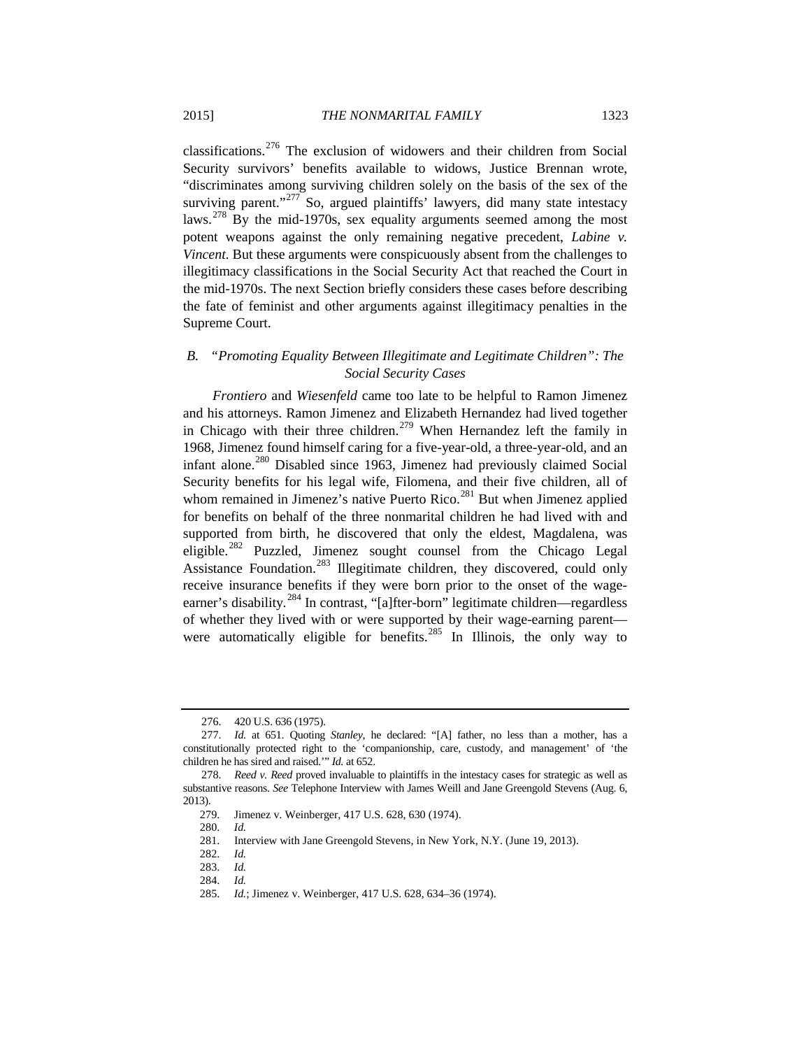<span id="page-46-12"></span><span id="page-46-11"></span>classifications.[276](#page-46-0) The exclusion of widowers and their children from Social Security survivors' benefits available to widows, Justice Brennan wrote, "discriminates among surviving children solely on the basis of the sex of the surviving parent."<sup>[277](#page-46-1)</sup> So, argued plaintiffs' lawyers, did many state intestacy laws.[278](#page-46-2) By the mid-1970s, sex equality arguments seemed among the most potent weapons against the only remaining negative precedent, *Labine v. Vincent*. But these arguments were conspicuously absent from the challenges to illegitimacy classifications in the Social Security Act that reached the Court in the mid-1970s. The next Section briefly considers these cases before describing the fate of feminist and other arguments against illegitimacy penalties in the Supreme Court.

# *B. "Promoting Equality Between Illegitimate and Legitimate Children": The Social Security Cases*

<span id="page-46-10"></span>*Frontiero* and *Wiesenfeld* came too late to be helpful to Ramon Jimenez and his attorneys. Ramon Jimenez and Elizabeth Hernandez had lived together in Chicago with their three children.<sup>[279](#page-46-3)</sup> When Hernandez left the family in 1968, Jimenez found himself caring for a five-year-old, a three-year-old, and an infant alone.<sup>[280](#page-46-4)</sup> Disabled since 1963, Jimenez had previously claimed Social Security benefits for his legal wife, Filomena, and their five children, all of whom remained in Jimenez's native Puerto Rico.<sup>[281](#page-46-5)</sup> But when Jimenez applied for benefits on behalf of the three nonmarital children he had lived with and supported from birth, he discovered that only the eldest, Magdalena, was eligible.[282](#page-46-6) Puzzled, Jimenez sought counsel from the Chicago Legal Assistance Foundation.<sup>[283](#page-46-7)</sup> Illegitimate children, they discovered, could only receive insurance benefits if they were born prior to the onset of the wageearner's disability.[284](#page-46-8) In contrast, "[a]fter-born" legitimate children—regardless of whether they lived with or were supported by their wage-earning parent— were automatically eligible for benefits.<sup>[285](#page-46-9)</sup> In Illinois, the only way to

<sup>276.</sup> 420 U.S. 636 (1975).

<span id="page-46-1"></span><span id="page-46-0"></span><sup>277.</sup> *Id.* at 651. Quoting *Stanley*, he declared: "[A] father, no less than a mother, has a constitutionally protected right to the 'companionship, care, custody, and management' of 'the children he has sired and raised.'" *Id.* at 652.

<span id="page-46-6"></span><span id="page-46-5"></span><span id="page-46-4"></span><span id="page-46-3"></span><span id="page-46-2"></span><sup>278.</sup> *Reed v. Reed* proved invaluable to plaintiffs in the intestacy cases for strategic as well as substantive reasons. *See* Telephone Interview with James Weill and Jane Greengold Stevens (Aug. 6, 2013).

 <sup>279.</sup> Jimenez v. Weinberger, 417 U.S. 628, 630 (1974).

 <sup>280.</sup> *Id.*

 <sup>281.</sup> Interview with Jane Greengold Stevens, in New York, N.Y. (June 19, 2013).

 <sup>282.</sup> *Id.*

<span id="page-46-8"></span><span id="page-46-7"></span> <sup>283.</sup> *Id.*

 <sup>284.</sup> *Id.*

<span id="page-46-9"></span> <sup>285.</sup> *Id.*; Jimenez v. Weinberger, 417 U.S. 628, 634–36 (1974).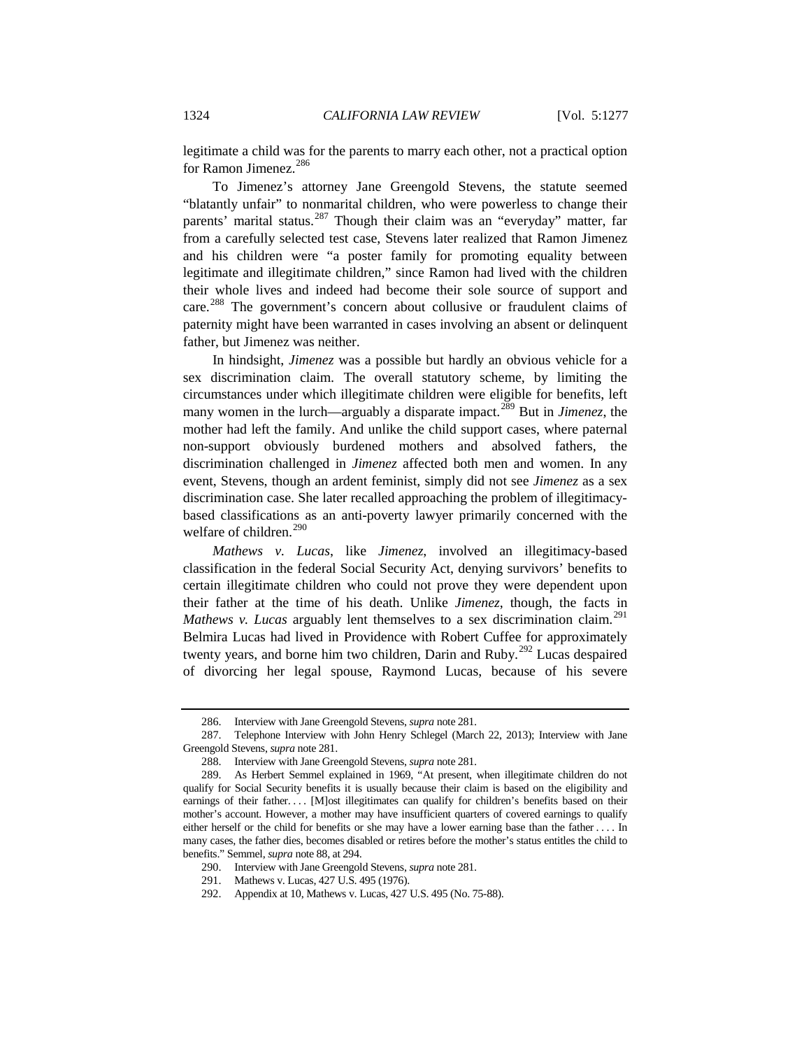legitimate a child was for the parents to marry each other, not a practical option for Ramon Jimenez.<sup>[286](#page-47-0)</sup>

To Jimenez's attorney Jane Greengold Stevens, the statute seemed "blatantly unfair" to nonmarital children, who were powerless to change their parents' marital status.<sup>[287](#page-47-1)</sup> Though their claim was an "everyday" matter, far from a carefully selected test case, Stevens later realized that Ramon Jimenez and his children were "a poster family for promoting equality between legitimate and illegitimate children," since Ramon had lived with the children their whole lives and indeed had become their sole source of support and care.<sup>[288](#page-47-2)</sup> The government's concern about collusive or fraudulent claims of paternity might have been warranted in cases involving an absent or delinquent father, but Jimenez was neither.

In hindsight, *Jimenez* was a possible but hardly an obvious vehicle for a sex discrimination claim. The overall statutory scheme, by limiting the circumstances under which illegitimate children were eligible for benefits, left many women in the lurch—arguably a disparate impact.[289](#page-47-3) But in *Jimenez*, the mother had left the family. And unlike the child support cases, where paternal non-support obviously burdened mothers and absolved fathers, the discrimination challenged in *Jimenez* affected both men and women. In any event, Stevens, though an ardent feminist, simply did not see *Jimenez* as a sex discrimination case. She later recalled approaching the problem of illegitimacybased classifications as an anti-poverty lawyer primarily concerned with the welfare of children.<sup>[290](#page-47-4)</sup>

*Mathews v. Lucas*, like *Jimenez*, involved an illegitimacy-based classification in the federal Social Security Act, denying survivors' benefits to certain illegitimate children who could not prove they were dependent upon their father at the time of his death. Unlike *Jimenez*, though, the facts in *Mathews v. Lucas* arguably lent themselves to a sex discrimination claim.<sup>[291](#page-47-5)</sup> Belmira Lucas had lived in Providence with Robert Cuffee for approximately twenty years, and borne him two children, Darin and Ruby.<sup>[292](#page-47-6)</sup> Lucas despaired of divorcing her legal spouse, Raymond Lucas, because of his severe

<sup>286.</sup> Interview with Jane Greengold Stevens, *supra* not[e 281.](#page-46-10)

<span id="page-47-1"></span><span id="page-47-0"></span><sup>287.</sup> Telephone Interview with John Henry Schlegel (March 22, 2013); Interview with Jane Greengold Stevens, *supra* not[e 281.](#page-46-10)

<sup>288.</sup> Interview with Jane Greengold Stevens, *supra* not[e 281.](#page-46-10)

<span id="page-47-3"></span><span id="page-47-2"></span><sup>289.</sup> As Herbert Semmel explained in 1969, "At present, when illegitimate children do not qualify for Social Security benefits it is usually because their claim is based on the eligibility and earnings of their father.... [M]ost illegitimates can qualify for children's benefits based on their mother's account. However, a mother may have insufficient quarters of covered earnings to qualify either herself or the child for benefits or she may have a lower earning base than the father . . . . In many cases, the father dies, becomes disabled or retires before the mother's status entitles the child to benefits." Semmel, *supra* note 88, at 294.

<sup>290.</sup> Interview with Jane Greengold Stevens, *supra* not[e 281.](#page-46-10)

<sup>291.</sup> Mathews v. Lucas, 427 U.S. 495 (1976).

<span id="page-47-6"></span><span id="page-47-5"></span><span id="page-47-4"></span><sup>292.</sup> Appendix at 10, Mathews v. Lucas, 427 U.S. 495 (No. 75-88).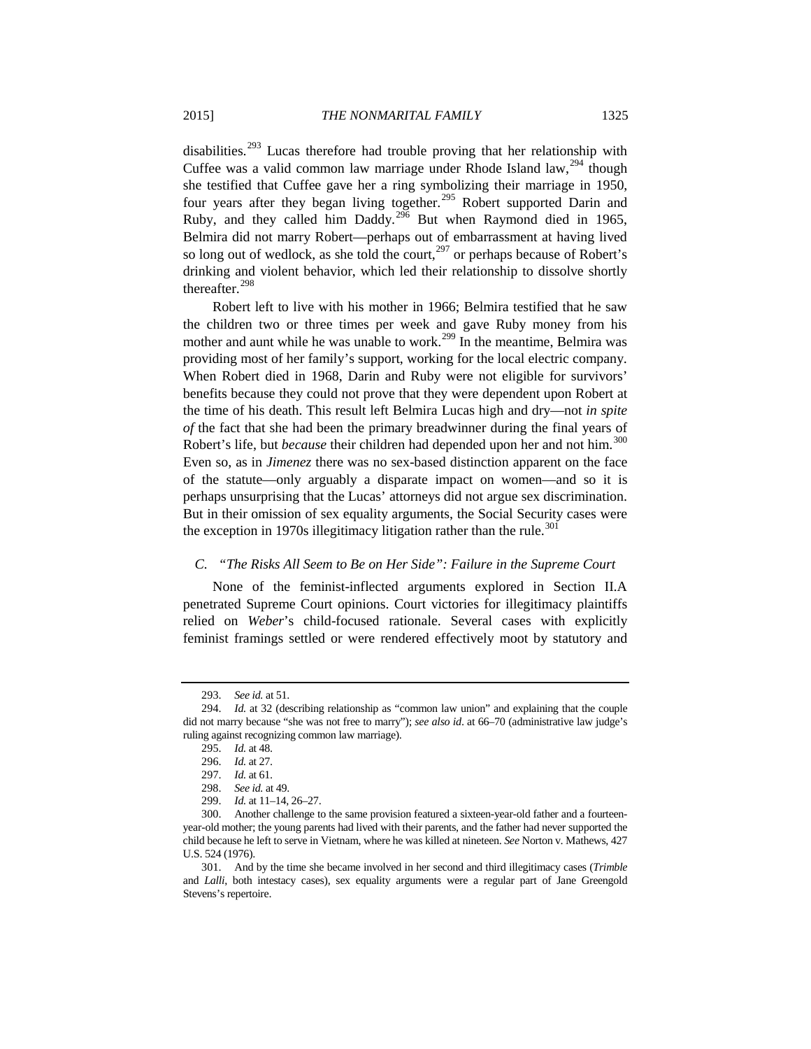disabilities.[293](#page-48-0) Lucas therefore had trouble proving that her relationship with Cuffee was a valid common law marriage under Rhode Island law,  $^{294}$  $^{294}$  $^{294}$  though she testified that Cuffee gave her a ring symbolizing their marriage in 1950, four years after they began living together.<sup>[295](#page-48-2)</sup> Robert supported Darin and Ruby, and they called him Daddy. $296$  But when Raymond died in 1965, Belmira did not marry Robert—perhaps out of embarrassment at having lived so long out of wedlock, as she told the court,  $297$  or perhaps because of Robert's drinking and violent behavior, which led their relationship to dissolve shortly thereafter.<sup>[298](#page-48-5)</sup>

Robert left to live with his mother in 1966; Belmira testified that he saw the children two or three times per week and gave Ruby money from his mother and aunt while he was unable to work.<sup>[299](#page-48-6)</sup> In the meantime, Belmira was providing most of her family's support, working for the local electric company. When Robert died in 1968, Darin and Ruby were not eligible for survivors' benefits because they could not prove that they were dependent upon Robert at the time of his death. This result left Belmira Lucas high and dry—not *in spite of* the fact that she had been the primary breadwinner during the final years of Robert's life, but *because* their children had depended upon her and not him.<sup>[300](#page-48-7)</sup> Even so, as in *Jimenez* there was no sex-based distinction apparent on the face of the statute—only arguably a disparate impact on women—and so it is perhaps unsurprising that the Lucas' attorneys did not argue sex discrimination. But in their omission of sex equality arguments, the Social Security cases were the exception in 1970s illegitimacy litigation rather than the rule.<sup>[301](#page-48-8)</sup>

### *C. "The Risks All Seem to Be on Her Side": Failure in the Supreme Court*

None of the feminist-inflected arguments explored in Section II.A penetrated Supreme Court opinions. Court victories for illegitimacy plaintiffs relied on *Weber*'s child-focused rationale. Several cases with explicitly feminist framings settled or were rendered effectively moot by statutory and

<sup>293.</sup> *See id.* at 51.

<span id="page-48-3"></span><span id="page-48-2"></span><span id="page-48-1"></span><span id="page-48-0"></span><sup>294.</sup> *Id.* at 32 (describing relationship as "common law union" and explaining that the couple did not marry because "she was not free to marry"); *see also id*. at 66–70 (administrative law judge's ruling against recognizing common law marriage).

<sup>295.</sup> *Id.* at 48.

<sup>296.</sup> *Id.* at 27.

<sup>297.</sup> *Id.* at 61.

<sup>298.</sup> *See id.* at 49.

<sup>299.</sup> *Id.* at 11–14, 26–27.

<span id="page-48-7"></span><span id="page-48-6"></span><span id="page-48-5"></span><span id="page-48-4"></span><sup>300.</sup> Another challenge to the same provision featured a sixteen-year-old father and a fourteenyear-old mother; the young parents had lived with their parents, and the father had never supported the child because he left to serve in Vietnam, where he was killed at nineteen. *See* Norton v. Mathews, 427 U.S. 524 (1976).

<span id="page-48-8"></span><sup>301.</sup> And by the time she became involved in her second and third illegitimacy cases (*Trimble*  and *Lalli*, both intestacy cases), sex equality arguments were a regular part of Jane Greengold Stevens's repertoire.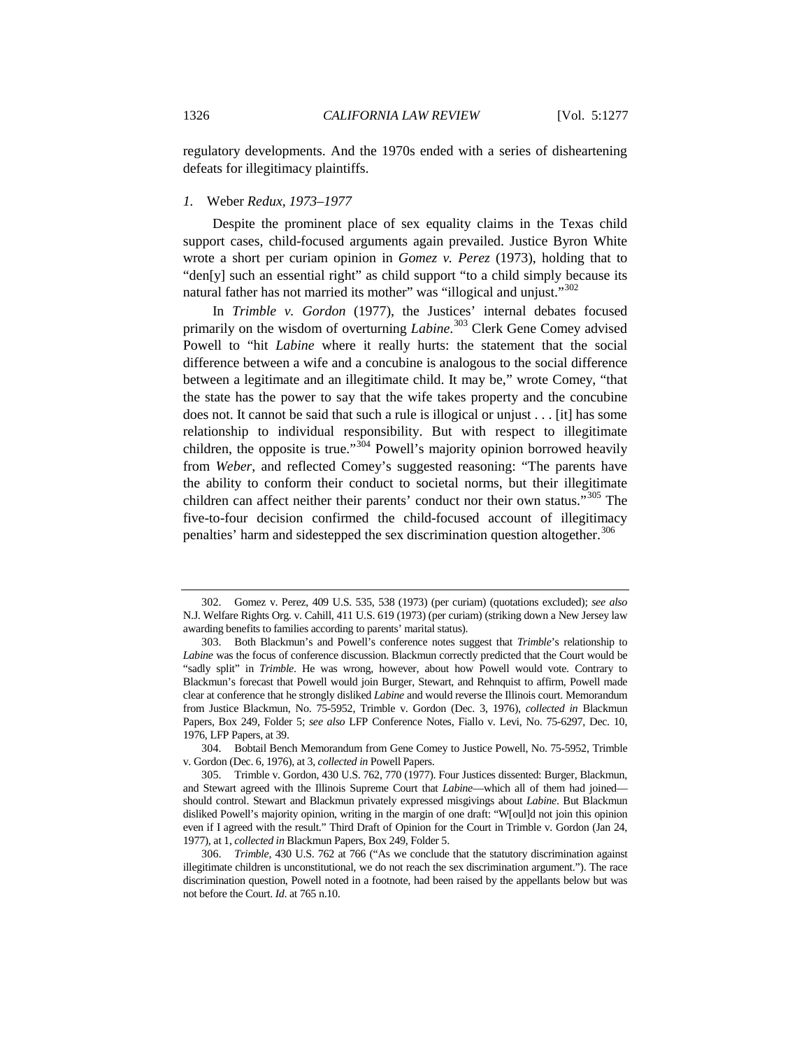regulatory developments. And the 1970s ended with a series of disheartening defeats for illegitimacy plaintiffs.

#### *1.* Weber *Redux, 1973–1977*

Despite the prominent place of sex equality claims in the Texas child support cases, child-focused arguments again prevailed. Justice Byron White wrote a short per curiam opinion in *Gomez v. Perez* (1973), holding that to "den[y] such an essential right" as child support "to a child simply because its natural father has not married its mother" was "illogical and unjust."<sup>[302](#page-49-0)</sup>

In *Trimble v. Gordon* (1977), the Justices' internal debates focused primarily on the wisdom of overturning *Labine*. [303](#page-49-1) Clerk Gene Comey advised Powell to "hit *Labine* where it really hurts: the statement that the social difference between a wife and a concubine is analogous to the social difference between a legitimate and an illegitimate child. It may be," wrote Comey, "that the state has the power to say that the wife takes property and the concubine does not. It cannot be said that such a rule is illogical or unjust . . . [it] has some relationship to individual responsibility. But with respect to illegitimate children, the opposite is true." $304$  Powell's majority opinion borrowed heavily from *Weber*, and reflected Comey's suggested reasoning: "The parents have the ability to conform their conduct to societal norms, but their illegitimate children can affect neither their parents' conduct nor their own status."<sup>[305](#page-49-3)</sup> The five-to-four decision confirmed the child-focused account of illegitimacy penalties' harm and sidestepped the sex discrimination question altogether.<sup>[306](#page-49-4)</sup>

<span id="page-49-0"></span><sup>302.</sup> Gomez v. Perez, 409 U.S. 535, 538 (1973) (per curiam) (quotations excluded); *see also* N.J. Welfare Rights Org. v. Cahill, 411 U.S. 619 (1973) (per curiam) (striking down a New Jersey law awarding benefits to families according to parents' marital status).

<span id="page-49-1"></span><sup>303.</sup> Both Blackmun's and Powell's conference notes suggest that *Trimble*'s relationship to *Labine* was the focus of conference discussion. Blackmun correctly predicted that the Court would be "sadly split" in *Trimble*. He was wrong, however, about how Powell would vote. Contrary to Blackmun's forecast that Powell would join Burger, Stewart, and Rehnquist to affirm, Powell made clear at conference that he strongly disliked *Labine* and would reverse the Illinois court. Memorandum from Justice Blackmun, No. 75-5952, Trimble v. Gordon (Dec. 3, 1976), *collected in* Blackmun Papers, Box 249, Folder 5; *see also* LFP Conference Notes, Fiallo v. Levi, No. 75-6297, Dec. 10, 1976, LFP Papers, at 39.

<span id="page-49-2"></span><sup>304.</sup> Bobtail Bench Memorandum from Gene Comey to Justice Powell, No. 75-5952, Trimble v. Gordon (Dec. 6, 1976), at 3, *collected in* Powell Papers.

<span id="page-49-3"></span><sup>305.</sup> Trimble v. Gordon, 430 U.S. 762, 770 (1977). Four Justices dissented: Burger, Blackmun, and Stewart agreed with the Illinois Supreme Court that *Labine*—which all of them had joined should control. Stewart and Blackmun privately expressed misgivings about *Labine*. But Blackmun disliked Powell's majority opinion, writing in the margin of one draft: "W[oul]d not join this opinion even if I agreed with the result." Third Draft of Opinion for the Court in Trimble v. Gordon (Jan 24, 1977), at 1, *collected in* Blackmun Papers, Box 249, Folder 5.

<span id="page-49-4"></span><sup>306.</sup> *Trimble*, 430 U.S. 762 at 766 ("As we conclude that the statutory discrimination against illegitimate children is unconstitutional, we do not reach the sex discrimination argument."). The race discrimination question, Powell noted in a footnote, had been raised by the appellants below but was not before the Court. *Id*. at 765 n.10.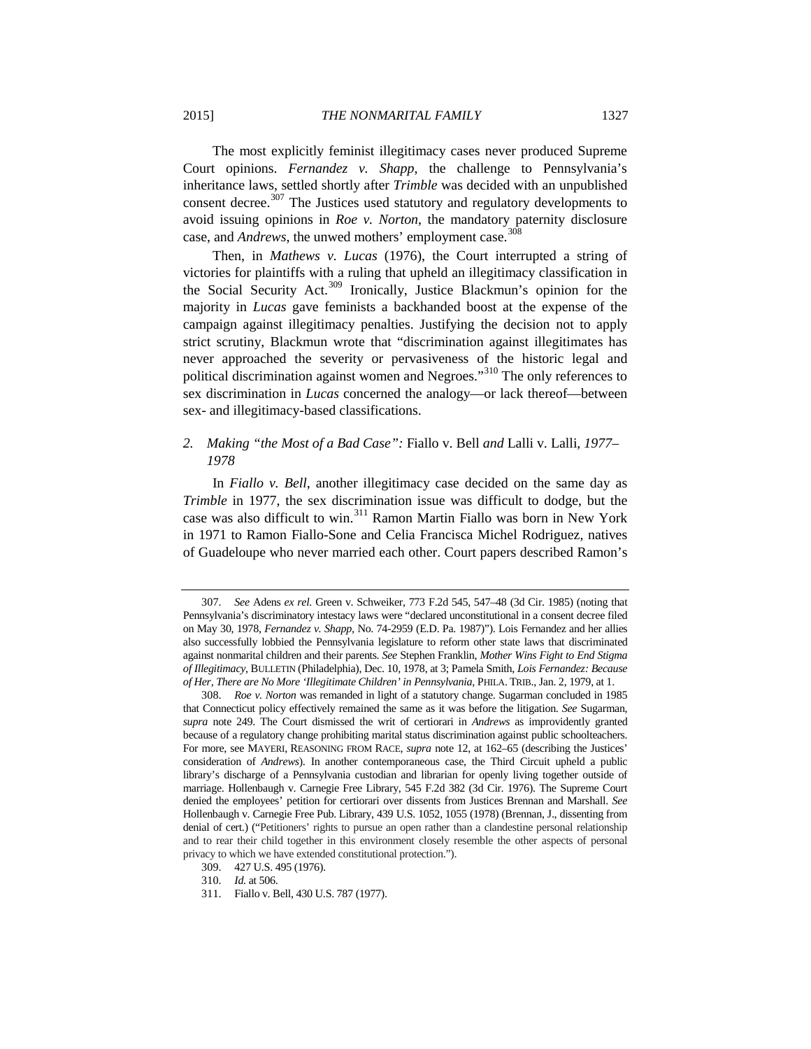The most explicitly feminist illegitimacy cases never produced Supreme Court opinions. *Fernandez v. Shapp*, the challenge to Pennsylvania's inheritance laws, settled shortly after *Trimble* was decided with an unpublished consent decree.<sup>[307](#page-50-0)</sup> The Justices used statutory and regulatory developments to avoid issuing opinions in *Roe v. Norton*, the mandatory paternity disclosure case, and *Andrews*, the unwed mothers' employment case.<sup>30</sup>

Then, in *Mathews v. Lucas* (1976), the Court interrupted a string of victories for plaintiffs with a ruling that upheld an illegitimacy classification in the Social Security Act.[309](#page-50-2) Ironically, Justice Blackmun's opinion for the majority in *Lucas* gave feminists a backhanded boost at the expense of the campaign against illegitimacy penalties. Justifying the decision not to apply strict scrutiny, Blackmun wrote that "discrimination against illegitimates has never approached the severity or pervasiveness of the historic legal and political discrimination against women and Negroes."[310](#page-50-3) The only references to sex discrimination in *Lucas* concerned the analogy—or lack thereof—between sex- and illegitimacy-based classifications.

# *2. Making "the Most of a Bad Case":* Fiallo v. Bell *and* Lalli v. Lalli*, 1977– 1978*

In *Fiallo v. Bell*, another illegitimacy case decided on the same day as *Trimble* in 1977, the sex discrimination issue was difficult to dodge, but the case was also difficult to win.[311](#page-50-4) Ramon Martin Fiallo was born in New York in 1971 to Ramon Fiallo-Sone and Celia Francisca Michel Rodriguez, natives of Guadeloupe who never married each other. Court papers described Ramon's

<span id="page-50-0"></span><sup>307.</sup> *See* Adens *ex rel.* Green v. Schweiker, 773 F.2d 545, 547–48 (3d Cir. 1985) (noting that Pennsylvania's discriminatory intestacy laws were "declared unconstitutional in a consent decree filed on May 30, 1978, *Fernandez v. Shapp,* No. 74-2959 (E.D. Pa. 1987)"). Lois Fernandez and her allies also successfully lobbied the Pennsylvania legislature to reform other state laws that discriminated against nonmarital children and their parents. *See* Stephen Franklin, *Mother Wins Fight to End Stigma of Illegitimacy*, BULLETIN (Philadelphia), Dec. 10, 1978, at 3; Pamela Smith, *Lois Fernandez: Because of Her, There are No More 'Illegitimate Children' in Pennsylvania*, PHILA. TRIB., Jan. 2, 1979, at 1.

<span id="page-50-1"></span><sup>308.</sup> *Roe v. Norton* was remanded in light of a statutory change. Sugarman concluded in 1985 that Connecticut policy effectively remained the same as it was before the litigation. *See* Sugarman, *supra* note 249. The Court dismissed the writ of certiorari in *Andrews* as improvidently granted because of a regulatory change prohibiting marital status discrimination against public schoolteachers. For more, see MAYERI, REASONING FROM RACE, *supra* note [12,](#page-4-0) at 162–65 (describing the Justices' consideration of *Andrews*). In another contemporaneous case, the Third Circuit upheld a public library's discharge of a Pennsylvania custodian and librarian for openly living together outside of marriage. Hollenbaugh v. Carnegie Free Library, 545 F.2d 382 (3d Cir. 1976). The Supreme Court denied the employees' petition for certiorari over dissents from Justices Brennan and Marshall. *See* Hollenbaugh v. Carnegie Free Pub. Library, 439 U.S. 1052, 1055 (1978) (Brennan, J., dissenting from denial of cert.) ("Petitioners' rights to pursue an open rather than a clandestine personal relationship and to rear their child together in this environment closely resemble the other aspects of personal privacy to which we have extended constitutional protection.").

<span id="page-50-2"></span><sup>309.</sup> 427 U.S. 495 (1976).

<sup>310.</sup> *Id.* at 506.

<span id="page-50-4"></span><span id="page-50-3"></span><sup>311.</sup> Fiallo v. Bell, 430 U.S. 787 (1977).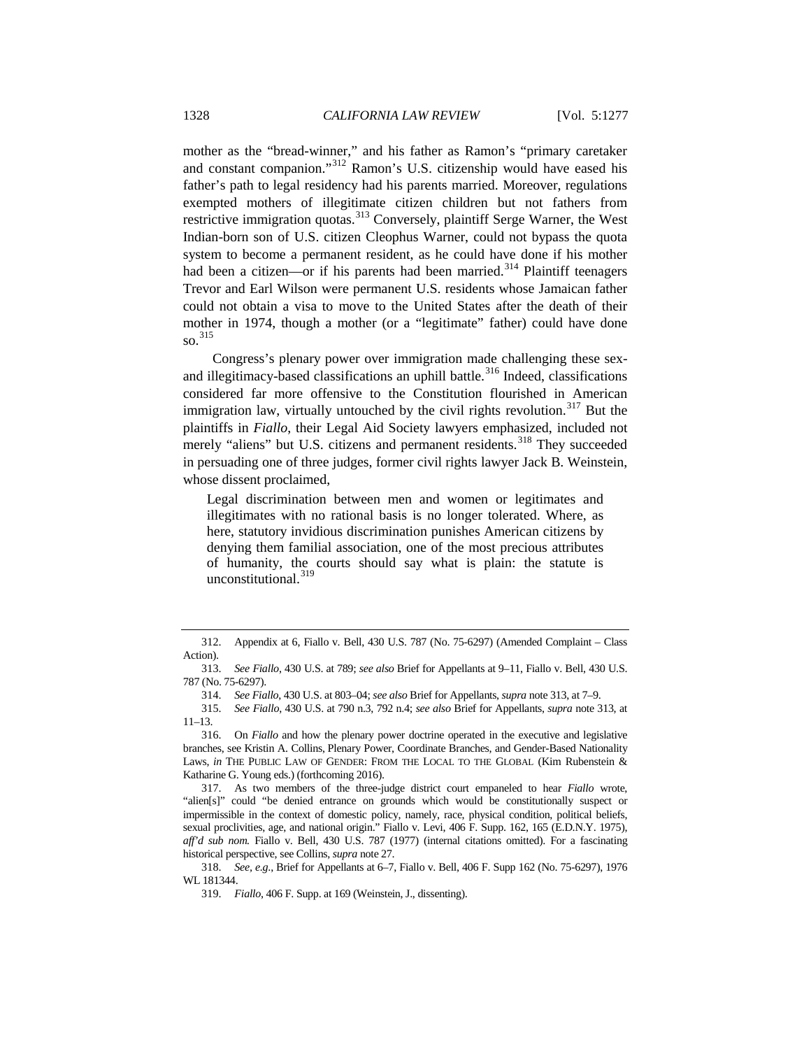<span id="page-51-0"></span>mother as the "bread-winner," and his father as Ramon's "primary caretaker and constant companion."<sup>[312](#page-51-1)</sup> Ramon's U.S. citizenship would have eased his father's path to legal residency had his parents married. Moreover, regulations exempted mothers of illegitimate citizen children but not fathers from restrictive immigration quotas.[313](#page-51-2) Conversely, plaintiff Serge Warner, the West Indian-born son of U.S. citizen Cleophus Warner, could not bypass the quota system to become a permanent resident, as he could have done if his mother had been a citizen—or if his parents had been married.<sup>[314](#page-51-3)</sup> Plaintiff teenagers Trevor and Earl Wilson were permanent U.S. residents whose Jamaican father could not obtain a visa to move to the United States after the death of their mother in 1974, though a mother (or a "legitimate" father) could have done so. [315](#page-51-4)

Congress's plenary power over immigration made challenging these sex-and illegitimacy-based classifications an uphill battle.<sup>[316](#page-51-5)</sup> Indeed, classifications considered far more offensive to the Constitution flourished in American immigration law, virtually untouched by the civil rights revolution.<sup>[317](#page-51-6)</sup> But the plaintiffs in *Fiallo*, their Legal Aid Society lawyers emphasized, included not merely "aliens" but U.S. citizens and permanent residents.<sup>[318](#page-51-7)</sup> They succeeded in persuading one of three judges, former civil rights lawyer Jack B. Weinstein, whose dissent proclaimed,

<span id="page-51-9"></span>Legal discrimination between men and women or legitimates and illegitimates with no rational basis is no longer tolerated. Where, as here, statutory invidious discrimination punishes American citizens by denying them familial association, one of the most precious attributes of humanity, the courts should say what is plain: the statute is unconstitutional.<sup>[319](#page-51-8)</sup>

<span id="page-51-1"></span><sup>312.</sup> Appendix at 6, Fiallo v. Bell, 430 U.S. 787 (No. 75-6297) (Amended Complaint – Class Action).

<span id="page-51-3"></span><span id="page-51-2"></span><sup>313.</sup> *See Fiallo*, 430 U.S. at 789; *see also* Brief for Appellants at 9–11, Fiallo v. Bell, 430 U.S. 787 (No. 75-6297).

<sup>314.</sup> *See Fiallo*, 430 U.S. at 803–04; *see also* Brief for Appellants, *supra* not[e 313,](#page-51-0) at 7–9.

<span id="page-51-4"></span><sup>315.</sup> *See Fiallo*, 430 U.S. at 790 n.3, 792 n.4; *see also* Brief for Appellants, *supra* note [313,](#page-51-0) at 11–13.

<span id="page-51-5"></span><sup>316.</sup> On *Fiallo* and how the plenary power doctrine operated in the executive and legislative branches, see Kristin A. Collins, Plenary Power, Coordinate Branches, and Gender-Based Nationality Laws, *in* THE PUBLIC LAW OF GENDER: FROM THE LOCAL TO THE GLOBAL (Kim Rubenstein & Katharine G. Young eds.) (forthcoming 2016).

<span id="page-51-6"></span><sup>317.</sup> As two members of the three-judge district court empaneled to hear *Fiallo* wrote, "alien[s]" could "be denied entrance on grounds which would be constitutionally suspect or impermissible in the context of domestic policy, namely, race, physical condition, political beliefs, sexual proclivities, age, and national origin." Fiallo v. Levi, 406 F. Supp. 162, 165 (E.D.N.Y. 1975), *aff'd sub nom.* Fiallo v. Bell, 430 U.S. 787 (1977) (internal citations omitted). For a fascinating historical perspective, see Collins, *supra* note [27.](#page-8-0)

<span id="page-51-8"></span><span id="page-51-7"></span><sup>318.</sup> *See, e.g*., Brief for Appellants at 6–7, Fiallo v. Bell, 406 F. Supp 162 (No. 75-6297), 1976 WL 181344.

<sup>319.</sup> *Fiallo*, 406 F. Supp. at 169 (Weinstein, J., dissenting).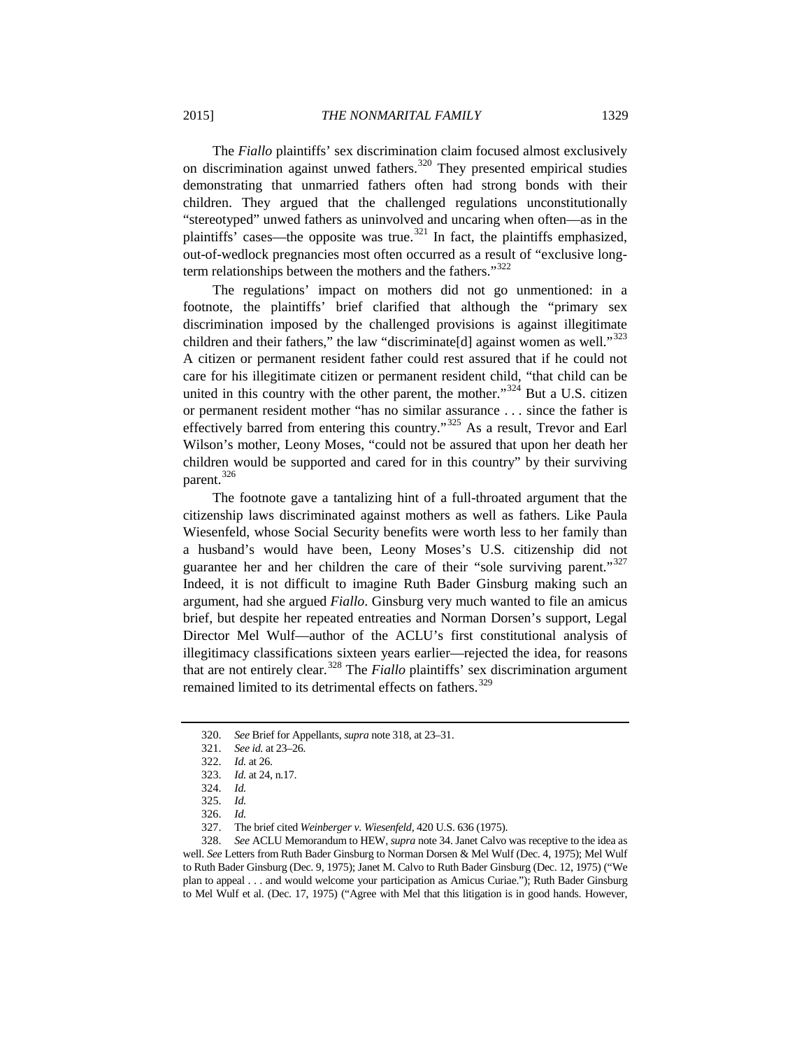The *Fiallo* plaintiffs' sex discrimination claim focused almost exclusively on discrimination against unwed fathers.<sup>[320](#page-52-0)</sup> They presented empirical studies demonstrating that unmarried fathers often had strong bonds with their children. They argued that the challenged regulations unconstitutionally "stereotyped" unwed fathers as uninvolved and uncaring when often—as in the plaintiffs' cases—the opposite was true.<sup>[321](#page-52-1)</sup> In fact, the plaintiffs emphasized, out-of-wedlock pregnancies most often occurred as a result of "exclusive long-term relationships between the mothers and the fathers."<sup>[322](#page-52-2)</sup>

<span id="page-52-10"></span>The regulations' impact on mothers did not go unmentioned: in a footnote, the plaintiffs' brief clarified that although the "primary sex discrimination imposed by the challenged provisions is against illegitimate children and their fathers," the law "discriminate<sup>[d]</sup> against women as well."<sup>[323](#page-52-3)</sup> A citizen or permanent resident father could rest assured that if he could not care for his illegitimate citizen or permanent resident child, "that child can be united in this country with the other parent, the mother."<sup>[324](#page-52-4)</sup> But a U.S. citizen or permanent resident mother "has no similar assurance . . . since the father is effectively barred from entering this country."<sup>[325](#page-52-5)</sup> As a result, Trevor and Earl Wilson's mother, Leony Moses, "could not be assured that upon her death her children would be supported and cared for in this country" by their surviving parent.<sup>[326](#page-52-6)</sup>

<span id="page-52-9"></span>The footnote gave a tantalizing hint of a full-throated argument that the citizenship laws discriminated against mothers as well as fathers. Like Paula Wiesenfeld, whose Social Security benefits were worth less to her family than a husband's would have been, Leony Moses's U.S. citizenship did not guarantee her and her children the care of their "sole surviving parent."<sup>[327](#page-52-7)</sup> Indeed, it is not difficult to imagine Ruth Bader Ginsburg making such an argument, had she argued *Fiallo*. Ginsburg very much wanted to file an amicus brief, but despite her repeated entreaties and Norman Dorsen's support, Legal Director Mel Wulf—author of the ACLU's first constitutional analysis of illegitimacy classifications sixteen years earlier—rejected the idea, for reasons that are not entirely clear.[328](#page-52-8) The *Fiallo* plaintiffs' sex discrimination argument remained limited to its detrimental effects on fathers.<sup>[329](#page-52-9)</sup>

<span id="page-52-11"></span><span id="page-52-2"></span><span id="page-52-1"></span><span id="page-52-0"></span><sup>320.</sup> *See* Brief for Appellants, *supra* not[e 318,](#page-51-9) at 23–31.

<sup>321.</sup> *See id.* at 23–26*.*

<sup>322.</sup> *Id.* at 26.

<sup>323.</sup> *Id.* at 24, n.17.

<sup>324.</sup> *Id.*

<sup>325.</sup> *Id.*

<sup>326.</sup> *Id.*

<sup>327.</sup> The brief cited *Weinberger v. Wiesenfeld*, 420 U.S. 636 (1975).

<span id="page-52-8"></span><span id="page-52-7"></span><span id="page-52-6"></span><span id="page-52-5"></span><span id="page-52-4"></span><span id="page-52-3"></span><sup>328.</sup> *See* ACLU Memorandum to HEW, *supra* not[e 34.](#page-10-0) Janet Calvo was receptive to the idea as well. *See* Letters from Ruth Bader Ginsburg to Norman Dorsen & Mel Wulf (Dec. 4, 1975); Mel Wulf to Ruth Bader Ginsburg (Dec. 9, 1975); Janet M. Calvo to Ruth Bader Ginsburg (Dec. 12, 1975) ("We plan to appeal . . . and would welcome your participation as Amicus Curiae."); Ruth Bader Ginsburg to Mel Wulf et al. (Dec. 17, 1975) ("Agree with Mel that this litigation is in good hands. However,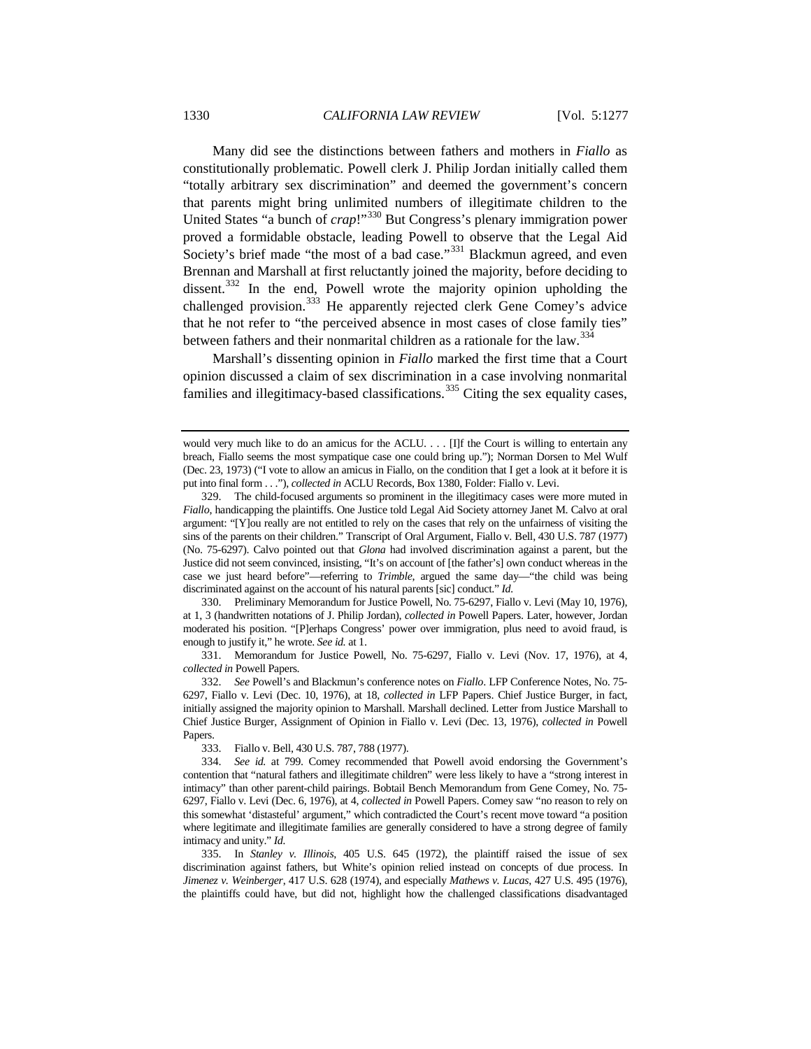Many did see the distinctions between fathers and mothers in *Fiallo* as constitutionally problematic. Powell clerk J. Philip Jordan initially called them "totally arbitrary sex discrimination" and deemed the government's concern that parents might bring unlimited numbers of illegitimate children to the United States "a bunch of *crap*!"<sup>[330](#page-53-0)</sup> But Congress's plenary immigration power proved a formidable obstacle, leading Powell to observe that the Legal Aid Society's brief made "the most of a bad case."<sup>[331](#page-53-1)</sup> Blackmun agreed, and even Brennan and Marshall at first reluctantly joined the majority, before deciding to dissent.<sup>[332](#page-53-2)</sup> In the end, Powell wrote the majority opinion upholding the challenged provision.<sup>[333](#page-53-3)</sup> He apparently rejected clerk Gene Comey's advice that he not refer to "the perceived absence in most cases of close family ties" between fathers and their nonmarital children as a rationale for the law.<sup>[334](#page-53-4)</sup>

Marshall's dissenting opinion in *Fiallo* marked the first time that a Court opinion discussed a claim of sex discrimination in a case involving nonmarital families and illegitimacy-based classifications. $335$  Citing the sex equality cases,

<span id="page-53-0"></span>330. Preliminary Memorandum for Justice Powell, No. 75-6297, Fiallo v. Levi (May 10, 1976), at 1, 3 (handwritten notations of J. Philip Jordan), *collected in* Powell Papers. Later, however, Jordan moderated his position. "[P]erhaps Congress' power over immigration, plus need to avoid fraud, is enough to justify it," he wrote. *See id.* at 1.

<span id="page-53-1"></span>331. Memorandum for Justice Powell, No. 75-6297, Fiallo v. Levi (Nov. 17, 1976), at 4, *collected in* Powell Papers.

<span id="page-53-2"></span>332. *See* Powell's and Blackmun's conference notes on *Fiallo*. LFP Conference Notes, No. 75- 6297, Fiallo v. Levi (Dec. 10, 1976), at 18, *collected in* LFP Papers. Chief Justice Burger, in fact, initially assigned the majority opinion to Marshall. Marshall declined. Letter from Justice Marshall to Chief Justice Burger, Assignment of Opinion in Fiallo v. Levi (Dec. 13, 1976), *collected in* Powell Papers.

333. Fiallo v. Bell, 430 U.S. 787, 788 (1977).

<span id="page-53-5"></span>335. In *Stanley v. Illinois*, 405 U.S. 645 (1972), the plaintiff raised the issue of sex discrimination against fathers, but White's opinion relied instead on concepts of due process. In *Jimenez v. Weinberger*, 417 U.S. 628 (1974), and especially *Mathews v. Lucas*, 427 U.S. 495 (1976), the plaintiffs could have, but did not, highlight how the challenged classifications disadvantaged

would very much like to do an amicus for the ACLU. . . . [I]f the Court is willing to entertain any breach, Fiallo seems the most sympatique case one could bring up."); Norman Dorsen to Mel Wulf (Dec. 23, 1973) ("I vote to allow an amicus in Fiallo, on the condition that I get a look at it before it is put into final form . . ."), *collected in* ACLU Records, Box 1380, Folder: Fiallo v. Levi.

<sup>329.</sup> The child-focused arguments so prominent in the illegitimacy cases were more muted in *Fiallo*, handicapping the plaintiffs. One Justice told Legal Aid Society attorney Janet M. Calvo at oral argument: "[Y]ou really are not entitled to rely on the cases that rely on the unfairness of visiting the sins of the parents on their children." Transcript of Oral Argument, Fiallo v. Bell, 430 U.S. 787 (1977) (No. 75-6297). Calvo pointed out that *Glona* had involved discrimination against a parent, but the Justice did not seem convinced, insisting, "It's on account of [the father's] own conduct whereas in the case we just heard before"—referring to *Trimble*, argued the same day—"the child was being discriminated against on the account of his natural parents [sic] conduct." *Id.*

<span id="page-53-4"></span><span id="page-53-3"></span><sup>334.</sup> *See id.* at 799. Comey recommended that Powell avoid endorsing the Government's contention that "natural fathers and illegitimate children" were less likely to have a "strong interest in intimacy" than other parent-child pairings. Bobtail Bench Memorandum from Gene Comey, No. 75- 6297, Fiallo v. Levi (Dec. 6, 1976), at 4, *collected in* Powell Papers. Comey saw "no reason to rely on this somewhat 'distasteful' argument," which contradicted the Court's recent move toward "a position where legitimate and illegitimate families are generally considered to have a strong degree of family intimacy and unity." *Id.*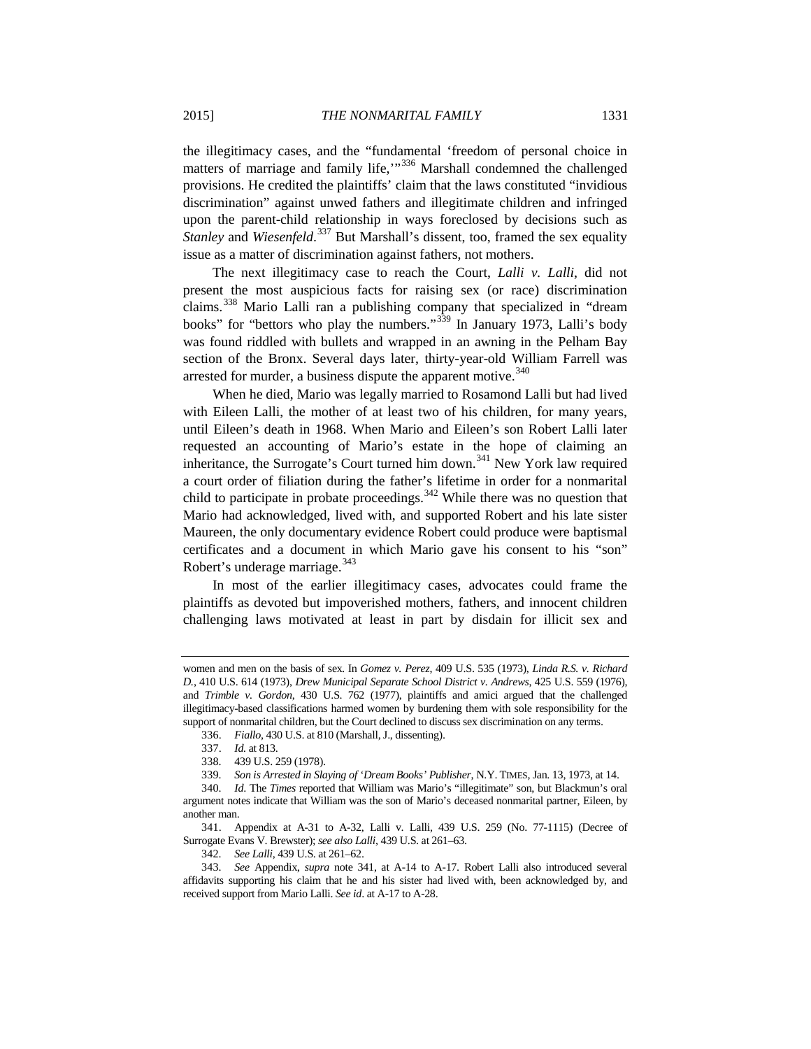the illegitimacy cases, and the "fundamental 'freedom of personal choice in matters of marriage and family life,"<sup>[336](#page-54-1)</sup> Marshall condemned the challenged provisions. He credited the plaintiffs' claim that the laws constituted "invidious discrimination" against unwed fathers and illegitimate children and infringed upon the parent-child relationship in ways foreclosed by decisions such as *Stanley* and *Wiesenfeld*. [337](#page-54-2) But Marshall's dissent, too, framed the sex equality issue as a matter of discrimination against fathers, not mothers.

The next illegitimacy case to reach the Court, *Lalli v. Lalli*, did not present the most auspicious facts for raising sex (or race) discrimination claims.<sup>[338](#page-54-3)</sup> Mario Lalli ran a publishing company that specialized in "dream books" for "bettors who play the numbers."<sup>[339](#page-54-4)</sup> In January 1973, Lalli's body was found riddled with bullets and wrapped in an awning in the Pelham Bay section of the Bronx. Several days later, thirty-year-old William Farrell was arrested for murder, a business dispute the apparent motive.<sup>[340](#page-54-5)</sup>

<span id="page-54-0"></span>When he died, Mario was legally married to Rosamond Lalli but had lived with Eileen Lalli, the mother of at least two of his children, for many years, until Eileen's death in 1968. When Mario and Eileen's son Robert Lalli later requested an accounting of Mario's estate in the hope of claiming an inheritance, the Surrogate's Court turned him down.<sup>[341](#page-54-6)</sup> New York law required a court order of filiation during the father's lifetime in order for a nonmarital child to participate in probate proceedings. $342$  While there was no question that Mario had acknowledged, lived with, and supported Robert and his late sister Maureen, the only documentary evidence Robert could produce were baptismal certificates and a document in which Mario gave his consent to his "son" Robert's underage marriage.<sup>[343](#page-54-8)</sup>

In most of the earlier illegitimacy cases, advocates could frame the plaintiffs as devoted but impoverished mothers, fathers, and innocent children challenging laws motivated at least in part by disdain for illicit sex and

women and men on the basis of sex*.* In *Gomez v. Perez*, 409 U.S. 535 (1973), *Linda R.S. v. Richard D.*, 410 U.S. 614 (1973), *Drew Municipal Separate School District v. Andrews*, 425 U.S. 559 (1976), and *Trimble v. Gordon*, 430 U.S. 762 (1977), plaintiffs and amici argued that the challenged illegitimacy-based classifications harmed women by burdening them with sole responsibility for the support of nonmarital children, but the Court declined to discuss sex discrimination on any terms.

<sup>336.</sup> *Fiallo*, 430 U.S. at 810 (Marshall, J., dissenting).

<sup>337.</sup> *Id.* at 813.

<sup>338.</sup> 439 U.S. 259 (1978).

<sup>339.</sup> *Son is Arrested in Slaying of 'Dream Books' Publisher*, N.Y. TIMES, Jan. 13, 1973, at 14.

<span id="page-54-5"></span><span id="page-54-4"></span><span id="page-54-3"></span><span id="page-54-2"></span><span id="page-54-1"></span><sup>340.</sup> *Id*. The *Times* reported that William was Mario's "illegitimate" son, but Blackmun's oral argument notes indicate that William was the son of Mario's deceased nonmarital partner, Eileen, by another man.

<span id="page-54-6"></span><sup>341.</sup> Appendix at A-31 to A-32, Lalli v. Lalli, 439 U.S. 259 (No. 77-1115) (Decree of Surrogate Evans V. Brewster); *see also Lalli*, 439 U.S. at 261–63.

<sup>342.</sup> *See Lalli*, 439 U.S. at 261–62.

<span id="page-54-8"></span><span id="page-54-7"></span><sup>343.</sup> *See* Appendix, *supra* note [341,](#page-54-0) at A-14 to A-17. Robert Lalli also introduced several affidavits supporting his claim that he and his sister had lived with, been acknowledged by, and received support from Mario Lalli. *See id*. at A-17 to A-28.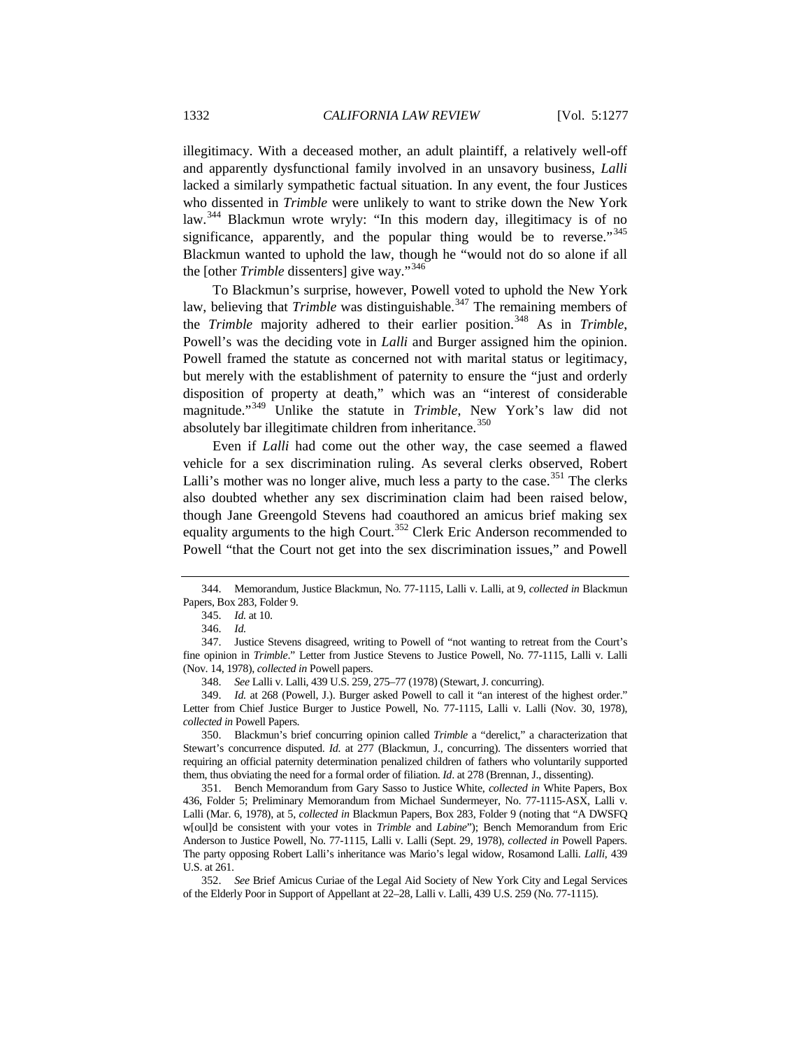illegitimacy. With a deceased mother, an adult plaintiff, a relatively well-off and apparently dysfunctional family involved in an unsavory business, *Lalli* lacked a similarly sympathetic factual situation. In any event, the four Justices who dissented in *Trimble* were unlikely to want to strike down the New York law.[344](#page-55-0) Blackmun wrote wryly: "In this modern day, illegitimacy is of no significance, apparently, and the popular thing would be to reverse.<sup>[345](#page-55-1)</sup> Blackmun wanted to uphold the law, though he "would not do so alone if all the [other *Trimble* dissenters] give way."[346](#page-55-2)

To Blackmun's surprise, however, Powell voted to uphold the New York law, believing that *Trimble* was distinguishable.<sup>[347](#page-55-3)</sup> The remaining members of the *Trimble* majority adhered to their earlier position.<sup>[348](#page-55-4)</sup> As in *Trimble*, Powell's was the deciding vote in *Lalli* and Burger assigned him the opinion. Powell framed the statute as concerned not with marital status or legitimacy, but merely with the establishment of paternity to ensure the "just and orderly disposition of property at death," which was an "interest of considerable magnitude."[349](#page-55-5) Unlike the statute in *Trimble*, New York's law did not absolutely bar illegitimate children from inheritance.<sup>[350](#page-55-6)</sup>

Even if *Lalli* had come out the other way, the case seemed a flawed vehicle for a sex discrimination ruling. As several clerks observed, Robert Lalli's mother was no longer alive, much less a party to the case.<sup>[351](#page-55-7)</sup> The clerks also doubted whether any sex discrimination claim had been raised below, though Jane Greengold Stevens had coauthored an amicus brief making sex equality arguments to the high Court.<sup>[352](#page-55-8)</sup> Clerk Eric Anderson recommended to Powell "that the Court not get into the sex discrimination issues," and Powell

348. *See* Lalli v. Lalli, 439 U.S. 259, 275–77 (1978) (Stewart, J. concurring).

<span id="page-55-6"></span>350. Blackmun's brief concurring opinion called *Trimble* a "derelict," a characterization that Stewart's concurrence disputed. *Id.* at 277 (Blackmun, J., concurring). The dissenters worried that requiring an official paternity determination penalized children of fathers who voluntarily supported them, thus obviating the need for a formal order of filiation. *Id*. at 278 (Brennan, J., dissenting).

<span id="page-55-7"></span>351. Bench Memorandum from Gary Sasso to Justice White, *collected in* White Papers, Box 436, Folder 5; Preliminary Memorandum from Michael Sundermeyer, No. 77-1115-ASX, Lalli v. Lalli (Mar. 6, 1978), at 5, *collected in* Blackmun Papers, Box 283, Folder 9 (noting that "A DWSFQ w[oul]d be consistent with your votes in *Trimble* and *Labine*"); Bench Memorandum from Eric Anderson to Justice Powell, No. 77-1115, Lalli v. Lalli (Sept. 29, 1978), *collected in* Powell Papers. The party opposing Robert Lalli's inheritance was Mario's legal widow, Rosamond Lalli. *Lalli*, 439 U.S. at 261.

<span id="page-55-8"></span>352. *See* Brief Amicus Curiae of the Legal Aid Society of New York City and Legal Services of the Elderly Poor in Support of Appellant at 22–28, Lalli v. Lalli, 439 U.S. 259 (No. 77-1115).

<span id="page-55-1"></span><span id="page-55-0"></span><sup>344.</sup> Memorandum, Justice Blackmun, No. 77-1115, Lalli v. Lalli, at 9, *collected in* Blackmun Papers, Box 283, Folder 9.

<sup>345.</sup> *Id.* at 10.

<sup>346.</sup> *Id.*

<span id="page-55-3"></span><span id="page-55-2"></span><sup>347.</sup> Justice Stevens disagreed, writing to Powell of "not wanting to retreat from the Court's fine opinion in *Trimble*." Letter from Justice Stevens to Justice Powell, No. 77-1115, Lalli v. Lalli (Nov. 14, 1978), *collected in* Powell papers.

<span id="page-55-5"></span><span id="page-55-4"></span><sup>349.</sup> *Id.* at 268 (Powell, J.). Burger asked Powell to call it "an interest of the highest order." Letter from Chief Justice Burger to Justice Powell, No. 77-1115, Lalli v. Lalli (Nov. 30, 1978), *collected in* Powell Papers.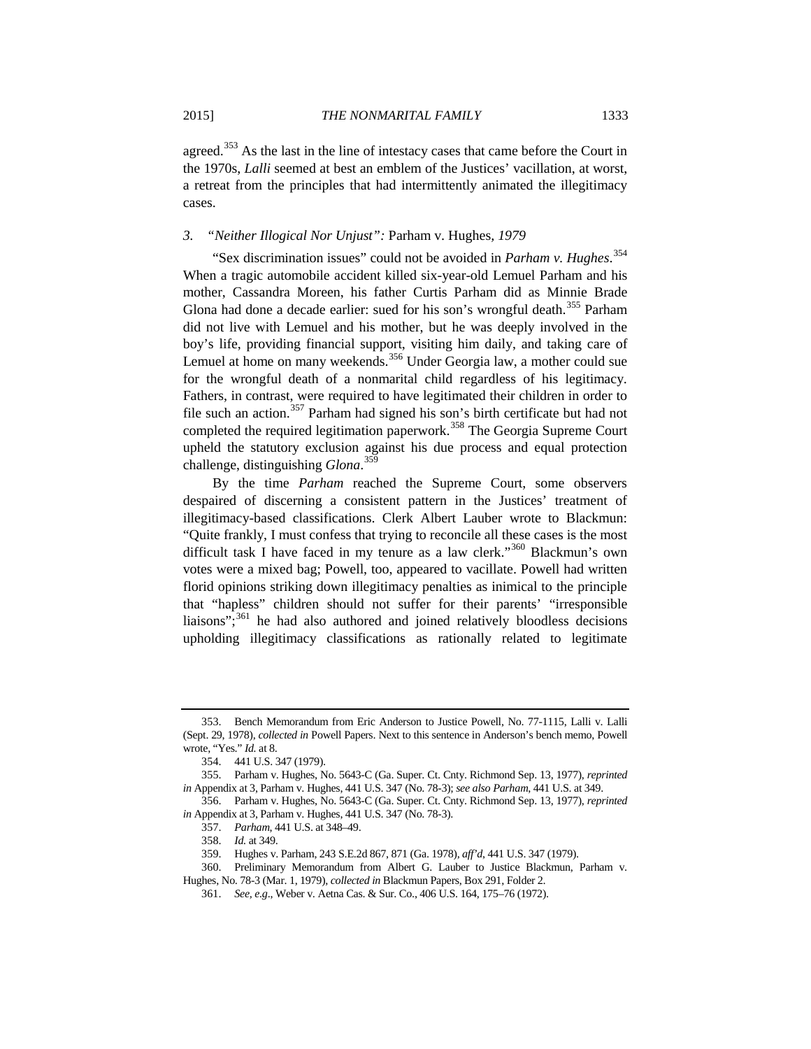agreed.<sup>[353](#page-56-0)</sup> As the last in the line of intestacy cases that came before the Court in the 1970s, *Lalli* seemed at best an emblem of the Justices' vacillation, at worst, a retreat from the principles that had intermittently animated the illegitimacy cases.

## *3. "Neither Illogical Nor Unjust":* Parham v. Hughes*, 1979*

"Sex discrimination issues" could not be avoided in *Parham v. Hughes*. [354](#page-56-1) When a tragic automobile accident killed six-year-old Lemuel Parham and his mother, Cassandra Moreen, his father Curtis Parham did as Minnie Brade Glona had done a decade earlier: sued for his son's wrongful death.<sup>[355](#page-56-2)</sup> Parham did not live with Lemuel and his mother, but he was deeply involved in the boy's life, providing financial support, visiting him daily, and taking care of Lemuel at home on many weekends.<sup>[356](#page-56-3)</sup> Under Georgia law, a mother could sue for the wrongful death of a nonmarital child regardless of his legitimacy. Fathers, in contrast, were required to have legitimated their children in order to file such an action.<sup>[357](#page-56-4)</sup> Parham had signed his son's birth certificate but had not completed the required legitimation paperwork.<sup>[358](#page-56-5)</sup> The Georgia Supreme Court upheld the statutory exclusion against his due process and equal protection challenge, distinguishing *Glona*. [359](#page-56-6)

By the time *Parham* reached the Supreme Court, some observers despaired of discerning a consistent pattern in the Justices' treatment of illegitimacy-based classifications. Clerk Albert Lauber wrote to Blackmun: "Quite frankly, I must confess that trying to reconcile all these cases is the most difficult task I have faced in my tenure as a law clerk."<sup>[360](#page-56-7)</sup> Blackmun's own votes were a mixed bag; Powell, too, appeared to vacillate. Powell had written florid opinions striking down illegitimacy penalties as inimical to the principle that "hapless" children should not suffer for their parents' "irresponsible liaisons"; $^{361}$  $^{361}$  $^{361}$  he had also authored and joined relatively bloodless decisions upholding illegitimacy classifications as rationally related to legitimate

<span id="page-56-0"></span><sup>353.</sup> Bench Memorandum from Eric Anderson to Justice Powell, No. 77-1115, Lalli v. Lalli (Sept. 29, 1978), *collected in* Powell Papers. Next to this sentence in Anderson's bench memo, Powell wrote, "Yes." *Id.* at 8.

<sup>354.</sup> 441 U.S. 347 (1979).

<span id="page-56-2"></span><span id="page-56-1"></span><sup>355.</sup> Parham v. Hughes, No. 5643-C (Ga. Super. Ct. Cnty. Richmond Sep. 13, 1977), *reprinted in* Appendix at 3, Parham v. Hughes, 441 U.S. 347 (No. 78-3); *see also Parham*, 441 U.S. at 349.

<span id="page-56-4"></span><span id="page-56-3"></span><sup>356.</sup> Parham v. Hughes, No. 5643-C (Ga. Super. Ct. Cnty. Richmond Sep. 13, 1977), *reprinted in* Appendix at 3, Parham v. Hughes, 441 U.S. 347 (No. 78-3).

<sup>357.</sup> *Parham*, 441 U.S. at 348–49.

<sup>358.</sup> *Id.* at 349.

<sup>359.</sup> Hughes v. Parham, 243 S.E.2d 867, 871 (Ga. 1978), *aff'd*, 441 U.S. 347 (1979).

<span id="page-56-8"></span><span id="page-56-7"></span><span id="page-56-6"></span><span id="page-56-5"></span><sup>360.</sup> Preliminary Memorandum from Albert G. Lauber to Justice Blackmun, Parham v. Hughes, No. 78-3 (Mar. 1, 1979), *collected in* Blackmun Papers, Box 291, Folder 2.

<sup>361.</sup> *See, e.g*., Weber v. Aetna Cas. & Sur. Co., 406 U.S. 164, 175–76 (1972).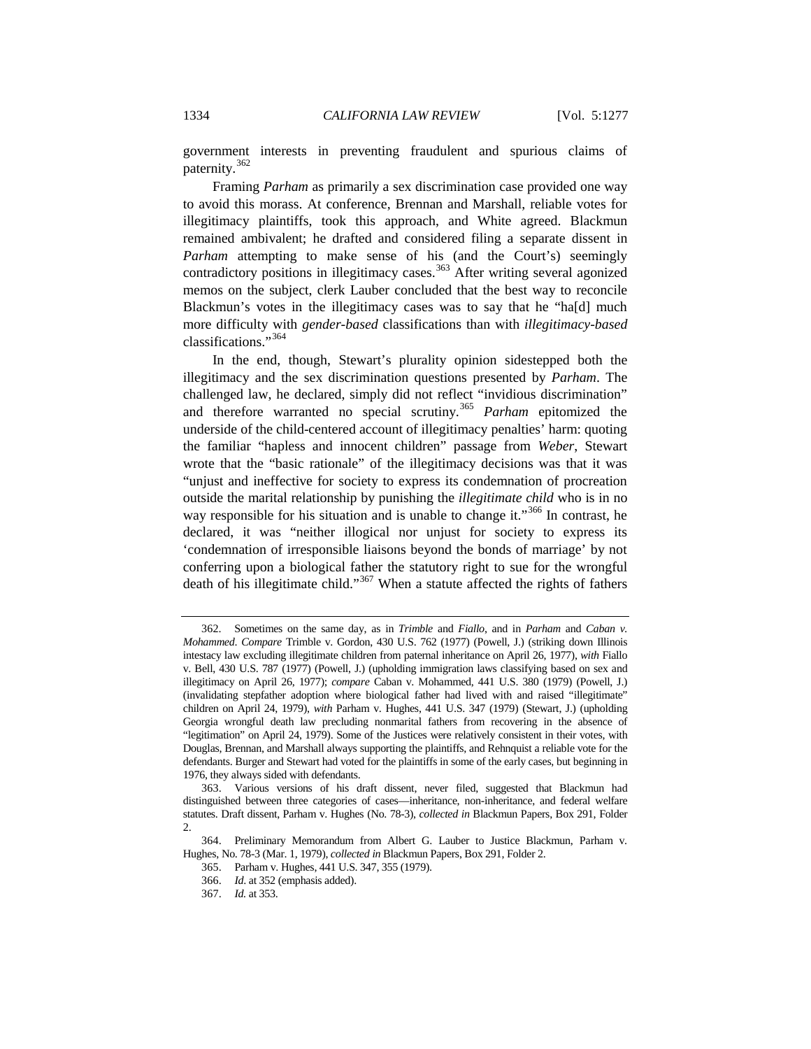government interests in preventing fraudulent and spurious claims of paternity.<sup>[362](#page-57-0)</sup>

Framing *Parham* as primarily a sex discrimination case provided one way to avoid this morass. At conference, Brennan and Marshall, reliable votes for illegitimacy plaintiffs, took this approach, and White agreed. Blackmun remained ambivalent; he drafted and considered filing a separate dissent in *Parham* attempting to make sense of his (and the Court's) seemingly contradictory positions in illegitimacy cases.<sup>[363](#page-57-1)</sup> After writing several agonized memos on the subject, clerk Lauber concluded that the best way to reconcile Blackmun's votes in the illegitimacy cases was to say that he "ha[d] much more difficulty with *gender-based* classifications than with *illegitimacy-based* classifications."[364](#page-57-2)

In the end, though, Stewart's plurality opinion sidestepped both the illegitimacy and the sex discrimination questions presented by *Parham*. The challenged law, he declared, simply did not reflect "invidious discrimination" and therefore warranted no special scrutiny.[365](#page-57-3) *Parham* epitomized the underside of the child-centered account of illegitimacy penalties' harm: quoting the familiar "hapless and innocent children" passage from *Weber*, Stewart wrote that the "basic rationale" of the illegitimacy decisions was that it was "unjust and ineffective for society to express its condemnation of procreation outside the marital relationship by punishing the *illegitimate child* who is in no way responsible for his situation and is unable to change it."<sup>[366](#page-57-4)</sup> In contrast, he declared, it was "neither illogical nor unjust for society to express its 'condemnation of irresponsible liaisons beyond the bonds of marriage' by not conferring upon a biological father the statutory right to sue for the wrongful death of his illegitimate child."<sup>[367](#page-57-5)</sup> When a statute affected the rights of fathers

<span id="page-57-0"></span><sup>362.</sup> Sometimes on the same day, as in *Trimble* and *Fiallo*, and in *Parham* and *Caban v. Mohammed*. *Compare* Trimble v. Gordon, 430 U.S. 762 (1977) (Powell, J.) (striking down Illinois intestacy law excluding illegitimate children from paternal inheritance on April 26, 1977), *with* Fiallo v. Bell, 430 U.S. 787 (1977) (Powell, J.) (upholding immigration laws classifying based on sex and illegitimacy on April 26, 1977); *compare* Caban v. Mohammed, 441 U.S. 380 (1979) (Powell, J.) (invalidating stepfather adoption where biological father had lived with and raised "illegitimate" children on April 24, 1979), *with* Parham v. Hughes, 441 U.S. 347 (1979) (Stewart, J.) (upholding Georgia wrongful death law precluding nonmarital fathers from recovering in the absence of "legitimation" on April 24, 1979). Some of the Justices were relatively consistent in their votes, with Douglas, Brennan, and Marshall always supporting the plaintiffs, and Rehnquist a reliable vote for the defendants. Burger and Stewart had voted for the plaintiffs in some of the early cases, but beginning in 1976, they always sided with defendants.

<span id="page-57-1"></span><sup>363.</sup> Various versions of his draft dissent, never filed, suggested that Blackmun had distinguished between three categories of cases—inheritance, non-inheritance, and federal welfare statutes. Draft dissent, Parham v. Hughes (No. 78-3), *collected in* Blackmun Papers, Box 291, Folder  $\overline{2}$ .

<span id="page-57-5"></span><span id="page-57-4"></span><span id="page-57-3"></span><span id="page-57-2"></span><sup>364.</sup> Preliminary Memorandum from Albert G. Lauber to Justice Blackmun, Parham v. Hughes, No. 78-3 (Mar. 1, 1979), *collected in* Blackmun Papers, Box 291, Folder 2.

<sup>365.</sup> Parham v. Hughes, 441 U.S. 347, 355 (1979).

<sup>366.</sup> *Id*. at 352 (emphasis added).

<sup>367.</sup> *Id.* at 353.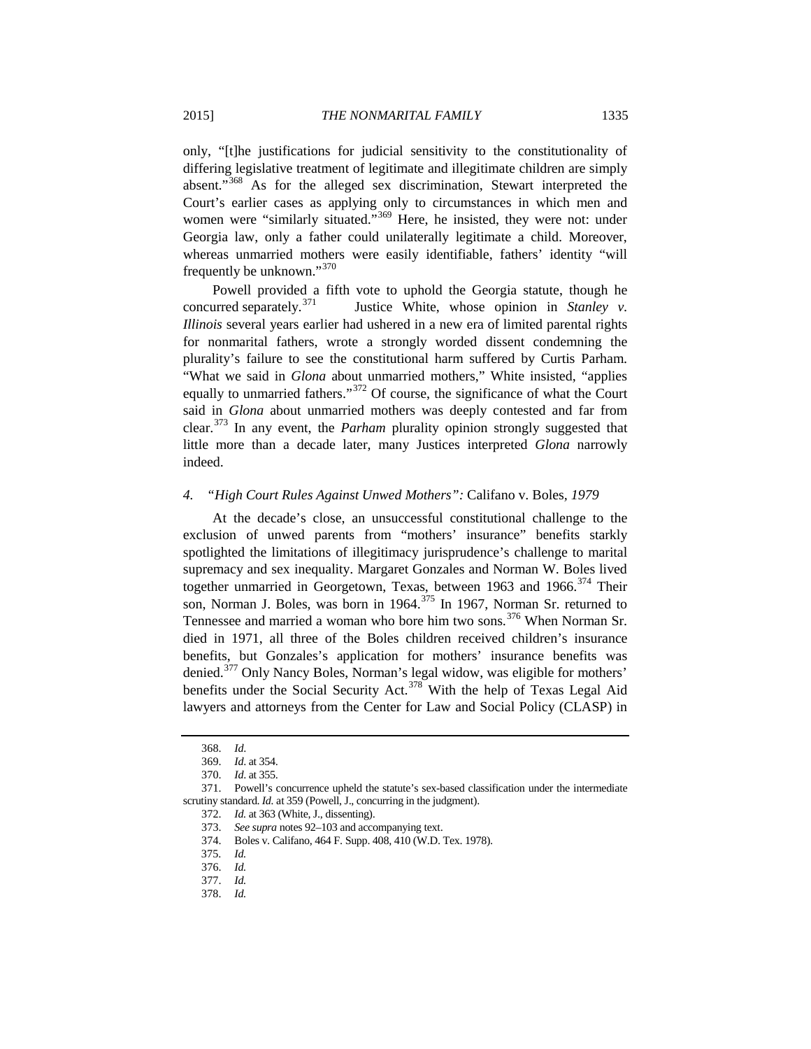only, "[t]he justifications for judicial sensitivity to the constitutionality of differing legislative treatment of legitimate and illegitimate children are simply absent."[368](#page-58-0) As for the alleged sex discrimination, Stewart interpreted the Court's earlier cases as applying only to circumstances in which men and women were "similarly situated."<sup>[369](#page-58-1)</sup> Here, he insisted, they were not: under Georgia law, only a father could unilaterally legitimate a child. Moreover, whereas unmarried mothers were easily identifiable, fathers' identity "will frequently be unknown."[370](#page-58-2)

Powell provided a fifth vote to uphold the Georgia statute, though he concurred separately.<sup>[371](#page-58-3)</sup> Justice White, whose opinion in *Stanley v. Illinois* several years earlier had ushered in a new era of limited parental rights for nonmarital fathers, wrote a strongly worded dissent condemning the plurality's failure to see the constitutional harm suffered by Curtis Parham. "What we said in *Glona* about unmarried mothers," White insisted, "applies equally to unmarried fathers."<sup>[372](#page-58-4)</sup> Of course, the significance of what the Court said in *Glona* about unmarried mothers was deeply contested and far from clear.[373](#page-58-5) In any event, the *Parham* plurality opinion strongly suggested that little more than a decade later, many Justices interpreted *Glona* narrowly indeed.

## *4. "High Court Rules Against Unwed Mothers":* Califano v. Boles*, 1979*

At the decade's close, an unsuccessful constitutional challenge to the exclusion of unwed parents from "mothers' insurance" benefits starkly spotlighted the limitations of illegitimacy jurisprudence's challenge to marital supremacy and sex inequality. Margaret Gonzales and Norman W. Boles lived together unmarried in Georgetown, Texas, between 1963 and 1966.<sup>[374](#page-58-6)</sup> Their son, Norman J. Boles, was born in 1964.<sup>[375](#page-58-7)</sup> In 1967, Norman Sr. returned to Tennessee and married a woman who bore him two sons.<sup>[376](#page-58-8)</sup> When Norman Sr. died in 1971, all three of the Boles children received children's insurance benefits, but Gonzales's application for mothers' insurance benefits was denied.<sup>[377](#page-58-9)</sup> Only Nancy Boles, Norman's legal widow, was eligible for mothers' benefits under the Social Security Act.<sup>[378](#page-58-10)</sup> With the help of Texas Legal Aid lawyers and attorneys from the Center for Law and Social Policy (CLASP) in

<span id="page-58-10"></span><span id="page-58-9"></span>378. *Id.*

<sup>368.</sup> *Id*.

<sup>369.</sup> *Id*. at 354.

<sup>370.</sup> *Id*. at 355.

<span id="page-58-8"></span><span id="page-58-7"></span><span id="page-58-6"></span><span id="page-58-5"></span><span id="page-58-4"></span><span id="page-58-3"></span><span id="page-58-2"></span><span id="page-58-1"></span><span id="page-58-0"></span><sup>371.</sup> Powell's concurrence upheld the statute's sex-based classification under the intermediate scrutiny standard. *Id.* at 359 (Powell, J., concurring in the judgment).

<sup>372.</sup> *Id.* at 363 (White, J., dissenting).

<sup>373.</sup> *See supra* note[s 92](#page-18-0)[–103](#page-20-0) and accompanying text.

<sup>374.</sup> Boles v. Califano, 464 F. Supp. 408, 410 (W.D. Tex. 1978).

 <sup>375.</sup> *Id.*

<sup>376.</sup> *Id.*

<sup>377.</sup> *Id.*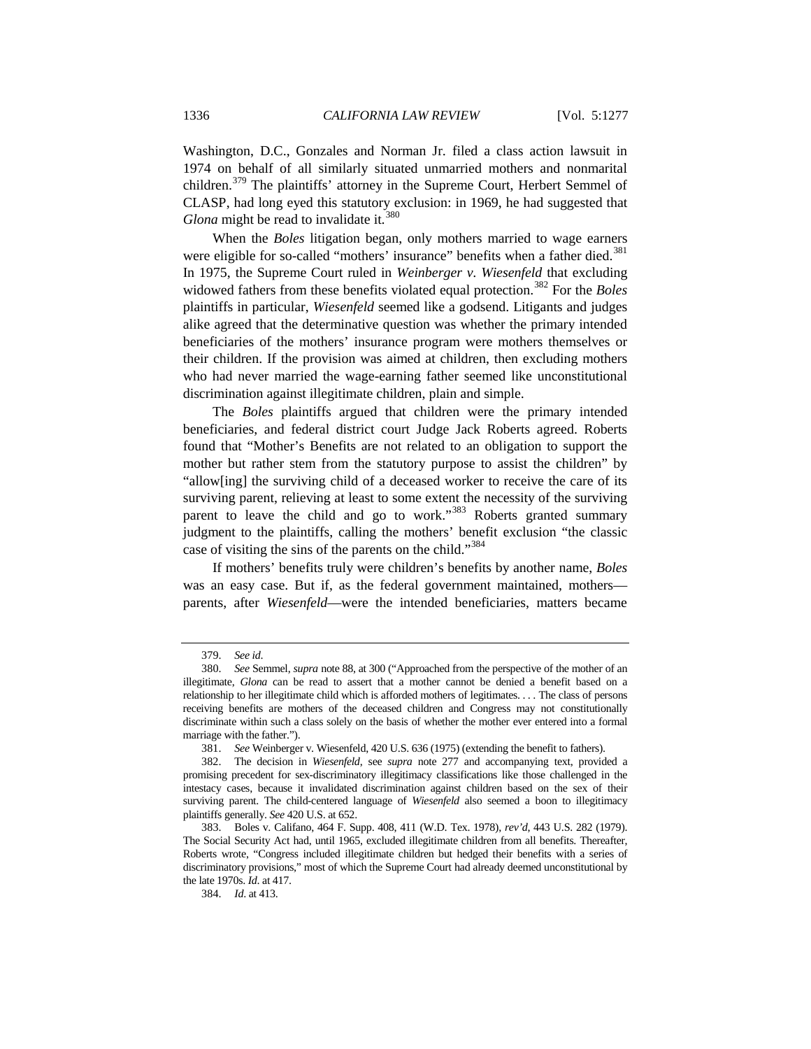Washington, D.C., Gonzales and Norman Jr. filed a class action lawsuit in 1974 on behalf of all similarly situated unmarried mothers and nonmarital children.[379](#page-59-0) The plaintiffs' attorney in the Supreme Court, Herbert Semmel of CLASP, had long eyed this statutory exclusion: in 1969, he had suggested that *Glona* might be read to invalidate it.<sup>[380](#page-59-1)</sup>

When the *Boles* litigation began, only mothers married to wage earners were eligible for so-called "mothers' insurance" benefits when a father died.<sup>[381](#page-59-2)</sup> In 1975, the Supreme Court ruled in *Weinberger v. Wiesenfeld* that excluding widowed fathers from these benefits violated equal protection.<sup>[382](#page-59-3)</sup> For the *Boles* plaintiffs in particular, *Wiesenfeld* seemed like a godsend. Litigants and judges alike agreed that the determinative question was whether the primary intended beneficiaries of the mothers' insurance program were mothers themselves or their children. If the provision was aimed at children, then excluding mothers who had never married the wage-earning father seemed like unconstitutional discrimination against illegitimate children, plain and simple.

The *Boles* plaintiffs argued that children were the primary intended beneficiaries, and federal district court Judge Jack Roberts agreed. Roberts found that "Mother's Benefits are not related to an obligation to support the mother but rather stem from the statutory purpose to assist the children" by "allow[ing] the surviving child of a deceased worker to receive the care of its surviving parent, relieving at least to some extent the necessity of the surviving parent to leave the child and go to work."<sup>[383](#page-59-4)</sup> Roberts granted summary judgment to the plaintiffs, calling the mothers' benefit exclusion "the classic case of visiting the sins of the parents on the child."<sup>[384](#page-59-5)</sup>

If mothers' benefits truly were children's benefits by another name, *Boles* was an easy case. But if, as the federal government maintained, mothers parents, after *Wiesenfeld*—were the intended beneficiaries, matters became

<sup>379.</sup> *See id*.

<span id="page-59-1"></span><span id="page-59-0"></span><sup>380.</sup> *See* Semmel, *supra* note 88, at 300 ("Approached from the perspective of the mother of an illegitimate, *Glona* can be read to assert that a mother cannot be denied a benefit based on a relationship to her illegitimate child which is afforded mothers of legitimates. . . . The class of persons receiving benefits are mothers of the deceased children and Congress may not constitutionally discriminate within such a class solely on the basis of whether the mother ever entered into a formal marriage with the father.").

<sup>381.</sup> *See* Weinberger v. Wiesenfeld, 420 U.S. 636 (1975) (extending the benefit to fathers).

<span id="page-59-3"></span><span id="page-59-2"></span><sup>382.</sup> The decision in *Wiesenfeld*, see *supra* note [277](#page-46-11) and accompanying text, provided a promising precedent for sex-discriminatory illegitimacy classifications like those challenged in the intestacy cases, because it invalidated discrimination against children based on the sex of their surviving parent. The child-centered language of *Wiesenfeld* also seemed a boon to illegitimacy plaintiffs generally. *See* 420 U.S. at 652.

<span id="page-59-5"></span><span id="page-59-4"></span><sup>383.</sup> Boles v. Califano, 464 F. Supp. 408, 411 (W.D. Tex. 1978), *rev'd*, 443 U.S. 282 (1979). The Social Security Act had, until 1965, excluded illegitimate children from all benefits. Thereafter, Roberts wrote, "Congress included illegitimate children but hedged their benefits with a series of discriminatory provisions," most of which the Supreme Court had already deemed unconstitutional by the late 1970s. *Id*. at 417.

<sup>384.</sup> *Id*. at 413.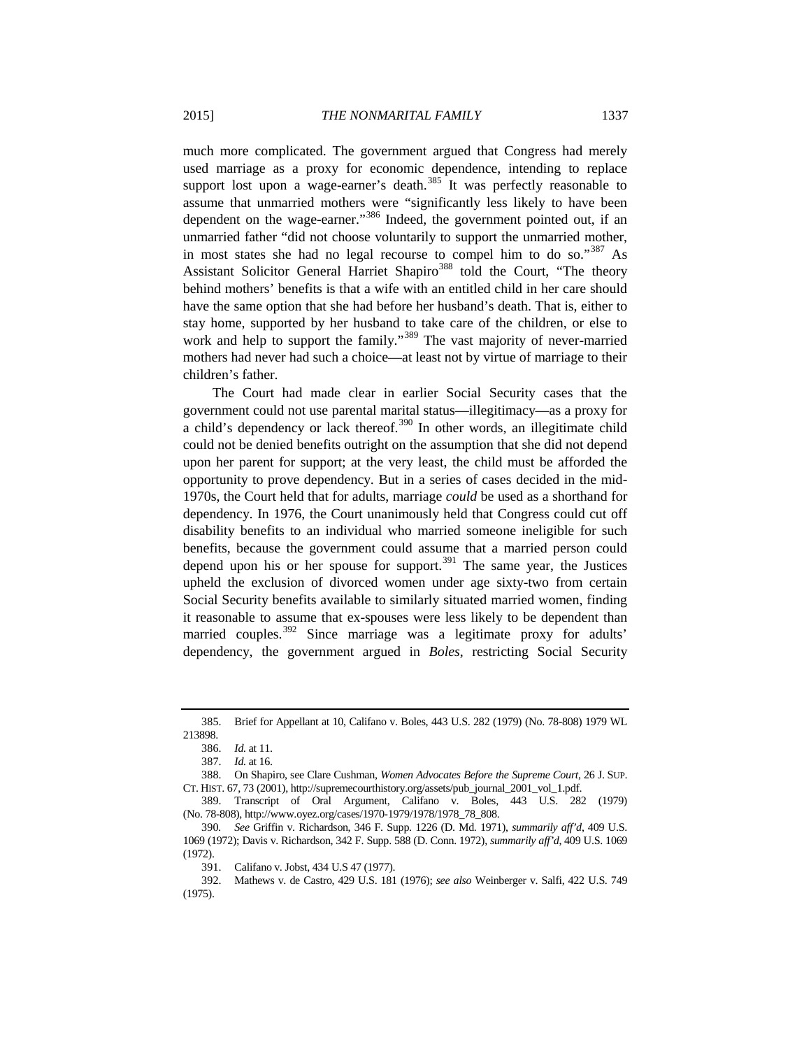<span id="page-60-8"></span>much more complicated. The government argued that Congress had merely used marriage as a proxy for economic dependence, intending to replace support lost upon a wage-earner's death.<sup>[385](#page-60-0)</sup> It was perfectly reasonable to assume that unmarried mothers were "significantly less likely to have been dependent on the wage-earner."<sup>[386](#page-60-1)</sup> Indeed, the government pointed out, if an unmarried father "did not choose voluntarily to support the unmarried mother, in most states she had no legal recourse to compel him to do so."<sup>[387](#page-60-2)</sup> As Assistant Solicitor General Harriet Shapiro<sup>[388](#page-60-3)</sup> told the Court, "The theory behind mothers' benefits is that a wife with an entitled child in her care should have the same option that she had before her husband's death. That is, either to stay home, supported by her husband to take care of the children, or else to work and help to support the family."<sup>[389](#page-60-4)</sup> The vast majority of never-married

mothers had never had such a choice—at least not by virtue of marriage to their

The Court had made clear in earlier Social Security cases that the government could not use parental marital status—illegitimacy—as a proxy for  $\alpha$  child's dependency or lack thereof.<sup>[390](#page-60-5)</sup> In other words, an illegitimate child could not be denied benefits outright on the assumption that she did not depend upon her parent for support; at the very least, the child must be afforded the opportunity to prove dependency. But in a series of cases decided in the mid-1970s, the Court held that for adults, marriage *could* be used as a shorthand for dependency. In 1976, the Court unanimously held that Congress could cut off disability benefits to an individual who married someone ineligible for such benefits, because the government could assume that a married person could depend upon his or her spouse for support.<sup>[391](#page-60-6)</sup> The same year, the Justices upheld the exclusion of divorced women under age sixty-two from certain Social Security benefits available to similarly situated married women, finding it reasonable to assume that ex-spouses were less likely to be dependent than married couples.<sup>[392](#page-60-7)</sup> Since marriage was a legitimate proxy for adults' dependency, the government argued in *Boles*, restricting Social Security

children's father.

<span id="page-60-1"></span><span id="page-60-0"></span><sup>385.</sup> Brief for Appellant at 10, Califano v. Boles, 443 U.S. 282 (1979) (No. 78-808) 1979 WL 213898.

<sup>386.</sup> *Id.* at 11.

<sup>387.</sup> *Id.* at 16.

<span id="page-60-3"></span><span id="page-60-2"></span><sup>388.</sup> On Shapiro, see Clare Cushman, *Women Advocates Before the Supreme Court*, 26 J. SUP. CT. HIST. 67, 73 (2001), http://supremecourthistory.org/assets/pub\_journal\_2001\_vol\_1.pdf.

<span id="page-60-4"></span><sup>389.</sup> Transcript of Oral Argument, Califano v. Boles, 443 U.S. 282 (1979) (No. 78-808), http://www.oyez.org/cases/1970-1979/1978/1978\_78\_808.

<span id="page-60-5"></span><sup>390</sup>*. See* Griffin v. Richardson, 346 F. Supp. 1226 (D. Md. 1971), *summarily aff'd*, 409 U.S. 1069 (1972); Davis v. Richardson, 342 F. Supp. 588 (D. Conn. 1972), *summarily aff'd*, 409 U.S. 1069 (1972).

<sup>391.</sup> Califano v. Jobst, 434 U.S 47 (1977).

<span id="page-60-7"></span><span id="page-60-6"></span><sup>392.</sup> Mathews v. de Castro, 429 U.S. 181 (1976); *see also* Weinberger v. Salfi, 422 U.S. 749 (1975).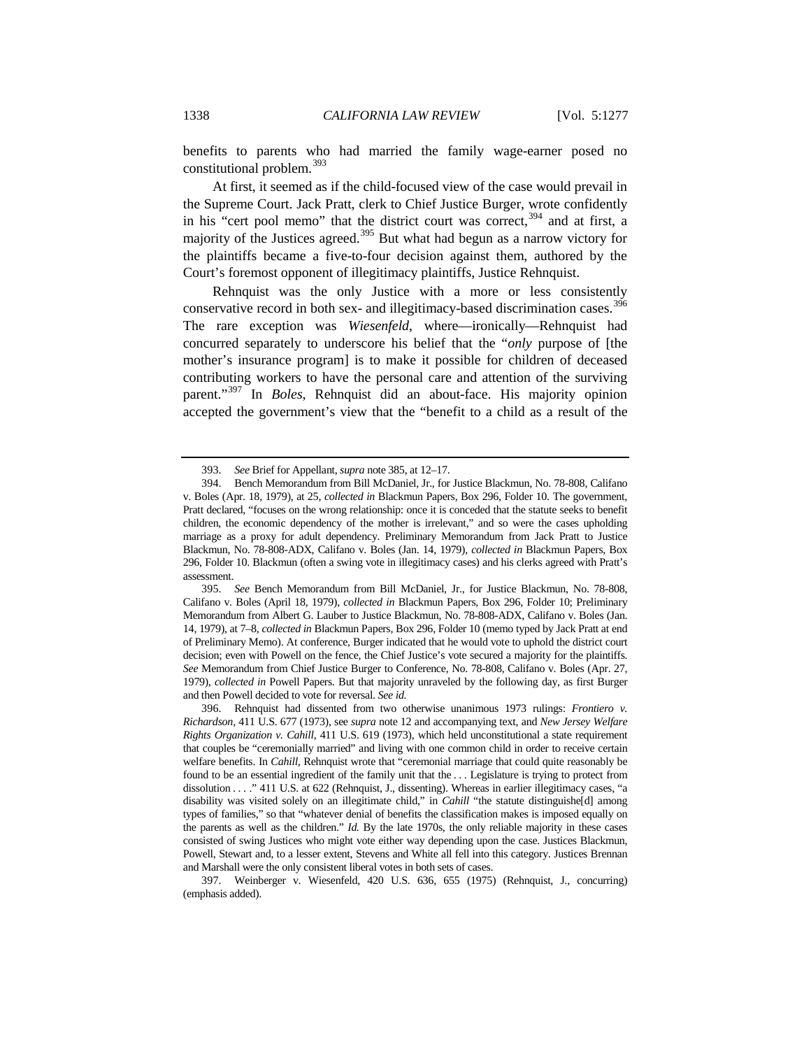benefits to parents who had married the family wage-earner posed no constitutional problem.<sup>[393](#page-61-0)</sup>

At first, it seemed as if the child-focused view of the case would prevail in the Supreme Court. Jack Pratt, clerk to Chief Justice Burger, wrote confidently in his "cert pool memo" that the district court was correct, $394$  and at first, a majority of the Justices agreed.<sup>[395](#page-61-2)</sup> But what had begun as a narrow victory for the plaintiffs became a five-to-four decision against them, authored by the Court's foremost opponent of illegitimacy plaintiffs, Justice Rehnquist.

Rehnquist was the only Justice with a more or less consistently conservative record in both sex- and illegitimacy-based discrimination cases.<sup>[396](#page-61-3)</sup> The rare exception was *Wiesenfeld*, where—ironically—Rehnquist had concurred separately to underscore his belief that the "*only* purpose of [the mother's insurance program] is to make it possible for children of deceased contributing workers to have the personal care and attention of the surviving parent."[397](#page-61-4) In *Boles*, Rehnquist did an about-face. His majority opinion accepted the government's view that the "benefit to a child as a result of the

<span id="page-61-4"></span>397. Weinberger v. Wiesenfeld, 420 U.S. 636, 655 (1975) (Rehnquist, J., concurring) (emphasis added).

<sup>393.</sup> *See* Brief for Appellant, *supra* not[e 385,](#page-60-8) at 12–17.

<span id="page-61-1"></span><span id="page-61-0"></span><sup>394.</sup> Bench Memorandum from Bill McDaniel, Jr., for Justice Blackmun, No. 78-808, Califano v. Boles (Apr. 18, 1979), at 25, *collected in* Blackmun Papers, Box 296, Folder 10. The government, Pratt declared, "focuses on the wrong relationship: once it is conceded that the statute seeks to benefit children, the economic dependency of the mother is irrelevant," and so were the cases upholding marriage as a proxy for adult dependency. Preliminary Memorandum from Jack Pratt to Justice Blackmun, No. 78-808-ADX, Califano v. Boles (Jan. 14, 1979), *collected in* Blackmun Papers, Box 296, Folder 10. Blackmun (often a swing vote in illegitimacy cases) and his clerks agreed with Pratt's assessment.

<span id="page-61-2"></span><sup>395.</sup> *See* Bench Memorandum from Bill McDaniel, Jr., for Justice Blackmun, No. 78-808, Califano v. Boles (April 18, 1979), *collected in* Blackmun Papers, Box 296, Folder 10; Preliminary Memorandum from Albert G. Lauber to Justice Blackmun, No. 78-808-ADX, Califano v. Boles (Jan. 14, 1979), at 7–8, *collected in* Blackmun Papers, Box 296, Folder 10 (memo typed by Jack Pratt at end of Preliminary Memo). At conference, Burger indicated that he would vote to uphold the district court decision; even with Powell on the fence, the Chief Justice's vote secured a majority for the plaintiffs. *See* Memorandum from Chief Justice Burger to Conference, No. 78-808, Califano v. Boles (Apr. 27, 1979), *collected in* Powell Papers. But that majority unraveled by the following day, as first Burger and then Powell decided to vote for reversal. *See id.*

<span id="page-61-3"></span><sup>396.</sup> Rehnquist had dissented from two otherwise unanimous 1973 rulings: *Frontiero v. Richardson*, 411 U.S. 677 (1973), see *supra* not[e 12](#page-4-0) and accompanying text, and *New Jersey Welfare Rights Organization v. Cahill*, 411 U.S. 619 (1973), which held unconstitutional a state requirement that couples be "ceremonially married" and living with one common child in order to receive certain welfare benefits. In *Cahill*, Rehnquist wrote that "ceremonial marriage that could quite reasonably be found to be an essential ingredient of the family unit that the . . . Legislature is trying to protect from dissolution . . . . " 411 U.S. at 622 (Rehnquist, J., dissenting). Whereas in earlier illegitimacy cases, "a disability was visited solely on an illegitimate child," in *Cahill* "the statute distinguishe[d] among types of families," so that "whatever denial of benefits the classification makes is imposed equally on the parents as well as the children." *Id.* By the late 1970s, the only reliable majority in these cases consisted of swing Justices who might vote either way depending upon the case. Justices Blackmun, Powell, Stewart and, to a lesser extent, Stevens and White all fell into this category. Justices Brennan and Marshall were the only consistent liberal votes in both sets of cases.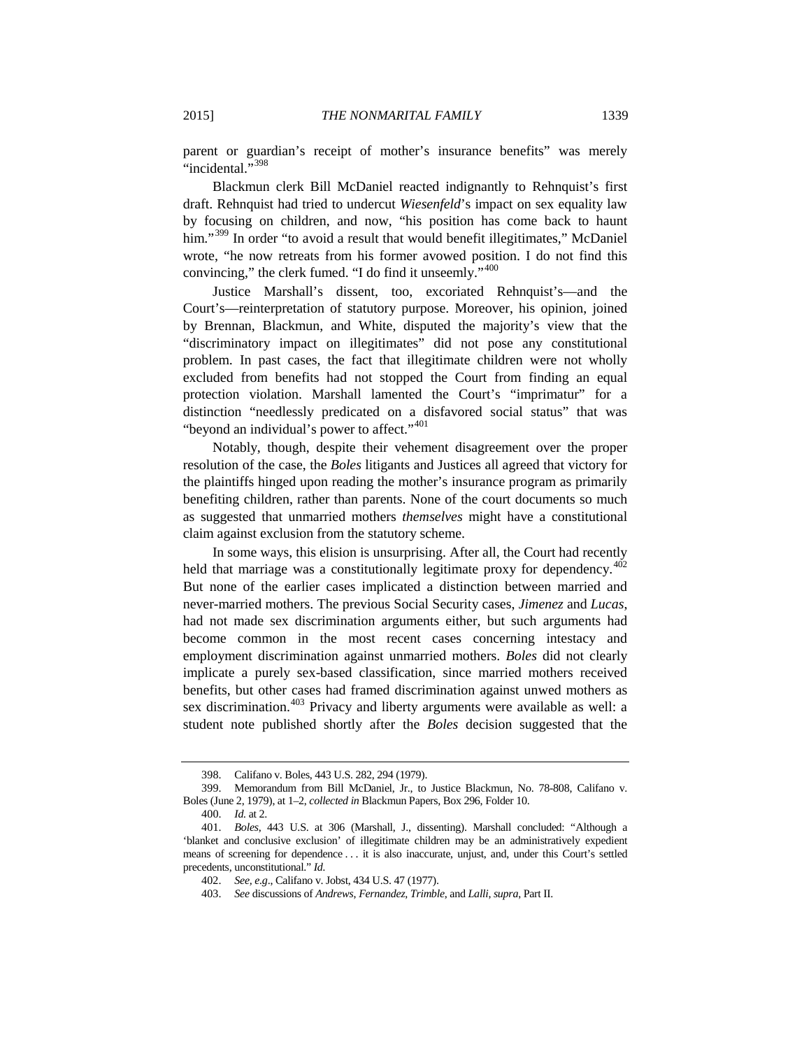parent or guardian's receipt of mother's insurance benefits" was merely "incidental."<sup>[398](#page-62-0)</sup>

Blackmun clerk Bill McDaniel reacted indignantly to Rehnquist's first draft. Rehnquist had tried to undercut *Wiesenfeld*'s impact on sex equality law by focusing on children, and now, "his position has come back to haunt him."<sup>[399](#page-62-1)</sup> In order "to avoid a result that would benefit illegitimates," McDaniel wrote, "he now retreats from his former avowed position. I do not find this convincing," the clerk fumed. "I do find it unseemly."[400](#page-62-2)

Justice Marshall's dissent, too, excoriated Rehnquist's—and the Court's—reinterpretation of statutory purpose. Moreover, his opinion, joined by Brennan, Blackmun, and White, disputed the majority's view that the "discriminatory impact on illegitimates" did not pose any constitutional problem. In past cases, the fact that illegitimate children were not wholly excluded from benefits had not stopped the Court from finding an equal protection violation. Marshall lamented the Court's "imprimatur" for a distinction "needlessly predicated on a disfavored social status" that was "beyond an individual's power to affect."<sup>[401](#page-62-3)</sup>

Notably, though, despite their vehement disagreement over the proper resolution of the case, the *Boles* litigants and Justices all agreed that victory for the plaintiffs hinged upon reading the mother's insurance program as primarily benefiting children, rather than parents. None of the court documents so much as suggested that unmarried mothers *themselves* might have a constitutional claim against exclusion from the statutory scheme.

In some ways, this elision is unsurprising. After all, the Court had recently held that marriage was a constitutionally legitimate proxy for dependency.  $402$ But none of the earlier cases implicated a distinction between married and never-married mothers. The previous Social Security cases, *Jimenez* and *Lucas*, had not made sex discrimination arguments either, but such arguments had become common in the most recent cases concerning intestacy and employment discrimination against unmarried mothers. *Boles* did not clearly implicate a purely sex-based classification, since married mothers received benefits, but other cases had framed discrimination against unwed mothers as sex discrimination.<sup>[403](#page-62-5)</sup> Privacy and liberty arguments were available as well: a student note published shortly after the *Boles* decision suggested that the

<sup>398.</sup> Califano v. Boles, 443 U.S. 282, 294 (1979).

<span id="page-62-1"></span><span id="page-62-0"></span><sup>399.</sup> Memorandum from Bill McDaniel, Jr., to Justice Blackmun, No. 78-808, Califano v. Boles (June 2, 1979), at 1–2, *collected in* Blackmun Papers, Box 296, Folder 10.

<sup>400.</sup> *Id.* at 2.

<span id="page-62-5"></span><span id="page-62-4"></span><span id="page-62-3"></span><span id="page-62-2"></span><sup>401.</sup> *Boles*, 443 U.S. at 306 (Marshall, J., dissenting). Marshall concluded: "Although a 'blanket and conclusive exclusion' of illegitimate children may be an administratively expedient means of screening for dependence . . . it is also inaccurate, unjust, and, under this Court's settled precedents, unconstitutional." *Id.*

<sup>402.</sup> *See, e.g*., Califano v. Jobst, 434 U.S. 47 (1977).

<sup>403.</sup> *See* discussions of *Andrews*, *Fernandez*, *Trimble*, and *Lalli*, *supra*, Part II.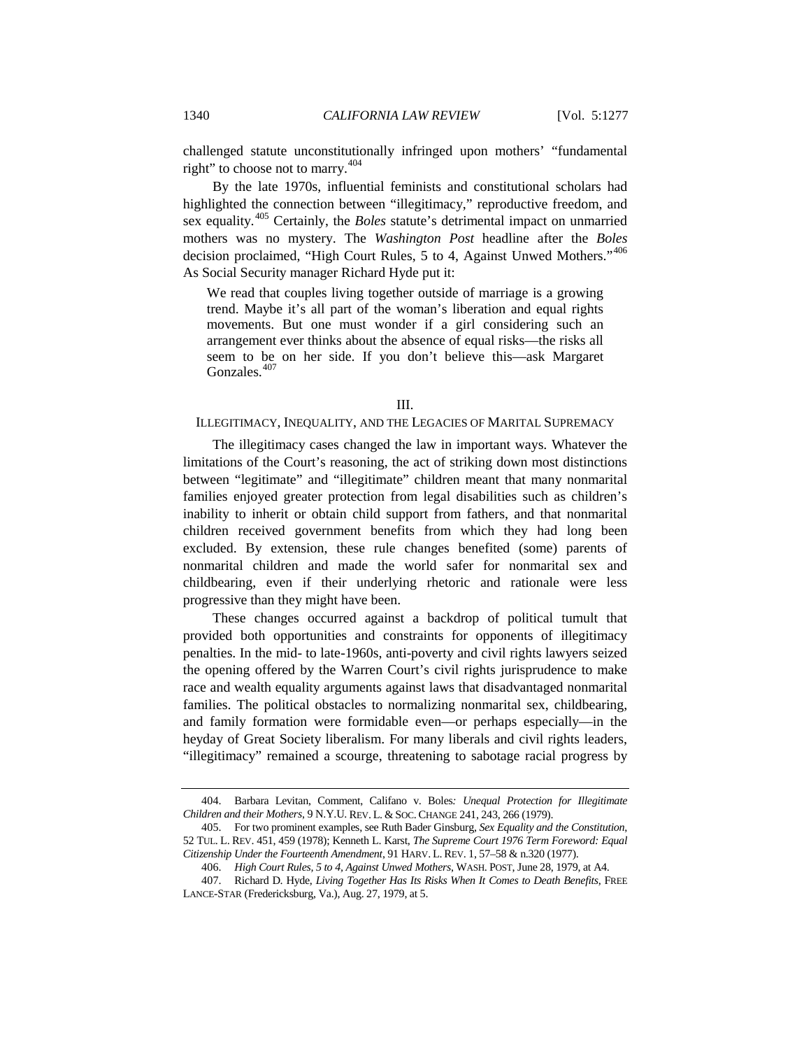challenged statute unconstitutionally infringed upon mothers' "fundamental right" to choose not to marry.<sup>[404](#page-63-0)</sup>

By the late 1970s, influential feminists and constitutional scholars had highlighted the connection between "illegitimacy," reproductive freedom, and sex equality.[405](#page-63-1) Certainly, the *Boles* statute's detrimental impact on unmarried mothers was no mystery. The *Washington Post* headline after the *Boles* decision proclaimed, "High Court Rules, 5 to 4, Against Unwed Mothers."<sup>[406](#page-63-2)</sup> As Social Security manager Richard Hyde put it:

We read that couples living together outside of marriage is a growing trend. Maybe it's all part of the woman's liberation and equal rights movements. But one must wonder if a girl considering such an arrangement ever thinks about the absence of equal risks—the risks all seem to be on her side. If you don't believe this—ask Margaret Gonzales.<sup>[407](#page-63-3)</sup>

#### III.

### ILLEGITIMACY, INEQUALITY, AND THE LEGACIES OF MARITAL SUPREMACY

The illegitimacy cases changed the law in important ways. Whatever the limitations of the Court's reasoning, the act of striking down most distinctions between "legitimate" and "illegitimate" children meant that many nonmarital families enjoyed greater protection from legal disabilities such as children's inability to inherit or obtain child support from fathers, and that nonmarital children received government benefits from which they had long been excluded. By extension, these rule changes benefited (some) parents of nonmarital children and made the world safer for nonmarital sex and childbearing, even if their underlying rhetoric and rationale were less progressive than they might have been.

These changes occurred against a backdrop of political tumult that provided both opportunities and constraints for opponents of illegitimacy penalties. In the mid- to late-1960s, anti-poverty and civil rights lawyers seized the opening offered by the Warren Court's civil rights jurisprudence to make race and wealth equality arguments against laws that disadvantaged nonmarital families. The political obstacles to normalizing nonmarital sex, childbearing, and family formation were formidable even—or perhaps especially—in the heyday of Great Society liberalism. For many liberals and civil rights leaders, "illegitimacy" remained a scourge, threatening to sabotage racial progress by

<span id="page-63-0"></span><sup>404.</sup> Barbara Levitan, Comment, Califano v. Boles*: Unequal Protection for Illegitimate Children and their Mothers*, 9 N.Y.U. REV. L. & SOC. CHANGE 241, 243, 266 (1979).

<span id="page-63-1"></span><sup>405.</sup> For two prominent examples, see Ruth Bader Ginsburg, *Sex Equality and the Constitution*, 52 TUL. L. REV. 451, 459 (1978); Kenneth L. Karst, *The Supreme Court 1976 Term Foreword: Equal Citizenship Under the Fourteenth Amendment*, 91 HARV. L. REV. 1, 57–58 & n.320 (1977).

<sup>406.</sup> *High Court Rules, 5 to 4, Against Unwed Mothers*, WASH. POST, June 28, 1979, at A4.

<span id="page-63-3"></span><span id="page-63-2"></span><sup>407.</sup> Richard D. Hyde, *Living Together Has Its Risks When It Comes to Death Benefits*, FREE LANCE-STAR (Fredericksburg, Va.), Aug. 27, 1979, at 5.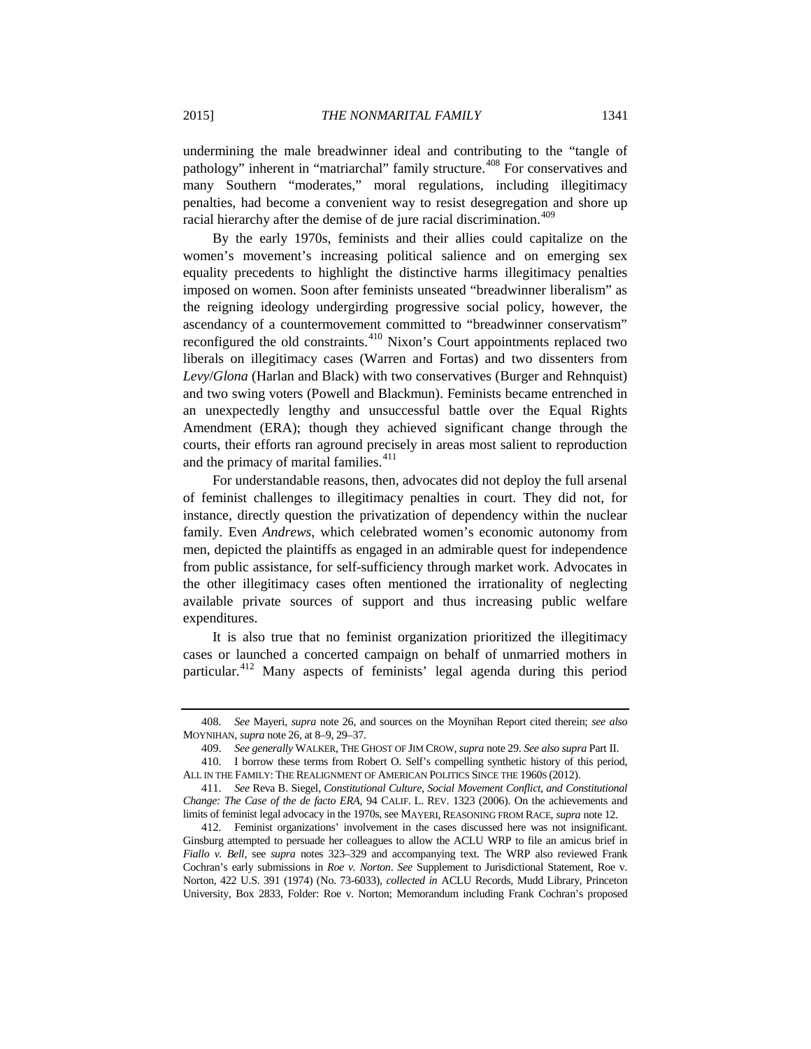undermining the male breadwinner ideal and contributing to the "tangle of pathology" inherent in "matriarchal" family structure.<sup>[408](#page-64-0)</sup> For conservatives and many Southern "moderates," moral regulations, including illegitimacy penalties, had become a convenient way to resist desegregation and shore up racial hierarchy after the demise of de jure racial discrimination.<sup>[409](#page-64-1)</sup>

By the early 1970s, feminists and their allies could capitalize on the women's movement's increasing political salience and on emerging sex equality precedents to highlight the distinctive harms illegitimacy penalties imposed on women. Soon after feminists unseated "breadwinner liberalism" as the reigning ideology undergirding progressive social policy, however, the ascendancy of a countermovement committed to "breadwinner conservatism" reconfigured the old constraints.<sup>[410](#page-64-2)</sup> Nixon's Court appointments replaced two liberals on illegitimacy cases (Warren and Fortas) and two dissenters from *Levy*/*Glona* (Harlan and Black) with two conservatives (Burger and Rehnquist) and two swing voters (Powell and Blackmun). Feminists became entrenched in an unexpectedly lengthy and unsuccessful battle over the Equal Rights Amendment (ERA); though they achieved significant change through the courts, their efforts ran aground precisely in areas most salient to reproduction and the primacy of marital families.<sup>[411](#page-64-3)</sup>

<span id="page-64-5"></span>For understandable reasons, then, advocates did not deploy the full arsenal of feminist challenges to illegitimacy penalties in court. They did not, for instance, directly question the privatization of dependency within the nuclear family. Even *Andrews*, which celebrated women's economic autonomy from men, depicted the plaintiffs as engaged in an admirable quest for independence from public assistance, for self-sufficiency through market work. Advocates in the other illegitimacy cases often mentioned the irrationality of neglecting available private sources of support and thus increasing public welfare expenditures.

It is also true that no feminist organization prioritized the illegitimacy cases or launched a concerted campaign on behalf of unmarried mothers in particular.[412](#page-64-4) Many aspects of feminists' legal agenda during this period

<span id="page-64-0"></span><sup>408.</sup> *See* Mayeri, *supra* not[e 26,](#page-8-1) and sources on the Moynihan Report cited therein; *see also* MOYNIHAN, *supra* not[e 26,](#page-8-1) at 8–9, 29–37.

<sup>409.</sup> *See generally* WALKER, THE GHOST OF JIM CROW, *supra* not[e 29.](#page-8-2) *See also supra* Part II.

<span id="page-64-2"></span><span id="page-64-1"></span><sup>410.</sup> I borrow these terms from Robert O. Self's compelling synthetic history of this period, ALL IN THE FAMILY: THE REALIGNMENT OF AMERICAN POLITICS SINCE THE 1960S (2012).

<span id="page-64-3"></span><sup>411.</sup> *See* Reva B. Siegel, *Constitutional Culture, Social Movement Conflict, and Constitutional Change: The Case of the de facto ERA*, 94 CALIF. L. REV. 1323 (2006). On the achievements and limits of feminist legal advocacy in the 1970s, see MAYERI, REASONING FROM RACE, *supra* not[e 12.](#page-4-0)

<span id="page-64-4"></span><sup>412.</sup> Feminist organizations' involvement in the cases discussed here was not insignificant. Ginsburg attempted to persuade her colleagues to allow the ACLU WRP to file an amicus brief in *Fiallo v. Bell*, see *supra* notes [323](#page-52-10)[–329](#page-52-11) and accompanying text. The WRP also reviewed Frank Cochran's early submissions in *Roe v. Norton*. *See* Supplement to Jurisdictional Statement, Roe v. Norton, 422 U.S. 391 (1974) (No. 73-6033), *collected in* ACLU Records, Mudd Library, Princeton University, Box 2833, Folder: Roe v. Norton; Memorandum including Frank Cochran's proposed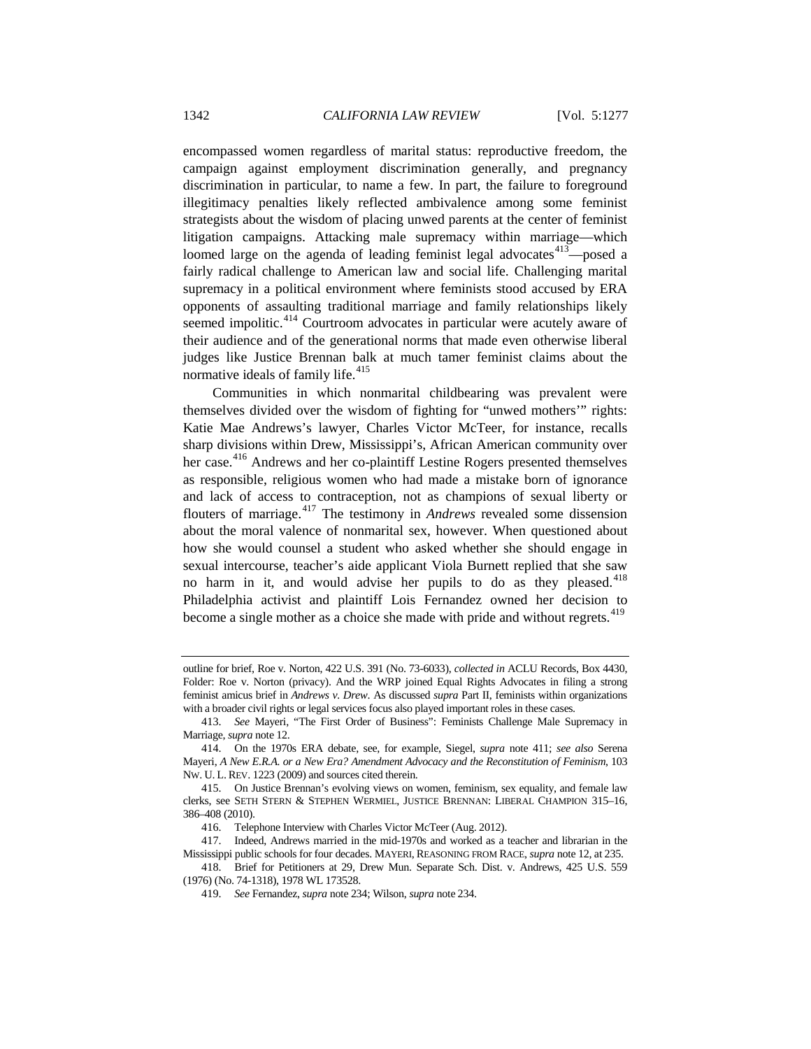encompassed women regardless of marital status: reproductive freedom, the campaign against employment discrimination generally, and pregnancy discrimination in particular, to name a few. In part, the failure to foreground illegitimacy penalties likely reflected ambivalence among some feminist strategists about the wisdom of placing unwed parents at the center of feminist litigation campaigns. Attacking male supremacy within marriage—which loomed large on the agenda of leading feminist legal advocates<sup>413</sup>—posed a fairly radical challenge to American law and social life. Challenging marital supremacy in a political environment where feminists stood accused by ERA opponents of assaulting traditional marriage and family relationships likely seemed impolitic.<sup>[414](#page-65-1)</sup> Courtroom advocates in particular were acutely aware of their audience and of the generational norms that made even otherwise liberal judges like Justice Brennan balk at much tamer feminist claims about the normative ideals of family life.<sup>[415](#page-65-2)</sup>

Communities in which nonmarital childbearing was prevalent were themselves divided over the wisdom of fighting for "unwed mothers'" rights: Katie Mae Andrews's lawyer, Charles Victor McTeer, for instance, recalls sharp divisions within Drew, Mississippi's, African American community over her case.<sup>[416](#page-65-3)</sup> Andrews and her co-plaintiff Lestine Rogers presented themselves as responsible, religious women who had made a mistake born of ignorance and lack of access to contraception, not as champions of sexual liberty or flouters of marriage.[417](#page-65-4) The testimony in *Andrews* revealed some dissension about the moral valence of nonmarital sex, however. When questioned about how she would counsel a student who asked whether she should engage in sexual intercourse, teacher's aide applicant Viola Burnett replied that she saw no harm in it, and would advise her pupils to do as they pleased.<sup>[418](#page-65-5)</sup> Philadelphia activist and plaintiff Lois Fernandez owned her decision to become a single mother as a choice she made with pride and without regrets.<sup>[419](#page-65-6)</sup>

outline for brief, Roe v. Norton, 422 U.S. 391 (No. 73-6033), *collected in* ACLU Records, Box 4430, Folder: Roe v. Norton (privacy). And the WRP joined Equal Rights Advocates in filing a strong feminist amicus brief in *Andrews v. Drew*. As discussed *supra* Part II, feminists within organizations with a broader civil rights or legal services focus also played important roles in these cases.

<span id="page-65-0"></span><sup>413.</sup> *See* Mayeri, "The First Order of Business": Feminists Challenge Male Supremacy in Marriage, *supra* not[e 12.](#page-4-0)

<span id="page-65-1"></span><sup>414.</sup> On the 1970s ERA debate, see, for example, Siegel, *supra* note [411;](#page-64-5) *see also* Serena Mayeri, *A New E.R.A. or a New Era? Amendment Advocacy and the Reconstitution of Feminism*, 103 NW. U. L. REV. 1223 (2009) and sources cited therein.

<span id="page-65-2"></span><sup>415.</sup> On Justice Brennan's evolving views on women, feminism, sex equality, and female law clerks, see SETH STERN & STEPHEN WERMIEL, JUSTICE BRENNAN: LIBERAL CHAMPION 315–16, 386–408 (2010).

<sup>416.</sup> Telephone Interview with Charles Victor McTeer (Aug. 2012).

<span id="page-65-4"></span><span id="page-65-3"></span><sup>417.</sup> Indeed, Andrews married in the mid-1970s and worked as a teacher and librarian in the Mississippi public schools for four decades. MAYERI, REASONING FROM RACE, *supra* not[e 12,](#page-4-0) at 235.

<span id="page-65-6"></span><span id="page-65-5"></span><sup>418.</sup> Brief for Petitioners at 29, Drew Mun. Separate Sch. Dist. v. Andrews, 425 U.S. 559 (1976) (No. 74-1318), 1978 WL 173528.

<sup>419.</sup> *See* Fernandez, *supra* note 234; Wilson, *supra* note 234.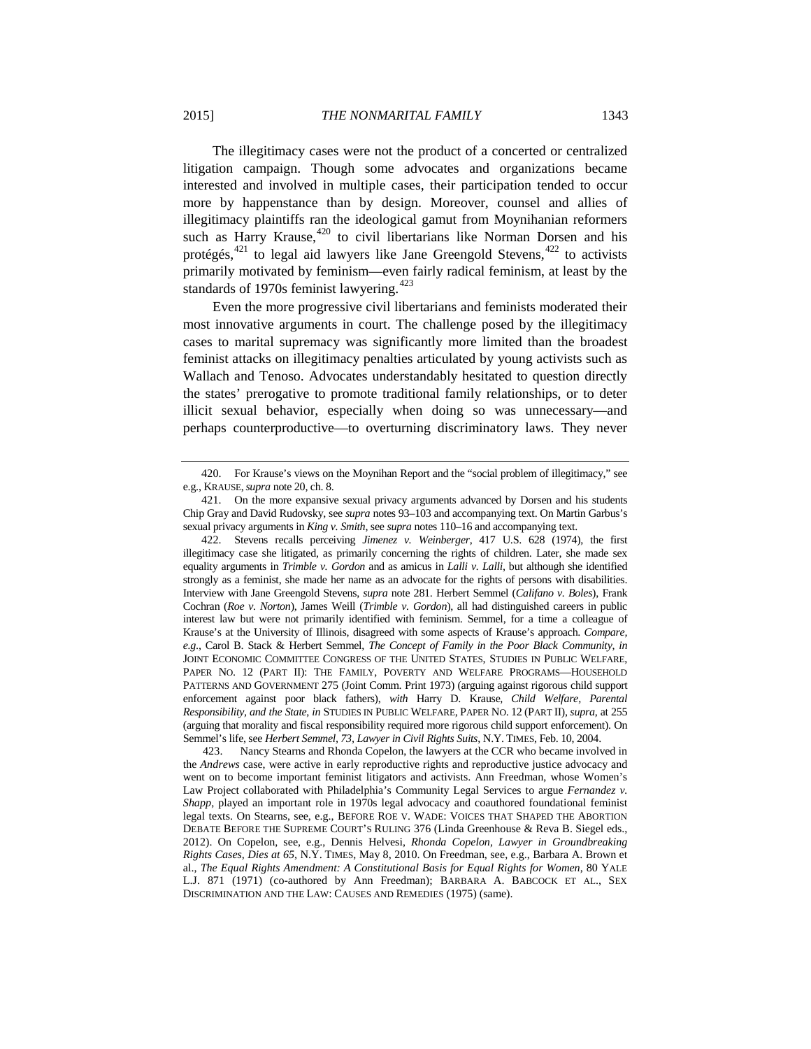The illegitimacy cases were not the product of a concerted or centralized litigation campaign. Though some advocates and organizations became interested and involved in multiple cases, their participation tended to occur more by happenstance than by design. Moreover, counsel and allies of illegitimacy plaintiffs ran the ideological gamut from Moynihanian reformers such as Harry Krause, $420$  to civil libertarians like Norman Dorsen and his protégés,<sup>[421](#page-66-1)</sup> to legal aid lawyers like Jane Greengold Stevens,<sup>[422](#page-66-2)</sup> to activists primarily motivated by feminism—even fairly radical feminism, at least by the standards of 1970s feminist lawyering. $423$ 

Even the more progressive civil libertarians and feminists moderated their most innovative arguments in court. The challenge posed by the illegitimacy cases to marital supremacy was significantly more limited than the broadest feminist attacks on illegitimacy penalties articulated by young activists such as Wallach and Tenoso. Advocates understandably hesitated to question directly the states' prerogative to promote traditional family relationships, or to deter illicit sexual behavior, especially when doing so was unnecessary—and perhaps counterproductive—to overturning discriminatory laws. They never

<span id="page-66-0"></span><sup>420.</sup> For Krause's views on the Moynihan Report and the "social problem of illegitimacy," see e.g., KRAUSE,*supra* note [20,](#page-7-0) ch. 8.

<span id="page-66-1"></span><sup>421.</sup> On the more expansive sexual privacy arguments advanced by Dorsen and his students Chip Gray and David Rudovsky, see *supra* notes 93–103 and accompanying text. On Martin Garbus's sexual privacy arguments in *King v. Smith*, see *supra* notes 110–16 and accompanying text.

<span id="page-66-2"></span><sup>422.</sup> Stevens recalls perceiving *Jimenez v. Weinberger*, 417 U.S. 628 (1974), the first illegitimacy case she litigated, as primarily concerning the rights of children. Later, she made sex equality arguments in *Trimble v. Gordon* and as amicus in *Lalli v. Lalli*, but although she identified strongly as a feminist, she made her name as an advocate for the rights of persons with disabilities. Interview with Jane Greengold Stevens, *supra* note [281.](#page-46-10) Herbert Semmel (*Califano v. Boles*), Frank Cochran (*Roe v. Norton*), James Weill (*Trimble v. Gordon*), all had distinguished careers in public interest law but were not primarily identified with feminism. Semmel, for a time a colleague of Krause's at the University of Illinois, disagreed with some aspects of Krause's approach. *Compare, e.g*., Carol B. Stack & Herbert Semmel, *The Concept of Family in the Poor Black Community*, *in* JOINT ECONOMIC COMMITTEE CONGRESS OF THE UNITED STATES, STUDIES IN PUBLIC WELFARE, PAPER NO. 12 (PART II): THE FAMILY, POVERTY AND WELFARE PROGRAMS—HOUSEHOLD PATTERNS AND GOVERNMENT 275 (Joint Comm. Print 1973) (arguing against rigorous child support enforcement against poor black fathers), *with* Harry D. Krause, *Child Welfare, Parental Responsibility, and the State*, *in* STUDIES IN PUBLIC WELFARE, PAPER NO. 12 (PART II), *supra*, at 255 (arguing that morality and fiscal responsibility required more rigorous child support enforcement). On Semmel's life, see *Herbert Semmel, 73, Lawyer in Civil Rights Suits*, N.Y. TIMES, Feb. 10, 2004.

<span id="page-66-3"></span> <sup>423.</sup> Nancy Stearns and Rhonda Copelon, the lawyers at the CCR who became involved in the *Andrews* case, were active in early reproductive rights and reproductive justice advocacy and went on to become important feminist litigators and activists. Ann Freedman, whose Women's Law Project collaborated with Philadelphia's Community Legal Services to argue *Fernandez v. Shapp*, played an important role in 1970s legal advocacy and coauthored foundational feminist legal texts. On Stearns, see, e.g., BEFORE ROE V. WADE: VOICES THAT SHAPED THE ABORTION DEBATE BEFORE THE SUPREME COURT'S RULING 376 (Linda Greenhouse & Reva B. Siegel eds., 2012). On Copelon, see, e.g., Dennis Helvesi, *Rhonda Copelon, Lawyer in Groundbreaking Rights Cases, Dies at 65*, N.Y. TIMES, May 8, 2010. On Freedman, see, e.g., Barbara A. Brown et al., *The Equal Rights Amendment: A Constitutional Basis for Equal Rights for Women*, 80 YALE L.J. 871 (1971) (co-authored by Ann Freedman); BARBARA A. BABCOCK ET AL., SEX DISCRIMINATION AND THE LAW: CAUSES AND REMEDIES (1975) (same).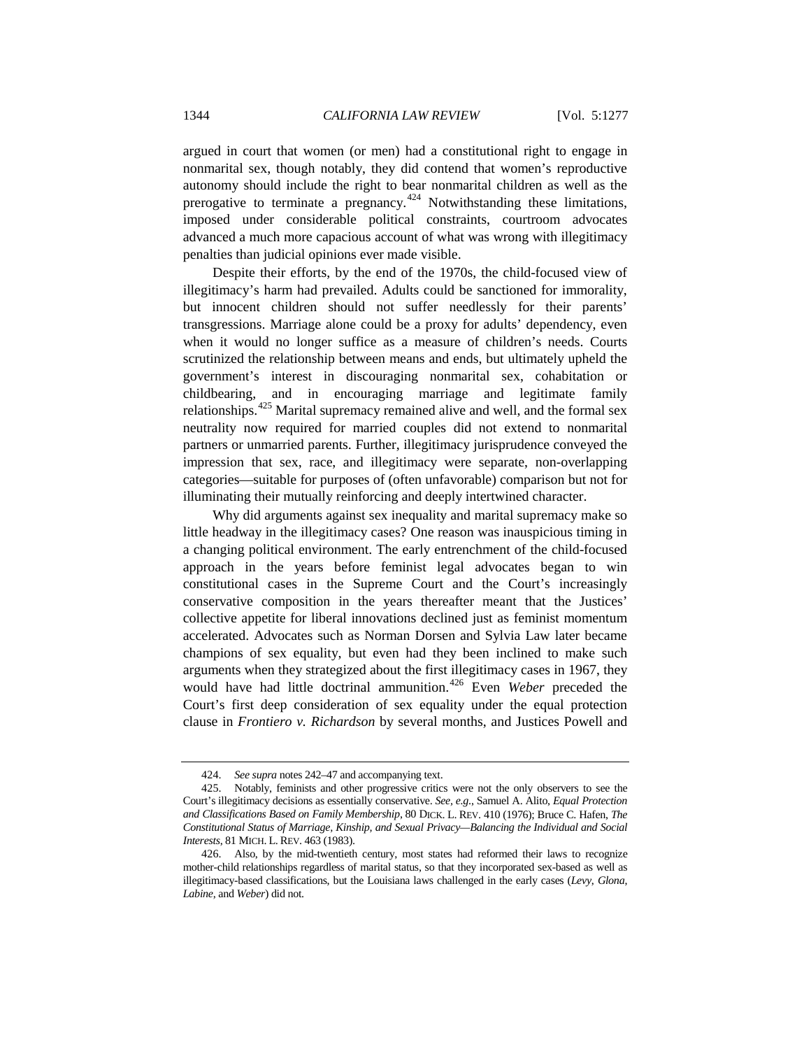argued in court that women (or men) had a constitutional right to engage in nonmarital sex, though notably, they did contend that women's reproductive autonomy should include the right to bear nonmarital children as well as the prerogative to terminate a pregnancy.<sup>[424](#page-67-0)</sup> Notwithstanding these limitations, imposed under considerable political constraints, courtroom advocates advanced a much more capacious account of what was wrong with illegitimacy penalties than judicial opinions ever made visible.

Despite their efforts, by the end of the 1970s, the child-focused view of illegitimacy's harm had prevailed. Adults could be sanctioned for immorality, but innocent children should not suffer needlessly for their parents' transgressions. Marriage alone could be a proxy for adults' dependency, even when it would no longer suffice as a measure of children's needs. Courts scrutinized the relationship between means and ends, but ultimately upheld the government's interest in discouraging nonmarital sex, cohabitation or childbearing, and in encouraging marriage and legitimate family relationships.[425](#page-67-1) Marital supremacy remained alive and well, and the formal sex neutrality now required for married couples did not extend to nonmarital partners or unmarried parents. Further, illegitimacy jurisprudence conveyed the impression that sex, race, and illegitimacy were separate, non-overlapping categories—suitable for purposes of (often unfavorable) comparison but not for illuminating their mutually reinforcing and deeply intertwined character.

Why did arguments against sex inequality and marital supremacy make so little headway in the illegitimacy cases? One reason was inauspicious timing in a changing political environment. The early entrenchment of the child-focused approach in the years before feminist legal advocates began to win constitutional cases in the Supreme Court and the Court's increasingly conservative composition in the years thereafter meant that the Justices' collective appetite for liberal innovations declined just as feminist momentum accelerated. Advocates such as Norman Dorsen and Sylvia Law later became champions of sex equality, but even had they been inclined to make such arguments when they strategized about the first illegitimacy cases in 1967, they would have had little doctrinal ammunition.<sup>[426](#page-67-2)</sup> Even *Weber* preceded the Court's first deep consideration of sex equality under the equal protection clause in *Frontiero v. Richardson* by several months, and Justices Powell and

<sup>424.</sup> *See supra* notes 242–47 and accompanying text.

<span id="page-67-1"></span><span id="page-67-0"></span><sup>425.</sup> Notably, feminists and other progressive critics were not the only observers to see the Court's illegitimacy decisions as essentially conservative. *See, e.g*., Samuel A. Alito, *Equal Protection and Classifications Based on Family Membership*, 80 DICK. L. REV. 410 (1976); Bruce C. Hafen, *The Constitutional Status of Marriage, Kinship, and Sexual Privacy—Balancing the Individual and Social Interests*, 81 MICH. L. REV. 463 (1983).

<span id="page-67-2"></span><sup>426.</sup> Also, by the mid-twentieth century, most states had reformed their laws to recognize mother-child relationships regardless of marital status, so that they incorporated sex-based as well as illegitimacy-based classifications, but the Louisiana laws challenged in the early cases (*Levy*, *Glona*, *Labine*, and *Weber*) did not.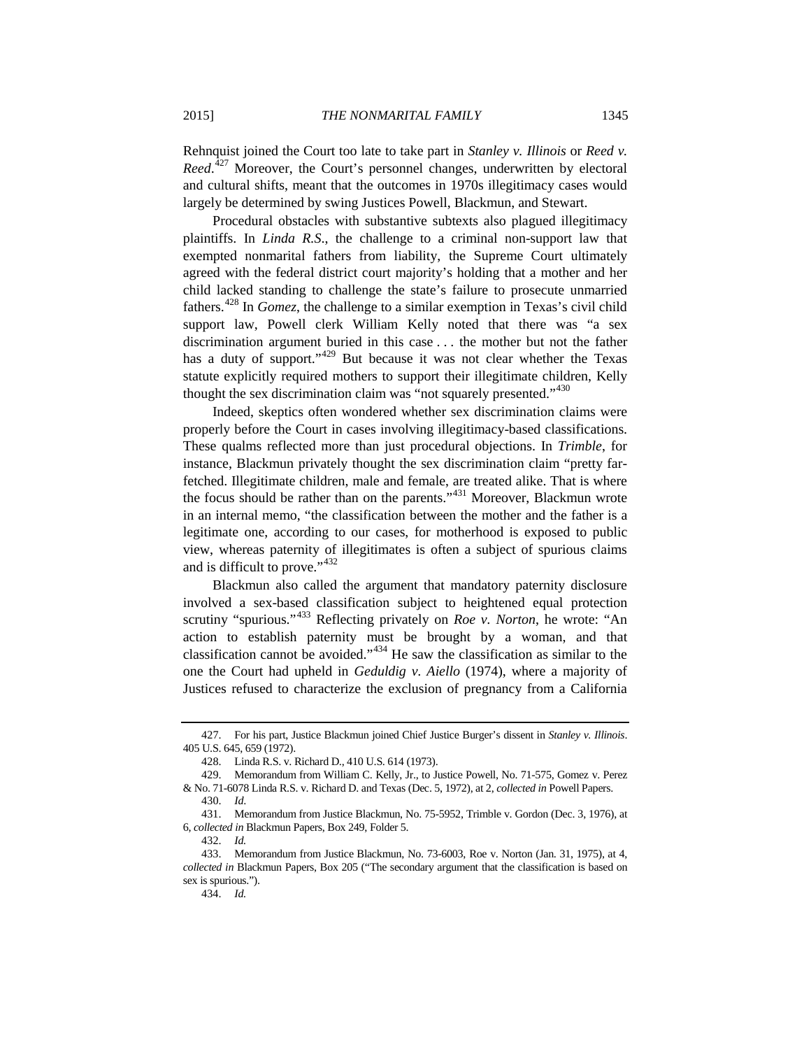Rehnquist joined the Court too late to take part in *Stanley v. Illinois* or *Reed v.*  Reed.<sup>[427](#page-68-0)</sup> Moreover, the Court's personnel changes, underwritten by electoral and cultural shifts, meant that the outcomes in 1970s illegitimacy cases would largely be determined by swing Justices Powell, Blackmun, and Stewart.

Procedural obstacles with substantive subtexts also plagued illegitimacy plaintiffs. In *Linda R.S*., the challenge to a criminal non-support law that exempted nonmarital fathers from liability, the Supreme Court ultimately agreed with the federal district court majority's holding that a mother and her child lacked standing to challenge the state's failure to prosecute unmarried fathers.[428](#page-68-1) In *Gomez*, the challenge to a similar exemption in Texas's civil child support law, Powell clerk William Kelly noted that there was "a sex discrimination argument buried in this case . . . the mother but not the father has a duty of support."<sup>[429](#page-68-2)</sup> But because it was not clear whether the Texas statute explicitly required mothers to support their illegitimate children, Kelly thought the sex discrimination claim was "not squarely presented."<sup>[430](#page-68-3)</sup>

Indeed, skeptics often wondered whether sex discrimination claims were properly before the Court in cases involving illegitimacy-based classifications. These qualms reflected more than just procedural objections. In *Trimble*, for instance, Blackmun privately thought the sex discrimination claim "pretty farfetched. Illegitimate children, male and female, are treated alike. That is where the focus should be rather than on the parents."[431](#page-68-4) Moreover, Blackmun wrote in an internal memo, "the classification between the mother and the father is a legitimate one, according to our cases, for motherhood is exposed to public view, whereas paternity of illegitimates is often a subject of spurious claims and is difficult to prove."<sup>[432](#page-68-5)</sup>

Blackmun also called the argument that mandatory paternity disclosure involved a sex-based classification subject to heightened equal protection scrutiny "spurious."[433](#page-68-6) Reflecting privately on *Roe v. Norton*, he wrote: "An action to establish paternity must be brought by a woman, and that classification cannot be avoided."[434](#page-68-7) He saw the classification as similar to the one the Court had upheld in *Geduldig v. Aiello* (1974), where a majority of Justices refused to characterize the exclusion of pregnancy from a California

<span id="page-68-0"></span><sup>427.</sup> For his part, Justice Blackmun joined Chief Justice Burger's dissent in *Stanley v. Illinois*. 405 U.S. 645, 659 (1972).

<sup>428.</sup> Linda R.S. v. Richard D., 410 U.S. 614 (1973).

<span id="page-68-2"></span><span id="page-68-1"></span><sup>429.</sup> Memorandum from William C. Kelly, Jr., to Justice Powell, No. 71-575, Gomez v. Perez & No. 71-6078 Linda R.S. v. Richard D. and Texas (Dec. 5, 1972), at 2, *collected in* Powell Papers.

<sup>430.</sup> *Id*.

<span id="page-68-4"></span><span id="page-68-3"></span><sup>431.</sup> Memorandum from Justice Blackmun, No. 75-5952, Trimble v. Gordon (Dec. 3, 1976), at 6, *collected in* Blackmun Papers, Box 249, Folder 5.

<sup>432.</sup> *Id.*

<span id="page-68-7"></span><span id="page-68-6"></span><span id="page-68-5"></span><sup>433.</sup> Memorandum from Justice Blackmun, No. 73-6003, Roe v. Norton (Jan. 31, 1975), at 4, *collected in* Blackmun Papers, Box 205 ("The secondary argument that the classification is based on sex is spurious.").

<sup>434.</sup> *Id.*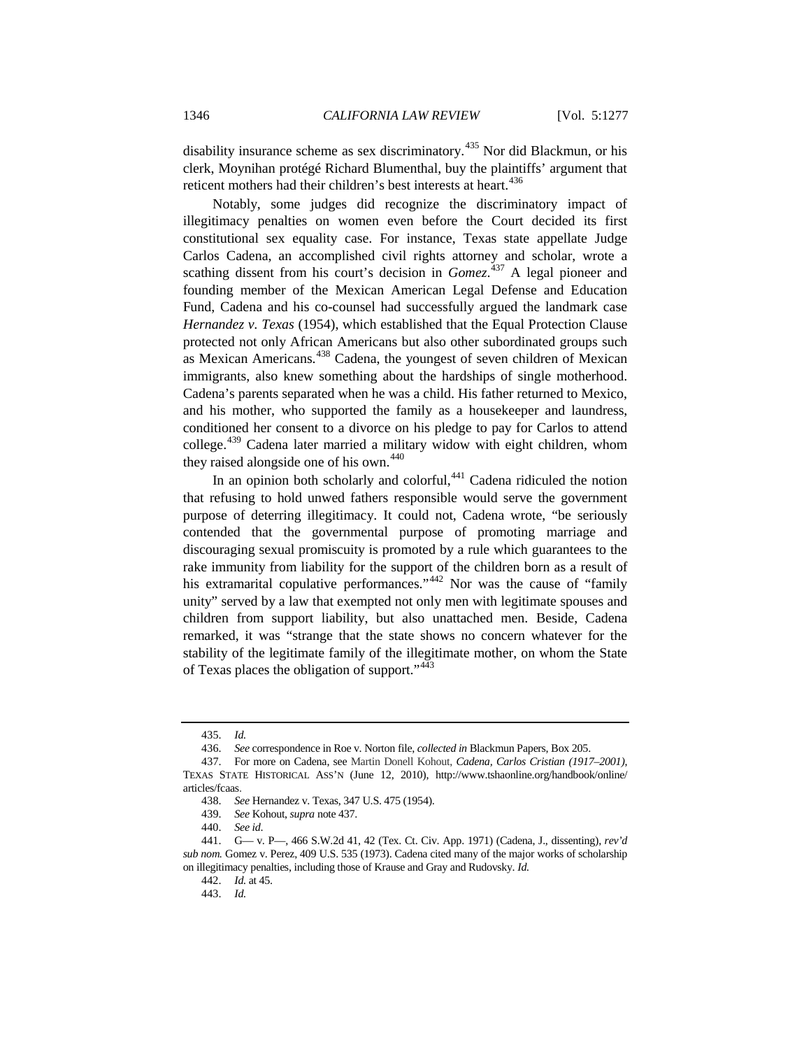disability insurance scheme as sex discriminatory.<sup>[435](#page-69-1)</sup> Nor did Blackmun, or his clerk, Moynihan protégé Richard Blumenthal, buy the plaintiffs' argument that reticent mothers had their children's best interests at heart.<sup>[436](#page-69-2)</sup>

<span id="page-69-0"></span>Notably, some judges did recognize the discriminatory impact of illegitimacy penalties on women even before the Court decided its first constitutional sex equality case. For instance, Texas state appellate Judge Carlos Cadena, an accomplished civil rights attorney and scholar, wrote a scathing dissent from his court's decision in *Gomez*.<sup>[437](#page-69-3)</sup> A legal pioneer and founding member of the Mexican American Legal Defense and Education Fund, Cadena and his co-counsel had successfully argued the landmark case *Hernandez v. Texas* (1954), which established that the Equal Protection Clause protected not only African Americans but also other subordinated groups such as Mexican Americans.<sup>[438](#page-69-4)</sup> Cadena, the youngest of seven children of Mexican immigrants, also knew something about the hardships of single motherhood. Cadena's parents separated when he was a child. His father returned to Mexico, and his mother, who supported the family as a housekeeper and laundress, conditioned her consent to a divorce on his pledge to pay for Carlos to attend college.<sup>[439](#page-69-5)</sup> Cadena later married a military widow with eight children, whom they raised alongside one of his own. $440$ 

In an opinion both scholarly and colorful,  $441$  Cadena ridiculed the notion that refusing to hold unwed fathers responsible would serve the government purpose of deterring illegitimacy. It could not, Cadena wrote, "be seriously contended that the governmental purpose of promoting marriage and discouraging sexual promiscuity is promoted by a rule which guarantees to the rake immunity from liability for the support of the children born as a result of his extramarital copulative performances."<sup>[442](#page-69-8)</sup> Nor was the cause of "family" unity" served by a law that exempted not only men with legitimate spouses and children from support liability, but also unattached men. Beside, Cadena remarked, it was "strange that the state shows no concern whatever for the stability of the legitimate family of the illegitimate mother, on whom the State of Texas places the obligation of support."[443](#page-69-9)

<sup>435.</sup> *Id.*

<sup>436.</sup> *See* correspondence in Roe v. Norton file, *collected in* Blackmun Papers, Box 205.

<span id="page-69-3"></span><span id="page-69-2"></span><span id="page-69-1"></span><sup>437.</sup> For more on Cadena, see Martin Donell Kohout, *Cadena, Carlos Cristian (1917–2001)*, TEXAS STATE HISTORICAL ASS'N (June 12, 2010), http://www.tshaonline.org/handbook/online/ articles/fcaas.

<sup>438.</sup> *See* Hernandez v. Texas, 347 U.S. 475 (1954).

<sup>439.</sup> *See* Kohout, *supra* not[e 437.](#page-69-0)

<sup>440.</sup> *See id*.

<span id="page-69-9"></span><span id="page-69-8"></span><span id="page-69-7"></span><span id="page-69-6"></span><span id="page-69-5"></span><span id="page-69-4"></span><sup>441.</sup> G— v. P—, 466 S.W.2d 41, 42 (Tex. Ct. Civ. App. 1971) (Cadena, J., dissenting), *rev'd sub nom.* Gomez v. Perez, 409 U.S. 535 (1973). Cadena cited many of the major works of scholarship on illegitimacy penalties, including those of Krause and Gray and Rudovsky. *Id.*

<sup>442.</sup> *Id.* at 45.

<sup>443.</sup> *Id.*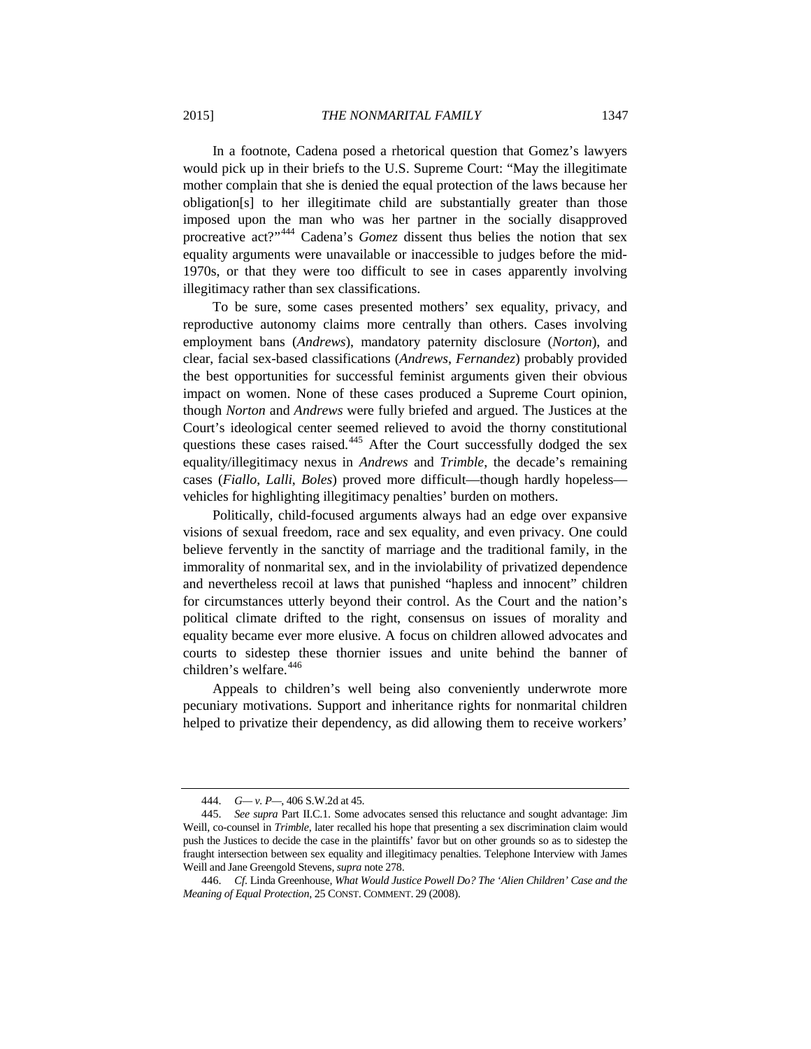In a footnote, Cadena posed a rhetorical question that Gomez's lawyers would pick up in their briefs to the U.S. Supreme Court: "May the illegitimate mother complain that she is denied the equal protection of the laws because her obligation[s] to her illegitimate child are substantially greater than those imposed upon the man who was her partner in the socially disapproved procreative act?"<sup>[444](#page-70-0)</sup> Cadena's *Gomez* dissent thus belies the notion that sex equality arguments were unavailable or inaccessible to judges before the mid-1970s, or that they were too difficult to see in cases apparently involving illegitimacy rather than sex classifications.

To be sure, some cases presented mothers' sex equality, privacy, and reproductive autonomy claims more centrally than others. Cases involving employment bans (*Andrews*), mandatory paternity disclosure (*Norton*), and clear, facial sex-based classifications (*Andrews*, *Fernandez*) probably provided the best opportunities for successful feminist arguments given their obvious impact on women. None of these cases produced a Supreme Court opinion, though *Norton* and *Andrews* were fully briefed and argued. The Justices at the Court's ideological center seemed relieved to avoid the thorny constitutional questions these cases raised.<sup>[445](#page-70-1)</sup> After the Court successfully dodged the sex equality/illegitimacy nexus in *Andrews* and *Trimble*, the decade's remaining cases (*Fiallo*, *Lalli*, *Boles*) proved more difficult—though hardly hopeless vehicles for highlighting illegitimacy penalties' burden on mothers.

Politically, child-focused arguments always had an edge over expansive visions of sexual freedom, race and sex equality, and even privacy. One could believe fervently in the sanctity of marriage and the traditional family, in the immorality of nonmarital sex, and in the inviolability of privatized dependence and nevertheless recoil at laws that punished "hapless and innocent" children for circumstances utterly beyond their control. As the Court and the nation's political climate drifted to the right, consensus on issues of morality and equality became ever more elusive. A focus on children allowed advocates and courts to sidestep these thornier issues and unite behind the banner of children's welfare.<sup>[446](#page-70-2)</sup>

Appeals to children's well being also conveniently underwrote more pecuniary motivations. Support and inheritance rights for nonmarital children helped to privatize their dependency, as did allowing them to receive workers'

<sup>444.</sup> *G— v. P—*, 406 S.W.2d at 45.

<span id="page-70-1"></span><span id="page-70-0"></span><sup>445.</sup> *See supra* Part II.C.1. Some advocates sensed this reluctance and sought advantage: Jim Weill, co-counsel in *Trimble*, later recalled his hope that presenting a sex discrimination claim would push the Justices to decide the case in the plaintiffs' favor but on other grounds so as to sidestep the fraught intersection between sex equality and illegitimacy penalties. Telephone Interview with James Weill and Jane Greengold Stevens, *supra* not[e 278.](#page-46-12)

<span id="page-70-2"></span><sup>446.</sup> *Cf*. Linda Greenhouse, *What Would Justice Powell Do? The 'Alien Children' Case and the Meaning of Equal Protection*, 25 CONST. COMMENT. 29 (2008).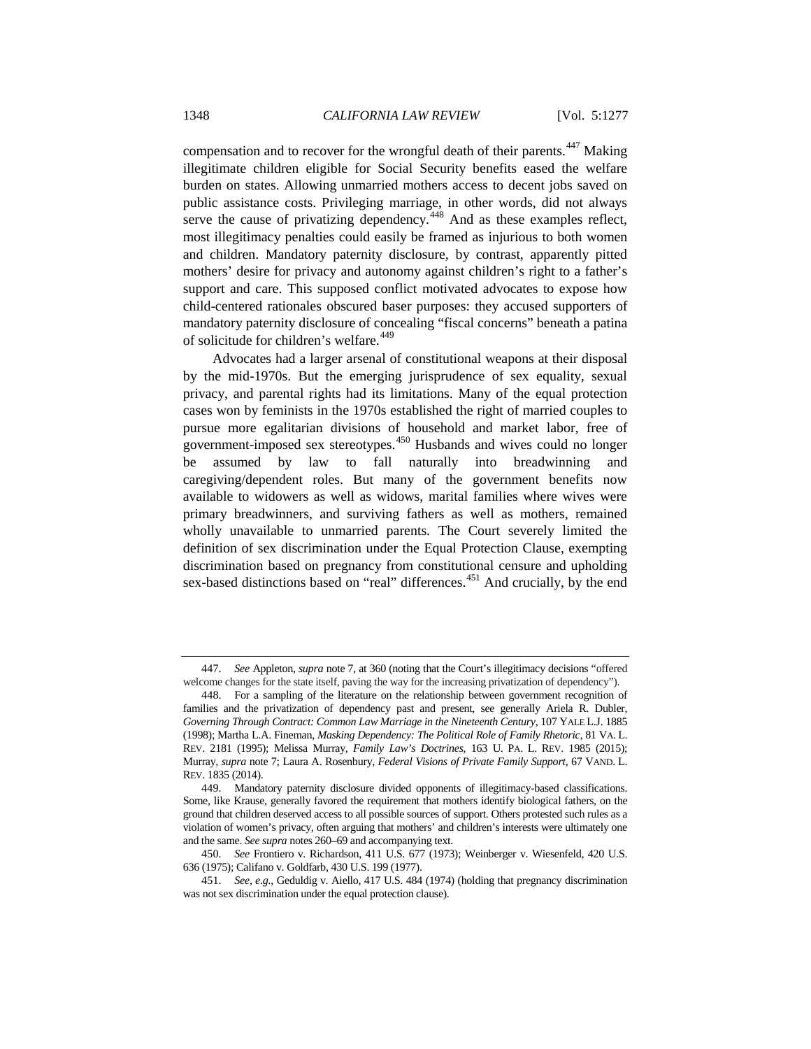compensation and to recover for the wrongful death of their parents.<sup>[447](#page-71-0)</sup> Making illegitimate children eligible for Social Security benefits eased the welfare burden on states. Allowing unmarried mothers access to decent jobs saved on public assistance costs. Privileging marriage, in other words, did not always serve the cause of privatizing dependency.<sup>[448](#page-71-1)</sup> And as these examples reflect, most illegitimacy penalties could easily be framed as injurious to both women and children. Mandatory paternity disclosure, by contrast, apparently pitted mothers' desire for privacy and autonomy against children's right to a father's support and care. This supposed conflict motivated advocates to expose how child-centered rationales obscured baser purposes: they accused supporters of mandatory paternity disclosure of concealing "fiscal concerns" beneath a patina of solicitude for children's welfare.<sup>[449](#page-71-2)</sup>

Advocates had a larger arsenal of constitutional weapons at their disposal by the mid-1970s. But the emerging jurisprudence of sex equality, sexual privacy, and parental rights had its limitations. Many of the equal protection cases won by feminists in the 1970s established the right of married couples to pursue more egalitarian divisions of household and market labor, free of government-imposed sex stereotypes.<sup>[450](#page-71-3)</sup> Husbands and wives could no longer be assumed by law to fall naturally into breadwinning and caregiving/dependent roles. But many of the government benefits now available to widowers as well as widows, marital families where wives were primary breadwinners, and surviving fathers as well as mothers, remained wholly unavailable to unmarried parents. The Court severely limited the definition of sex discrimination under the Equal Protection Clause, exempting discrimination based on pregnancy from constitutional censure and upholding sex-based distinctions based on "real" differences.<sup>[451](#page-71-4)</sup> And crucially, by the end

<span id="page-71-0"></span><sup>447.</sup> *See* Appleton, *supra* not[e 7,](#page-3-0) at 360 (noting that the Court's illegitimacy decisions "offered welcome changes for the state itself, paving the way for the increasing privatization of dependency").

<span id="page-71-1"></span><sup>448.</sup> For a sampling of the literature on the relationship between government recognition of families and the privatization of dependency past and present, see generally Ariela R. Dubler, *Governing Through Contract: Common Law Marriage in the Nineteenth Century*, 107 YALE L.J. 1885 (1998); Martha L.A. Fineman, *Masking Dependency: The Political Role of Family Rhetoric*, 81 VA. L. REV. 2181 (1995); Melissa Murray, *Family Law's Doctrines*, 163 U. PA. L. REV. 1985 (2015); Murray, *supra* note [7;](#page-3-0) Laura A. Rosenbury, *Federal Visions of Private Family Support*, 67 VAND. L. REV. 1835 (2014).

<span id="page-71-2"></span><sup>449.</sup> Mandatory paternity disclosure divided opponents of illegitimacy-based classifications. Some, like Krause, generally favored the requirement that mothers identify biological fathers, on the ground that children deserved access to all possible sources of support. Others protested such rules as a violation of women's privacy, often arguing that mothers' and children's interests were ultimately one and the same. *See supra* notes 260–69 and accompanying text.

<span id="page-71-3"></span><sup>450.</sup> *See* Frontiero v. Richardson, 411 U.S. 677 (1973); Weinberger v. Wiesenfeld, 420 U.S. 636 (1975); Califano v. Goldfarb, 430 U.S. 199 (1977).

<span id="page-71-4"></span><sup>451.</sup> *See, e.g.*, Geduldig v. Aiello, 417 U.S. 484 (1974) (holding that pregnancy discrimination was not sex discrimination under the equal protection clause).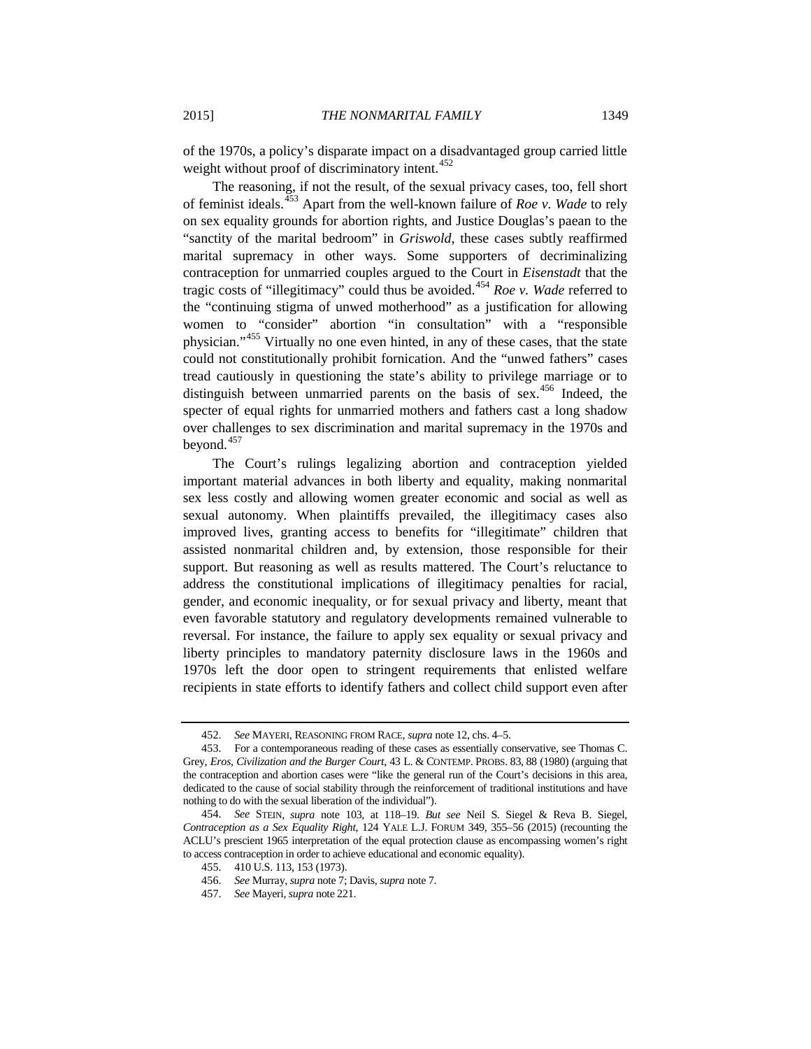of the 1970s, a policy's disparate impact on a disadvantaged group carried little weight without proof of discriminatory intent.<sup>[452](#page-72-0)</sup>

The reasoning, if not the result, of the sexual privacy cases, too, fell short of feminist ideals.[453](#page-72-1) Apart from the well-known failure of *Roe v. Wade* to rely on sex equality grounds for abortion rights, and Justice Douglas's paean to the "sanctity of the marital bedroom" in *Griswold*, these cases subtly reaffirmed marital supremacy in other ways. Some supporters of decriminalizing contraception for unmarried couples argued to the Court in *Eisenstadt* that the tragic costs of "illegitimacy" could thus be avoided.<sup>[454](#page-72-2)</sup> *Roe v. Wade* referred to the "continuing stigma of unwed motherhood" as a justification for allowing women to "consider" abortion "in consultation" with a "responsible physician."[455](#page-72-3) Virtually no one even hinted, in any of these cases, that the state could not constitutionally prohibit fornication. And the "unwed fathers" cases tread cautiously in questioning the state's ability to privilege marriage or to distinguish between unmarried parents on the basis of sex.<sup>[456](#page-72-4)</sup> Indeed, the specter of equal rights for unmarried mothers and fathers cast a long shadow over challenges to sex discrimination and marital supremacy in the 1970s and beyond.<sup>[457](#page-72-5)</sup>

The Court's rulings legalizing abortion and contraception yielded important material advances in both liberty and equality, making nonmarital sex less costly and allowing women greater economic and social as well as sexual autonomy. When plaintiffs prevailed, the illegitimacy cases also improved lives, granting access to benefits for "illegitimate" children that assisted nonmarital children and, by extension, those responsible for their support. But reasoning as well as results mattered. The Court's reluctance to address the constitutional implications of illegitimacy penalties for racial, gender, and economic inequality, or for sexual privacy and liberty, meant that even favorable statutory and regulatory developments remained vulnerable to reversal. For instance, the failure to apply sex equality or sexual privacy and liberty principles to mandatory paternity disclosure laws in the 1960s and 1970s left the door open to stringent requirements that enlisted welfare recipients in state efforts to identify fathers and collect child support even after

<sup>452.</sup> *See* MAYERI, REASONING FROM RACE, *supra* not[e 12,](#page-4-0) chs. 4–5.

<span id="page-72-1"></span><span id="page-72-0"></span><sup>453.</sup> For a contemporaneous reading of these cases as essentially conservative, see Thomas C. Grey, *Eros, Civilization and the Burger Court*, 43 L. & CONTEMP. PROBS. 83, 88 (1980) (arguing that the contraception and abortion cases were "like the general run of the Court's decisions in this area, dedicated to the cause of social stability through the reinforcement of traditional institutions and have nothing to do with the sexual liberation of the individual").

<span id="page-72-5"></span><span id="page-72-4"></span><span id="page-72-3"></span><span id="page-72-2"></span><sup>454.</sup> *See* STEIN, *supra* note [103,](#page-20-0) at 118–19. *But see* Neil S. Siegel & Reva B. Siegel, *Contraception as a Sex Equality Right*, 124 YALE L.J. FORUM 349, 355–56 (2015) (recounting the ACLU's prescient 1965 interpretation of the equal protection clause as encompassing women's right to access contraception in order to achieve educational and economic equality).

<sup>455.</sup> 410 U.S. 113, 153 (1973).

<sup>456.</sup> *See* Murray, *supra* not[e 7;](#page-3-0) Davis, *supra* not[e 7.](#page-3-0)

<sup>457.</sup> *See* Mayeri, *supra* note 221.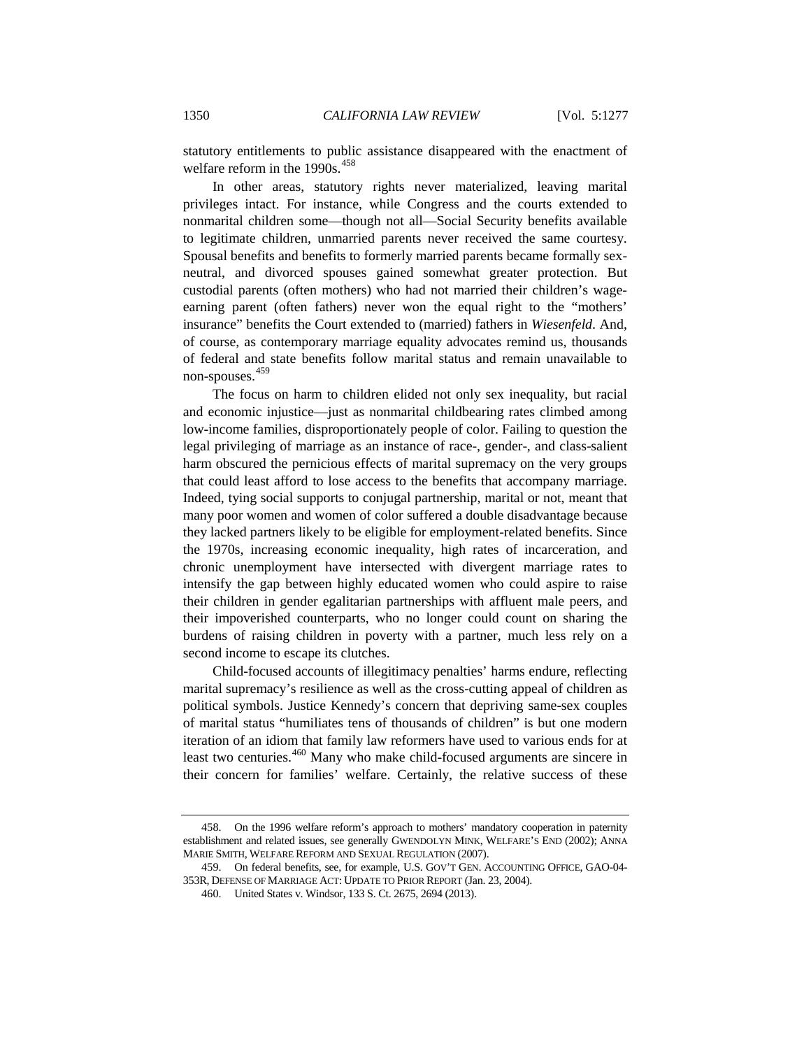statutory entitlements to public assistance disappeared with the enactment of welfare reform in the  $1990s.<sup>458</sup>$  $1990s.<sup>458</sup>$  $1990s.<sup>458</sup>$ 

In other areas, statutory rights never materialized, leaving marital privileges intact. For instance, while Congress and the courts extended to nonmarital children some—though not all—Social Security benefits available to legitimate children, unmarried parents never received the same courtesy. Spousal benefits and benefits to formerly married parents became formally sexneutral, and divorced spouses gained somewhat greater protection. But custodial parents (often mothers) who had not married their children's wageearning parent (often fathers) never won the equal right to the "mothers' insurance" benefits the Court extended to (married) fathers in *Wiesenfeld*. And, of course, as contemporary marriage equality advocates remind us, thousands of federal and state benefits follow marital status and remain unavailable to non-spouses. [459](#page-73-1)

The focus on harm to children elided not only sex inequality, but racial and economic injustice—just as nonmarital childbearing rates climbed among low-income families, disproportionately people of color. Failing to question the legal privileging of marriage as an instance of race-, gender-, and class-salient harm obscured the pernicious effects of marital supremacy on the very groups that could least afford to lose access to the benefits that accompany marriage. Indeed, tying social supports to conjugal partnership, marital or not, meant that many poor women and women of color suffered a double disadvantage because they lacked partners likely to be eligible for employment-related benefits. Since the 1970s, increasing economic inequality, high rates of incarceration, and chronic unemployment have intersected with divergent marriage rates to intensify the gap between highly educated women who could aspire to raise their children in gender egalitarian partnerships with affluent male peers, and their impoverished counterparts, who no longer could count on sharing the burdens of raising children in poverty with a partner, much less rely on a second income to escape its clutches.

Child-focused accounts of illegitimacy penalties' harms endure, reflecting marital supremacy's resilience as well as the cross-cutting appeal of children as political symbols. Justice Kennedy's concern that depriving same-sex couples of marital status "humiliates tens of thousands of children" is but one modern iteration of an idiom that family law reformers have used to various ends for at least two centuries.<sup>[460](#page-73-2)</sup> Many who make child-focused arguments are sincere in their concern for families' welfare. Certainly, the relative success of these

<span id="page-73-0"></span><sup>458.</sup> On the 1996 welfare reform's approach to mothers' mandatory cooperation in paternity establishment and related issues, see generally GWENDOLYN MINK, WELFARE'S END (2002); ANNA MARIE SMITH, WELFARE REFORM AND SEXUAL REGULATION (2007).

<span id="page-73-2"></span><span id="page-73-1"></span><sup>459.</sup> On federal benefits, see, for example, U.S. GOV'T GEN. ACCOUNTING OFFICE, GAO-04- 353R, DEFENSE OF MARRIAGE ACT: UPDATE TO PRIOR REPORT (Jan. 23, 2004).

<sup>460.</sup> United States v. Windsor, 133 S. Ct. 2675, 2694 (2013).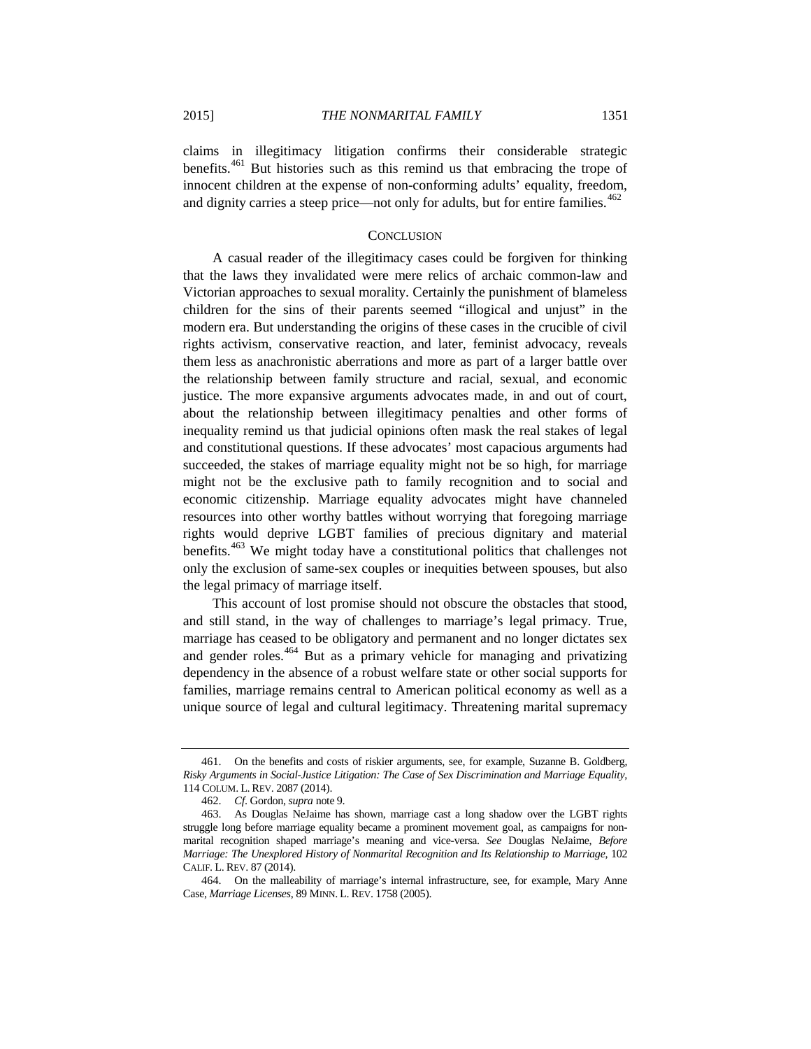claims in illegitimacy litigation confirms their considerable strategic benefits.[461](#page-74-0) But histories such as this remind us that embracing the trope of innocent children at the expense of non-conforming adults' equality, freedom, and dignity carries a steep price—not only for adults, but for entire families.<sup>[462](#page-74-1)</sup>

## **CONCLUSION**

A casual reader of the illegitimacy cases could be forgiven for thinking that the laws they invalidated were mere relics of archaic common-law and Victorian approaches to sexual morality. Certainly the punishment of blameless children for the sins of their parents seemed "illogical and unjust" in the modern era. But understanding the origins of these cases in the crucible of civil rights activism, conservative reaction, and later, feminist advocacy, reveals them less as anachronistic aberrations and more as part of a larger battle over the relationship between family structure and racial, sexual, and economic justice. The more expansive arguments advocates made, in and out of court, about the relationship between illegitimacy penalties and other forms of inequality remind us that judicial opinions often mask the real stakes of legal and constitutional questions. If these advocates' most capacious arguments had succeeded, the stakes of marriage equality might not be so high, for marriage might not be the exclusive path to family recognition and to social and economic citizenship. Marriage equality advocates might have channeled resources into other worthy battles without worrying that foregoing marriage rights would deprive LGBT families of precious dignitary and material benefits.[463](#page-74-2) We might today have a constitutional politics that challenges not only the exclusion of same-sex couples or inequities between spouses, but also the legal primacy of marriage itself.

This account of lost promise should not obscure the obstacles that stood, and still stand, in the way of challenges to marriage's legal primacy. True, marriage has ceased to be obligatory and permanent and no longer dictates sex and gender roles.[464](#page-74-3) But as a primary vehicle for managing and privatizing dependency in the absence of a robust welfare state or other social supports for families, marriage remains central to American political economy as well as a unique source of legal and cultural legitimacy. Threatening marital supremacy

<span id="page-74-0"></span><sup>461.</sup> On the benefits and costs of riskier arguments, see, for example, Suzanne B. Goldberg, *Risky Arguments in Social-Justice Litigation: The Case of Sex Discrimination and Marriage Equality*, 114 COLUM. L. REV. 2087 (2014).

<sup>462.</sup> *Cf*. Gordon, *supra* not[e 9.](#page-3-1)

<span id="page-74-2"></span><span id="page-74-1"></span><sup>463.</sup> As Douglas NeJaime has shown, marriage cast a long shadow over the LGBT rights struggle long before marriage equality became a prominent movement goal, as campaigns for nonmarital recognition shaped marriage's meaning and vice-versa. *See* Douglas NeJaime, *Before Marriage: The Unexplored History of Nonmarital Recognition and Its Relationship to Marriage*, 102 CALIF. L. REV. 87 (2014).

<span id="page-74-3"></span><sup>464.</sup> On the malleability of marriage's internal infrastructure, see, for example, Mary Anne Case, *Marriage Licenses*, 89 MINN. L. REV. 1758 (2005).